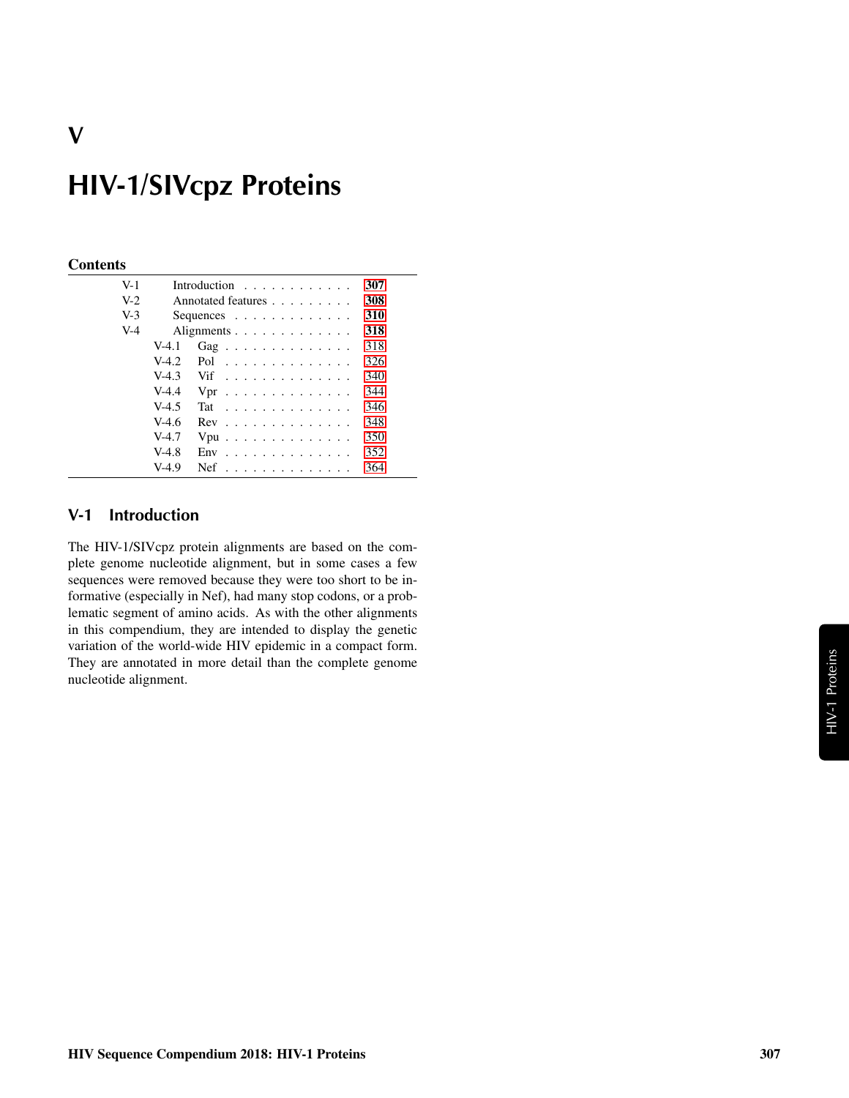# **HIV-1/SIVcpz Proteins**

#### **Contents**

| $V-1$ |         | Introduction $\ldots$ ,                  | 307 |
|-------|---------|------------------------------------------|-----|
| $V-2$ |         | Annotated features                       | 308 |
| $V-3$ |         | Sequences $\ldots$ , $\ldots$ , $\ldots$ | 310 |
| $V-4$ |         | Alignments                               | 318 |
|       | $V-4.1$ | Gag                                      | 318 |
|       | $V-4.2$ | Pol $\ldots \ldots \ldots \ldots \ldots$ | 326 |
|       | $V-4.3$ | Vif                                      | 340 |
|       | $V-4.4$ | $Vpr$                                    | 344 |
|       | $V-4.5$ | Tat                                      | 346 |
|       | $V-4.6$ | $Rev$                                    | 348 |
|       | $V-4.7$ | $Vpu$                                    | 350 |
|       | $V-4.8$ | $Env$                                    | 352 |
|       | $V-4.9$ | $Nef$                                    | 364 |

# <span id="page-0-0"></span>**V-1 Introduction**

The HIV-1/SIVcpz protein alignments are based on the complete genome nucleotide alignment, but in some cases a few sequences were removed because they were too short to be informative (especially in Nef), had many stop codons, or a problematic segment of amino acids. As with the other alignments in this compendium, they are intended to display the genetic variation of the world-wide HIV epidemic in a compact form. They are annotated in more detail than the complete genome nucleotide alignment.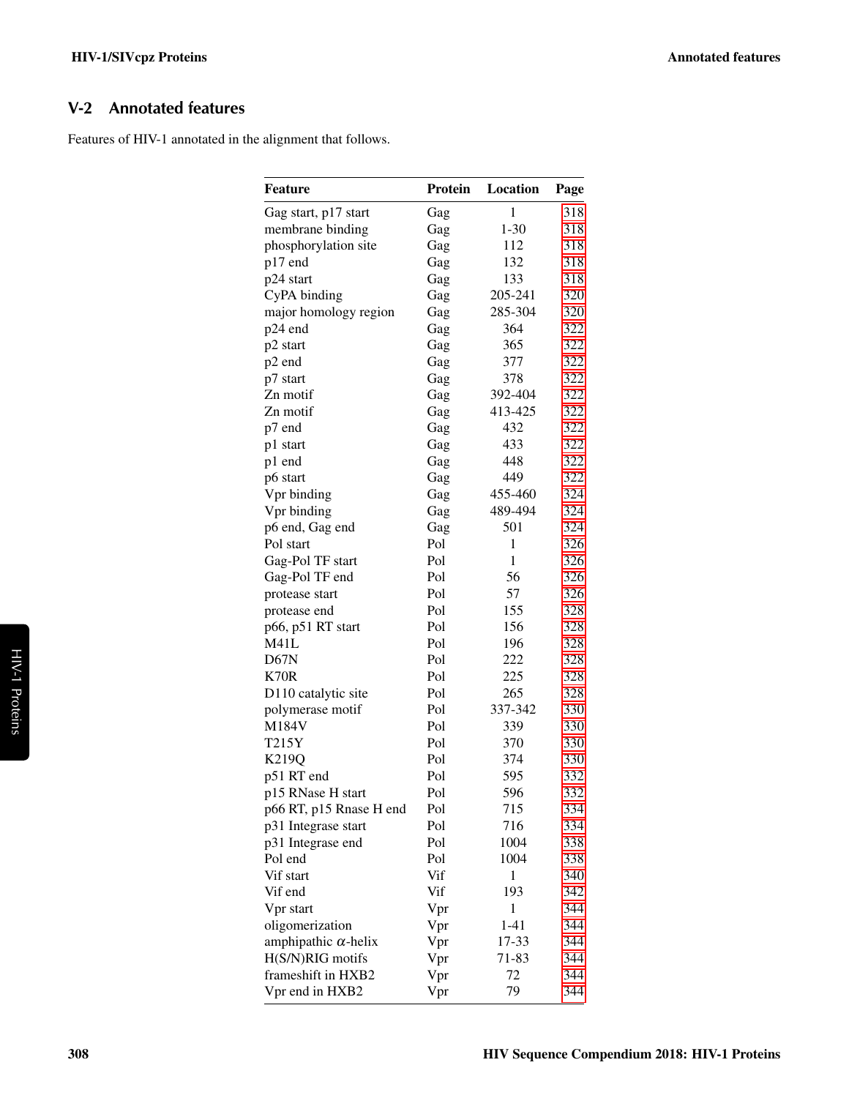# <span id="page-1-0"></span>**V-2 Annotated features**

Features of HIV-1 annotated in the alignment that follows.

| <b>Feature</b>              | Protein | Location     | Page |
|-----------------------------|---------|--------------|------|
| Gag start, p17 start        | Gag     | $\mathbf{1}$ | 318  |
| membrane binding            | Gag     | $1 - 30$     | 318  |
| phosphorylation site        | Gag     | 112          | 318  |
| p17 end                     | Gag     | 132          | 318  |
| p24 start                   | Gag     | 133          | 318  |
| CyPA binding                | Gag     | 205-241      | 320  |
| major homology region       | Gag     | 285-304      | 320  |
| p24 end                     | Gag     | 364          | 322  |
| p2 start                    | Gag     | 365          | 322  |
| p2 end                      | Gag     | 377          | 322  |
| p7 start                    | Gag     | 378          | 322  |
| Zn motif                    | Gag     | 392-404      | 322  |
| Zn motif                    | Gag     | 413-425      | 322  |
| p7 end                      | Gag     | 432          | 322  |
| p1 start                    | Gag     | 433          | 322  |
| p1 end                      | Gag     | 448          | 322  |
| p6 start                    | Gag     | 449          | 322  |
| Vpr binding                 | Gag     | 455-460      | 324  |
| Vpr binding                 | Gag     | 489-494      | 324  |
| p6 end, Gag end             | Gag     | 501          | 324  |
| Pol start                   | Pol     | 1            | 326  |
| Gag-Pol TF start            | Pol     | 1            | 326  |
| Gag-Pol TF end              | Pol     | 56           | 326  |
| protease start              | Pol     | 57           | 326  |
| protease end                | Pol     | 155          | 328  |
| p66, p51 RT start           | Pol     | 156          | 328  |
| M41L                        | Pol     | 196          | 328  |
| D67N                        | Pol     | 222          | 328  |
| <b>K70R</b>                 | Pol     | 225          | 328  |
| D110 catalytic site         | Pol     | 265          | 328  |
|                             | Pol     | 337-342      | 330  |
| polymerase motif            |         |              |      |
| M184V<br>T215Y              | Pol     | 339          | 330  |
|                             | Pol     | 370          | 330  |
| K219Q                       | Pol     | 374          | 330  |
| p51 RT end                  | Pol     | 595          | 332  |
| p15 RNase H start           | Pol     | 596          | 332  |
| p66 RT, p15 Rnase H end     | Pol     | 715          | 334  |
| p31 Integrase start         | Pol     | 716          | 334  |
| p31 Integrase end           | Pol     | 1004         | 338  |
| Pol end                     | Pol     | 1004         | 338  |
| Vif start                   | Vif     | 1            | 340  |
| Vif end                     | Vif     | 193          | 342  |
| Vpr start                   | Vpr     | 1            | 344  |
| oligomerization             | Vpr     | $1 - 41$     | 344  |
| amphipathic $\alpha$ -helix | Vpr     | 17-33        | 344  |
| H(S/N)RIG motifs            | Vpr     | 71-83        | 344  |
| frameshift in HXB2          | Vpr     | 72           | 344  |
| Vpr end in HXB2             | Vpr     | 79           | 344  |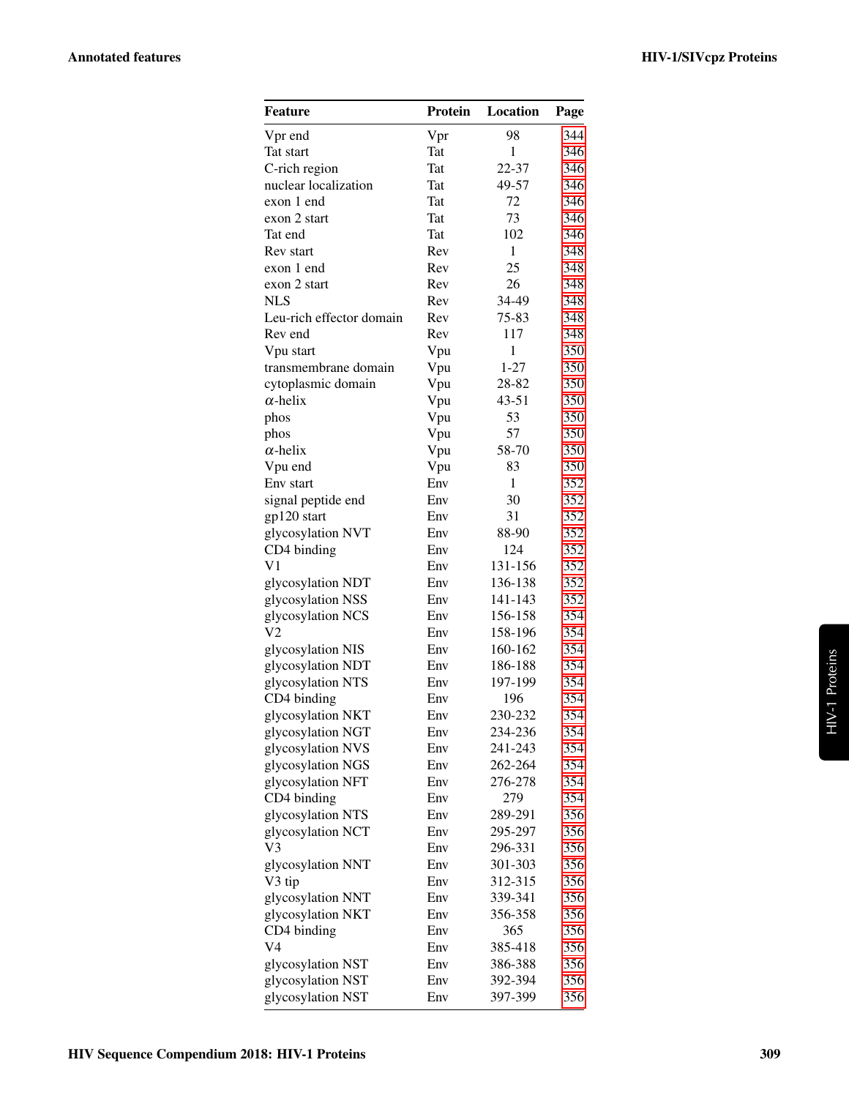| Feature                  | <b>Protein</b> | Location     | Page |
|--------------------------|----------------|--------------|------|
| V <sub>pr</sub> end      | Vpr            | 98           | 344  |
| Tat start                | Tat            | 1            | 346  |
| C-rich region            | Tat            | 22-37        | 346  |
| nuclear localization     | Tat            | 49-57        | 346  |
| exon 1 end               | Tat            | 72           | 346  |
| exon 2 start             | Tat            | 73           | 346  |
| Tat end                  | Tat            | 102          | 346  |
| Rev start                | Rev            | $\mathbf{1}$ | 348  |
| exon 1 end               | Rev            | 25           | 348  |
| exon 2 start             | Rev            | 26           | 348  |
| <b>NLS</b>               | Rev            | 34-49        | 348  |
| Leu-rich effector domain | Rev            | 75-83        | 348  |
| Rev end                  | Rev            | 117          | 348  |
| Vpu start                | Vpu            | $\mathbf{1}$ | 350  |
| transmembrane domain     | Vpu            | $1 - 27$     | 350  |
| cytoplasmic domain       | Vpu            | 28-82        | 350  |
| $\alpha$ -helix          | Vpu            | $43 - 51$    | 350  |
| phos                     | Vpu            | 53           | 350  |
| phos                     | Vpu            | 57           | 350  |
| $\alpha$ -helix          | Vpu            | 58-70        | 350  |
| Vpu end                  | Vpu            | 83           | 350  |
| Env start                | Env            | $\mathbf{1}$ | 352  |
| signal peptide end       | Env            | 30           | 352  |
| gp120 start              | Env            | 31           | 352  |
| glycosylation NVT        | Env            | 88-90        | 352  |
| CD4 binding              | Env            | 124          | 352  |
| $\rm V1$                 | Env            | 131-156      | 352  |
| glycosylation NDT        | Env            | 136-138      | 352  |
| glycosylation NSS        | Env            | 141-143      | 352  |
| glycosylation NCS        | Env            | 156-158      | 354  |
| V2                       | Env            | 158-196      | 354  |
| glycosylation NIS        | Env            | 160-162      | 354  |
| glycosylation NDT        | Env            | 186-188      | 354  |
| glycosylation NTS        | Env            | 197-199      | 354  |
| CD4 binding              | Env            | 196          | 354  |
| glycosylation NKT        | Env            | 230-232      | 354  |
| glycosylation NGT        | Env            | 234-236      | 354  |
| glycosylation NVS        | Env            | 241-243      | 354  |
| glycosylation NGS        | Env            | 262-264      | 354  |
| glycosylation NFT        | Env            | 276-278      | 354  |
| CD4 binding              | Env            | 279          | 354  |
| glycosylation NTS        | Env            | 289-291      | 356  |
| glycosylation NCT        | Env            | 295-297      | 356  |
| V3                       | Env            | 296-331      | 356  |
| glycosylation NNT        | Env            | 301-303      | 356  |
| V3 tip                   | Env            | 312-315      | 356  |
| glycosylation NNT        | Env            | 339-341      | 356  |
| glycosylation NKT        | Env            | 356-358      | 356  |
| CD4 binding              | Env            | 365          | 356  |
| V4                       | Env            | 385-418      | 356  |
| glycosylation NST        | Env            | 386-388      | 356  |
| glycosylation NST        | Env            | 392-394      | 356  |
| glycosylation NST        | Env            | 397-399      | 356  |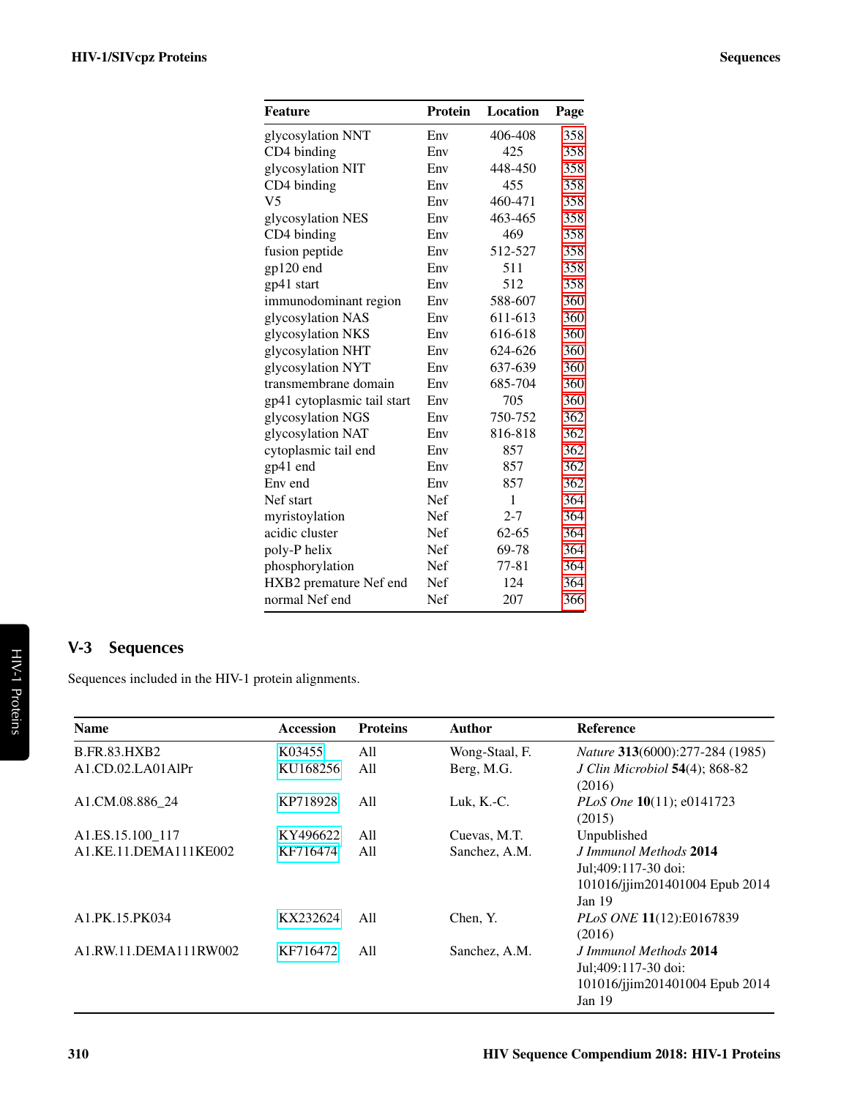| <b>Feature</b>              | <b>Protein</b> | Location  | Page |
|-----------------------------|----------------|-----------|------|
| glycosylation NNT           | Env            | 406-408   | 358  |
| CD4 binding                 | Env            | 425       | 358  |
| glycosylation NIT           | Env            | 448-450   | 358  |
| CD4 binding                 | Env            | 455       | 358  |
| V <sub>5</sub>              | Env            | 460-471   | 358  |
| glycosylation NES           | Env            | 463-465   | 358  |
| CD4 binding                 | Env            | 469       | 358  |
| fusion peptide              | Env            | 512-527   | 358  |
| gp120 end                   | Env            | 511       | 358  |
| gp41 start                  | Env            | 512       | 358  |
| immunodominant region       | Env            | 588-607   | 360  |
| glycosylation NAS           | Env            | 611-613   | 360  |
| glycosylation NKS           | Env            | 616-618   | 360  |
| glycosylation NHT           | Env            | 624-626   | 360  |
| glycosylation NYT           | Env            | 637-639   | 360  |
| transmembrane domain        | Env            | 685-704   | 360  |
| gp41 cytoplasmic tail start | Env            | 705       | 360  |
| glycosylation NGS           | Env            | 750-752   | 362  |
| glycosylation NAT           | Env            | 816-818   | 362  |
| cytoplasmic tail end        | Env            | 857       | 362  |
| gp41 end                    | Env            | 857       | 362  |
| Env end                     | Env            | 857       | 362  |
| Nef start                   | Nef            | 1         | 364  |
| myristoylation              | Nef            | $2 - 7$   | 364  |
| acidic cluster              | Nef            | $62 - 65$ | 364  |
| poly-P helix                | Nef            | 69-78     | 364  |
| phosphorylation             | Nef            | 77-81     | 364  |
| HXB2 premature Nef end      | Nef            | 124       | 364  |
| normal Nef end              | Nef            | 207       | 366  |

# <span id="page-3-0"></span>**V-3 Sequences**

Sequences included in the HIV-1 protein alignments.

| <b>Name</b>                               | Accession | <b>Proteins</b> | Author         | <b>Reference</b>                                                                            |
|-------------------------------------------|-----------|-----------------|----------------|---------------------------------------------------------------------------------------------|
| <b>B.FR.83.HXB2</b>                       | K03455    | A11             | Wong-Staal, F. | Nature 313(6000):277-284 (1985)                                                             |
| $A1$ .CD.02.LA01AlPr                      | KU168256  | All             | Berg, M.G.     | <i>J Clin Microbiol</i> <b>54</b> (4); 868-82<br>(2016)                                     |
| A1.CM.08.886 24                           | KP718928  | All             | Luk, $K.-C$ .  | PLoS One 10(11); e0141723<br>(2015)                                                         |
| A <sub>1</sub> .ES <sub>.15.100</sub> 117 | KY496622  | All             | Cuevas, M.T.   | Unpublished                                                                                 |
| A1.KE.11.DEMA111KE002                     | KF716474  | All             | Sanchez, A.M.  | J Immunol Methods 2014<br>Jul;409:117-30 doi:<br>101016/jjim201401004 Epub 2014<br>Jan $19$ |
| A1.PK.15.PK034                            | KX232624  | A11             | Chen, Y.       | PLoS ONE 11(12):E0167839<br>(2016)                                                          |
| A1.RW.11.DEMA111RW002                     | KF716472  | All             | Sanchez, A.M.  | J Immunol Methods 2014<br>Jul;409:117-30 doi:<br>101016/jjim201401004 Epub 2014<br>Jan $19$ |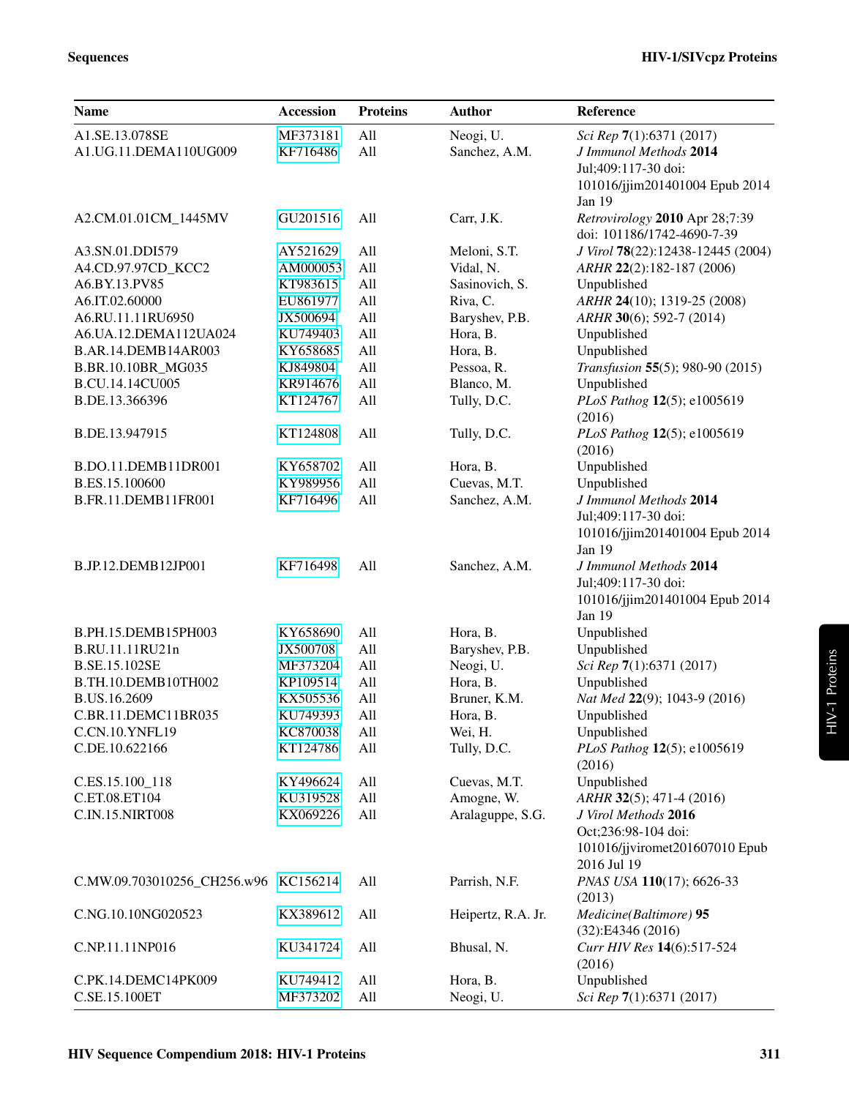| <b>Name</b>                          | <b>Accession</b> | <b>Proteins</b> | <b>Author</b>      | Reference                                                    |
|--------------------------------------|------------------|-----------------|--------------------|--------------------------------------------------------------|
| A1.SE.13.078SE                       | MF373181         | All             | Neogi, U.          | Sci Rep 7(1):6371 (2017)                                     |
| A1.UG.11.DEMA110UG009                | KF716486         | All             | Sanchez, A.M.      | J Immunol Methods 2014                                       |
|                                      |                  |                 |                    | Jul;409:117-30 doi:                                          |
|                                      |                  |                 |                    | 101016/jjim201401004 Epub 2014                               |
|                                      |                  |                 |                    | Jan 19                                                       |
| A2.CM.01.01CM_1445MV                 | GU201516         | All             | Carr, J.K.         | Retrovirology 2010 Apr 28;7:39<br>doi: 101186/1742-4690-7-39 |
| A3.SN.01.DDI579                      | AY521629         | All             | Meloni, S.T.       | J Virol 78(22):12438-12445 (2004)                            |
| A4.CD.97.97CD_KCC2                   | AM000053         | All             | Vidal, N.          | ARHR 22(2):182-187 (2006)                                    |
| A6.BY.13.PV85                        | KT983615         | All             | Sasinovich, S.     | Unpublished                                                  |
| A6.IT.02.60000                       | EU861977         | All             | Riva, C.           | ARHR 24(10); 1319-25 (2008)                                  |
| A6.RU.11.11RU6950                    | JX500694         | All             | Baryshev, P.B.     | ARHR 30(6); 592-7 (2014)                                     |
| A6.UA.12.DEMA112UA024                | KU749403         | All             | Hora, B.           | Unpublished                                                  |
| B.AR.14.DEMB14AR003                  | KY658685         | All             | Hora, B.           | Unpublished                                                  |
| B.BR.10.10BR_MG035                   | KJ849804         | All             | Pessoa, R.         | Transfusion 55(5); 980-90 (2015)                             |
| B.CU.14.14CU005                      | KR914676         | All             | Blanco, M.         | Unpublished                                                  |
| B.DE.13.366396                       | KT124767         | All             | Tully, D.C.        | PLoS Pathog 12(5); e1005619<br>(2016)                        |
| B.DE.13.947915                       | KT124808         | All             | Tully, D.C.        | PLoS Pathog 12(5); e1005619<br>(2016)                        |
| B.DO.11.DEMB11DR001                  | KY658702         | All             | Hora, B.           | Unpublished                                                  |
| B.ES.15.100600                       | KY989956         | All             | Cuevas, M.T.       | Unpublished                                                  |
| B.FR.11.DEMB11FR001                  | KF716496         | All             | Sanchez, A.M.      | J Immunol Methods 2014                                       |
|                                      |                  |                 |                    | Jul;409:117-30 doi:                                          |
|                                      |                  |                 |                    | 101016/jjim201401004 Epub 2014                               |
|                                      |                  |                 |                    | Jan 19                                                       |
| B.JP.12.DEMB12JP001                  | KF716498         | All             | Sanchez, A.M.      | J Immunol Methods 2014                                       |
|                                      |                  |                 |                    | Jul;409:117-30 doi:                                          |
|                                      |                  |                 |                    | 101016/jjim201401004 Epub 2014                               |
|                                      |                  |                 |                    | Jan 19                                                       |
| B.PH.15.DEMB15PH003                  | KY658690         | All             | Hora, B.           | Unpublished                                                  |
| B.RU.11.11RU21n                      | JX500708         | All             | Baryshev, P.B.     | Unpublished                                                  |
| B.SE.15.102SE                        | MF373204         | All             | Neogi, U.          | Sci Rep 7(1):6371 (2017)                                     |
| B.TH.10.DEMB10TH002                  | KP109514         | All             | Hora, B.           | Unpublished                                                  |
| B.US.16.2609                         | KX505536         | All             | Bruner, K.M.       | Nat Med 22(9); 1043-9 (2016)                                 |
| C.BR.11.DEMC11BR035                  | KU749393         | All             | Hora, B.           | Unpublished                                                  |
| C.CN.10.YNFL19                       | KC870038         | All             | Wei, H.            | Unpublished                                                  |
| C.DE.10.622166                       | KT124786         | All             | Tully, D.C.        | PLoS Pathog 12(5); e1005619                                  |
|                                      |                  |                 |                    | (2016)                                                       |
| C.ES.15.100_118                      | KY496624         | All             | Cuevas, M.T.       | Unpublished                                                  |
| C.ET.08.ET104                        | KU319528         | All             | Amogne, W.         | ARHR 32(5); 471-4 (2016)                                     |
| C.IN.15.NIRT008                      | KX069226         | All             | Aralaguppe, S.G.   | J Virol Methods 2016                                         |
|                                      |                  |                 |                    | Oct;236:98-104 doi:                                          |
|                                      |                  |                 |                    | 101016/jjviromet201607010 Epub                               |
|                                      |                  |                 |                    | 2016 Jul 19                                                  |
| C.MW.09.703010256_CH256.w96 KC156214 |                  | All             | Parrish, N.F.      | PNAS USA 110(17); 6626-33                                    |
|                                      |                  |                 |                    | (2013)                                                       |
| C.NG.10.10NG020523                   | KX389612         | All             | Heipertz, R.A. Jr. | Medicine(Baltimore) 95                                       |
|                                      |                  |                 |                    | (32):E4346(2016)                                             |
| C.NP.11.11NP016                      | KU341724         | All             | Bhusal, N.         | Curr HIV Res 14(6):517-524                                   |
|                                      |                  |                 |                    | (2016)                                                       |
| C.PK.14.DEMC14PK009                  | KU749412         | All             | Hora, B.           | Unpublished                                                  |
| C.SE.15.100ET                        | MF373202         | All             | Neogi, U.          | Sci Rep 7(1):6371 (2017)                                     |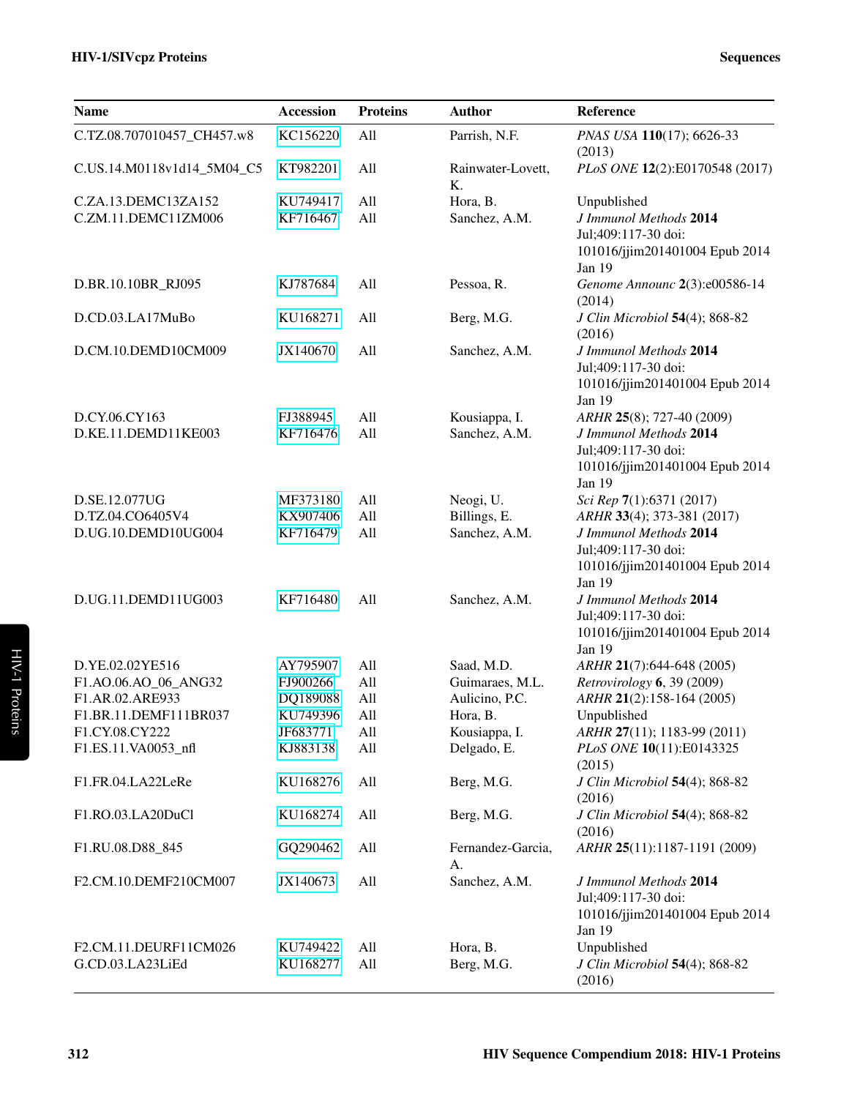| <b>Name</b>                | Accession | <b>Proteins</b> | <b>Author</b>           | Reference                                                                                 |
|----------------------------|-----------|-----------------|-------------------------|-------------------------------------------------------------------------------------------|
| C.TZ.08.707010457_CH457.w8 | KC156220  | All             | Parrish, N.F.           | PNAS USA 110(17); 6626-33<br>(2013)                                                       |
| C.US.14.M0118v1d14_5M04_C5 | KT982201  | All             | Rainwater-Lovett,<br>K. | PLoS ONE 12(2):E0170548 (2017)                                                            |
| C.ZA.13.DEMC13ZA152        | KU749417  | All             | Hora, B.                | Unpublished                                                                               |
| C.ZM.11.DEMC11ZM006        | KF716467  | All             | Sanchez, A.M.           | J Immunol Methods 2014<br>Jul;409:117-30 doi:<br>101016/jjim201401004 Epub 2014<br>Jan 19 |
| D.BR.10.10BR_RJ095         | KJ787684  | All             | Pessoa, R.              | Genome Announc 2(3):e00586-14<br>(2014)                                                   |
| D.CD.03.LA17MuBo           | KU168271  | All             | Berg, M.G.              | J Clin Microbiol 54(4); 868-82<br>(2016)                                                  |
| D.CM.10.DEMD10CM009        | JX140670  | All             | Sanchez, A.M.           | J Immunol Methods 2014<br>Jul;409:117-30 doi:<br>101016/jjim201401004 Epub 2014<br>Jan 19 |
| D.CY.06.CY163              | FJ388945  | All             | Kousiappa, I.           | ARHR 25(8); 727-40 (2009)                                                                 |
| D.KE.11.DEMD11KE003        | KF716476  | All             | Sanchez, A.M.           | J Immunol Methods 2014<br>Jul;409:117-30 doi:<br>101016/jjim201401004 Epub 2014<br>Jan 19 |
| D.SE.12.077UG              | MF373180  | All             | Neogi, U.               | Sci Rep 7(1):6371 (2017)                                                                  |
| D.TZ.04.CO6405V4           | KX907406  | All             | Billings, E.            | ARHR 33(4); 373-381 (2017)                                                                |
| D.UG.10.DEMD10UG004        | KF716479  | All             | Sanchez, A.M.           | J Immunol Methods 2014<br>Jul;409:117-30 doi:<br>101016/jjim201401004 Epub 2014<br>Jan 19 |
| D.UG.11.DEMD11UG003        | KF716480  | All             | Sanchez, A.M.           | J Immunol Methods 2014<br>Jul;409:117-30 doi:<br>101016/jjim201401004 Epub 2014<br>Jan 19 |
| D.YE.02.02YE516            | AY795907  | All             | Saad, M.D.              | ARHR 21(7):644-648 (2005)                                                                 |
| F1.AO.06.AO_06_ANG32       | FJ900266  | All             | Guimaraes, M.L.         | Retrovirology 6, 39 (2009)                                                                |
| F1.AR.02.ARE933            | DQ189088  | All             | Aulicino, P.C.          | ARHR 21(2):158-164 (2005)                                                                 |
| F1.BR.11.DEMF111BR037      | KU749396  | All             | Hora, B.                | Unpublished                                                                               |
| F1.CY.08.CY222             | JF683771  | All             | Kousiappa, I.           | ARHR 27(11); 1183-99 (2011)                                                               |
| F1.ES.11.VA0053_nfl        | KJ883138  | All             | Delgado, E.             | PLoS ONE 10(11):E0143325<br>(2015)                                                        |
| F1.FR.04.LA22LeRe          | KU168276  | All             | Berg, M.G.              | J Clin Microbiol 54(4); 868-82<br>(2016)                                                  |
| F1.RO.03.LA20DuCl          | KU168274  | All             | Berg, M.G.              | J Clin Microbiol 54(4); 868-82<br>(2016)                                                  |
| F1.RU.08.D88_845           | GQ290462  | All             | Fernandez-Garcia,<br>А. | ARHR 25(11):1187-1191 (2009)                                                              |
| F2.CM.10.DEMF210CM007      | JX140673  | All             | Sanchez, A.M.           | J Immunol Methods 2014<br>Jul;409:117-30 doi:<br>101016/jjim201401004 Epub 2014<br>Jan 19 |
| F2.CM.11.DEURF11CM026      | KU749422  | All             | Hora, B.                | Unpublished                                                                               |
| G.CD.03.LA23LiEd           | KU168277  | All             | Berg, M.G.              | J Clin Microbiol 54(4); 868-82<br>(2016)                                                  |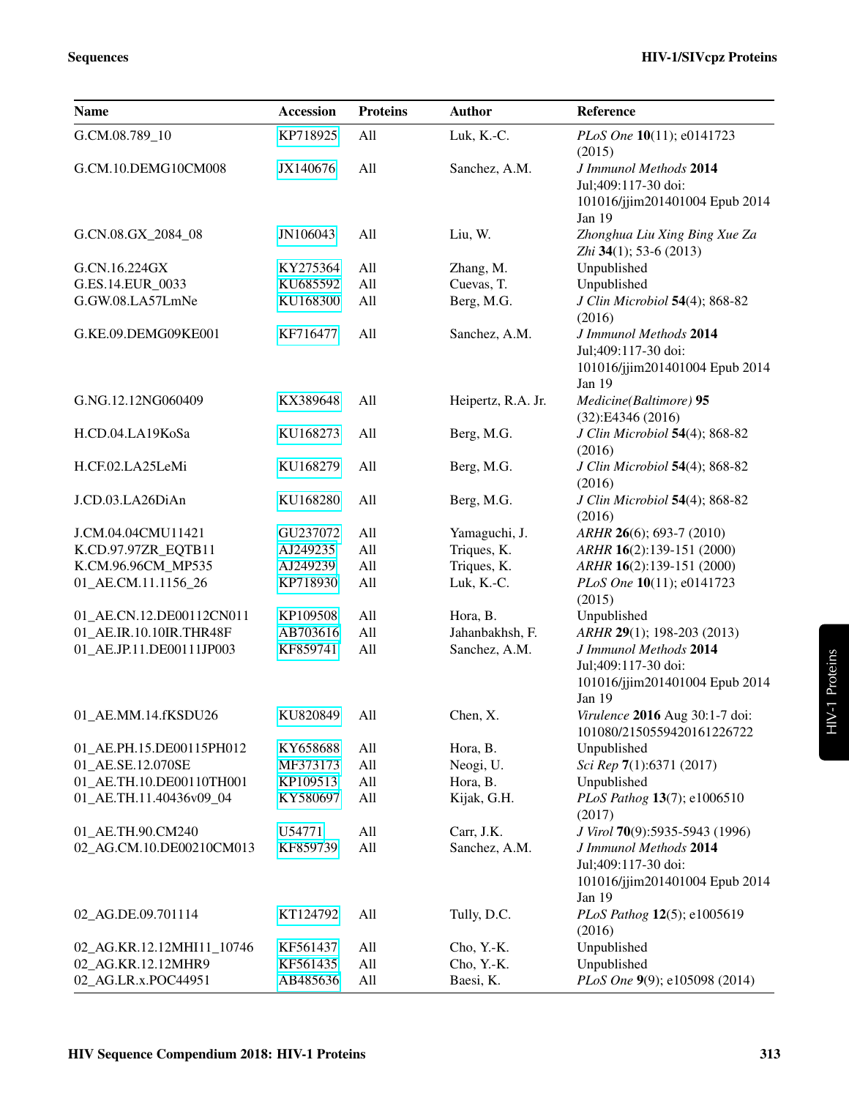| <b>Name</b>               | Accession            | <b>Proteins</b> | <b>Author</b>           | Reference                                    |
|---------------------------|----------------------|-----------------|-------------------------|----------------------------------------------|
| G.CM.08.789_10            | KP718925             | All             | Luk, K.-C.              | PLoS One 10(11); e0141723<br>(2015)          |
| G.CM.10.DEMG10CM008       | JX140676             | All             | Sanchez, A.M.           | J Immunol Methods 2014                       |
|                           |                      |                 |                         | Jul;409:117-30 doi:                          |
|                           |                      |                 |                         | 101016/jjim201401004 Epub 2014               |
|                           |                      |                 |                         | Jan 19                                       |
| G.CN.08.GX_2084_08        | JN106043             | All             | Liu, W.                 | Zhonghua Liu Xing Bing Xue Za                |
| G.CN.16.224GX             |                      | All             |                         | Zhi $34(1)$ ; 53-6 (2013)                    |
| G.ES.14.EUR_0033          | KY275364<br>KU685592 | All             | Zhang, M.<br>Cuevas, T. | Unpublished<br>Unpublished                   |
| G.GW.08.LA57LmNe          | KU168300             | All             | Berg, M.G.              | J Clin Microbiol 54(4); 868-82               |
|                           |                      |                 |                         | (2016)                                       |
| G.KE.09.DEMG09KE001       | KF716477             | All             | Sanchez, A.M.           | J Immunol Methods 2014                       |
|                           |                      |                 |                         | Jul;409:117-30 doi:                          |
|                           |                      |                 |                         | 101016/jjim201401004 Epub 2014               |
|                           |                      |                 |                         | Jan 19                                       |
| G.NG.12.12NG060409        | KX389648             | All             | Heipertz, R.A. Jr.      | Medicine(Baltimore) 95<br>(32):E4346(2016)   |
| H.CD.04.LA19KoSa          | KU168273             | All             | Berg, M.G.              | J Clin Microbiol 54(4); 868-82               |
|                           |                      |                 |                         | (2016)                                       |
| H.CF.02.LA25LeMi          | KU168279             | All             | Berg, M.G.              | J Clin Microbiol 54(4); 868-82               |
|                           |                      |                 |                         | (2016)                                       |
| J.CD.03.LA26DiAn          | KU168280             | All             | Berg, M.G.              | J Clin Microbiol 54(4); 868-82               |
|                           |                      |                 |                         | (2016)                                       |
| J.CM.04.04CMU11421        | GU237072             | All             | Yamaguchi, J.           | ARHR 26(6); 693-7 (2010)                     |
| K.CD.97.97ZR_EQTB11       | AJ249235             | All             | Triques, K.             | ARHR 16(2):139-151 (2000)                    |
| K.CM.96.96CM_MP535        | AJ249239             | All             | Triques, K.             | ARHR 16(2):139-151 (2000)                    |
| 01_AE.CM.11.1156_26       | KP718930             | All             | Luk, K.-C.              | PLoS One 10(11); e0141723<br>(2015)          |
| 01_AE.CN.12.DE00112CN011  | KP109508             | All             | Hora, B.                | Unpublished                                  |
| 01_AE.IR.10.10IR.THR48F   | AB703616             | All             | Jahanbakhsh, F.         | ARHR 29(1); 198-203 (2013)                   |
| 01_AE.JP.11.DE00111JP003  | KF859741             | All             | Sanchez, A.M.           | J Immunol Methods 2014                       |
|                           |                      |                 |                         | Jul;409:117-30 doi:                          |
|                           |                      |                 |                         | 101016/jjim201401004 Epub 2014               |
|                           |                      |                 |                         | Jan 19                                       |
| 01_AE.MM.14.fKSDU26       | KU820849             | All             | Chen, X.                | <i>Virulence</i> <b>2016</b> Aug 30:1-7 doi: |
|                           |                      |                 |                         | 101080/2150559420161226722                   |
| 01_AE.PH.15.DE00115PH012  | KY658688             | All             | Hora, B.                | Unpublished                                  |
| 01_AE.SE.12.070SE         | MF373173             | All             | Neogi, U.               | Sci Rep 7(1):6371 (2017)                     |
| 01_AE.TH.10.DE00110TH001  | KP109513             | All             | Hora, B.                | Unpublished                                  |
| 01_AE.TH.11.40436v09_04   | KY580697             | All             | Kijak, G.H.             | PLoS Pathog 13(7); e1006510<br>(2017)        |
| 01_AE.TH.90.CM240         | U54771               | All             | Carr, J.K.              | J Virol 70(9):5935-5943 (1996)               |
| 02_AG.CM.10.DE00210CM013  | KF859739             | All             | Sanchez, A.M.           | J Immunol Methods 2014                       |
|                           |                      |                 |                         | Jul;409:117-30 doi:                          |
|                           |                      |                 |                         | 101016/jjim201401004 Epub 2014               |
|                           |                      |                 |                         | Jan 19                                       |
| 02_AG.DE.09.701114        | KT124792             | All             | Tully, D.C.             | PLoS Pathog 12(5); e1005619                  |
|                           |                      |                 |                         | (2016)                                       |
| 02_AG.KR.12.12MHI11_10746 | KF561437             | All             | Cho, Y.-K.              | Unpublished                                  |
| 02_AG.KR.12.12MHR9        | KF561435             | All             | Cho, Y.-K.              | Unpublished                                  |
| 02_AG.LR.x.POC44951       | AB485636             | All             | Baesi, K.               | PLoS One 9(9); e105098 (2014)                |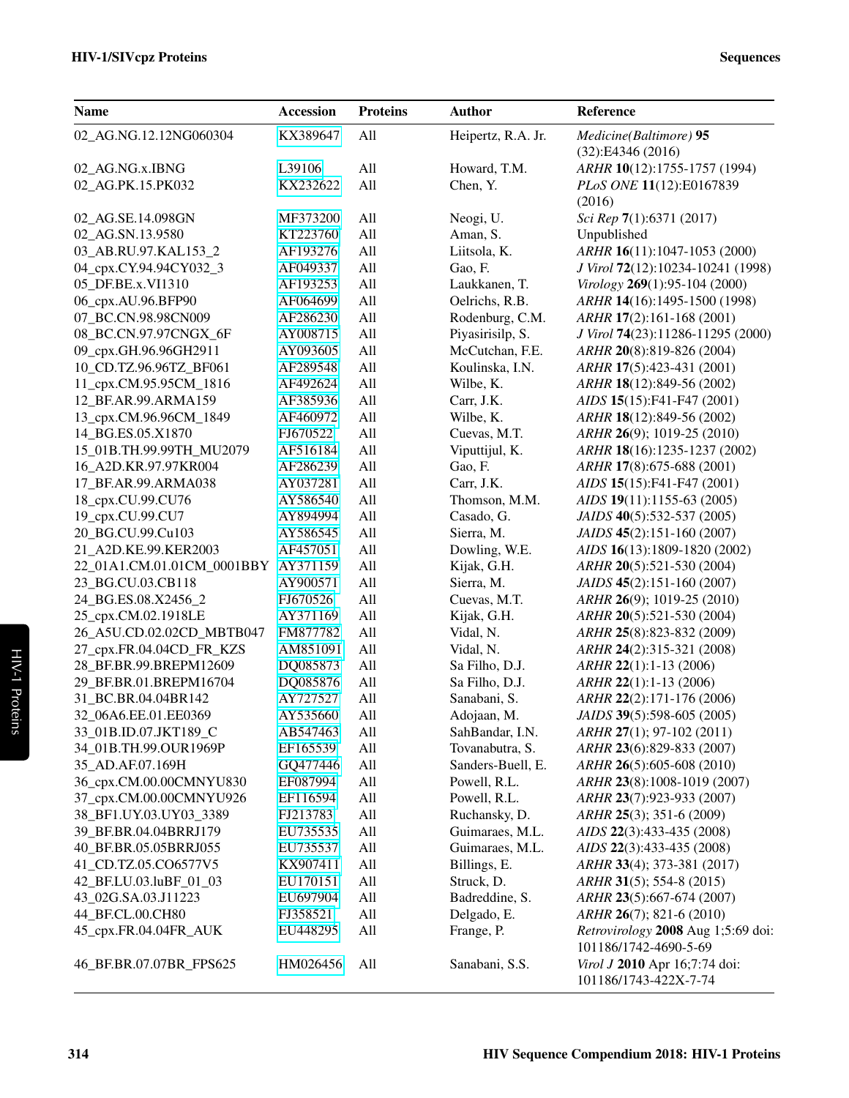| <b>Name</b>                | Accession | <b>Proteins</b> | <b>Author</b>      | Reference                                                   |
|----------------------------|-----------|-----------------|--------------------|-------------------------------------------------------------|
| 02_AG.NG.12.12NG060304     | KX389647  | All             | Heipertz, R.A. Jr. | Medicine(Baltimore) 95<br>(32):E4346(2016)                  |
| 02_AG.NG.x.IBNG            | L39106    | All             | Howard, T.M.       | ARHR 10(12):1755-1757 (1994)                                |
| 02 AG.PK.15.PK032          | KX232622  | All             | Chen, Y.           | PLoS ONE 11(12):E0167839                                    |
|                            |           |                 |                    | (2016)                                                      |
| 02_AG.SE.14.098GN          | MF373200  | All             | Neogi, U.          | Sci Rep 7(1):6371 (2017)                                    |
| 02_AG.SN.13.9580           | KT223760  | All             | Aman, S.           | Unpublished                                                 |
| 03_AB.RU.97.KAL153_2       | AF193276  | All             | Liitsola, K.       | ARHR 16(11):1047-1053 (2000)                                |
| 04_cpx.CY.94.94CY032_3     | AF049337  | All             | Gao, F.            | J Virol 72(12):10234-10241 (1998)                           |
| 05 DF.BE.x.VI1310          | AF193253  | All             | Laukkanen, T.      | Virology 269(1):95-104 (2000)                               |
| 06_cpx.AU.96.BFP90         | AF064699  | All             | Oelrichs, R.B.     | ARHR 14(16):1495-1500 (1998)                                |
| 07_BC.CN.98.98CN009        | AF286230  | All             | Rodenburg, C.M.    | ARHR 17(2):161-168 (2001)                                   |
| 08_BC.CN.97.97CNGX_6F      | AY008715  | All             | Piyasirisilp, S.   | J Virol 74(23):11286-11295 (2000)                           |
| 09_cpx.GH.96.96GH2911      | AY093605  | All             | McCutchan, F.E.    | ARHR 20(8):819-826 (2004)                                   |
| 10_CD.TZ.96.96TZ_BF061     | AF289548  | All             | Koulinska, I.N.    | ARHR 17(5):423-431 (2001)                                   |
| 11_cpx.CM.95.95CM_1816     | AF492624  | All             | Wilbe, K.          | ARHR 18(12):849-56 (2002)                                   |
| 12_BF.AR.99.ARMA159        | AF385936  | All             | Carr, J.K.         | AIDS 15(15):F41-F47 (2001)                                  |
| 13_cpx.CM.96.96CM_1849     | AF460972  | All             | Wilbe, K.          | ARHR 18(12):849-56 (2002)                                   |
| 14 BG.ES.05.X1870          | FJ670522  | All             | Cuevas, M.T.       | ARHR 26(9); 1019-25 (2010)                                  |
| 15_01B.TH.99.99TH_MU2079   | AF516184  | All             | Viputtijul, K.     | ARHR 18(16):1235-1237 (2002)                                |
| 16_A2D.KR.97.97KR004       | AF286239  | All             | Gao, F.            | ARHR 17(8):675-688 (2001)                                   |
| 17_BF.AR.99.ARMA038        | AY037281  | All             | Carr, J.K.         | AIDS 15(15):F41-F47 (2001)                                  |
| 18_cpx.CU.99.CU76          | AY586540  | All             | Thomson, M.M.      | AIDS 19(11):1155-63 (2005)                                  |
| 19_cpx.CU.99.CU7           | AY894994  | All             | Casado, G.         | JAIDS 40(5):532-537 (2005)                                  |
| 20_BG.CU.99.Cu103          | AY586545  | All             | Sierra, M.         | JAIDS 45(2):151-160 (2007)                                  |
| 21_A2D.KE.99.KER2003       | AF457051  | All             | Dowling, W.E.      | AIDS 16(13):1809-1820 (2002)                                |
| 22_01A1.CM.01.01CM_0001BBY | AY371159  | All             | Kijak, G.H.        | ARHR 20(5):521-530 (2004)                                   |
| 23_BG.CU.03.CB118          | AY900571  | All             | Sierra, M.         | JAIDS 45(2):151-160 (2007)                                  |
| 24_BG.ES.08.X2456_2        | FJ670526  | All             | Cuevas, M.T.       | ARHR 26(9); 1019-25 (2010)                                  |
| 25_cpx.CM.02.1918LE        | AY371169  | All             | Kijak, G.H.        | ARHR 20(5):521-530 (2004)                                   |
| 26_A5U.CD.02.02CD_MBTB047  | FM877782  | All             | Vidal, N.          | ARHR 25(8):823-832 (2009)                                   |
| 27_cpx.FR.04.04CD_FR_KZS   | AM851091  | All             | Vidal, N.          | ARHR 24(2):315-321 (2008)                                   |
| 28_BF.BR.99.BREPM12609     | DQ085873  | All             | Sa Filho, D.J.     | ARHR 22(1):1-13 (2006)                                      |
| 29_BF.BR.01.BREPM16704     | DQ085876  | All             | Sa Filho, D.J.     | ARHR 22(1):1-13 (2006)                                      |
| 31_BC.BR.04.04BR142        | AY727527  | All             | Sanabani, S.       | ARHR 22(2):171-176 (2006)                                   |
|                            | AY535660  |                 |                    | JAIDS 39(5):598-605 (2005)                                  |
| 32_06A6.EE.01.EE0369       |           | All             | Adojaan, M.        |                                                             |
| 33_01B.ID.07.JKT189_C      | AB547463  | All             | SahBandar, I.N.    | ARHR 27(1); 97-102 (2011)                                   |
| 34_01B.TH.99.OUR1969P      | EF165539  | All             | Tovanabutra, S.    | ARHR 23(6):829-833 (2007)                                   |
| 35_AD.AF.07.169H           | GQ477446  | All             | Sanders-Buell, E.  | ARHR 26(5):605-608 (2010)                                   |
| 36_cpx.CM.00.00CMNYU830    | EF087994  | All             | Powell, R.L.       | ARHR 23(8):1008-1019 (2007)                                 |
| 37_cpx.CM.00.00CMNYU926    | EF116594  | All             | Powell, R.L.       | ARHR 23(7):923-933 (2007)                                   |
| 38_BF1.UY.03.UY03_3389     | FJ213783  | All             | Ruchansky, D.      | ARHR 25(3); 351-6 (2009)                                    |
| 39_BF.BR.04.04BRRJ179      | EU735535  | All             | Guimaraes, M.L.    | AIDS 22(3):433-435 (2008)                                   |
| 40_BF.BR.05.05BRRJ055      | EU735537  | All             | Guimaraes, M.L.    | AIDS 22(3):433-435 (2008)                                   |
| 41_CD.TZ.05.CO6577V5       | KX907411  | All             | Billings, E.       | ARHR 33(4); 373-381 (2017)                                  |
| 42_BF.LU.03.luBF_01_03     | EU170151  | All             | Struck, D.         | ARHR 31(5); 554-8 (2015)                                    |
| 43_02G.SA.03.J11223        | EU697904  | All             | Badreddine, S.     | ARHR 23(5):667-674 (2007)                                   |
| 44_BF.CL.00.CH80           | FJ358521  | All             | Delgado, E.        | ARHR 26(7); 821-6 (2010)                                    |
| 45_cpx.FR.04.04FR_AUK      | EU448295  | All             | Frange, P.         | Retrovirology 2008 Aug 1;5:69 doi:<br>101186/1742-4690-5-69 |
| 46_BF.BR.07.07BR_FPS625    | HM026456  | All             | Sanabani, S.S.     | Virol J 2010 Apr 16;7:74 doi:<br>101186/1743-422X-7-74      |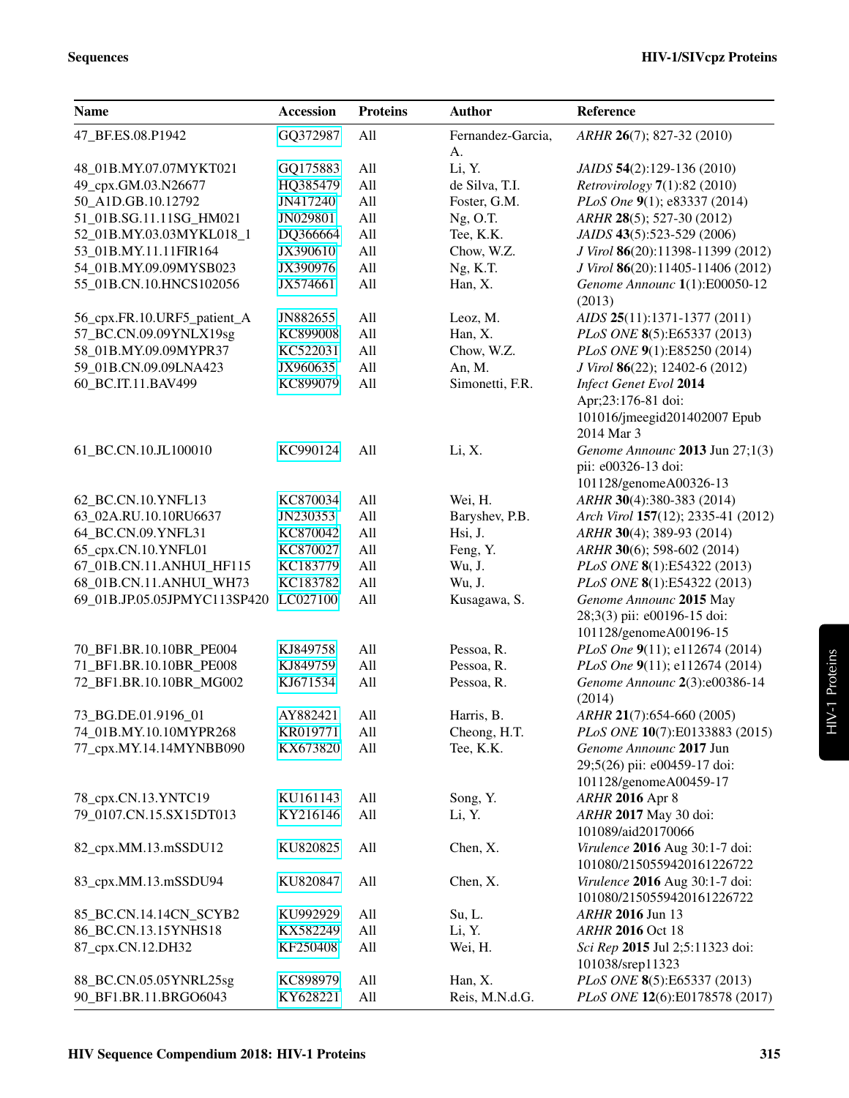| <b>Name</b>                  | <b>Accession</b>     | <b>Proteins</b> | <b>Author</b>     | Reference                                              |
|------------------------------|----------------------|-----------------|-------------------|--------------------------------------------------------|
| 47_BF.ES.08.P1942            | GQ372987             | All             | Fernandez-Garcia, | ARHR 26(7); 827-32 (2010)                              |
|                              |                      |                 | A.                |                                                        |
| 48_01B.MY.07.07MYKT021       | GQ175883             | All             | Li, Y.            | JAIDS 54(2):129-136 (2010)                             |
| 49_cpx.GM.03.N26677          | HQ385479             | All             | de Silva, T.I.    | <i>Retrovirology</i> $7(1):82(2010)$                   |
| 50 A1D.GB.10.12792           | JN417240             | All             | Foster, G.M.      | PLoS One 9(1); e83337 (2014)                           |
| 51_01B.SG.11.11SG_HM021      | JN029801             | All             | $Ng$ , O.T.       | ARHR 28(5); 527-30 (2012)                              |
| 52_01B.MY.03.03MYKL018_1     | DQ366664             | All             | Tee, K.K.         | JAIDS 43(5):523-529 (2006)                             |
| 53_01B.MY.11.11FIR164        | JX390610             | All             | Chow, W.Z.        | J Virol 86(20):11398-11399 (2012)                      |
| 54_01B.MY.09.09MYSB023       | JX390976             | All             | Ng, K.T.          | J Virol 86(20):11405-11406 (2012)                      |
| 55_01B.CN.10.HNCS102056      | JX574661             | All             | Han, X.           | Genome Announc 1(1):E00050-12<br>(2013)                |
| 56_cpx.FR.10.URF5_patient_A  | JN882655             | All             | Leoz, M.          | AIDS 25(11):1371-1377 (2011)                           |
| 57_BC.CN.09.09YNLX19sg       | KC899008             | All             | Han, X.           | PLoS ONE 8(5):E65337 (2013)                            |
| 58_01B.MY.09.09MYPR37        | KC522031             | All             | Chow, W.Z.        | PLoS ONE 9(1):E85250 (2014)                            |
| 59_01B.CN.09.09LNA423        | JX960635             | All             | An, M.            | J Virol 86(22); 12402-6 (2012)                         |
| 60_BC.IT.11.BAV499           | KC899079             | All             | Simonetti, F.R.   | <b>Infect Genet Evol 2014</b>                          |
|                              |                      |                 |                   | Apr;23:176-81 doi:                                     |
|                              |                      |                 |                   | 101016/jmeegid201402007 Epub                           |
|                              |                      |                 |                   | 2014 Mar 3                                             |
| 61_BC.CN.10.JL100010         | KC990124             | All             | Li, X.            | Genome Announc 2013 Jun 27;1(3)<br>pii: e00326-13 doi: |
|                              |                      |                 |                   | 101128/genomeA00326-13                                 |
| 62_BC.CN.10.YNFL13           | KC870034             | All             | Wei, H.           | ARHR 30(4):380-383 (2014)                              |
| 63_02A.RU.10.10RU6637        | JN230353             | All             | Baryshev, P.B.    | Arch Virol 157(12); 2335-41 (2012)                     |
| 64_BC.CN.09.YNFL31           | KC870042             | All             | Hsi, J.           | ARHR 30(4); 389-93 (2014)                              |
| 65_cpx.CN.10.YNFL01          | KC870027             | All             | Feng, Y.          | ARHR 30(6); 598-602 (2014)                             |
| 67_01B.CN.11.ANHUI_HF115     | KC183779             | All             | Wu, J.            | PLoS ONE 8(1):E54322 (2013)                            |
| 68_01B.CN.11.ANHUI_WH73      | KC183782             | All             | Wu, J.            | PLoS ONE 8(1):E54322 (2013)                            |
| 69_01B.JP.05.05JPMYC113SP420 | LC027100             | All             | Kusagawa, S.      | Genome Announc 2015 May                                |
|                              |                      |                 |                   | 28;3(3) pii: e00196-15 doi:                            |
|                              |                      |                 |                   | 101128/genomeA00196-15                                 |
| 70_BF1.BR.10.10BR_PE004      | KJ849758             | All             | Pessoa, R.        | PLoS One 9(11); e112674 (2014)                         |
| 71_BF1.BR.10.10BR_PE008      | KJ849759             | All             | Pessoa, R.        | PLoS One 9(11); e112674 (2014)                         |
| 72_BF1.BR.10.10BR_MG002      | KJ671534             | All             | Pessoa, R.        | Genome Announc 2(3):e00386-14<br>(2014)                |
| 73_BG.DE.01.9196_01          | AY882421             | All             | Harris, B.        | ARHR 21(7):654-660 (2005)                              |
| 74_01B.MY.10.10MYPR268       | KR019771             | All             | Cheong, H.T.      | PLoS ONE 10(7):E0133883 (2015)                         |
| 77_cpx.MY.14.14MYNBB090      | KX673820             | All             | Tee, K.K.         | Genome Announc 2017 Jun                                |
|                              |                      |                 |                   | 29;5(26) pii: e00459-17 doi:                           |
|                              |                      |                 |                   | 101128/genomeA00459-17                                 |
| 78_cpx.CN.13.YNTC19          | KU161143             | All             | Song, Y.          | <b>ARHR 2016 Apr 8</b>                                 |
| 79_0107.CN.15.SX15DT013      | KY216146             | All             | Li, Y.            | ARHR 2017 May 30 doi:                                  |
|                              |                      |                 |                   | 101089/aid20170066                                     |
| 82_cpx.MM.13.mSSDU12         | KU820825             | All             | Chen, X.          | Virulence 2016 Aug 30:1-7 doi:                         |
|                              |                      |                 |                   | 101080/2150559420161226722                             |
| 83_cpx.MM.13.mSSDU94         | KU820847             | All             | Chen, X.          | Virulence 2016 Aug 30:1-7 doi:                         |
|                              |                      |                 |                   | 101080/2150559420161226722<br>ARHR 2016 Jun 13         |
| 85_BC.CN.14.14CN_SCYB2       | KU992929<br>KX582249 | All             | Su, L.            |                                                        |
| 86_BC.CN.13.15YNHS18         | KF250408             | All             | Li, Y.            | <b>ARHR 2016 Oct 18</b>                                |
| 87_cpx.CN.12.DH32            |                      | All             | Wei, H.           | Sci Rep 2015 Jul 2;5:11323 doi:<br>101038/srep11323    |
| 88_BC.CN.05.05YNRL25sg       | KC898979             | All             | Han, X.           | PLoS ONE 8(5):E65337 (2013)                            |
| 90_BF1.BR.11.BRGO6043        | KY628221             | All             | Reis, M.N.d.G.    | PLoS ONE 12(6):E0178578 (2017)                         |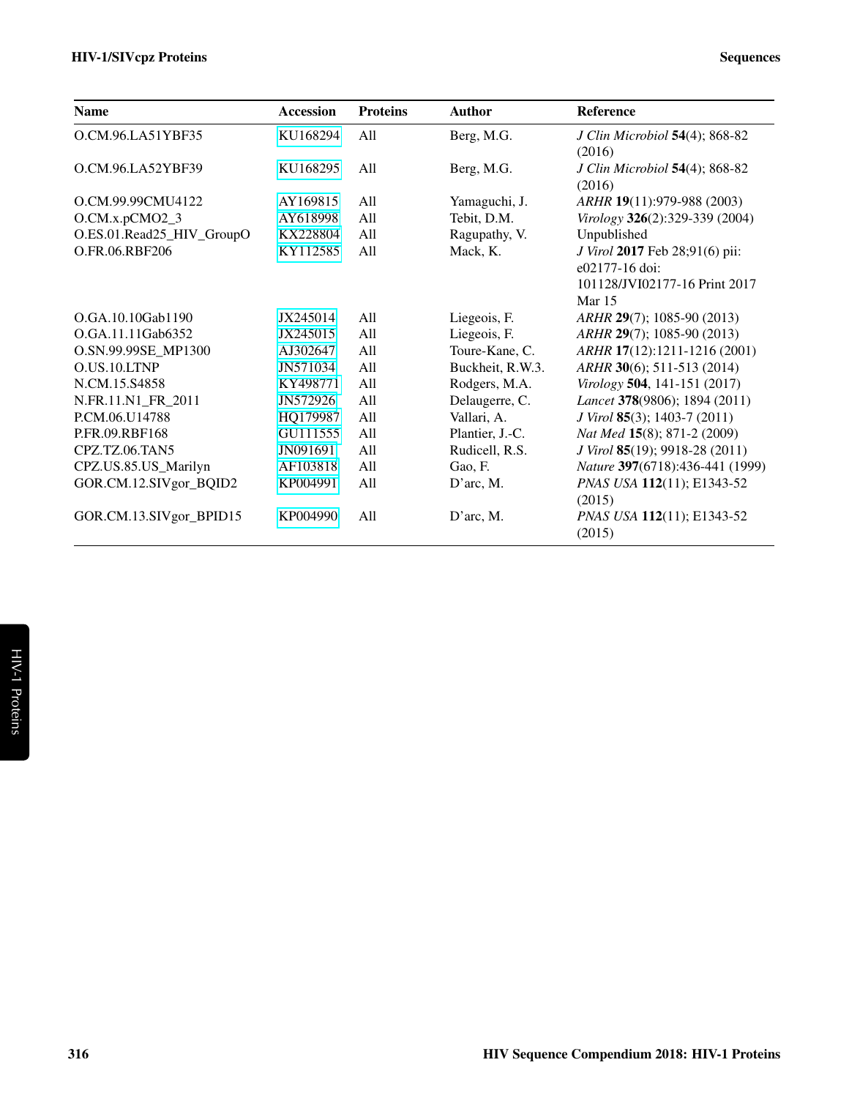| <b>Name</b>               | <b>Accession</b> | <b>Proteins</b> | <b>Author</b>    | <b>Reference</b>                                                                              |
|---------------------------|------------------|-----------------|------------------|-----------------------------------------------------------------------------------------------|
| O.CM.96.LA51YBF35         | KU168294         | All             | Berg, M.G.       | J Clin Microbiol 54(4); 868-82<br>(2016)                                                      |
| O.CM.96.LA52YBF39         | KU168295         | All             | Berg, M.G.       | J Clin Microbiol 54(4); 868-82<br>(2016)                                                      |
| O.CM.99.99CMU4122         | AY169815         | A11             | Yamaguchi, J.    | ARHR 19(11):979-988 (2003)                                                                    |
| O.CM.x.pCMO2_3            | AY618998         | All             | Tebit, D.M.      | Virology 326(2):329-339 (2004)                                                                |
| O.ES.01.Read25_HIV_GroupO | KX228804         | A11             | Ragupathy, V.    | Unpublished                                                                                   |
| O.FR.06.RBF206            | KY112585         | All             | Mack, K.         | J Virol 2017 Feb 28;91(6) pii:<br>e02177-16 doi:<br>101128/JVI02177-16 Print 2017<br>Mar $15$ |
| O.GA.10.10Gab1190         | JX245014         | A11             | Liegeois, F.     | ARHR 29(7); 1085-90 (2013)                                                                    |
| O.GA.11.11Gab6352         | JX245015         | All             | Liegeois, F.     | ARHR 29(7); 1085-90 (2013)                                                                    |
| O.SN.99.99SE_MP1300       | AJ302647         | All             | Toure-Kane, C.   | ARHR 17(12):1211-1216 (2001)                                                                  |
| O.US.10.LTNP              | JN571034         | All             | Buckheit, R.W.3. | ARHR 30(6); 511-513 (2014)                                                                    |
| N.CM.15.S4858             | KY498771         | All             | Rodgers, M.A.    | Virology 504, 141-151 (2017)                                                                  |
| N.FR.11.N1_FR_2011        | JN572926         | All             | Delaugerre, C.   | Lancet 378(9806); 1894 (2011)                                                                 |
| P.CM.06.U14788            | HQ179987         | All             | Vallari, A.      | J Virol 85(3); 1403-7 (2011)                                                                  |
| P.FR.09.RBF168            | GU111555         | All             | Plantier, J.-C.  | Nat Med 15(8); 871-2 (2009)                                                                   |
| CPZ.TZ.06.TAN5            | JN091691         | All             | Rudicell, R.S.   | J Virol 85(19); 9918-28 (2011)                                                                |
| CPZ.US.85.US_Marilyn      | AF103818         | All             | Gao, F.          | Nature 397(6718):436-441 (1999)                                                               |
| GOR.CM.12.SIVgor_BQID2    | KP004991         | All             | D'arc, M.        | PNAS USA 112(11); E1343-52<br>(2015)                                                          |
| GOR.CM.13.SIVgor_BPID15   | KP004990         | All             | D'arc, M.        | PNAS USA 112(11); E1343-52<br>(2015)                                                          |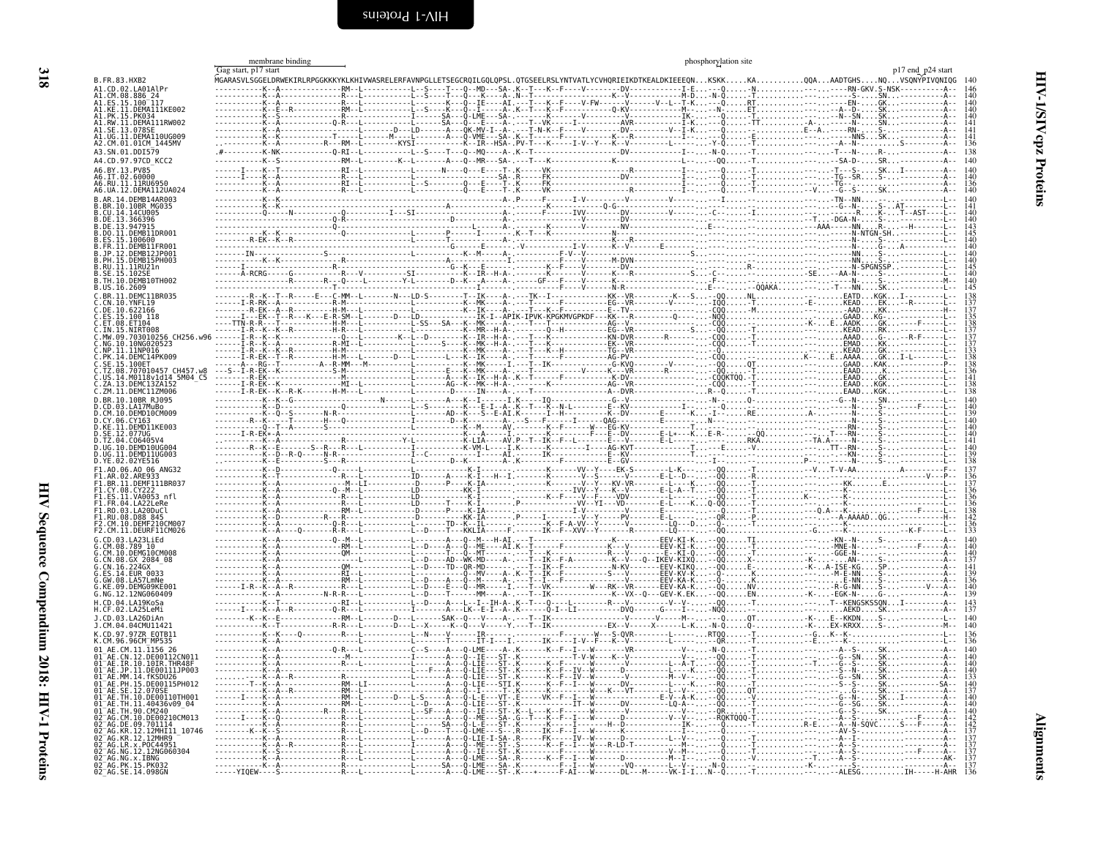<span id="page-11-2"></span><span id="page-11-1"></span><span id="page-11-0"></span>

| B.FR.83.HXB2<br>A1.CD.02.LA01AlPr<br>^1.CM.08.886_24<br>A1.ES.15.100_117<br>A1.KE.11.DEMA111KE002<br>41.PK.15.PK03<br>A1.RW.11.DEMA111RW002<br>\1.SE.13.078SE<br>A1.UG.11.DEMA110UG009<br>A2.CM.01.01CM 1445MV<br>A3.SN.01.DDI579<br>A4.CD.97.97CD KCC2<br>A6.BY.13.PV85<br>A6.IT.02.60000<br>A6.RU.11.11RU6950<br>A6.UA.12.DEMA112UA024<br>3.AR.14.DEMB14AR003<br>.10.10BR MG035 | membrane binding<br>Gag start, p17 start |                    |                                                                                                                                                                                   |                                                                                                                                                                                                                                |                                                                                                          | p17 end p24 start<br>.<br>MGARASVLSGGELDRWEKIRLRPGGKKKYKLKHIVWASRELERFAVNPGLLETSEGCRQILGQLQPSL.QTGSEELRSLYNTVATLYCVHQRIEIKDTKEALDKIEEEQNKSKKKAQQAAADTGHSNQVSQNYPIVQNIQG<br>-N. - - - - - - - RN - GKV . S - NSK - - - - - - - - - |
|-----------------------------------------------------------------------------------------------------------------------------------------------------------------------------------------------------------------------------------------------------------------------------------------------------------------------------------------------------------------------------------|------------------------------------------|--------------------|-----------------------------------------------------------------------------------------------------------------------------------------------------------------------------------|--------------------------------------------------------------------------------------------------------------------------------------------------------------------------------------------------------------------------------|----------------------------------------------------------------------------------------------------------|-----------------------------------------------------------------------------------------------------------------------------------------------------------------------------------------------------------------------------------|
|                                                                                                                                                                                                                                                                                                                                                                                   |                                          |                    |                                                                                                                                                                                   |                                                                                                                                                                                                                                |                                                                                                          |                                                                                                                                                                                                                                   |
|                                                                                                                                                                                                                                                                                                                                                                                   |                                          |                    |                                                                                                                                                                                   |                                                                                                                                                                                                                                |                                                                                                          |                                                                                                                                                                                                                                   |
|                                                                                                                                                                                                                                                                                                                                                                                   |                                          |                    |                                                                                                                                                                                   |                                                                                                                                                                                                                                |                                                                                                          |                                                                                                                                                                                                                                   |
|                                                                                                                                                                                                                                                                                                                                                                                   |                                          |                    |                                                                                                                                                                                   |                                                                                                                                                                                                                                |                                                                                                          |                                                                                                                                                                                                                                   |
|                                                                                                                                                                                                                                                                                                                                                                                   |                                          |                    |                                                                                                                                                                                   |                                                                                                                                                                                                                                |                                                                                                          |                                                                                                                                                                                                                                   |
|                                                                                                                                                                                                                                                                                                                                                                                   |                                          |                    |                                                                                                                                                                                   |                                                                                                                                                                                                                                |                                                                                                          |                                                                                                                                                                                                                                   |
|                                                                                                                                                                                                                                                                                                                                                                                   |                                          |                    |                                                                                                                                                                                   |                                                                                                                                                                                                                                |                                                                                                          |                                                                                                                                                                                                                                   |
|                                                                                                                                                                                                                                                                                                                                                                                   |                                          |                    |                                                                                                                                                                                   |                                                                                                                                                                                                                                |                                                                                                          |                                                                                                                                                                                                                                   |
|                                                                                                                                                                                                                                                                                                                                                                                   |                                          | -----------0-RI--L |                                                                                                                                                                                   |                                                                                                                                                                                                                                |                                                                                                          |                                                                                                                                                                                                                                   |
|                                                                                                                                                                                                                                                                                                                                                                                   |                                          |                    | . - K - - L - - - - - - - A - - - O - - MR - - - SA - . - -                                                                                                                       |                                                                                                                                                                                                                                |                                                                                                          |                                                                                                                                                                                                                                   |
|                                                                                                                                                                                                                                                                                                                                                                                   |                                          |                    |                                                                                                                                                                                   |                                                                                                                                                                                                                                |                                                                                                          | -----------RI--L----------L------N----Q---E----T-.K------VK---------------R----------I--, -TSKI--------                                                                                                                           |
|                                                                                                                                                                                                                                                                                                                                                                                   |                                          |                    |                                                                                                                                                                                   |                                                                                                                                                                                                                                |                                                                                                          |                                                                                                                                                                                                                                   |
|                                                                                                                                                                                                                                                                                                                                                                                   |                                          |                    |                                                                                                                                                                                   |                                                                                                                                                                                                                                |                                                                                                          |                                                                                                                                                                                                                                   |
|                                                                                                                                                                                                                                                                                                                                                                                   |                                          |                    |                                                                                                                                                                                   |                                                                                                                                                                                                                                |                                                                                                          |                                                                                                                                                                                                                                   |
|                                                                                                                                                                                                                                                                                                                                                                                   |                                          |                    |                                                                                                                                                                                   |                                                                                                                                                                                                                                |                                                                                                          |                                                                                                                                                                                                                                   |
|                                                                                                                                                                                                                                                                                                                                                                                   |                                          |                    |                                                                                                                                                                                   |                                                                                                                                                                                                                                |                                                                                                          |                                                                                                                                                                                                                                   |
| B.CU.14.14CU005<br>B.DE.13.366396<br>B.DE.13.947915                                                                                                                                                                                                                                                                                                                               |                                          |                    |                                                                                                                                                                                   |                                                                                                                                                                                                                                |                                                                                                          |                                                                                                                                                                                                                                   |
| B.DO.11.DEMB11DR001                                                                                                                                                                                                                                                                                                                                                               |                                          |                    |                                                                                                                                                                                   |                                                                                                                                                                                                                                |                                                                                                          |                                                                                                                                                                                                                                   |
| .ES.15.100600<br>FR.11.DEMB11FR001                                                                                                                                                                                                                                                                                                                                                |                                          |                    |                                                                                                                                                                                   |                                                                                                                                                                                                                                |                                                                                                          |                                                                                                                                                                                                                                   |
|                                                                                                                                                                                                                                                                                                                                                                                   |                                          |                    |                                                                                                                                                                                   |                                                                                                                                                                                                                                |                                                                                                          |                                                                                                                                                                                                                                   |
| .jp.12.DEMB12jP001<br>.ph.15.DEMB15PH003                                                                                                                                                                                                                                                                                                                                          |                                          |                    |                                                                                                                                                                                   |                                                                                                                                                                                                                                |                                                                                                          |                                                                                                                                                                                                                                   |
| .RU.11.11RU21n                                                                                                                                                                                                                                                                                                                                                                    |                                          |                    |                                                                                                                                                                                   |                                                                                                                                                                                                                                |                                                                                                          |                                                                                                                                                                                                                                   |
| SE.15.1029<br>3.TH.10.DEMB10TH002                                                                                                                                                                                                                                                                                                                                                 | - - - - - - A - RCRG -                   |                    |                                                                                                                                                                                   |                                                                                                                                                                                                                                |                                                                                                          |                                                                                                                                                                                                                                   |
| B.US.16.2609                                                                                                                                                                                                                                                                                                                                                                      |                                          |                    |                                                                                                                                                                                   |                                                                                                                                                                                                                                |                                                                                                          |                                                                                                                                                                                                                                   |
| C.BR.11.DEMC11BR035                                                                                                                                                                                                                                                                                                                                                               |                                          |                    |                                                                                                                                                                                   |                                                                                                                                                                                                                                |                                                                                                          |                                                                                                                                                                                                                                   |
| CN.10.YNFL19                                                                                                                                                                                                                                                                                                                                                                      |                                          |                    |                                                                                                                                                                                   |                                                                                                                                                                                                                                |                                                                                                          | . - E - KEAD EK. -                                                                                                                                                                                                                |
| C.DE.10.622166                                                                                                                                                                                                                                                                                                                                                                    | $-A$                                     |                    |                                                                                                                                                                                   |                                                                                                                                                                                                                                |                                                                                                          |                                                                                                                                                                                                                                   |
| Č.ES.15.100 118<br>C.ET.08.ET104                                                                                                                                                                                                                                                                                                                                                  | $---TTN-R-R$                             |                    |                                                                                                                                                                                   |                                                                                                                                                                                                                                |                                                                                                          | .GAADKG---                                                                                                                                                                                                                        |
| C.IN.15.NIRT008                                                                                                                                                                                                                                                                                                                                                                   |                                          |                    |                                                                                                                                                                                   |                                                                                                                                                                                                                                |                                                                                                          | .KEADRK                                                                                                                                                                                                                           |
| .MW.09.703010256 CH256.w96                                                                                                                                                                                                                                                                                                                                                        |                                          |                    |                                                                                                                                                                                   |                                                                                                                                                                                                                                |                                                                                                          | AAAD                                                                                                                                                                                                                              |
| :.NG.10.10NG020523<br>:.NP.11.11NP016<br>:.PK.14.DEMC14PK009                                                                                                                                                                                                                                                                                                                      | - - - - - - I - R - - K - - K -          |                    |                                                                                                                                                                                   |                                                                                                                                                                                                                                |                                                                                                          |                                                                                                                                                                                                                                   |
|                                                                                                                                                                                                                                                                                                                                                                                   |                                          |                    |                                                                                                                                                                                   |                                                                                                                                                                                                                                |                                                                                                          |                                                                                                                                                                                                                                   |
| .SE.15.100ET                                                                                                                                                                                                                                                                                                                                                                      |                                          |                    |                                                                                                                                                                                   |                                                                                                                                                                                                                                |                                                                                                          | .GAADKAK                                                                                                                                                                                                                          |
| .TZ.08.707010457 CH457.w8                                                                                                                                                                                                                                                                                                                                                         |                                          |                    |                                                                                                                                                                                   |                                                                                                                                                                                                                                |                                                                                                          | $E$ AAD $\ldots$                                                                                                                                                                                                                  |
| .US.14.M0118v1d14 5M04 C5                                                                                                                                                                                                                                                                                                                                                         |                                          | . MT .             |                                                                                                                                                                                   |                                                                                                                                                                                                                                |                                                                                                          |                                                                                                                                                                                                                                   |
| :.ZA.13.DEMC13ZA152<br>:.ZM.11.DEMC11ZM006                                                                                                                                                                                                                                                                                                                                        |                                          |                    |                                                                                                                                                                                   |                                                                                                                                                                                                                                |                                                                                                          | .EAADKGK                                                                                                                                                                                                                          |
| D.BR.10.10BR RJ095                                                                                                                                                                                                                                                                                                                                                                |                                          |                    |                                                                                                                                                                                   |                                                                                                                                                                                                                                |                                                                                                          |                                                                                                                                                                                                                                   |
| CD.03.LA17MUBO<br>CM.10.DEMD10CM009                                                                                                                                                                                                                                                                                                                                               |                                          |                    |                                                                                                                                                                                   |                                                                                                                                                                                                                                |                                                                                                          |                                                                                                                                                                                                                                   |
|                                                                                                                                                                                                                                                                                                                                                                                   |                                          |                    |                                                                                                                                                                                   |                                                                                                                                                                                                                                |                                                                                                          |                                                                                                                                                                                                                                   |
| .CY.06.CY163<br>.KE.11.DEMD11KE003                                                                                                                                                                                                                                                                                                                                                |                                          |                    |                                                                                                                                                                                   |                                                                                                                                                                                                                                |                                                                                                          |                                                                                                                                                                                                                                   |
| SE.12.077UG                                                                                                                                                                                                                                                                                                                                                                       |                                          |                    |                                                                                                                                                                                   |                                                                                                                                                                                                                                |                                                                                                          |                                                                                                                                                                                                                                   |
| TZ.04.C06405V4                                                                                                                                                                                                                                                                                                                                                                    |                                          |                    |                                                                                                                                                                                   |                                                                                                                                                                                                                                |                                                                                                          |                                                                                                                                                                                                                                   |
| D.UG.10.DEMD10UG004<br>D.UG.11.DEMD11UG003                                                                                                                                                                                                                                                                                                                                        |                                          |                    |                                                                                                                                                                                   | - C---------------------AI . ------- IK---------------- E-- KV---------------                                                                                                                                                  |                                                                                                          |                                                                                                                                                                                                                                   |
| D.YE.02.02YE516                                                                                                                                                                                                                                                                                                                                                                   |                                          |                    |                                                                                                                                                                                   |                                                                                                                                                                                                                                |                                                                                                          |                                                                                                                                                                                                                                   |
| F1.A0.06.A0 06 ANG32                                                                                                                                                                                                                                                                                                                                                              |                                          |                    |                                                                                                                                                                                   |                                                                                                                                                                                                                                |                                                                                                          |                                                                                                                                                                                                                                   |
| F1.AR.02.ARE933<br>F1.BR.11.DEMF111BR037<br>F1.CY.08.CY222                                                                                                                                                                                                                                                                                                                        |                                          |                    |                                                                                                                                                                                   |                                                                                                                                                                                                                                |                                                                                                          |                                                                                                                                                                                                                                   |
|                                                                                                                                                                                                                                                                                                                                                                                   |                                          |                    |                                                                                                                                                                                   |                                                                                                                                                                                                                                | ----------KK-I`------- --------------IVV--Y---K--V-------E-L-A--T--QQ-T                                  |                                                                                                                                                                                                                                   |
| FI.ES.11.VA0053 nfl                                                                                                                                                                                                                                                                                                                                                               |                                          |                    |                                                                                                                                                                                   | F - - - V - - F - - - - VDV - - - - - - - - - L - - - - -                                                                                                                                                                      |                                                                                                          |                                                                                                                                                                                                                                   |
| F1.FR.04.LA22LeRe                                                                                                                                                                                                                                                                                                                                                                 |                                          |                    | . T K - I                                                                                                                                                                         | P-------------VV--YI---VD--------E                                                                                                                                                                                             | $L - - - K$ Q                                                                                            |                                                                                                                                                                                                                                   |
| F1.R0.03.LA20DuCl                                                                                                                                                                                                                                                                                                                                                                 |                                          |                    |                                                                                                                                                                                   |                                                                                                                                                                                                                                |                                                                                                          |                                                                                                                                                                                                                                   |
| F1.RU.08.D88 845<br>F2.CM.10.DEMF210CM007                                                                                                                                                                                                                                                                                                                                         |                                          |                    |                                                                                                                                                                                   |                                                                                                                                                                                                                                |                                                                                                          | . - - - - - A-AAAAD.                                                                                                                                                                                                              |
| F2.CM.11.DEURFIICM026                                                                                                                                                                                                                                                                                                                                                             |                                          |                    |                                                                                                                                                                                   |                                                                                                                                                                                                                                |                                                                                                          |                                                                                                                                                                                                                                   |
| CD.03.LA23LiEd                                                                                                                                                                                                                                                                                                                                                                    |                                          |                    |                                                                                                                                                                                   |                                                                                                                                                                                                                                |                                                                                                          |                                                                                                                                                                                                                                   |
|                                                                                                                                                                                                                                                                                                                                                                                   |                                          |                    |                                                                                                                                                                                   |                                                                                                                                                                                                                                |                                                                                                          |                                                                                                                                                                                                                                   |
|                                                                                                                                                                                                                                                                                                                                                                                   |                                          |                    |                                                                                                                                                                                   | . - D----A---Q--ME----AI.K--I------F----------K---V-------EEV-KI-K---QQ.<br>.--------T---Q--MT------- .---I---K----------------R---V-----E---EEV-KI-Q--QQ.<br>.--D----AD--WK-MD----A-.---I--IK--E-A---------K--V---Q--IKEV-KIX |                                                                                                          | . - - - GGE - N -<br>X- - K- - AN-                                                                                                                                                                                                |
|                                                                                                                                                                                                                                                                                                                                                                                   |                                          |                    | $-D$ - - - - TD - - QR - MD -                                                                                                                                                     | F-^^---------N-KV-------EEV-KIKO-<br>F----------S---V-------EEV-KV-K-                                                                                                                                                          |                                                                                                          |                                                                                                                                                                                                                                   |
| G.CM.08.789<br>G.CM.08.789 10<br>G.CM.08.6X 2084 08<br>G.CN.08.6X 2084 08<br>G.CN.16.224GX<br>G.ES.14.EUR_0033<br>G.GW.08.LA57LMNe<br>G.GW.08.LA57LMNe                                                                                                                                                                                                                            |                                          |                    | $-MV$ - - - - A - . K - - T - - IK - -                                                                                                                                            |                                                                                                                                                                                                                                |                                                                                                          |                                                                                                                                                                                                                                   |
| KE.09.DEMG09KE001                                                                                                                                                                                                                                                                                                                                                                 |                                          |                    |                                                                                                                                                                                   | -Q--M------A-.---T--I---F----------------V-------EEV-KA-K-                                                                                                                                                                     |                                                                                                          |                                                                                                                                                                                                                                   |
| G.NG.12.12NG060409                                                                                                                                                                                                                                                                                                                                                                |                                          |                    | [--D----T---`--MM----A- ---T--IK----------------K--VX--Q---GEV-K.EK--00                                                                                                           |                                                                                                                                                                                                                                |                                                                                                          |                                                                                                                                                                                                                                   |
| .CD.04.LA19KoSa                                                                                                                                                                                                                                                                                                                                                                   |                                          |                    |                                                                                                                                                                                   |                                                                                                                                                                                                                                |                                                                                                          | -----------L--D----T------MM----A-.---T--IK-------------K--VX--Q---GEV-K.EK--QQENK--K--EGK-N-G---------<br>-----------L--D----A---L--I--IH-A-.K--T---Q----L--------R---V--------V--V---QQ-T                                       |
| .CF.02.LA25LeMi                                                                                                                                                                                                                                                                                                                                                                   |                                          |                    | .RT--[-------------]-------A---[K--E-I--A-.K-------O-I--[I-----------DVQ------G----I---NQQ<br>RM--L-------D---L------SAK--Q---V----A-.---T--IK---------------------V------M-----O |                                                                                                                                                                                                                                |                                                                                                          | AEKDSK.                                                                                                                                                                                                                           |
| J.CD.03.LA26DiAn                                                                                                                                                                                                                                                                                                                                                                  |                                          |                    |                                                                                                                                                                                   |                                                                                                                                                                                                                                |                                                                                                          |                                                                                                                                                                                                                                   |
| J.CM.04.04CMU11421                                                                                                                                                                                                                                                                                                                                                                |                                          |                    |                                                                                                                                                                                   |                                                                                                                                                                                                                                | -R-R---L--------D---L--X-----K--Q---V-----Y ---T--IK--------------EX--V-----X------L-KN-QQ-K-EX-KRXXS    |                                                                                                                                                                                                                                   |
| K.CD.97.97ZR EQTB11                                                                                                                                                                                                                                                                                                                                                               |                                          |                    |                                                                                                                                                                                   |                                                                                                                                                                                                                                | -0---------R---L----------L--N----V-----IR------, ----------F------W---S-QVR-------L-----RTQQ-T---GK--K- |                                                                                                                                                                                                                                   |
| K.CM.96.96CM <sup>-</sup> MP535                                                                                                                                                                                                                                                                                                                                                   |                                          |                    | . T IT - I - I<br>C S  A  0 - LME  A  K  K  F  I  W  . VR .                                                                                                                       |                                                                                                                                                                                                                                |                                                                                                          |                                                                                                                                                                                                                                   |
| 01_AE.CM.11.1156_26<br>01 <sup>_</sup> AE.CN.12.DE00112CN011                                                                                                                                                                                                                                                                                                                      |                                          |                    |                                                                                                                                                                                   |                                                                                                                                                                                                                                |                                                                                                          |                                                                                                                                                                                                                                   |
|                                                                                                                                                                                                                                                                                                                                                                                   |                                          |                    | ·Q-LIE---ST-.K------K--F----                                                                                                                                                      |                                                                                                                                                                                                                                |                                                                                                          |                                                                                                                                                                                                                                   |
| 01 AE.IR.10.10IR.THR48F<br>01 AE.JP.11.DE00111JP003                                                                                                                                                                                                                                                                                                                               |                                          |                    |                                                                                                                                                                                   | 0-LIE---ST-.K------K--F--IV--W-                                                                                                                                                                                                |                                                                                                          |                                                                                                                                                                                                                                   |
| 1 <sup>-</sup> AE.MM.14.fKSDU26                                                                                                                                                                                                                                                                                                                                                   |                                          |                    |                                                                                                                                                                                   |                                                                                                                                                                                                                                |                                                                                                          | $\ldots$ - - G - - SN .                                                                                                                                                                                                           |
| 1-AE PH 15 DE00115PH012<br>SE.12.070SE.                                                                                                                                                                                                                                                                                                                                           |                                          |                    | .0 - - T - - - - - T - . K - - - - - - K - - - - - - - - -                                                                                                                        |                                                                                                                                                                                                                                |                                                                                                          |                                                                                                                                                                                                                                   |
| AE.TH.10.DE00110TH001                                                                                                                                                                                                                                                                                                                                                             |                                          |                    | -A---Q-L-E---VT- E-----VK--F--I-                                                                                                                                                  |                                                                                                                                                                                                                                |                                                                                                          |                                                                                                                                                                                                                                   |
|                                                                                                                                                                                                                                                                                                                                                                                   |                                          | . <b>DM</b>        | A---Q-LIE---ST-.K------------                                                                                                                                                     | $IT - -W - - - - - DV - - - - - - - - - LO - A -$                                                                                                                                                                              |                                                                                                          |                                                                                                                                                                                                                                   |
| TH.11.40436v09_04                                                                                                                                                                                                                                                                                                                                                                 |                                          |                    | - A - - - Q - - IE - - - ST - . K-                                                                                                                                                |                                                                                                                                                                                                                                | ROKTOOO-T                                                                                                |                                                                                                                                                                                                                                   |
| TH.90.CM240                                                                                                                                                                                                                                                                                                                                                                       |                                          |                    |                                                                                                                                                                                   |                                                                                                                                                                                                                                |                                                                                                          |                                                                                                                                                                                                                                   |
|                                                                                                                                                                                                                                                                                                                                                                                   |                                          |                    |                                                                                                                                                                                   |                                                                                                                                                                                                                                |                                                                                                          |                                                                                                                                                                                                                                   |
|                                                                                                                                                                                                                                                                                                                                                                                   |                                          |                    |                                                                                                                                                                                   |                                                                                                                                                                                                                                | 0.                                                                                                       |                                                                                                                                                                                                                                   |
|                                                                                                                                                                                                                                                                                                                                                                                   |                                          |                    | -0 - ME - - SA - .G - - T - - .K - - F -<br>-0 - L - E - - - ST - .K - - - - - - .K - - - -<br>-0 - LME - - - S - - .R - - - - - IK - - F -<br>Q-LIE-I-SA-                        |                                                                                                                                                                                                                                |                                                                                                          |                                                                                                                                                                                                                                   |
|                                                                                                                                                                                                                                                                                                                                                                                   |                                          |                    |                                                                                                                                                                                   | ------A---Q--ME---ST-.S------K--F--I---W---R-LD-T------------------                                                                                                                                                            |                                                                                                          |                                                                                                                                                                                                                                   |
| -AG.CM.10.DE00210CM013<br>AG.DE.09.701114<br>AG.KR.12.12MHI11_10746<br>AG.KR.12.12MHR9<br>02-AG.LR.x.P0C44951<br>02-AG.LR.x.P0C44951<br>02-AG.NG.12.12NG060304<br>02-AG.NK.15.PK032<br>02-AG.PK.15.PK032<br>02-AG.SE.14.098GN                                                                                                                                                     |                                          |                    | - - - - A - - - O - - TF - - - ST - . K - - - - - - - - - - F - - - - - -<br>- A - - - O - LME - - - SA - . R - - - - - - K - -<br>. - SA - - - Q̀ - LME - - - SA - . К           |                                                                                                                                                                                                                                | . M I                                                                                                    | T. - - A - - S-                                                                                                                                                                                                                   |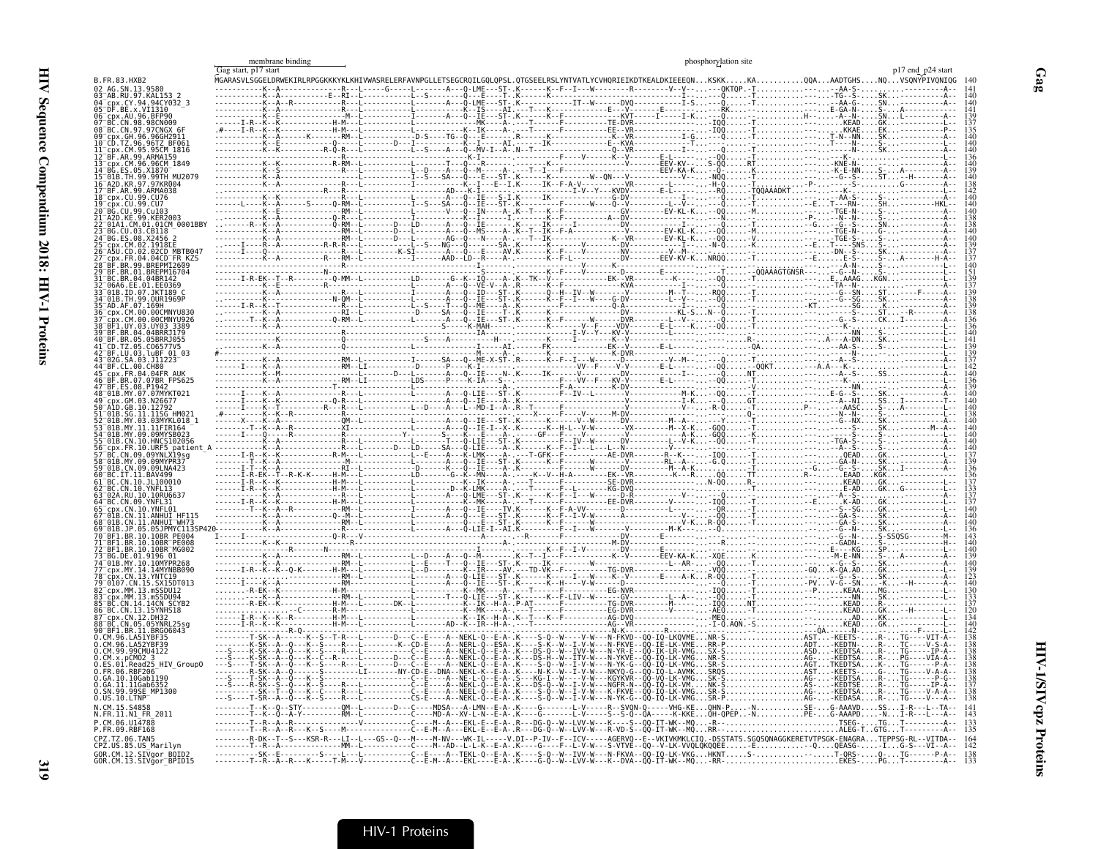|                                                   | membrane binding     |             |  | phosphorylation site |                                                                                                                                                                                                    |                   |
|---------------------------------------------------|----------------------|-------------|--|----------------------|----------------------------------------------------------------------------------------------------------------------------------------------------------------------------------------------------|-------------------|
| B.FR.83.HXB2                                      | Gag start, p17 start |             |  |                      |                                                                                                                                                                                                    | p17 end p24 start |
|                                                   |                      |             |  |                      |                                                                                                                                                                                                    |                   |
| .94CY032<br>⊺DF.BE<br>x VT1310                    |                      |             |  |                      |                                                                                                                                                                                                    |                   |
| 96.RFP9                                           |                      |             |  |                      |                                                                                                                                                                                                    |                   |
|                                                   |                      |             |  |                      |                                                                                                                                                                                                    |                   |
| TZ.96.96TZ BF061                                  |                      |             |  |                      |                                                                                                                                                                                                    |                   |
| <b>IR.99.ARMA159</b>                              |                      |             |  |                      |                                                                                                                                                                                                    |                   |
| .99TH MU2079                                      |                      |             |  |                      |                                                                                                                                                                                                    |                   |
| .97KR004<br>ARMA038                               |                      |             |  |                      |                                                                                                                                                                                                    |                   |
|                                                   |                      |             |  |                      |                                                                                                                                                                                                    |                   |
| 01.01CM 0001BBY                                   |                      |             |  |                      |                                                                                                                                                                                                    |                   |
|                                                   |                      |             |  |                      |                                                                                                                                                                                                    |                   |
| MBTB041                                           |                      |             |  |                      |                                                                                                                                                                                                    |                   |
| BREPM12609                                        |                      |             |  |                      |                                                                                                                                                                                                    |                   |
|                                                   |                      |             |  |                      |                                                                                                                                                                                                    |                   |
| 07 IKT189                                         |                      |             |  |                      |                                                                                                                                                                                                    |                   |
| 99.OUR1969F                                       |                      |             |  |                      |                                                                                                                                                                                                    |                   |
|                                                   |                      |             |  |                      |                                                                                                                                                                                                    |                   |
| 05BRRJ055                                         |                      |             |  |                      |                                                                                                                                                                                                    |                   |
| uBF 01 03                                         |                      |             |  |                      |                                                                                                                                                                                                    |                   |
|                                                   |                      |             |  |                      |                                                                                                                                                                                                    |                   |
| .07BR FPS625                                      |                      |             |  |                      |                                                                                                                                                                                                    |                   |
|                                                   |                      |             |  |                      |                                                                                                                                                                                                    |                   |
|                                                   |                      |             |  |                      |                                                                                                                                                                                                    |                   |
| 3MYKL018 1                                        |                      |             |  |                      |                                                                                                                                                                                                    |                   |
|                                                   |                      |             |  |                      |                                                                                                                                                                                                    |                   |
|                                                   |                      |             |  |                      |                                                                                                                                                                                                    |                   |
| 19LNA423                                          |                      |             |  |                      |                                                                                                                                                                                                    |                   |
|                                                   |                      |             |  |                      |                                                                                                                                                                                                    |                   |
| 10. YNFI 13<br>10RU663                            |                      |             |  |                      |                                                                                                                                                                                                    |                   |
|                                                   |                      |             |  |                      |                                                                                                                                                                                                    |                   |
|                                                   |                      |             |  |                      |                                                                                                                                                                                                    |                   |
| PF004<br>10BR PE008                               |                      |             |  |                      |                                                                                                                                                                                                    |                   |
|                                                   |                      |             |  |                      |                                                                                                                                                                                                    |                   |
|                                                   |                      |             |  |                      |                                                                                                                                                                                                    |                   |
|                                                   |                      |             |  |                      |                                                                                                                                                                                                    |                   |
|                                                   |                      |             |  |                      |                                                                                                                                                                                                    |                   |
| 13.15YNHS18                                       |                      |             |  |                      |                                                                                                                                                                                                    |                   |
| CN 12 DH32<br>BRG06043                            |                      |             |  |                      |                                                                                                                                                                                                    |                   |
|                                                   |                      |             |  |                      |                                                                                                                                                                                                    |                   |
| 99CMU4122                                         |                      |             |  |                      |                                                                                                                                                                                                    |                   |
| Read25 HIV Group0                                 |                      |             |  |                      |                                                                                                                                                                                                    |                   |
| 0.10Gab1190<br>.īi.īiGab6352<br>.99.99SE_MP1300   |                      |             |  |                      |                                                                                                                                                                                                    |                   |
|                                                   |                      | ∙A--NEKL-0- |  |                      |                                                                                                                                                                                                    |                   |
| .FR.11.N1 FR 2011                                 |                      |             |  |                      |                                                                                                                                                                                                    |                   |
| CM 06 U14788<br>RBF168                            |                      | .           |  |                      |                                                                                                                                                                                                    |                   |
| TZ.06.TAN5<br>2Z.US.85.US Marilyn                 |                      |             |  |                      | ---M-NV---WK-IL-----V.DI--P-IV--F--ICV-----AGERVO--E--VKIVKMKLCIO.-DSSTATS.SGOSONAGGKERETVTPSGK-ENAGRATEPPSG<br>---M--AD--IEKL-Q--E-A-.K----G----F--L-V-W---S-VTVE--OQ--V-LK-VVQLQKQQEE-EQEASG--IG |                   |
| GOR.CM.12.SIVgor_BOID2<br>GOR.CM.13.SIVgor_BPID15 |                      |             |  |                      |                                                                                                                                                                                                    |                   |
|                                                   |                      |             |  |                      |                                                                                                                                                                                                    |                   |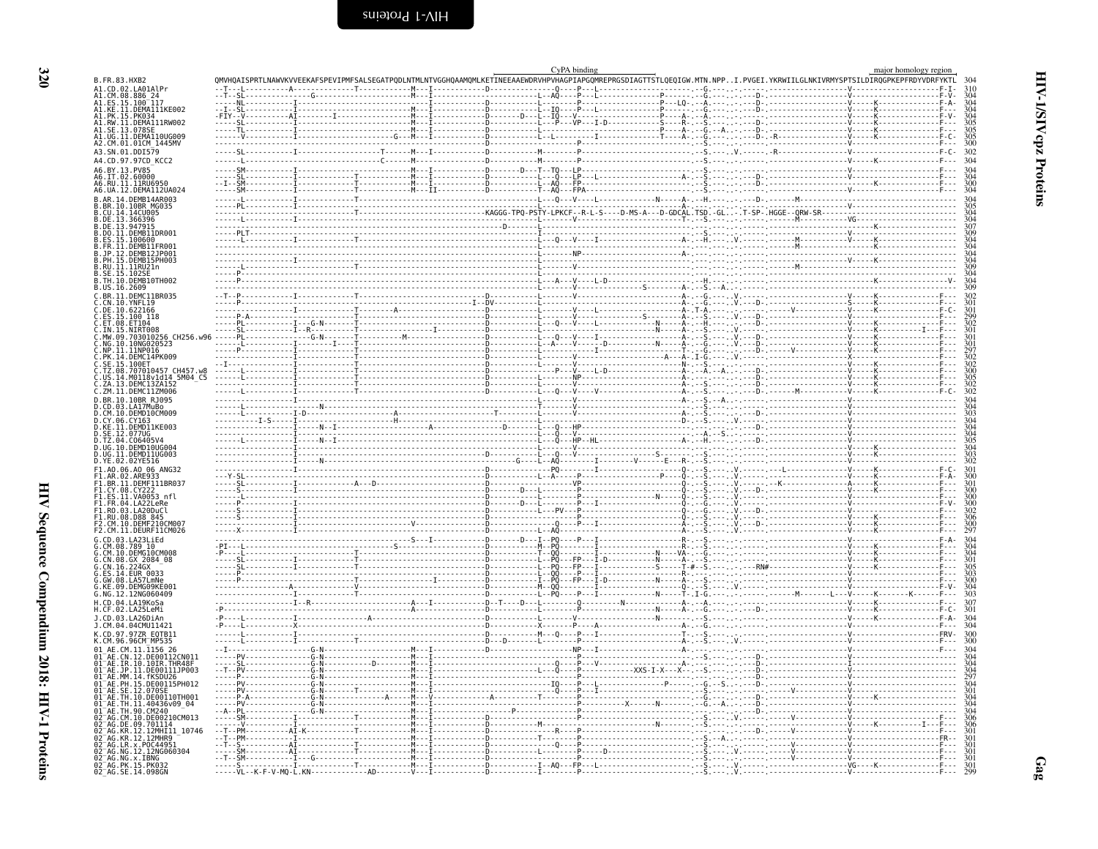<span id="page-13-0"></span>

|                                                                      |                                                                                                                                      |  |                                 |  | CyPA binding |                                                                                                                                                                                                                                                                                                                                                                                                                       |  |                                                                                                                                                                                                                                                                                                                                                                                                           | major homology region |  |
|----------------------------------------------------------------------|--------------------------------------------------------------------------------------------------------------------------------------|--|---------------------------------|--|--------------|-----------------------------------------------------------------------------------------------------------------------------------------------------------------------------------------------------------------------------------------------------------------------------------------------------------------------------------------------------------------------------------------------------------------------|--|-----------------------------------------------------------------------------------------------------------------------------------------------------------------------------------------------------------------------------------------------------------------------------------------------------------------------------------------------------------------------------------------------------------|-----------------------|--|
| B.FR.83.HXB2                                                         |                                                                                                                                      |  |                                 |  |              |                                                                                                                                                                                                                                                                                                                                                                                                                       |  | OMVHOAISPRTLNAWVKVVEEKAFSPEVIPMFSALSEGATPODLNTMLNTVGGHOAAMOMLKETINEEAAEWDRVHPVHAGPIAPGOMREPRGSDIAGTTSTLOEOIGW.MTN.NPPI.PVGEI.YKRWIILGLNKIVRMYSPTSILDIROGPKEPFRDYVDRFYKTL                                                                                                                                                                                                                                  |                       |  |
| A1.CD.02.LA01A1<br>A1.CM.08.886                                      |                                                                                                                                      |  |                                 |  |              |                                                                                                                                                                                                                                                                                                                                                                                                                       |  |                                                                                                                                                                                                                                                                                                                                                                                                           |                       |  |
|                                                                      | A1.ES.15.100-117<br>A1.KE.11.DEMA111KE002                                                                                            |  |                                 |  |              |                                                                                                                                                                                                                                                                                                                                                                                                                       |  |                                                                                                                                                                                                                                                                                                                                                                                                           |                       |  |
|                                                                      | A1.PK.15.PK034<br>A1.RW.11.DEMA111RW002                                                                                              |  |                                 |  |              |                                                                                                                                                                                                                                                                                                                                                                                                                       |  |                                                                                                                                                                                                                                                                                                                                                                                                           |                       |  |
| A1.SE.13.0789                                                        |                                                                                                                                      |  |                                 |  |              |                                                                                                                                                                                                                                                                                                                                                                                                                       |  | $\begin{minipage}{0.5\textwidth} \begin{tabular}{ c c c c c } \hline \textbf{11} & \textbf{12} & \textbf{13} & \textbf{14} & \textbf{15} & \textbf{16} & \textbf{17} & \textbf{18} & \textbf{19} & \textbf{19} & \textbf{19} & \textbf{19} & \textbf{19} & \textbf{19} & \textbf{19} & \textbf{19} & \textbf{19} & \textbf{19} & \textbf{19} & \textbf{19} & \textbf{19} & \textbf{19} & \textbf{19} & \$ |                       |  |
|                                                                      | A1.UG.11.DEMAI10UG009                                                                                                                |  |                                 |  |              |                                                                                                                                                                                                                                                                                                                                                                                                                       |  |                                                                                                                                                                                                                                                                                                                                                                                                           |                       |  |
| A3.SN.01.DDI579                                                      | A2.CM.01.01CM_1445MV                                                                                                                 |  |                                 |  |              |                                                                                                                                                                                                                                                                                                                                                                                                                       |  |                                                                                                                                                                                                                                                                                                                                                                                                           |                       |  |
|                                                                      | A4.CD.97.97CD KCC2                                                                                                                   |  |                                 |  |              |                                                                                                                                                                                                                                                                                                                                                                                                                       |  |                                                                                                                                                                                                                                                                                                                                                                                                           |                       |  |
| A6.BY.13.PV85                                                        |                                                                                                                                      |  |                                 |  |              |                                                                                                                                                                                                                                                                                                                                                                                                                       |  |                                                                                                                                                                                                                                                                                                                                                                                                           |                       |  |
| 46.IT.02.60000                                                       |                                                                                                                                      |  |                                 |  |              |                                                                                                                                                                                                                                                                                                                                                                                                                       |  |                                                                                                                                                                                                                                                                                                                                                                                                           |                       |  |
|                                                                      | A6.RU.11.11RU6950<br>A6.UA.12.DEMA112UA024                                                                                           |  |                                 |  |              |                                                                                                                                                                                                                                                                                                                                                                                                                       |  |                                                                                                                                                                                                                                                                                                                                                                                                           |                       |  |
|                                                                      | B.AR.14.DEMB14AR003                                                                                                                  |  |                                 |  |              |                                                                                                                                                                                                                                                                                                                                                                                                                       |  |                                                                                                                                                                                                                                                                                                                                                                                                           |                       |  |
| .CU.14.14CU005                                                       | BR.10.10BR MG035                                                                                                                     |  |                                 |  |              |                                                                                                                                                                                                                                                                                                                                                                                                                       |  |                                                                                                                                                                                                                                                                                                                                                                                                           |                       |  |
|                                                                      | B.DE.13.366396<br>B.DE.13.947915<br>B.DO.11.DEMB11DR001                                                                              |  |                                 |  |              |                                                                                                                                                                                                                                                                                                                                                                                                                       |  |                                                                                                                                                                                                                                                                                                                                                                                                           |                       |  |
|                                                                      |                                                                                                                                      |  |                                 |  |              |                                                                                                                                                                                                                                                                                                                                                                                                                       |  |                                                                                                                                                                                                                                                                                                                                                                                                           |                       |  |
| ES.15.100600                                                         | B.FR.11.DEMB11FR001                                                                                                                  |  |                                 |  |              |                                                                                                                                                                                                                                                                                                                                                                                                                       |  |                                                                                                                                                                                                                                                                                                                                                                                                           |                       |  |
|                                                                      | .JP.12.DEMB12JP001                                                                                                                   |  |                                 |  |              |                                                                                                                                                                                                                                                                                                                                                                                                                       |  |                                                                                                                                                                                                                                                                                                                                                                                                           |                       |  |
|                                                                      | .PH.15.DEMB15PH003<br>.RU.11.11RU21n                                                                                                 |  |                                 |  |              |                                                                                                                                                                                                                                                                                                                                                                                                                       |  |                                                                                                                                                                                                                                                                                                                                                                                                           |                       |  |
|                                                                      | B.SE.15.102SE<br>B.TH.10.DEMB10TH002                                                                                                 |  |                                 |  |              |                                                                                                                                                                                                                                                                                                                                                                                                                       |  |                                                                                                                                                                                                                                                                                                                                                                                                           |                       |  |
| B.US.16.2609                                                         |                                                                                                                                      |  |                                 |  |              |                                                                                                                                                                                                                                                                                                                                                                                                                       |  |                                                                                                                                                                                                                                                                                                                                                                                                           |                       |  |
|                                                                      | C.BR.11.DEMC11BR035                                                                                                                  |  |                                 |  |              |                                                                                                                                                                                                                                                                                                                                                                                                                       |  |                                                                                                                                                                                                                                                                                                                                                                                                           |                       |  |
|                                                                      |                                                                                                                                      |  |                                 |  |              |                                                                                                                                                                                                                                                                                                                                                                                                                       |  |                                                                                                                                                                                                                                                                                                                                                                                                           |                       |  |
| C.CN.10.YNFL19<br>C.DE.10.622166<br>C.ES.15.100 118<br>C.ET.08.ET104 |                                                                                                                                      |  |                                 |  |              |                                                                                                                                                                                                                                                                                                                                                                                                                       |  |                                                                                                                                                                                                                                                                                                                                                                                                           |                       |  |
| . IN. 15.NIRT008                                                     |                                                                                                                                      |  |                                 |  |              |                                                                                                                                                                                                                                                                                                                                                                                                                       |  |                                                                                                                                                                                                                                                                                                                                                                                                           |                       |  |
|                                                                      | C.MW.09.703010256_CH256.w96<br>.NG.10.10NG020523                                                                                     |  |                                 |  |              |                                                                                                                                                                                                                                                                                                                                                                                                                       |  |                                                                                                                                                                                                                                                                                                                                                                                                           |                       |  |
|                                                                      | C.NP.11.11NP016<br>C.PK.14.DEMC14PK009                                                                                               |  |                                 |  |              |                                                                                                                                                                                                                                                                                                                                                                                                                       |  |                                                                                                                                                                                                                                                                                                                                                                                                           |                       |  |
| SE.15.100ET                                                          |                                                                                                                                      |  |                                 |  |              |                                                                                                                                                                                                                                                                                                                                                                                                                       |  |                                                                                                                                                                                                                                                                                                                                                                                                           |                       |  |
|                                                                      | TZ.08.707010457_CH457.w8<br>.us.14.M0118v1d14_5M04_C5                                                                                |  |                                 |  |              |                                                                                                                                                                                                                                                                                                                                                                                                                       |  |                                                                                                                                                                                                                                                                                                                                                                                                           |                       |  |
|                                                                      | ZA.13.DEMC13ZA152                                                                                                                    |  |                                 |  |              |                                                                                                                                                                                                                                                                                                                                                                                                                       |  |                                                                                                                                                                                                                                                                                                                                                                                                           |                       |  |
|                                                                      | C.ZM.11.DEMC11ZM006<br>D.BR.10.10BR RJ095                                                                                            |  |                                 |  |              |                                                                                                                                                                                                                                                                                                                                                                                                                       |  |                                                                                                                                                                                                                                                                                                                                                                                                           |                       |  |
|                                                                      |                                                                                                                                      |  |                                 |  |              |                                                                                                                                                                                                                                                                                                                                                                                                                       |  |                                                                                                                                                                                                                                                                                                                                                                                                           |                       |  |
| .CY.06.CY163                                                         | D.CD.03.LA17MuBo<br>D.CM.10.DEMD10CM009                                                                                              |  |                                 |  |              |                                                                                                                                                                                                                                                                                                                                                                                                                       |  |                                                                                                                                                                                                                                                                                                                                                                                                           |                       |  |
|                                                                      |                                                                                                                                      |  |                                 |  |              |                                                                                                                                                                                                                                                                                                                                                                                                                       |  |                                                                                                                                                                                                                                                                                                                                                                                                           |                       |  |
|                                                                      | D.KE.11.DEMD11KE003<br>D.SE.12.077UG<br>D.TZ.04.CO6405V4                                                                             |  |                                 |  |              |                                                                                                                                                                                                                                                                                                                                                                                                                       |  |                                                                                                                                                                                                                                                                                                                                                                                                           |                       |  |
|                                                                      | D.UG.10.DEMD10UG004                                                                                                                  |  |                                 |  |              |                                                                                                                                                                                                                                                                                                                                                                                                                       |  |                                                                                                                                                                                                                                                                                                                                                                                                           |                       |  |
| D.YE.02.02YE516                                                      | D.ŪĜ.11.DEMD11UG003                                                                                                                  |  |                                 |  |              |                                                                                                                                                                                                                                                                                                                                                                                                                       |  |                                                                                                                                                                                                                                                                                                                                                                                                           |                       |  |
|                                                                      | F1.A0.06.A0 06 ANG32<br>F1.AR.02.ARE933                                                                                              |  |                                 |  |              |                                                                                                                                                                                                                                                                                                                                                                                                                       |  |                                                                                                                                                                                                                                                                                                                                                                                                           |                       |  |
|                                                                      | F1.BR.11.DEMF111BR037                                                                                                                |  |                                 |  |              |                                                                                                                                                                                                                                                                                                                                                                                                                       |  |                                                                                                                                                                                                                                                                                                                                                                                                           |                       |  |
| F1.CY.08.CY22                                                        |                                                                                                                                      |  |                                 |  |              |                                                                                                                                                                                                                                                                                                                                                                                                                       |  |                                                                                                                                                                                                                                                                                                                                                                                                           |                       |  |
|                                                                      | F1.E5.11.V40053 nfl<br>F1.FR.04.LA22LeRe<br>F1.R0.03.LA22LeRe<br>F1.R0.03.LA20DuCl<br>F2.CM.10.DEMF210CM007<br>F2.CM.10.DEMF210CM007 |  |                                 |  |              |                                                                                                                                                                                                                                                                                                                                                                                                                       |  |                                                                                                                                                                                                                                                                                                                                                                                                           |                       |  |
|                                                                      |                                                                                                                                      |  |                                 |  |              |                                                                                                                                                                                                                                                                                                                                                                                                                       |  |                                                                                                                                                                                                                                                                                                                                                                                                           |                       |  |
|                                                                      |                                                                                                                                      |  |                                 |  |              |                                                                                                                                                                                                                                                                                                                                                                                                                       |  |                                                                                                                                                                                                                                                                                                                                                                                                           |                       |  |
|                                                                      | F2.CM.11.DEURF11CM026                                                                                                                |  |                                 |  |              |                                                                                                                                                                                                                                                                                                                                                                                                                       |  |                                                                                                                                                                                                                                                                                                                                                                                                           |                       |  |
| G.CD.03.LA23LiEd<br>CM.08.789 10                                     |                                                                                                                                      |  |                                 |  |              |                                                                                                                                                                                                                                                                                                                                                                                                                       |  |                                                                                                                                                                                                                                                                                                                                                                                                           |                       |  |
|                                                                      | G.CM.10.DEMGĪOCM008<br>G.CN.08.GX 2084 08                                                                                            |  |                                 |  |              | - - - <del>I</del> - D - - - - - - - - - - - N - - - - - A -                                                                                                                                                                                                                                                                                                                                                          |  |                                                                                                                                                                                                                                                                                                                                                                                                           |                       |  |
| $5.$ CN $.16.224$ GX                                                 |                                                                                                                                      |  |                                 |  |              |                                                                                                                                                                                                                                                                                                                                                                                                                       |  |                                                                                                                                                                                                                                                                                                                                                                                                           |                       |  |
| G.ES.14.EUR 0033<br>5.6W.08.LA57LmNe                                 |                                                                                                                                      |  |                                 |  |              |                                                                                                                                                                                                                                                                                                                                                                                                                       |  |                                                                                                                                                                                                                                                                                                                                                                                                           |                       |  |
|                                                                      | DEMG09KE001<br>G.NG.12.12NG060409                                                                                                    |  |                                 |  |              |                                                                                                                                                                                                                                                                                                                                                                                                                       |  |                                                                                                                                                                                                                                                                                                                                                                                                           |                       |  |
| H.CD.04.LA19KoSa                                                     |                                                                                                                                      |  |                                 |  |              |                                                                                                                                                                                                                                                                                                                                                                                                                       |  |                                                                                                                                                                                                                                                                                                                                                                                                           |                       |  |
| H.CF.02.LA25LeMi                                                     |                                                                                                                                      |  |                                 |  |              |                                                                                                                                                                                                                                                                                                                                                                                                                       |  |                                                                                                                                                                                                                                                                                                                                                                                                           |                       |  |
|                                                                      | .CD.03.LA26DiAn<br>J.CM.04.04CMU11421                                                                                                |  |                                 |  |              |                                                                                                                                                                                                                                                                                                                                                                                                                       |  |                                                                                                                                                                                                                                                                                                                                                                                                           |                       |  |
|                                                                      | K.CD.97.97ZR EQTB11                                                                                                                  |  |                                 |  |              |                                                                                                                                                                                                                                                                                                                                                                                                                       |  |                                                                                                                                                                                                                                                                                                                                                                                                           |                       |  |
|                                                                      | K.CM.96.96CM MP535                                                                                                                   |  |                                 |  |              |                                                                                                                                                                                                                                                                                                                                                                                                                       |  |                                                                                                                                                                                                                                                                                                                                                                                                           |                       |  |
|                                                                      | 01 AE.CM.11.1156 26<br>01 <sup>-</sup> AE.CN.12.DE00112CN011                                                                         |  |                                 |  |              |                                                                                                                                                                                                                                                                                                                                                                                                                       |  |                                                                                                                                                                                                                                                                                                                                                                                                           |                       |  |
|                                                                      | AE.IR.10.10IR.THR48F                                                                                                                 |  |                                 |  |              |                                                                                                                                                                                                                                                                                                                                                                                                                       |  |                                                                                                                                                                                                                                                                                                                                                                                                           |                       |  |
| $01^-$ AE<br>01 – AF                                                 | .JP.11.DE00111JP003<br>MM.14. fKSDU26                                                                                                |  |                                 |  |              |                                                                                                                                                                                                                                                                                                                                                                                                                       |  |                                                                                                                                                                                                                                                                                                                                                                                                           |                       |  |
| $01^-$ AF                                                            | 01 <sup>-</sup> AE.PH.15.DE00115PH012<br>SE.12.070SE                                                                                 |  |                                 |  |              |                                                                                                                                                                                                                                                                                                                                                                                                                       |  |                                                                                                                                                                                                                                                                                                                                                                                                           |                       |  |
|                                                                      | AE.TH.10.DE00110TH001                                                                                                                |  |                                 |  |              |                                                                                                                                                                                                                                                                                                                                                                                                                       |  |                                                                                                                                                                                                                                                                                                                                                                                                           |                       |  |
|                                                                      | TH.11.40436v09 04<br>TH.90.CM240                                                                                                     |  |                                 |  |              |                                                                                                                                                                                                                                                                                                                                                                                                                       |  |                                                                                                                                                                                                                                                                                                                                                                                                           |                       |  |
|                                                                      | 02 AG.CM.10.DE00210CM013<br>02 AG.DE.09.701114                                                                                       |  |                                 |  |              |                                                                                                                                                                                                                                                                                                                                                                                                                       |  |                                                                                                                                                                                                                                                                                                                                                                                                           |                       |  |
|                                                                      | 02 <sup>-</sup> AG.KR.12.12MHI11 10746                                                                                               |  |                                 |  |              |                                                                                                                                                                                                                                                                                                                                                                                                                       |  |                                                                                                                                                                                                                                                                                                                                                                                                           |                       |  |
|                                                                      | AG.KR.12.12MHR9                                                                                                                      |  |                                 |  |              |                                                                                                                                                                                                                                                                                                                                                                                                                       |  |                                                                                                                                                                                                                                                                                                                                                                                                           |                       |  |
|                                                                      | LR.x.P0C44951<br>02 AG.NG.12.12NG060304                                                                                              |  |                                 |  |              | $\begin{tabular}{ c c } \hline \rule[-1.2ex]{0.2ex]{0.2ex}{0.2ex}{\textcolor{blue}{\textbf{0.2ex}}}\hspace{0.2ex} & \hspace{-1.3ex}\rule[-1.2ex]{0.2ex}{0.2ex}{\textcolor{blue}{\textbf{0.2ex}}}\hspace{0.2ex} & \hspace{-1.3ex}\rule[-1.2ex]{0.2ex}{0.2ex}{\textcolor{blue}{\textbf{0.2ex}}}\hspace{0.2ex} & \hspace{-1.3ex}\rule[-1.2ex]{0.2ex}{0.2ex}{\textcolor{blue}{\textbf{0.2ex}}}\hspace{0.2ex} & \hspace{-$ |  |                                                                                                                                                                                                                                                                                                                                                                                                           |                       |  |
|                                                                      | 02 AG.NG.x.IBNG<br>02 AG.PK.15.PK032<br>02 AG.SE.14.098GN                                                                            |  |                                 |  |              |                                                                                                                                                                                                                                                                                                                                                                                                                       |  |                                                                                                                                                                                                                                                                                                                                                                                                           |                       |  |
|                                                                      |                                                                                                                                      |  | -----VL--K-F-V-MQ-L.KN--------- |  |              |                                                                                                                                                                                                                                                                                                                                                                                                                       |  |                                                                                                                                                                                                                                                                                                                                                                                                           |                       |  |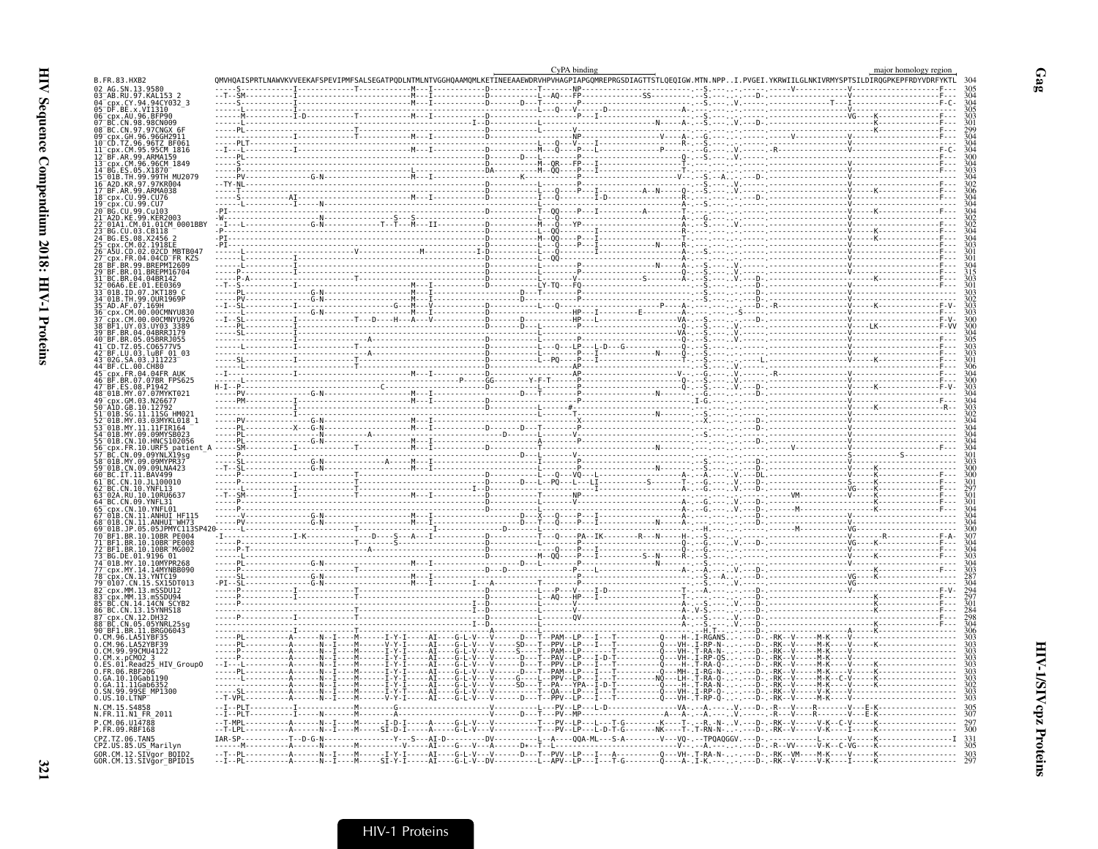| B.FR.83.HXB2                                                                |               | QMVHQAISPRTLNAWVKVVEEKAFSPEVIPMFSALSEGATPQDLNTMLNTVGGHQAAMQMLKETINEEAAEWDRVHPVHAGPIAPGQMREPRGSDIAGTTSTLQEQIGW.MTN.NPPI.PVGEI.YKRWIILGLNKIVRMYSPTSILDIRQGPKEPFRDYVDR                                                                                                                                                                                                                                                                                   |                                     | CyPA binding                            |                                                                                 |                                                                                                                                            | major homology region                                                                                                                                                                                                                                                                                                                                               |  |
|-----------------------------------------------------------------------------|---------------|-------------------------------------------------------------------------------------------------------------------------------------------------------------------------------------------------------------------------------------------------------------------------------------------------------------------------------------------------------------------------------------------------------------------------------------------------------|-------------------------------------|-----------------------------------------|---------------------------------------------------------------------------------|--------------------------------------------------------------------------------------------------------------------------------------------|---------------------------------------------------------------------------------------------------------------------------------------------------------------------------------------------------------------------------------------------------------------------------------------------------------------------------------------------------------------------|--|
| 02 AG.SN.13.9580                                                            |               |                                                                                                                                                                                                                                                                                                                                                                                                                                                       |                                     |                                         |                                                                                 |                                                                                                                                            |                                                                                                                                                                                                                                                                                                                                                                     |  |
| 03 <sup>-</sup> AB.RU.97.KAL153<br>cpx.CY.94.94CY032 3                      |               |                                                                                                                                                                                                                                                                                                                                                                                                                                                       |                                     |                                         |                                                                                 |                                                                                                                                            |                                                                                                                                                                                                                                                                                                                                                                     |  |
| 05 <sup>-</sup> DF.BE.x.VI1310<br>06_cpx.AU.96.BFP90<br>07_BC.CN.98.98CN009 |               |                                                                                                                                                                                                                                                                                                                                                                                                                                                       |                                     |                                         |                                                                                 |                                                                                                                                            | $\begin{picture}(10,10) \put(0,0){\vector(1,0){100}} \put(10,0){\vector(1,0){100}} \put(10,0){\vector(1,0){100}} \put(10,0){\vector(1,0){100}} \put(10,0){\vector(1,0){100}} \put(10,0){\vector(1,0){100}} \put(10,0){\vector(1,0){100}} \put(10,0){\vector(1,0){100}} \put(10,0){\vector(1,0){100}} \put(10,0){\vector(1,0){100}} \put(10,0){\vector(1,0){100}} \$ |  |
| 08 BC.CN.97.97CNGX 6F                                                       |               |                                                                                                                                                                                                                                                                                                                                                                                                                                                       |                                     |                                         |                                                                                 |                                                                                                                                            |                                                                                                                                                                                                                                                                                                                                                                     |  |
| GH.96.96GH2911<br>96.96TZ                                                   |               | $\begin{minipage}{0.03\textwidth} \begin{tabular}{ c c c } \hline \multicolumn{3}{ c }{0.03\textwidth} \begin{tabular}{ c c } \hline \multicolumn{3}{ c }{0.03\textwidth} \begin{tabular}{ c c } \hline \multicolumn{3}{ c }{0.03\textwidth} \begin{tabular}{ c c } \hline \multicolumn{3}{ c }{0.03\textwidth} \begin{tabular}{ c c } \hline \multicolumn{3}{ c }{0.03\textwidth} \begin{tabular}{ c c } \hline \multicolumn{3}{ c }{0.03\textwidth$ |                                     |                                         |                                                                                 |                                                                                                                                            |                                                                                                                                                                                                                                                                                                                                                                     |  |
| cpx.CM.95.95CM 1816                                                         |               |                                                                                                                                                                                                                                                                                                                                                                                                                                                       |                                     |                                         |                                                                                 |                                                                                                                                            |                                                                                                                                                                                                                                                                                                                                                                     |  |
| BF.AR.99.ARMA159<br>x.CM.96.96CM_1849<br>.ES.05.X1870                       |               |                                                                                                                                                                                                                                                                                                                                                                                                                                                       |                                     |                                         |                                                                                 |                                                                                                                                            |                                                                                                                                                                                                                                                                                                                                                                     |  |
| 01B.TH.99.99TH MU2079                                                       |               |                                                                                                                                                                                                                                                                                                                                                                                                                                                       |                                     |                                         |                                                                                 |                                                                                                                                            |                                                                                                                                                                                                                                                                                                                                                                     |  |
| A2D.KR.97.97KR004                                                           |               |                                                                                                                                                                                                                                                                                                                                                                                                                                                       |                                     |                                         |                                                                                 |                                                                                                                                            |                                                                                                                                                                                                                                                                                                                                                                     |  |
| 99.ARMA038<br>cpx.CU.99.CU76                                                |               |                                                                                                                                                                                                                                                                                                                                                                                                                                                       |                                     |                                         |                                                                                 |                                                                                                                                            |                                                                                                                                                                                                                                                                                                                                                                     |  |
| cbx.CU.99.CU7<br>BG CH 99 Cu103                                             |               |                                                                                                                                                                                                                                                                                                                                                                                                                                                       |                                     |                                         |                                                                                 |                                                                                                                                            |                                                                                                                                                                                                                                                                                                                                                                     |  |
| A2D.KE.99.KER2003<br>01A1.CM.01.01CM 0001BBY                                |               |                                                                                                                                                                                                                                                                                                                                                                                                                                                       |                                     |                                         |                                                                                 |                                                                                                                                            |                                                                                                                                                                                                                                                                                                                                                                     |  |
|                                                                             |               |                                                                                                                                                                                                                                                                                                                                                                                                                                                       |                                     |                                         |                                                                                 |                                                                                                                                            |                                                                                                                                                                                                                                                                                                                                                                     |  |
| CM.02.1918EE                                                                |               |                                                                                                                                                                                                                                                                                                                                                                                                                                                       |                                     |                                         |                                                                                 |                                                                                                                                            |                                                                                                                                                                                                                                                                                                                                                                     |  |
| A5U.CD.02.02CD MBTB047<br>cpx.FR.04.04CD FR KZS<br>BF.BR.99.BREPM12609      |               |                                                                                                                                                                                                                                                                                                                                                                                                                                                       |                                     |                                         |                                                                                 |                                                                                                                                            |                                                                                                                                                                                                                                                                                                                                                                     |  |
|                                                                             |               |                                                                                                                                                                                                                                                                                                                                                                                                                                                       |                                     |                                         |                                                                                 |                                                                                                                                            |                                                                                                                                                                                                                                                                                                                                                                     |  |
| .BR.01.BREPM16704<br>BC.BR.04.04BR1                                         |               |                                                                                                                                                                                                                                                                                                                                                                                                                                                       |                                     |                                         |                                                                                 |                                                                                                                                            |                                                                                                                                                                                                                                                                                                                                                                     |  |
| 06A6.EE.01.EE0369<br>01B.ID.07.JKT189 C                                     |               |                                                                                                                                                                                                                                                                                                                                                                                                                                                       |                                     |                                         |                                                                                 |                                                                                                                                            |                                                                                                                                                                                                                                                                                                                                                                     |  |
| 01B.TH.99.0UR1969P                                                          |               |                                                                                                                                                                                                                                                                                                                                                                                                                                                       |                                     |                                         |                                                                                 |                                                                                                                                            |                                                                                                                                                                                                                                                                                                                                                                     |  |
| AD.AF.07.169H<br>CDX.CM.00.00CMNYU836                                       |               |                                                                                                                                                                                                                                                                                                                                                                                                                                                       |                                     |                                         |                                                                                 |                                                                                                                                            |                                                                                                                                                                                                                                                                                                                                                                     |  |
| .CM.00.00CMNYU926<br>1.UY.03.UY03 3389                                      |               |                                                                                                                                                                                                                                                                                                                                                                                                                                                       |                                     |                                         |                                                                                 |                                                                                                                                            |                                                                                                                                                                                                                                                                                                                                                                     |  |
| BR.04.04BRRJ179                                                             |               |                                                                                                                                                                                                                                                                                                                                                                                                                                                       |                                     |                                         |                                                                                 |                                                                                                                                            |                                                                                                                                                                                                                                                                                                                                                                     |  |
| BF.BR.05.05BRRJ055                                                          |               |                                                                                                                                                                                                                                                                                                                                                                                                                                                       |                                     |                                         |                                                                                 |                                                                                                                                            |                                                                                                                                                                                                                                                                                                                                                                     |  |
| CD.TZ.05.C06577V5<br>BF.LU.03.luBF 01 03<br>02G.SA.03.J11223                |               |                                                                                                                                                                                                                                                                                                                                                                                                                                                       |                                     |                                         |                                                                                 |                                                                                                                                            |                                                                                                                                                                                                                                                                                                                                                                     |  |
| BF.CL.00.CH80<br>FR.04.04FR                                                 |               |                                                                                                                                                                                                                                                                                                                                                                                                                                                       |                                     |                                         |                                                                                 |                                                                                                                                            |                                                                                                                                                                                                                                                                                                                                                                     |  |
| .BR.07.07BR FPS625                                                          |               |                                                                                                                                                                                                                                                                                                                                                                                                                                                       |                                     |                                         |                                                                                 |                                                                                                                                            |                                                                                                                                                                                                                                                                                                                                                                     |  |
| BF.ES.08.P1942<br>01B.MY.07.07MYKT021                                       |               |                                                                                                                                                                                                                                                                                                                                                                                                                                                       |                                     |                                         |                                                                                 |                                                                                                                                            |                                                                                                                                                                                                                                                                                                                                                                     |  |
| .GM.03.N26677<br>.GB.10.12792                                               |               |                                                                                                                                                                                                                                                                                                                                                                                                                                                       |                                     |                                         |                                                                                 |                                                                                                                                            |                                                                                                                                                                                                                                                                                                                                                                     |  |
| SG.11.11SG HM021                                                            |               |                                                                                                                                                                                                                                                                                                                                                                                                                                                       |                                     |                                         |                                                                                 |                                                                                                                                            |                                                                                                                                                                                                                                                                                                                                                                     |  |
| MY.03.03MYKL018 1<br>MY.11.11FIR164                                         |               |                                                                                                                                                                                                                                                                                                                                                                                                                                                       |                                     |                                         |                                                                                 |                                                                                                                                            |                                                                                                                                                                                                                                                                                                                                                                     |  |
| 01B.MY.09.09MYSB023<br>01B.CN.10.HNCS102056                                 |               |                                                                                                                                                                                                                                                                                                                                                                                                                                                       |                                     |                                         |                                                                                 |                                                                                                                                            |                                                                                                                                                                                                                                                                                                                                                                     |  |
| .FR.10.URF5 patient<br>CN.09.09YNLX19sq                                     |               |                                                                                                                                                                                                                                                                                                                                                                                                                                                       |                                     |                                         |                                                                                 |                                                                                                                                            |                                                                                                                                                                                                                                                                                                                                                                     |  |
| 01B.MY.09.09MYPR3                                                           |               |                                                                                                                                                                                                                                                                                                                                                                                                                                                       |                                     |                                         |                                                                                 |                                                                                                                                            |                                                                                                                                                                                                                                                                                                                                                                     |  |
| 01B.CN.09.09LNA423<br>T.11.BAV499                                           |               |                                                                                                                                                                                                                                                                                                                                                                                                                                                       |                                     |                                         |                                                                                 |                                                                                                                                            |                                                                                                                                                                                                                                                                                                                                                                     |  |
| BC.CN.10.JL100010<br>.CN.10.YNFL13                                          |               |                                                                                                                                                                                                                                                                                                                                                                                                                                                       |                                     |                                         |                                                                                 |                                                                                                                                            |                                                                                                                                                                                                                                                                                                                                                                     |  |
| 02A.RU.10.10RU6637                                                          |               |                                                                                                                                                                                                                                                                                                                                                                                                                                                       |                                     |                                         |                                                                                 |                                                                                                                                            |                                                                                                                                                                                                                                                                                                                                                                     |  |
| BC.CN.09.YNFL31<br>CN.10.YNFL01                                             |               |                                                                                                                                                                                                                                                                                                                                                                                                                                                       |                                     |                                         |                                                                                 |                                                                                                                                            |                                                                                                                                                                                                                                                                                                                                                                     |  |
| CN.11.ANHUI HF115<br>CN.11.ANHUI <sup>-</sup> WH73                          |               |                                                                                                                                                                                                                                                                                                                                                                                                                                                       |                                     |                                         |                                                                                 |                                                                                                                                            |                                                                                                                                                                                                                                                                                                                                                                     |  |
| JP.05.05JPMYC113SP420<br>BR 10 10BR PE004                                   |               |                                                                                                                                                                                                                                                                                                                                                                                                                                                       |                                     |                                         |                                                                                 |                                                                                                                                            |                                                                                                                                                                                                                                                                                                                                                                     |  |
| .BR.10.10BR PE008<br>.BR.10.10BR MG002                                      |               |                                                                                                                                                                                                                                                                                                                                                                                                                                                       |                                     |                                         |                                                                                 |                                                                                                                                            |                                                                                                                                                                                                                                                                                                                                                                     |  |
| .DE.01.9196 01                                                              |               |                                                                                                                                                                                                                                                                                                                                                                                                                                                       |                                     |                                         |                                                                                 |                                                                                                                                            |                                                                                                                                                                                                                                                                                                                                                                     |  |
| 01B.MY.10.10MYPR268<br>px.MY.14.14MYNBB090:                                 |               | $\begin{minipage}{0.99\textwidth} \begin{tabular}{ c c c c } \hline \multicolumn{1}{ c }{0.99\textwidth} \begin{tabular}{ c c c } \hline \multicolumn{1}{ c }{0.99\textwidth} \begin{tabular}{ c c c } \hline \multicolumn{1}{ c }{0.99\textwidth} \begin{tabular}{ c c c } \hline \multicolumn{1}{ c }{0.99\textwidth} \begin{tabular}{ c c c } \hline \multicolumn{1}{ c }{0.99\textwidth} \begin{tabular}{ c c c } \hline \multicolumn{1$          |                                     |                                         |                                                                                 | .                                                                                                                                          |                                                                                                                                                                                                                                                                                                                                                                     |  |
| cpx.CN.13.YNTC19<br>0107.CN.15.SX15DT013                                    |               |                                                                                                                                                                                                                                                                                                                                                                                                                                                       |                                     |                                         |                                                                                 |                                                                                                                                            |                                                                                                                                                                                                                                                                                                                                                                     |  |
| CDX.MM.13.mSSDU12                                                           |               |                                                                                                                                                                                                                                                                                                                                                                                                                                                       |                                     |                                         |                                                                                 |                                                                                                                                            |                                                                                                                                                                                                                                                                                                                                                                     |  |
| MM.13.mSSDU94<br>CN.14.14CN SCYB2                                           |               |                                                                                                                                                                                                                                                                                                                                                                                                                                                       |                                     |                                         |                                                                                 |                                                                                                                                            |                                                                                                                                                                                                                                                                                                                                                                     |  |
| BC.CN.13.15YNHS18<br>CN.12.DH32                                             |               |                                                                                                                                                                                                                                                                                                                                                                                                                                                       |                                     |                                         |                                                                                 |                                                                                                                                            |                                                                                                                                                                                                                                                                                                                                                                     |  |
| CN.05.05YNRL25sg                                                            |               |                                                                                                                                                                                                                                                                                                                                                                                                                                                       |                                     |                                         |                                                                                 |                                                                                                                                            |                                                                                                                                                                                                                                                                                                                                                                     |  |
| TBF1.BR.11.BRG06043<br>CM.96.LA51YBF35                                      |               |                                                                                                                                                                                                                                                                                                                                                                                                                                                       |                                     |                                         | . Q H - . I - RGANS                                                             |                                                                                                                                            |                                                                                                                                                                                                                                                                                                                                                                     |  |
| CM.96.LA52YBF39<br>CM.99.99CMU4122                                          |               |                                                                                                                                                                                                                                                                                                                                                                                                                                                       |                                     |                                         | . Q - . - VH - . T - RA - N -                                                   |                                                                                                                                            |                                                                                                                                                                                                                                                                                                                                                                     |  |
| x.pCM02<br>Read25_HIV_Group0                                                |               |                                                                                                                                                                                                                                                                                                                                                                                                                                                       |                                     |                                         | -D-T-----------Q---VH-.I-RP-QS-.<br>- RA - Q                                    |                                                                                                                                            |                                                                                                                                                                                                                                                                                                                                                                     |  |
| FR.06.RBF206                                                                |               |                                                                                                                                                                                                                                                                                                                                                                                                                                                       |                                     | - N - - - T - - PAM - - I P - - - T - - | . - - - - - - - - 0 - - - MH - . I - RG - N                                     |                                                                                                                                            |                                                                                                                                                                                                                                                                                                                                                                     |  |
| GA.10.10Gab1190                                                             |               |                                                                                                                                                                                                                                                                                                                                                                                                                                                       |                                     | -SD----T--PA---YPA---I-D                | - RA - N<br>---H-.T-RA-N-                                                       |                                                                                                                                            |                                                                                                                                                                                                                                                                                                                                                                     |  |
| .GA.11.11Gab6352<br>.SN.99.9 <u>9SE</u> _MP1300<br>US.10.LTNP               |               |                                                                                                                                                                                                                                                                                                                                                                                                                                                       |                                     |                                         |                                                                                 |                                                                                                                                            |                                                                                                                                                                                                                                                                                                                                                                     |  |
| .CM.15.S4858                                                                |               |                                                                                                                                                                                                                                                                                                                                                                                                                                                       |                                     |                                         |                                                                                 |                                                                                                                                            |                                                                                                                                                                                                                                                                                                                                                                     |  |
| N.FR.11.N1 FR 2011<br>P.CM.06.U14788                                        |               |                                                                                                                                                                                                                                                                                                                                                                                                                                                       |                                     |                                         |                                                                                 |                                                                                                                                            |                                                                                                                                                                                                                                                                                                                                                                     |  |
| P.FR.09.RBF168                                                              |               |                                                                                                                                                                                                                                                                                                                                                                                                                                                       |                                     |                                         | -LP---L-D-T-G-------NK----T-.T-RN-N-<br>-QQA-ML---S-A--------V---VQ-.--TPQAQGGV |                                                                                                                                            |                                                                                                                                                                                                                                                                                                                                                                     |  |
| CPZ.TZ.06.TAN5<br>CPZ.US.85.US Marilyn                                      | <b>IAR-SF</b> |                                                                                                                                                                                                                                                                                                                                                                                                                                                       |                                     |                                         |                                                                                 |                                                                                                                                            |                                                                                                                                                                                                                                                                                                                                                                     |  |
|                                                                             | $-T-PI$       |                                                                                                                                                                                                                                                                                                                                                                                                                                                       | - - - AI - - - - G- - - V - - - A - |                                         |                                                                                 | -----N--I----M------I-Y-I-----AI----G-L-V---V-----D---T--PVV--LP---I---A----------Q---VH-.T-RA-N--.---D-.-RK--VM----M-K----V-----K-------- |                                                                                                                                                                                                                                                                                                                                                                     |  |
| GOR.CM.12.SIVgor_BOID2<br>GOR.CM.13.SIVgor_BPID15                           | --I--P        |                                                                                                                                                                                                                                                                                                                                                                                                                                                       | ----AT----G-L<br>- V - - DV         |                                         |                                                                                 |                                                                                                                                            |                                                                                                                                                                                                                                                                                                                                                                     |  |

 $Gag$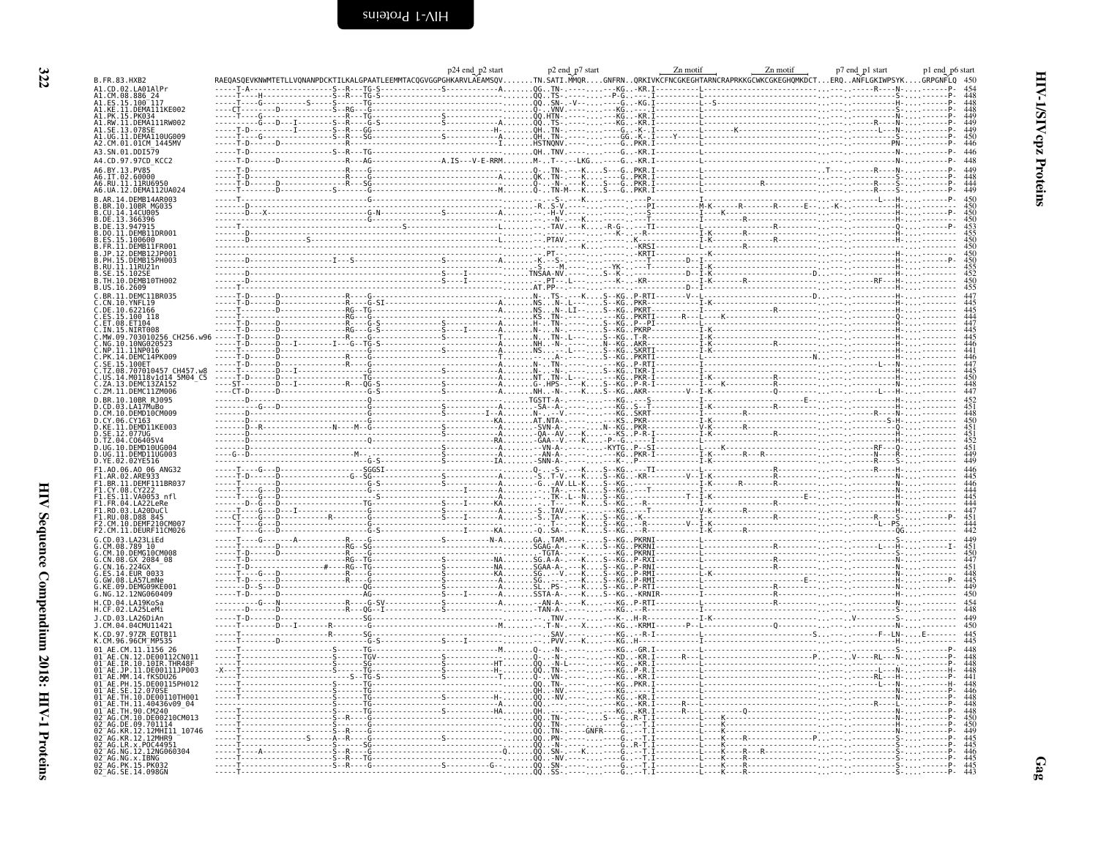<span id="page-15-0"></span>

|                                                    |                     |                                                                                                                                                                                                                                                                                                                                                                                                                                                                                                                        |  | p24 end_p2 start<br>REEMMTACQGVGGPGHKARVLAEAMSQV |       | p2 end p7 start                               |                       |                       | Zn motif                                                                                                                       | Zn motif                                                                    | p7 end p1 start | p1 end p6 start |                                                                                                   |
|----------------------------------------------------|---------------------|------------------------------------------------------------------------------------------------------------------------------------------------------------------------------------------------------------------------------------------------------------------------------------------------------------------------------------------------------------------------------------------------------------------------------------------------------------------------------------------------------------------------|--|--------------------------------------------------|-------|-----------------------------------------------|-----------------------|-----------------------|--------------------------------------------------------------------------------------------------------------------------------|-----------------------------------------------------------------------------|-----------------|-----------------|---------------------------------------------------------------------------------------------------|
| B.FR.83.HXB2<br>A1. CD. 02. I A01A1 Pr             |                     |                                                                                                                                                                                                                                                                                                                                                                                                                                                                                                                        |  | $- - - - - - - A$ 0GTN-                          |       |                                               |                       |                       |                                                                                                                                | .TN.SATI.MMQRGNFRNQRKIVKCFNCGKEGHTARNCRAPRKKGCWKCGKEGHQMKDCTERQANFLGKIWPSYK |                 | GRPGNFLQ 450    |                                                                                                   |
| .886 24                                            |                     |                                                                                                                                                                                                                                                                                                                                                                                                                                                                                                                        |  |                                                  | . 00. |                                               |                       |                       |                                                                                                                                |                                                                             |                 |                 | 454<br>448<br>448<br>449<br>449<br>450<br>446                                                     |
| .ES.15.100 <sup>-</sup> 117<br>.KE.11.DEMA111KE002 |                     |                                                                                                                                                                                                                                                                                                                                                                                                                                                                                                                        |  |                                                  |       |                                               |                       |                       |                                                                                                                                |                                                                             |                 |                 |                                                                                                   |
| 15.PK034<br>.RW.11.DEMA111RW002<br>.SE.13.078SE    |                     |                                                                                                                                                                                                                                                                                                                                                                                                                                                                                                                        |  |                                                  |       |                                               |                       |                       |                                                                                                                                |                                                                             |                 |                 |                                                                                                   |
| 11.DEMA110UG009                                    |                     |                                                                                                                                                                                                                                                                                                                                                                                                                                                                                                                        |  |                                                  |       |                                               |                       |                       |                                                                                                                                |                                                                             |                 |                 |                                                                                                   |
| A2.CM.01.01CM_1445MV<br>A3.SN.01.DDI579            |                     | $\begin{minipage}{0.5\textwidth} \begin{minipage}{0.5\textwidth} \begin{minipage}{0.5\textwidth} \begin{minipage}{0.5\textwidth} \begin{minipage}{0.5\textwidth} \begin{minipage}{0.5\textwidth} \begin{minipage}{0.5\textwidth} \begin{minipage}{0.5\textwidth} \begin{minipage}{0.5\textwidth} \begin{minipage}{0.5\textwidth} \begin{minipage}{0.5\textwidth} \begin{minipage}{0.5\textwidth} \begin{minipage}{0.5\textwidth} \begin{minipage}{0.5\textwidth} \begin{minipage}{0.5\textwidth} \begin{minipage}{0.5$ |  |                                                  |       |                                               |                       |                       |                                                                                                                                |                                                                             |                 |                 | 446                                                                                               |
| A4.CD.97.97CD KCC2                                 |                     |                                                                                                                                                                                                                                                                                                                                                                                                                                                                                                                        |  |                                                  |       |                                               |                       |                       |                                                                                                                                |                                                                             |                 |                 | 448                                                                                               |
| A6.BY.13.PV85<br>46.IT.02.60000                    |                     |                                                                                                                                                                                                                                                                                                                                                                                                                                                                                                                        |  |                                                  |       |                                               |                       |                       |                                                                                                                                |                                                                             |                 |                 | 449                                                                                               |
| 11.11RU695                                         |                     |                                                                                                                                                                                                                                                                                                                                                                                                                                                                                                                        |  |                                                  |       | $K$                                           |                       |                       |                                                                                                                                |                                                                             |                 |                 | 448<br>444<br>449                                                                                 |
| 46.UA.12.DEMA112UA024<br>DEMB14AR003               |                     |                                                                                                                                                                                                                                                                                                                                                                                                                                                                                                                        |  |                                                  |       |                                               |                       |                       |                                                                                                                                |                                                                             |                 |                 |                                                                                                   |
| 10BR MG035<br>.14CU005                             |                     |                                                                                                                                                                                                                                                                                                                                                                                                                                                                                                                        |  |                                                  |       |                                               |                       |                       |                                                                                                                                |                                                                             |                 |                 | $\begin{array}{c} 450 \\ 450 \\ 450 \\ 450 \\ 453 \\ \end{array}$                                 |
|                                                    |                     |                                                                                                                                                                                                                                                                                                                                                                                                                                                                                                                        |  |                                                  |       |                                               |                       |                       |                                                                                                                                |                                                                             |                 |                 |                                                                                                   |
| DO.11.DEMB11DR001                                  |                     |                                                                                                                                                                                                                                                                                                                                                                                                                                                                                                                        |  |                                                  |       |                                               |                       |                       | - - - - - - - - - - - - - - - - - -<br>- <u>-</u> - - - TI - - - - - - - - - L<br>- T<br>- K - - - - - - - - - - - - - - - I - |                                                                             |                 |                 |                                                                                                   |
| .DEMB11FR001                                       |                     |                                                                                                                                                                                                                                                                                                                                                                                                                                                                                                                        |  |                                                  |       |                                               |                       |                       | 7. <del>. .</del>                                                                                                              |                                                                             |                 |                 |                                                                                                   |
| DEMB12JP001<br>15.DEMB15PH003                      |                     | $\begin{minipage}{0.99\textwidth} \begin{tabular}{ c c c } \hline 1 & 0.00000 & 0.00000 & 0.00000 & 0.00000 & 0.00000 & 0.00000 & 0.00000 & 0.00000 & 0.00000 & 0.00000 & 0.00000 & 0.00000 & 0.00000 & 0.00000 & 0.00000 & 0.00000 & 0.00000 & 0.00000 & 0.00000 & 0.00000 & 0.00$                                                                                                                                                                                                                                    |  |                                                  |       |                                               |                       |                       |                                                                                                                                |                                                                             |                 |                 | 450<br>450<br>455<br>455<br>452<br>450<br>455                                                     |
| RU.II.IIRU21n<br><b>102SE</b>                      |                     |                                                                                                                                                                                                                                                                                                                                                                                                                                                                                                                        |  |                                                  |       |                                               |                       |                       |                                                                                                                                |                                                                             |                 |                 |                                                                                                   |
| TH.10.DEMB10TH002<br>US.16.2609                    |                     |                                                                                                                                                                                                                                                                                                                                                                                                                                                                                                                        |  |                                                  |       | ومرباء                                        |                       |                       |                                                                                                                                |                                                                             |                 |                 |                                                                                                   |
| .DEMC11BR035                                       |                     |                                                                                                                                                                                                                                                                                                                                                                                                                                                                                                                        |  |                                                  |       |                                               |                       |                       |                                                                                                                                |                                                                             |                 |                 | $\begin{array}{c} 447 \\ 445 \\ 444 \\ 447 \\ 445 \\ 445 \\ 446 \\ 441 \\ 446 \\ 447 \end{array}$ |
| .YNFL19<br>DE<br>.622166<br>.100 118               |                     |                                                                                                                                                                                                                                                                                                                                                                                                                                                                                                                        |  |                                                  |       |                                               |                       |                       |                                                                                                                                |                                                                             |                 |                 |                                                                                                   |
| ET104                                              |                     |                                                                                                                                                                                                                                                                                                                                                                                                                                                                                                                        |  |                                                  |       |                                               |                       |                       |                                                                                                                                |                                                                             |                 |                 |                                                                                                   |
|                                                    | 703010256 CH256.w96 |                                                                                                                                                                                                                                                                                                                                                                                                                                                                                                                        |  |                                                  |       |                                               |                       |                       |                                                                                                                                |                                                                             |                 |                 |                                                                                                   |
| 10.10NG020523<br>11NP016                           |                     |                                                                                                                                                                                                                                                                                                                                                                                                                                                                                                                        |  |                                                  |       |                                               |                       | .<br>.AKR--<br>.SKRTI |                                                                                                                                |                                                                             |                 |                 |                                                                                                   |
| PK.14.DEMC14PK009<br>15.100ET                      |                     |                                                                                                                                                                                                                                                                                                                                                                                                                                                                                                                        |  |                                                  |       |                                               |                       |                       |                                                                                                                                |                                                                             |                 |                 |                                                                                                   |
|                                                    | .707010457 CH457.w8 |                                                                                                                                                                                                                                                                                                                                                                                                                                                                                                                        |  |                                                  |       |                                               |                       |                       |                                                                                                                                |                                                                             |                 |                 |                                                                                                   |
|                                                    |                     |                                                                                                                                                                                                                                                                                                                                                                                                                                                                                                                        |  |                                                  |       |                                               |                       |                       |                                                                                                                                |                                                                             |                 |                 | $\frac{445}{450}$<br>$\frac{448}{447}$                                                            |
| ZM.11.DEMC11ZM006<br>BR.10.10BR RJ095              |                     |                                                                                                                                                                                                                                                                                                                                                                                                                                                                                                                        |  |                                                  |       | $-222 - 112 - 122$                            |                       |                       |                                                                                                                                |                                                                             |                 |                 |                                                                                                   |
| 03.LA17MuBo<br>10.DEMD10CM009                      |                     |                                                                                                                                                                                                                                                                                                                                                                                                                                                                                                                        |  |                                                  |       |                                               |                       |                       |                                                                                                                                |                                                                             |                 |                 |                                                                                                   |
| CY.06.CY163                                        |                     |                                                                                                                                                                                                                                                                                                                                                                                                                                                                                                                        |  |                                                  |       |                                               |                       |                       |                                                                                                                                |                                                                             |                 |                 |                                                                                                   |
| .DEMD11KE003<br><b>12.077UG</b>                    |                     |                                                                                                                                                                                                                                                                                                                                                                                                                                                                                                                        |  |                                                  |       |                                               |                       |                       |                                                                                                                                |                                                                             |                 |                 |                                                                                                   |
| C06405V4<br>.DEMD10UG004                           |                     |                                                                                                                                                                                                                                                                                                                                                                                                                                                                                                                        |  |                                                  |       |                                               |                       |                       |                                                                                                                                |                                                                             |                 |                 |                                                                                                   |
| DEMD11UG003<br>.YE.02.02YE516                      |                     |                                                                                                                                                                                                                                                                                                                                                                                                                                                                                                                        |  |                                                  |       |                                               |                       |                       |                                                                                                                                |                                                                             |                 |                 | 451<br>449<br>449                                                                                 |
| F1.A0.06.A0 06 ANG32                               |                     | $-6--D---2---2---5665I---2---2---2---2---2---2---2---2---2---6---5---K5---K6$                                                                                                                                                                                                                                                                                                                                                                                                                                          |  |                                                  |       |                                               |                       |                       |                                                                                                                                |                                                                             |                 |                 |                                                                                                   |
| 11.DEMF111BR037                                    |                     |                                                                                                                                                                                                                                                                                                                                                                                                                                                                                                                        |  |                                                  |       |                                               |                       |                       |                                                                                                                                |                                                                             |                 |                 | $\begin{array}{c} 446 \\ 445 \\ 446 \\ 444 \\ 445 \\ 444 \\ 447 \\ 451 \end{array}$               |
| .11.VA0053 nfl                                     |                     |                                                                                                                                                                                                                                                                                                                                                                                                                                                                                                                        |  |                                                  |       |                                               |                       |                       |                                                                                                                                |                                                                             |                 |                 |                                                                                                   |
| .FR.04.LA22LeRe<br>.RO.03.LA20DuCl                 |                     |                                                                                                                                                                                                                                                                                                                                                                                                                                                                                                                        |  |                                                  |       |                                               |                       |                       |                                                                                                                                |                                                                             |                 |                 |                                                                                                   |
| RU.08.D88 845                                      |                     |                                                                                                                                                                                                                                                                                                                                                                                                                                                                                                                        |  |                                                  |       |                                               |                       |                       |                                                                                                                                |                                                                             |                 |                 |                                                                                                   |
| F2.CM.11.DEURF11CM026                              |                     |                                                                                                                                                                                                                                                                                                                                                                                                                                                                                                                        |  |                                                  |       |                                               |                       |                       |                                                                                                                                |                                                                             |                 |                 | $\frac{444}{442}$                                                                                 |
|                                                    |                     |                                                                                                                                                                                                                                                                                                                                                                                                                                                                                                                        |  |                                                  |       |                                               |                       |                       |                                                                                                                                |                                                                             |                 |                 |                                                                                                   |
| . 10.DEMG10CM008<br>.08.GX_2084_08                 |                     |                                                                                                                                                                                                                                                                                                                                                                                                                                                                                                                        |  |                                                  |       |                                               |                       |                       |                                                                                                                                |                                                                             |                 |                 | 449<br>451<br>454<br>448<br>448<br>449<br>450                                                     |
| <b>EUR 0033</b>                                    |                     |                                                                                                                                                                                                                                                                                                                                                                                                                                                                                                                        |  |                                                  |       |                                               |                       |                       | . 1<br>-RMI - - - - - - - - - - L                                                                                              | ----------------                                                            |                 |                 |                                                                                                   |
| .DEMG09KE001                                       |                     |                                                                                                                                                                                                                                                                                                                                                                                                                                                                                                                        |  |                                                  |       |                                               |                       |                       |                                                                                                                                |                                                                             |                 |                 |                                                                                                   |
| NG.12.12NG060409                                   |                     |                                                                                                                                                                                                                                                                                                                                                                                                                                                                                                                        |  |                                                  |       |                                               |                       |                       |                                                                                                                                |                                                                             |                 |                 |                                                                                                   |
|                                                    |                     |                                                                                                                                                                                                                                                                                                                                                                                                                                                                                                                        |  |                                                  |       |                                               |                       |                       |                                                                                                                                |                                                                             |                 |                 | 454<br>448                                                                                        |
| 03.1426DiAn                                        |                     |                                                                                                                                                                                                                                                                                                                                                                                                                                                                                                                        |  |                                                  |       |                                               | $-1.1.1 - -1.0 - 0.0$ |                       |                                                                                                                                |                                                                             |                 |                 | 449<br>450                                                                                        |
| .CM.04.04CMU11421<br>CD.97.97ZR<br>E0TB11          |                     |                                                                                                                                                                                                                                                                                                                                                                                                                                                                                                                        |  |                                                  |       | .                                             |                       |                       |                                                                                                                                |                                                                             |                 |                 | 445                                                                                               |
| $11.\overline{1}156$ 26                            |                     | $\sim$ $\sim$ $\sim$ $\sim$ $\sim$                                                                                                                                                                                                                                                                                                                                                                                                                                                                                     |  |                                                  |       |                                               |                       |                       |                                                                                                                                |                                                                             |                 |                 |                                                                                                   |
|                                                    | .DE00112CN011       |                                                                                                                                                                                                                                                                                                                                                                                                                                                                                                                        |  |                                                  |       |                                               |                       |                       |                                                                                                                                |                                                                             |                 |                 |                                                                                                   |
| 10.10IR.THR48F                                     | 11.DE00111JP003     |                                                                                                                                                                                                                                                                                                                                                                                                                                                                                                                        |  |                                                  |       | -111---<br>--------<br>---------<br>--------- |                       |                       |                                                                                                                                |                                                                             |                 |                 |                                                                                                   |
|                                                    |                     |                                                                                                                                                                                                                                                                                                                                                                                                                                                                                                                        |  |                                                  |       |                                               |                       |                       |                                                                                                                                |                                                                             |                 |                 |                                                                                                   |
|                                                    | 10. DE00110TH001    |                                                                                                                                                                                                                                                                                                                                                                                                                                                                                                                        |  |                                                  |       |                                               |                       |                       |                                                                                                                                |                                                                             |                 |                 |                                                                                                   |
|                                                    | .40436v09_04        |                                                                                                                                                                                                                                                                                                                                                                                                                                                                                                                        |  |                                                  |       |                                               |                       |                       |                                                                                                                                |                                                                             |                 |                 |                                                                                                   |
|                                                    |                     |                                                                                                                                                                                                                                                                                                                                                                                                                                                                                                                        |  |                                                  |       |                                               |                       |                       |                                                                                                                                |                                                                             |                 |                 |                                                                                                   |
| .i2MHIi1<br>.12MHR9                                | 10746               |                                                                                                                                                                                                                                                                                                                                                                                                                                                                                                                        |  |                                                  |       |                                               |                       |                       |                                                                                                                                |                                                                             |                 |                 |                                                                                                   |
| .P0C44951                                          |                     |                                                                                                                                                                                                                                                                                                                                                                                                                                                                                                                        |  |                                                  |       |                                               |                       |                       |                                                                                                                                |                                                                             |                 |                 |                                                                                                   |
|                                                    | 12NG060304          |                                                                                                                                                                                                                                                                                                                                                                                                                                                                                                                        |  |                                                  |       |                                               |                       |                       |                                                                                                                                |                                                                             |                 |                 |                                                                                                   |
| x.IBNG<br>15.PK032<br>14.098GN                     |                     |                                                                                                                                                                                                                                                                                                                                                                                                                                                                                                                        |  |                                                  |       |                                               |                       |                       |                                                                                                                                |                                                                             |                 |                 |                                                                                                   |
|                                                    |                     |                                                                                                                                                                                                                                                                                                                                                                                                                                                                                                                        |  |                                                  |       |                                               |                       |                       |                                                                                                                                |                                                                             |                 |                 |                                                                                                   |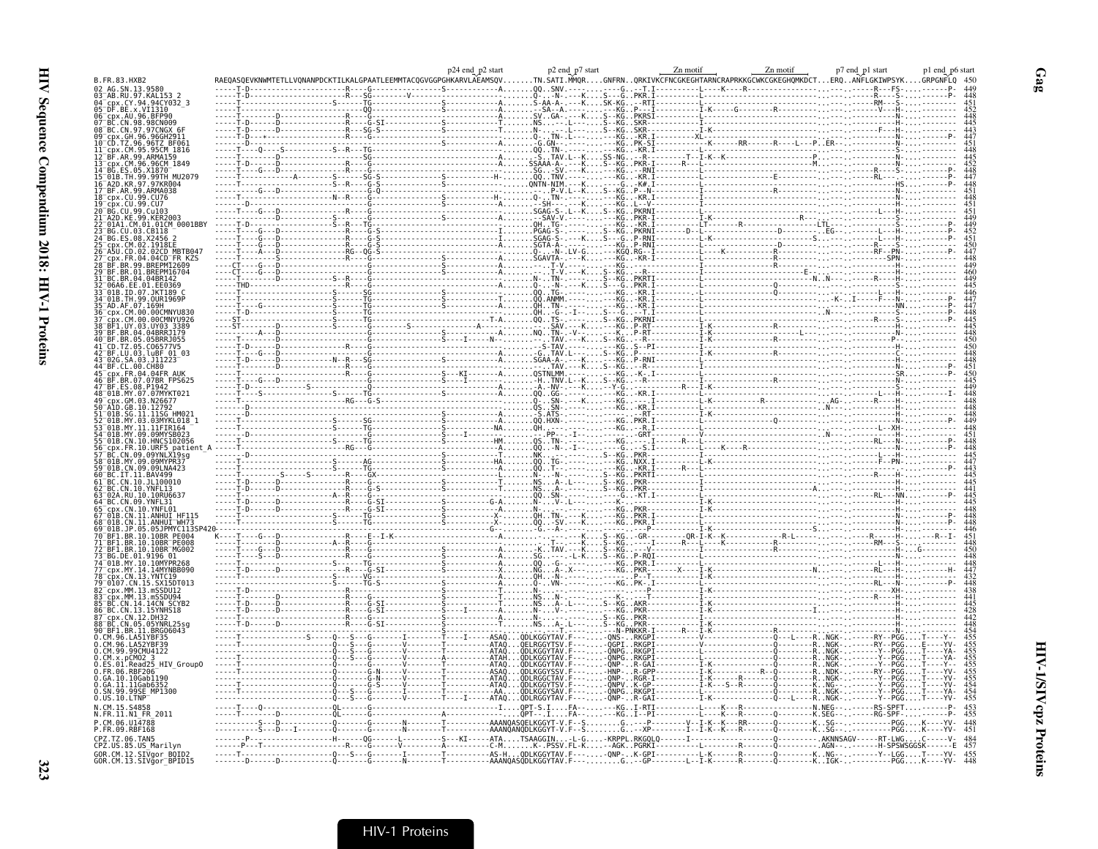|                                                        |  | p24 end p2 start |                        | p2 end_p7 start |                         | Zn motif | Zn motif                                                                                                                                                                                                                                                                                                                                                                                                                                               | p7 end_p1 start | pl end p6 start |
|--------------------------------------------------------|--|------------------|------------------------|-----------------|-------------------------|----------|--------------------------------------------------------------------------------------------------------------------------------------------------------------------------------------------------------------------------------------------------------------------------------------------------------------------------------------------------------------------------------------------------------------------------------------------------------|-----------------|-----------------|
| B.FR.83.HXB2<br>02 AG.SN.13.958                        |  |                  |                        | TN.SATI.MMQR    |                         |          | GNFRNQRKIVKCFNCGKEGHTARNCRAPRKKGCWKCGKEGHQMKDCTERQANFLGKIWPSYK                                                                                                                                                                                                                                                                                                                                                                                         |                 | GRPGNFLO        |
| 03 <sup>-</sup> AB.RU.97.KAL153<br>. CY . 94           |  |                  |                        |                 |                         |          |                                                                                                                                                                                                                                                                                                                                                                                                                                                        |                 |                 |
| .BE.x.VI1310                                           |  |                  |                        |                 | ---КŠК-КĞ.<br>------КG. |          |                                                                                                                                                                                                                                                                                                                                                                                                                                                        |                 |                 |
| .CN.98.98CN009                                         |  |                  |                        |                 |                         |          |                                                                                                                                                                                                                                                                                                                                                                                                                                                        |                 |                 |
|                                                        |  |                  |                        |                 |                         |          |                                                                                                                                                                                                                                                                                                                                                                                                                                                        |                 |                 |
|                                                        |  |                  |                        |                 |                         |          |                                                                                                                                                                                                                                                                                                                                                                                                                                                        |                 |                 |
|                                                        |  |                  |                        |                 |                         |          |                                                                                                                                                                                                                                                                                                                                                                                                                                                        |                 |                 |
| MU2079                                                 |  |                  |                        |                 |                         |          |                                                                                                                                                                                                                                                                                                                                                                                                                                                        |                 |                 |
|                                                        |  |                  |                        |                 |                         |          |                                                                                                                                                                                                                                                                                                                                                                                                                                                        |                 |                 |
|                                                        |  |                  |                        |                 |                         |          |                                                                                                                                                                                                                                                                                                                                                                                                                                                        |                 |                 |
|                                                        |  |                  |                        |                 |                         |          |                                                                                                                                                                                                                                                                                                                                                                                                                                                        |                 |                 |
| 01CM 0001BBY                                           |  |                  |                        |                 |                         |          |                                                                                                                                                                                                                                                                                                                                                                                                                                                        |                 |                 |
|                                                        |  |                  |                        |                 |                         |          |                                                                                                                                                                                                                                                                                                                                                                                                                                                        |                 |                 |
|                                                        |  |                  |                        |                 |                         |          |                                                                                                                                                                                                                                                                                                                                                                                                                                                        |                 |                 |
|                                                        |  |                  |                        |                 |                         |          |                                                                                                                                                                                                                                                                                                                                                                                                                                                        |                 |                 |
|                                                        |  |                  |                        |                 |                         |          |                                                                                                                                                                                                                                                                                                                                                                                                                                                        |                 |                 |
|                                                        |  |                  |                        |                 |                         |          |                                                                                                                                                                                                                                                                                                                                                                                                                                                        |                 |                 |
|                                                        |  |                  |                        |                 |                         |          |                                                                                                                                                                                                                                                                                                                                                                                                                                                        |                 |                 |
|                                                        |  |                  |                        |                 |                         |          |                                                                                                                                                                                                                                                                                                                                                                                                                                                        |                 |                 |
|                                                        |  |                  |                        |                 |                         |          |                                                                                                                                                                                                                                                                                                                                                                                                                                                        |                 |                 |
| .05BRR.1055                                            |  |                  |                        |                 |                         |          |                                                                                                                                                                                                                                                                                                                                                                                                                                                        |                 |                 |
|                                                        |  |                  |                        |                 |                         |          |                                                                                                                                                                                                                                                                                                                                                                                                                                                        |                 |                 |
| FR.04.04FR AU                                          |  |                  |                        |                 |                         |          |                                                                                                                                                                                                                                                                                                                                                                                                                                                        |                 |                 |
| .07BR FPS625                                           |  |                  |                        |                 |                         |          |                                                                                                                                                                                                                                                                                                                                                                                                                                                        |                 |                 |
|                                                        |  |                  |                        |                 |                         |          |                                                                                                                                                                                                                                                                                                                                                                                                                                                        |                 |                 |
|                                                        |  |                  |                        |                 |                         |          |                                                                                                                                                                                                                                                                                                                                                                                                                                                        |                 |                 |
|                                                        |  |                  |                        |                 |                         |          |                                                                                                                                                                                                                                                                                                                                                                                                                                                        |                 |                 |
|                                                        |  |                  |                        |                 |                         |          |                                                                                                                                                                                                                                                                                                                                                                                                                                                        |                 |                 |
| patien                                                 |  |                  |                        |                 |                         |          |                                                                                                                                                                                                                                                                                                                                                                                                                                                        |                 |                 |
|                                                        |  |                  |                        |                 |                         |          |                                                                                                                                                                                                                                                                                                                                                                                                                                                        |                 |                 |
| 11B.CN.09.09LNA423                                     |  |                  |                        |                 |                         |          |                                                                                                                                                                                                                                                                                                                                                                                                                                                        |                 |                 |
| . 11 100010                                            |  |                  |                        |                 |                         |          |                                                                                                                                                                                                                                                                                                                                                                                                                                                        |                 |                 |
|                                                        |  |                  |                        |                 |                         |          |                                                                                                                                                                                                                                                                                                                                                                                                                                                        |                 |                 |
|                                                        |  |                  |                        |                 |                         |          |                                                                                                                                                                                                                                                                                                                                                                                                                                                        |                 |                 |
|                                                        |  |                  |                        |                 |                         |          | $\begin{tabular}{ c c c c } \hline .\quad \, & .\quad \, & .\quad \, & .\quad \, & .\quad \, & .\quad \, & .\quad \, & .\quad \, & .\quad \, & .\quad \, & .\quad \, & .\quad \, & .\quad \, & .\quad \, & .\quad \, & .\quad \, & .\quad \, & .\quad \, & .\quad \, & .\quad \, & .\quad \, & .\quad \, & .\quad \, & .\quad \, & .\quad \, & .\quad \, & .\quad \, & .\quad \, & .\quad \, & .\quad \, & .\quad \, & .\quad \, & .\quad \, & .\quad$ |                 |                 |
| <b>PE008</b>                                           |  |                  |                        |                 |                         |          |                                                                                                                                                                                                                                                                                                                                                                                                                                                        |                 |                 |
|                                                        |  |                  |                        |                 |                         |          |                                                                                                                                                                                                                                                                                                                                                                                                                                                        |                 |                 |
| 01B.MY.10.10MYPR268<br>MY.14.14MYNBB090                |  |                  |                        |                 |                         |          |                                                                                                                                                                                                                                                                                                                                                                                                                                                        |                 |                 |
| CN 13 YNTC19<br>SX15DT013                              |  |                  |                        |                 |                         |          |                                                                                                                                                                                                                                                                                                                                                                                                                                                        |                 |                 |
| MM 13 mSSDH94                                          |  |                  |                        |                 |                         |          |                                                                                                                                                                                                                                                                                                                                                                                                                                                        |                 |                 |
|                                                        |  |                  |                        |                 |                         |          |                                                                                                                                                                                                                                                                                                                                                                                                                                                        |                 |                 |
|                                                        |  |                  |                        |                 |                         |          |                                                                                                                                                                                                                                                                                                                                                                                                                                                        |                 |                 |
| CN.05.05YNRL25sc<br>BR.11.BRG06043                     |  |                  |                        |                 |                         |          |                                                                                                                                                                                                                                                                                                                                                                                                                                                        |                 |                 |
|                                                        |  |                  |                        |                 |                         |          |                                                                                                                                                                                                                                                                                                                                                                                                                                                        |                 |                 |
| M.99.99CMU4122                                         |  |                  |                        |                 |                         |          |                                                                                                                                                                                                                                                                                                                                                                                                                                                        |                 |                 |
| HIV Group0<br>FR.06.RBF206                             |  |                  | ODI KGGYSSV            |                 |                         |          |                                                                                                                                                                                                                                                                                                                                                                                                                                                        |                 |                 |
| GA.10.10Gab1190                                        |  |                  | $-ATAO$ $ODLKGGYTSV.F$ |                 |                         |          |                                                                                                                                                                                                                                                                                                                                                                                                                                                        |                 |                 |
| .GA.11.11Gab6352<br>.SN.99.99SE MP1300<br>D.US.10.LTNP |  |                  |                        |                 |                         |          |                                                                                                                                                                                                                                                                                                                                                                                                                                                        |                 |                 |
|                                                        |  |                  |                        |                 |                         |          |                                                                                                                                                                                                                                                                                                                                                                                                                                                        |                 |                 |
| N.FR.11.N1 FR 2011<br>CM 06 U14788                     |  |                  |                        |                 |                         |          |                                                                                                                                                                                                                                                                                                                                                                                                                                                        |                 |                 |
| P.FR.09.RBF168<br>PZ.TZ.06.TAN5                        |  |                  |                        |                 |                         |          |                                                                                                                                                                                                                                                                                                                                                                                                                                                        |                 |                 |
| CPZ.US.85.US Marilyn                                   |  |                  |                        |                 |                         |          |                                                                                                                                                                                                                                                                                                                                                                                                                                                        |                 |                 |
| GOR.CM.12.SIVgor_BOID2<br>GOR.CM.13.SIVgor_BPID15      |  |                  |                        |                 |                         |          |                                                                                                                                                                                                                                                                                                                                                                                                                                                        |                 |                 |

 $Gag$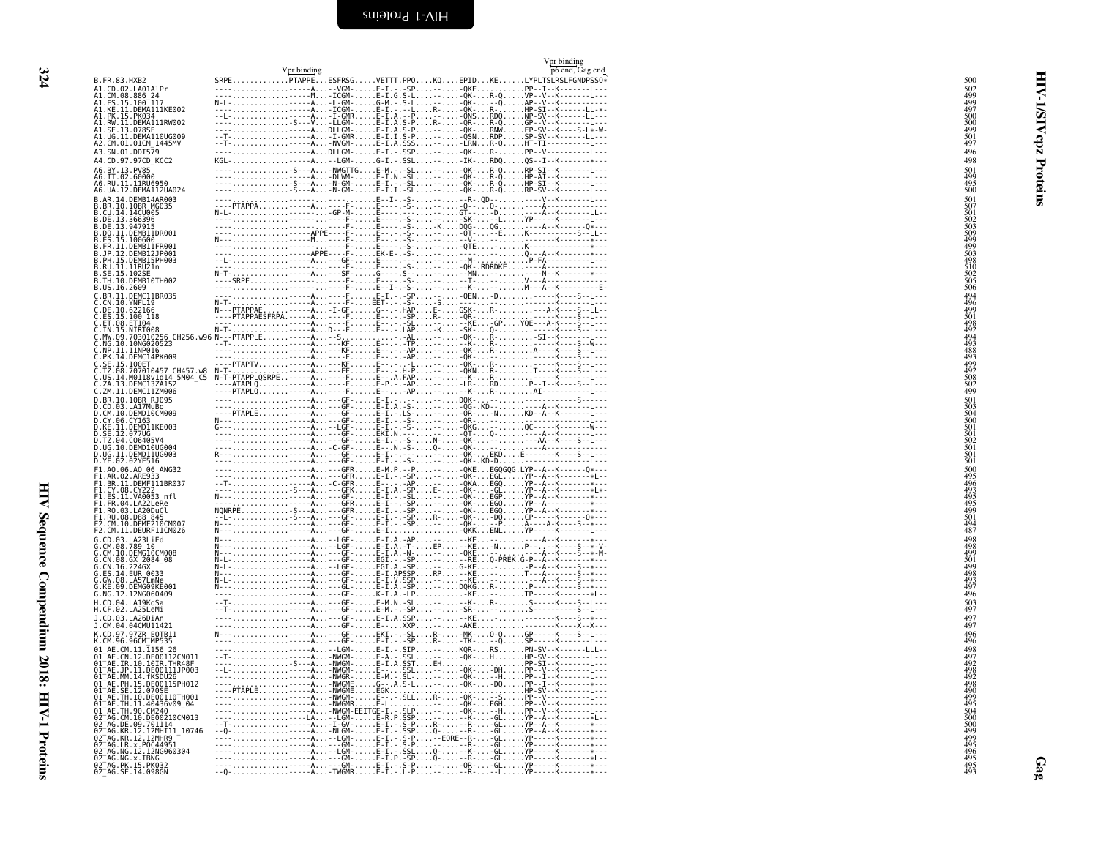<span id="page-17-0"></span>

|                                                                                                              | Vpr binding | Vpr binding<br>p6 end, Gag end                                                                                                                                                                                               |                                                                    |
|--------------------------------------------------------------------------------------------------------------|-------------|------------------------------------------------------------------------------------------------------------------------------------------------------------------------------------------------------------------------------|--------------------------------------------------------------------|
| B.FR.83.HXB2<br>A1.CD.02.LA01AlPr                                                                            |             | SRPEPTAPPEESFRSGVETTT.PPQKQEPIDKELYPLTSLRSLFGNDPSSQ*                                                                                                                                                                         | 500                                                                |
| A1.CM.08.886_24<br>A1.ES.15.100-117<br>A1.KE.11.DEMA111KE002                                                 |             |                                                                                                                                                                                                                              | 502<br>499<br>499<br>497<br>500<br>500<br>501<br>501<br>497        |
| A1.PK.15.PK034                                                                                               |             |                                                                                                                                                                                                                              |                                                                    |
| A1.RW.11.DEMA111RW002<br>SE.13.078SE                                                                         |             |                                                                                                                                                                                                                              |                                                                    |
| A1.UG.II.DEMAI10UG009<br>A2.CM.01.01CM_1445MV<br>A3.SN.01.DDI579                                             |             | --†-:::::::::::::-----A:::-ÑVĞM-:::::Ē-Ī:A:SSS::::--::::-LRN:::R-Q:::::HT-Tİ-------------L---                                                                                                                                | 496                                                                |
| A4.CD.97.97CD KCC2                                                                                           |             | KGL-----A--LGM-G-I.-.SSL---IK-RDQQS--I--K-------*---                                                                                                                                                                         | 498                                                                |
| A6.BY.13.PV85<br>A6.IT.02.60000<br>A6.RU.11.11RU6950                                                         |             |                                                                                                                                                                                                                              | 501<br>499<br>$\frac{495}{500}$                                    |
| A6.UA.12.DEMA112UA024<br>B.AR.14.DEMB14AR003                                                                 |             |                                                                                                                                                                                                                              |                                                                    |
| B.BR.10.10BR MG035<br>B.CU.14.14CU005<br>B.DE.13.366396                                                      |             |                                                                                                                                                                                                                              | 501<br>507<br>502<br>503<br>509<br>499<br>503<br>502<br>505<br>506 |
| B.DE.13.947915<br>B.DO.11.DEMB11DR001<br>B.ES.15.100600                                                      |             |                                                                                                                                                                                                                              |                                                                    |
| B. FR. 11. DEMB11FR001                                                                                       |             |                                                                                                                                                                                                                              |                                                                    |
| B.JP.12.DEMB12JP001<br>B.PH.15.DEMB15PH003<br>B.RU.11.11RU21n                                                |             |                                                                                                                                                                                                                              |                                                                    |
| B.SE.15.102SE<br>B. TH. 10. DEMB10TH002                                                                      |             |                                                                                                                                                                                                                              |                                                                    |
| B.US.16.2609<br>C.BR.11.DEMC11BR035                                                                          |             |                                                                                                                                                                                                                              | 494                                                                |
| C.CN.10.YNFL19                                                                                               |             |                                                                                                                                                                                                                              | 496<br>499<br>501<br>498                                           |
| C.DE.10.622166<br>C.ES.15.100 118<br>C.ET.08.ET104<br>C.IN.15.NIRT008                                        |             |                                                                                                                                                                                                                              |                                                                    |
| C.MW.09.703010256 CH256.w96 N--<br>C.NG.10.10NG020523                                                        |             |                                                                                                                                                                                                                              | 492<br>492<br>493<br>488<br>493<br>499                             |
| C.NP.11.11NP016<br>C.PK.14.DEMC14PK009<br>C.SE.15.100ET                                                      |             |                                                                                                                                                                                                                              |                                                                    |
| C.TZ.08.707010457 CH457.w8<br>C.US.14.M0118v1d14 5M04 C5                                                     |             |                                                                                                                                                                                                                              | 492<br>508<br>502<br>499                                           |
| C.ZA.13.DEMC13ZA152<br>C.ZM.11.DEMC11ZM006                                                                   |             |                                                                                                                                                                                                                              |                                                                    |
| D.BR.10.10BR RJ095<br>D.CD.03.LA17MuBo<br>D.CM.10.DEMD10CM009                                                |             |                                                                                                                                                                                                                              | 501<br>503<br>504<br>500<br>501<br>501<br>502<br>501<br>501        |
| D.CY.06.CY163<br>D.KE.11.DEMD11KE003                                                                         |             |                                                                                                                                                                                                                              |                                                                    |
| D.SE.12.077UG<br>D.TZ.04.C06405V4                                                                            |             |                                                                                                                                                                                                                              |                                                                    |
| D.UG.10.DEMD10UG004<br>D.UG.11.DEMD11UG003<br>D.YE.02.02YE516                                                |             |                                                                                                                                                                                                                              |                                                                    |
| F1.A0.06.A0 06 ANG32                                                                                         |             |                                                                                                                                                                                                                              | 500<br>495<br>496                                                  |
| FI.AR.02.ARE933<br>F1.BR.11.DEME111BR037<br>F1.CY.08.CY222                                                   |             |                                                                                                                                                                                                                              |                                                                    |
| F1.ES.11.VA0053_nfl<br>F1.FR.04.LA22LeRe                                                                     |             |                                                                                                                                                                                                                              | 493<br>493<br>495<br>499<br>501                                    |
| F1.R0.03.LA26DuCl<br>F1.R0.03.LA26DuCl<br>F1.RU.08.D88 845<br>F2.CM.10.DEMF210CM007<br>F2.CM.11.DEURF11CM026 |             |                                                                                                                                                                                                                              |                                                                    |
| G.CD.03.LA23LiEd                                                                                             |             |                                                                                                                                                                                                                              | $\frac{494}{487}$                                                  |
| G.CM.08.789 10<br>G.CM.10.DEMG10CM008                                                                        |             |                                                                                                                                                                                                                              | 498<br>498<br>499                                                  |
| G.CN.08.GX 2084_08                                                                                           |             |                                                                                                                                                                                                                              | $\frac{501}{499}$                                                  |
| G.ES.14.EUR 0033<br>G.GW.08.LA57LmNe<br>G.KE.09.DEMG09KE001                                                  |             |                                                                                                                                                                                                                              | 498<br>493<br>497                                                  |
| G.NG.12.12NG060409<br>H.CD.04.LA19KoSa                                                                       |             | Records and the set of the set of the set of the set of the set of the set of the set of the set of the set of the set of the set of the set of the set of the set of the set of the set of the set of the set of the set of | 496<br>503<br>497                                                  |
| H.CF.02.LA25LeMi<br>J.CD.03.LA26DiAn                                                                         |             |                                                                                                                                                                                                                              | 497                                                                |
| J.CM.04.04CMU11421<br>K.CD.97.97ZR EQTB11<br>K.CM.96.96CM MP535                                              |             |                                                                                                                                                                                                                              | 497<br>496<br>496                                                  |
| 01 AE.CM.11.1156 26                                                                                          |             |                                                                                                                                                                                                                              | 498                                                                |
| 01 AE.CN.12.DE00112CN011<br>01 AE. IR. 10. 10 IR. THR48F                                                     |             |                                                                                                                                                                                                                              | 497<br>492<br>498<br>492                                           |
| 01 AE.JP.11.DE0011117003<br>01 AE.JP.11.DE0011117003<br>01 AE.PH.15.DE00115PH012                             |             |                                                                                                                                                                                                                              | 498                                                                |
| 01-AE.SE.12.070SE                                                                                            |             |                                                                                                                                                                                                                              |                                                                    |
| 01 AE.TH.11.40436v09_04<br>01 AE.TH.90.CM240<br>02 AG.CM.10.DE00210CM013                                     |             |                                                                                                                                                                                                                              | 499 495 504 499 495 495 495 493                                    |
| 02 AG.DE.09.701114<br>02 AG.KR.12.12MHI11_10746                                                              |             |                                                                                                                                                                                                                              |                                                                    |
| 02 AG.KR.12.12MHR9<br>02 AG.LR.x.P0C44951                                                                    |             |                                                                                                                                                                                                                              |                                                                    |
| 02 AG. NG. 12. 12NG060304<br>02 AG.NG.x.IBNG                                                                 |             |                                                                                                                                                                                                                              |                                                                    |
| 02 AG.PK.15.PK032<br>02 AG.SE.14.098GN                                                                       |             |                                                                                                                                                                                                                              |                                                                    |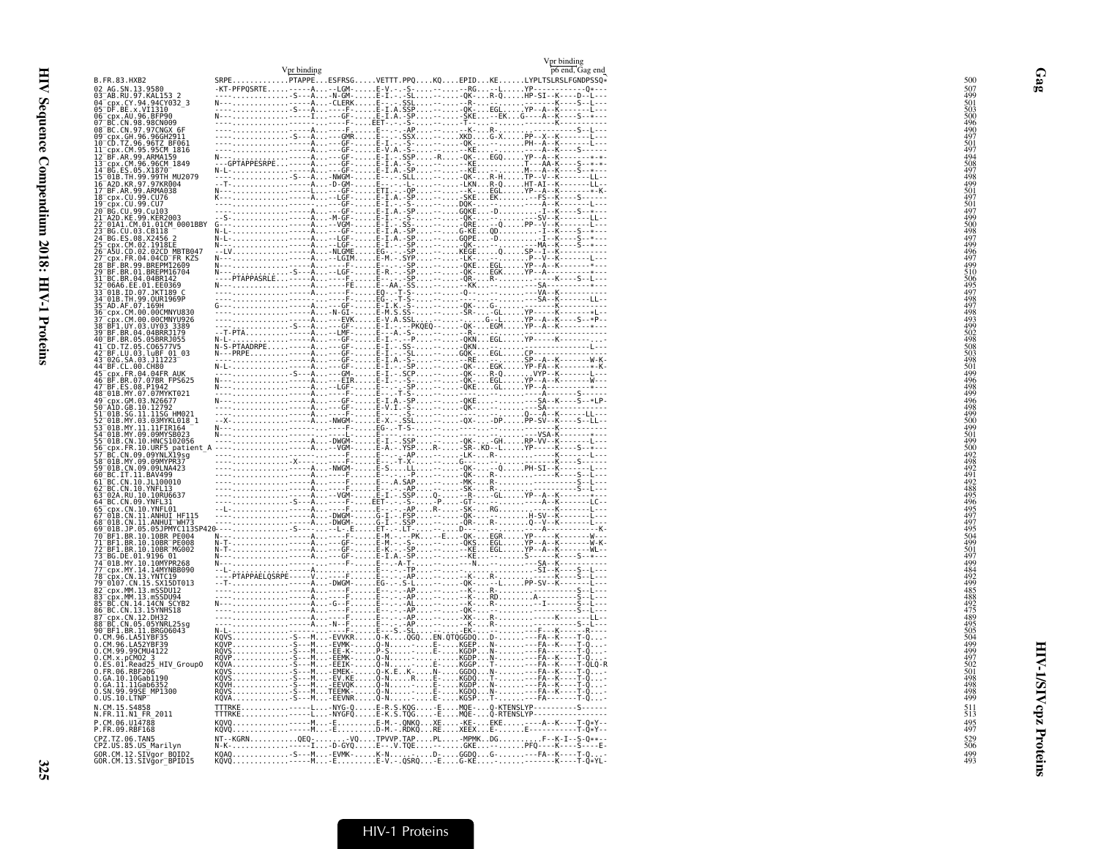|                                                   | Vpr binding |  | Vpr binding<br>p6 end, Gag end                                                           |
|---------------------------------------------------|-------------|--|------------------------------------------------------------------------------------------|
| B.FR.83.HXB2                                      |             |  | SRPEPTAPPEESFRSGVETTT.PPQKQEPIDKELYPLTSLRSLFGNDPSSQ*                                     |
|                                                   |             |  |                                                                                          |
|                                                   |             |  |                                                                                          |
|                                                   |             |  |                                                                                          |
|                                                   |             |  |                                                                                          |
|                                                   |             |  |                                                                                          |
|                                                   |             |  |                                                                                          |
|                                                   |             |  |                                                                                          |
|                                                   |             |  |                                                                                          |
|                                                   |             |  |                                                                                          |
|                                                   |             |  |                                                                                          |
|                                                   |             |  |                                                                                          |
|                                                   |             |  |                                                                                          |
|                                                   |             |  |                                                                                          |
|                                                   |             |  |                                                                                          |
|                                                   |             |  |                                                                                          |
|                                                   |             |  |                                                                                          |
|                                                   |             |  |                                                                                          |
|                                                   |             |  |                                                                                          |
|                                                   |             |  |                                                                                          |
|                                                   |             |  |                                                                                          |
|                                                   |             |  |                                                                                          |
|                                                   |             |  |                                                                                          |
|                                                   |             |  |                                                                                          |
|                                                   |             |  |                                                                                          |
|                                                   |             |  |                                                                                          |
|                                                   |             |  |                                                                                          |
|                                                   |             |  |                                                                                          |
|                                                   |             |  |                                                                                          |
|                                                   |             |  |                                                                                          |
|                                                   |             |  |                                                                                          |
|                                                   |             |  |                                                                                          |
|                                                   |             |  |                                                                                          |
|                                                   |             |  |                                                                                          |
|                                                   |             |  |                                                                                          |
|                                                   |             |  |                                                                                          |
|                                                   |             |  |                                                                                          |
|                                                   |             |  |                                                                                          |
|                                                   |             |  |                                                                                          |
|                                                   |             |  |                                                                                          |
|                                                   |             |  |                                                                                          |
|                                                   |             |  |                                                                                          |
| N.CM.15.S4858<br>N.FR.11.N1 FR 2011               |             |  |                                                                                          |
| P.CM.06.U14788<br>P.FR.09.RBF168                  |             |  |                                                                                          |
| CPZ.TZ.06.TAN5<br>CPZ.US.85.US_Marilyn            |             |  |                                                                                          |
| GOR.CM.12.SIVgor_BOID2<br>GOR.CM.13.SIVgor_BPID15 |             |  | KQAQ - S---M EVMK- K-N D- GGDQ G- - - - FA--K----T-Q<br>KQVQ - - - - - M E E-V . - .QSRQ |
|                                                   |             |  |                                                                                          |

Gag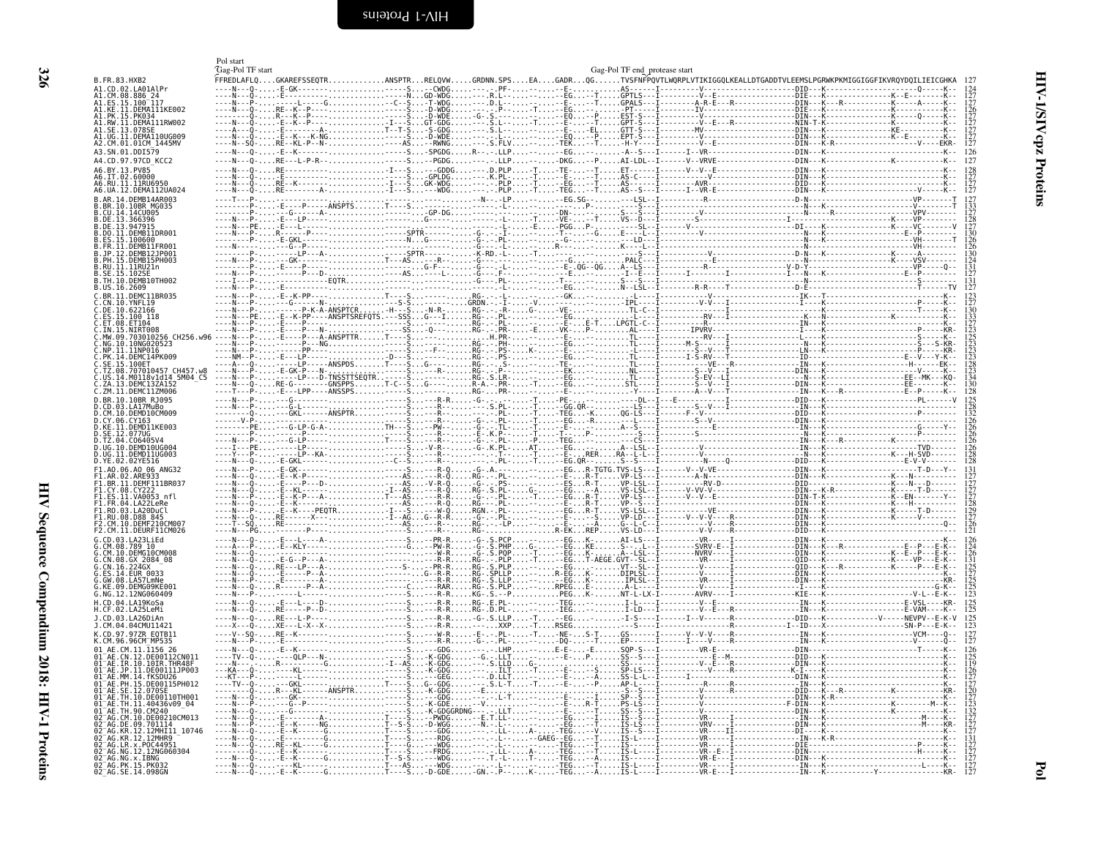<span id="page-19-1"></span><span id="page-19-0"></span>

|                                                               | Pol start<br>Gag-Pol TF start |                                                                                                                                       |                                                 |                     |                | Gag-Pol TF end_protease start |  |                                                                                                                                                                                                                                                                                                                                                                                                                                                                                                      |
|---------------------------------------------------------------|-------------------------------|---------------------------------------------------------------------------------------------------------------------------------------|-------------------------------------------------|---------------------|----------------|-------------------------------|--|------------------------------------------------------------------------------------------------------------------------------------------------------------------------------------------------------------------------------------------------------------------------------------------------------------------------------------------------------------------------------------------------------------------------------------------------------------------------------------------------------|
| B.FR.83.HXB2                                                  |                               | .<br>FFREDLAFLQGKAREFSSEQTRANSPTRRELQVWGRDNN.SPSEAGADRQGTVSFNFPQVTLWQRPLVTIKIGGQLKEALLDTGADDTVLEEMSLPGRWKPKMIGGIGGFIKVRQYDQILIEICGHKA |                                                 |                     |                |                               |  |                                                                                                                                                                                                                                                                                                                                                                                                                                                                                                      |
| A1.CD.02.LA01AlPr<br>A1.CM.08.886_24_                         |                               | GK---------                                                                                                                           | -S. - - CWDG. - - -                             |                     |                |                               |  |                                                                                                                                                                                                                                                                                                                                                                                                                                                                                                      |
| A1.CH.00.000-217<br>A1.ES.15.100-117<br>A1.KE.11.DEMA111KE002 |                               |                                                                                                                                       |                                                 |                     |                |                               |  |                                                                                                                                                                                                                                                                                                                                                                                                                                                                                                      |
| 41.RW.11.DEMA111RW002<br>SE.13.078S                           |                               |                                                                                                                                       |                                                 |                     |                |                               |  | $\begin{array}{c} 126 \\ 127 \\ 127 \\ 127 \\ 127 \\ 127 \\ 127 \end{array}$                                                                                                                                                                                                                                                                                                                                                                                                                         |
| .DEMA110UG009<br>A2.CM.01.01CM 1445MV                         |                               |                                                                                                                                       |                                                 |                     |                |                               |  |                                                                                                                                                                                                                                                                                                                                                                                                                                                                                                      |
| A3.SN.01.DDI579                                               |                               |                                                                                                                                       |                                                 |                     |                |                               |  | 126<br>127                                                                                                                                                                                                                                                                                                                                                                                                                                                                                           |
| A4.CD.97.97CD KCC2<br>A6.BY.13.PV85                           |                               |                                                                                                                                       |                                                 |                     |                |                               |  |                                                                                                                                                                                                                                                                                                                                                                                                                                                                                                      |
| A6.IT.02.60000                                                |                               |                                                                                                                                       |                                                 |                     |                |                               |  | $\begin{array}{c} 128 \\ 127 \\ 127 \\ 127 \end{array}$                                                                                                                                                                                                                                                                                                                                                                                                                                              |
| A6.UA.12.DEMA112UA024<br>3. AR. 14. DEMR14AR003               |                               |                                                                                                                                       |                                                 |                     |                |                               |  | $\begin{minipage}{0.99\textwidth} \begin{minipage}{0.99\textwidth} \begin{minipage}{0.99\textwidth} \begin{minipage}{0.99\textwidth} \begin{minipage}{0.99\textwidth} \begin{minipage}{0.99\textwidth} \begin{minipage}{0.99\textwidth} \begin{minipage}{0.99\textwidth} \begin{minipage}{0.99\textwidth} \begin{minipage}{0.99\textwidth} \begin{minipage}{0.99\textwidth} \begin{minipage}{0.99\textwidth} \begin{minipage}{0.99\textwidth} \begin{minipage}{0.99\textwidth} \begin{minipage}{0.9$ |
| CU.14.14CU005                                                 |                               |                                                                                                                                       |                                                 |                     |                |                               |  |                                                                                                                                                                                                                                                                                                                                                                                                                                                                                                      |
| .DE.13.366396<br>DE 13 947915<br>.DO.11.DEMR11DR001           |                               |                                                                                                                                       |                                                 |                     |                |                               |  | i28<br>127                                                                                                                                                                                                                                                                                                                                                                                                                                                                                           |
| FS 15 100600<br>FR.II.DEMBIIFR001                             |                               |                                                                                                                                       |                                                 |                     |                |                               |  | 130<br>126                                                                                                                                                                                                                                                                                                                                                                                                                                                                                           |
| PH.15.DEMB15PH003                                             |                               |                                                                                                                                       |                                                 |                     |                |                               |  |                                                                                                                                                                                                                                                                                                                                                                                                                                                                                                      |
| .RU.11.11RU21n<br>.SE. 15. 102SE                              |                               |                                                                                                                                       |                                                 |                     |                |                               |  |                                                                                                                                                                                                                                                                                                                                                                                                                                                                                                      |
| B.TH.10.DEMB10TH002<br>B.US.16.2609                           |                               |                                                                                                                                       |                                                 |                     |                |                               |  |                                                                                                                                                                                                                                                                                                                                                                                                                                                                                                      |
| .RR. 11. DEMC11BR035<br>CN.10.YNFL19                          |                               |                                                                                                                                       |                                                 |                     |                |                               |  |                                                                                                                                                                                                                                                                                                                                                                                                                                                                                                      |
| C.DE.10.622166<br>ES.15.100 118                               |                               |                                                                                                                                       |                                                 |                     |                |                               |  |                                                                                                                                                                                                                                                                                                                                                                                                                                                                                                      |
| .IN.15.NIRT008<br>MW 09 703010256 CH256 w96                   |                               |                                                                                                                                       |                                                 |                     |                |                               |  | 133<br>127<br>123<br>125<br>123<br>123<br>123<br>128<br>134<br>134                                                                                                                                                                                                                                                                                                                                                                                                                                   |
| NG.10.10NG020523                                              |                               |                                                                                                                                       |                                                 |                     |                |                               |  |                                                                                                                                                                                                                                                                                                                                                                                                                                                                                                      |
| PK.14.DEMC14PK009<br>SE.15.100ET                              |                               |                                                                                                                                       |                                                 |                     |                |                               |  |                                                                                                                                                                                                                                                                                                                                                                                                                                                                                                      |
| .707010457 CH457.w8<br>M0118v1d14 5M04 C5                     |                               |                                                                                                                                       |                                                 |                     |                |                               |  |                                                                                                                                                                                                                                                                                                                                                                                                                                                                                                      |
| .ZM.11.DEMC11ZM006                                            |                               |                                                                                                                                       |                                                 |                     |                |                               |  |                                                                                                                                                                                                                                                                                                                                                                                                                                                                                                      |
| .BR.10.10BR RJ095<br>CD 03 LA17MuRo                           |                               |                                                                                                                                       |                                                 |                     |                |                               |  |                                                                                                                                                                                                                                                                                                                                                                                                                                                                                                      |
| CM.10.DEMD10CM009<br>CY.06.CY163                              |                               |                                                                                                                                       |                                                 |                     |                |                               |  |                                                                                                                                                                                                                                                                                                                                                                                                                                                                                                      |
| KE.11.DEMD11KE003<br>12.077UG                                 |                               |                                                                                                                                       |                                                 |                     |                |                               |  |                                                                                                                                                                                                                                                                                                                                                                                                                                                                                                      |
| TZ.04.C06405V4<br>.UG.10.DEMD10UG004                          |                               |                                                                                                                                       |                                                 |                     |                |                               |  |                                                                                                                                                                                                                                                                                                                                                                                                                                                                                                      |
| UG.11.DEMD11UG003<br>D.YE.02.02YE516                          |                               |                                                                                                                                       |                                                 |                     |                |                               |  |                                                                                                                                                                                                                                                                                                                                                                                                                                                                                                      |
| F1.A0.06.A0 06 ANG32<br>1.BR.11.DEMF111BR037                  |                               |                                                                                                                                       |                                                 |                     |                |                               |  |                                                                                                                                                                                                                                                                                                                                                                                                                                                                                                      |
| 1.CY.08.CY222<br>ES.11.VA0053 nfl                             |                               |                                                                                                                                       |                                                 |                     |                |                               |  |                                                                                                                                                                                                                                                                                                                                                                                                                                                                                                      |
| F1.FR.04.LA22LeRe<br>F1.RO.03.LA20DuCl                        |                               |                                                                                                                                       |                                                 |                     |                |                               |  |                                                                                                                                                                                                                                                                                                                                                                                                                                                                                                      |
| FI.RU.08.D88 845<br>F2.CM.10.DEMF210CM00.                     |                               |                                                                                                                                       |                                                 |                     |                |                               |  |                                                                                                                                                                                                                                                                                                                                                                                                                                                                                                      |
| F2.CM.11.DEURF11CM026<br>CD.03.LA23LiEd                       |                               |                                                                                                                                       |                                                 | RG-R-EKREPVS-LD---I |                |                               |  |                                                                                                                                                                                                                                                                                                                                                                                                                                                                                                      |
| .789 10<br>CM.10.DEMGIOCM008                                  |                               |                                                                                                                                       |                                                 |                     |                |                               |  |                                                                                                                                                                                                                                                                                                                                                                                                                                                                                                      |
| CN.08.GX 2084 08                                              |                               |                                                                                                                                       |                                                 |                     |                |                               |  |                                                                                                                                                                                                                                                                                                                                                                                                                                                                                                      |
| 0033<br>GW.08.LA57LmNe<br>DEMG09KE001                         |                               |                                                                                                                                       |                                                 |                     |                |                               |  | 124<br>126<br>131<br>125<br>125<br>125<br>125<br>125                                                                                                                                                                                                                                                                                                                                                                                                                                                 |
| G.NG.12.12NG060409                                            |                               |                                                                                                                                       |                                                 |                     |                |                               |  |                                                                                                                                                                                                                                                                                                                                                                                                                                                                                                      |
|                                                               |                               |                                                                                                                                       |                                                 |                     |                |                               |  | $\frac{125}{125}$                                                                                                                                                                                                                                                                                                                                                                                                                                                                                    |
| J.CD.03.LA26DiAn<br>J.CM.04.04CMU11421                        |                               |                                                                                                                                       |                                                 |                     |                |                               |  |                                                                                                                                                                                                                                                                                                                                                                                                                                                                                                      |
| CD.97.97ZR EOTB11                                             |                               |                                                                                                                                       |                                                 |                     |                |                               |  |                                                                                                                                                                                                                                                                                                                                                                                                                                                                                                      |
| AF. CM. 11. 1156. 26<br>LN.12.DE00112CN011                    |                               |                                                                                                                                       |                                                 |                     |                |                               |  |                                                                                                                                                                                                                                                                                                                                                                                                                                                                                                      |
| TR 10 10TR THR48F<br>.11.DE00111JP003                         |                               |                                                                                                                                       |                                                 |                     |                |                               |  |                                                                                                                                                                                                                                                                                                                                                                                                                                                                                                      |
| AE.MM.14.fKSDU26<br>.PH.15.DE00115PH012                       |                               |                                                                                                                                       |                                                 |                     |                |                               |  |                                                                                                                                                                                                                                                                                                                                                                                                                                                                                                      |
| SE 12 070SI<br>TH.10.DE00110TH001                             |                               |                                                                                                                                       | -K-GDG<br>---GDG                                |                     |                |                               |  |                                                                                                                                                                                                                                                                                                                                                                                                                                                                                                      |
| TH.90.CM240<br>10.DE00210CM013                                |                               |                                                                                                                                       | -K-GDE--V.<br>-K-GDGGRDNG-- <u>-</u> . <u>-</u> |                     |                |                               |  |                                                                                                                                                                                                                                                                                                                                                                                                                                                                                                      |
| DE 09.701114<br>12.12MHI11 10746                              |                               |                                                                                                                                       |                                                 |                     | -EG. - - T.    |                               |  |                                                                                                                                                                                                                                                                                                                                                                                                                                                                                                      |
| 12MHR9<br>x.P0C44951                                          |                               | G. T- - - - S -                                                                                                                       | . <b>- - RDG. - -</b> .<br>--WDG---.-           |                     | $\ldots$ - TEG |                               |  |                                                                                                                                                                                                                                                                                                                                                                                                                                                                                                      |
| NG.12.12NG060304<br>92 AG.NG.X.IBNG                           |                               |                                                                                                                                       | -FRDG---. <u>-</u> .                            |                     |                |                               |  |                                                                                                                                                                                                                                                                                                                                                                                                                                                                                                      |
| 02 AG. PK. 15. PK032<br>02 AG. SE. 14.098GN                   |                               | . T- - - - Š<br>- E - - K - -                                                                                                         | $-D-GDE$ GN $\overline{P}$ .                    |                     | . - TEG.       |                               |  |                                                                                                                                                                                                                                                                                                                                                                                                                                                                                                      |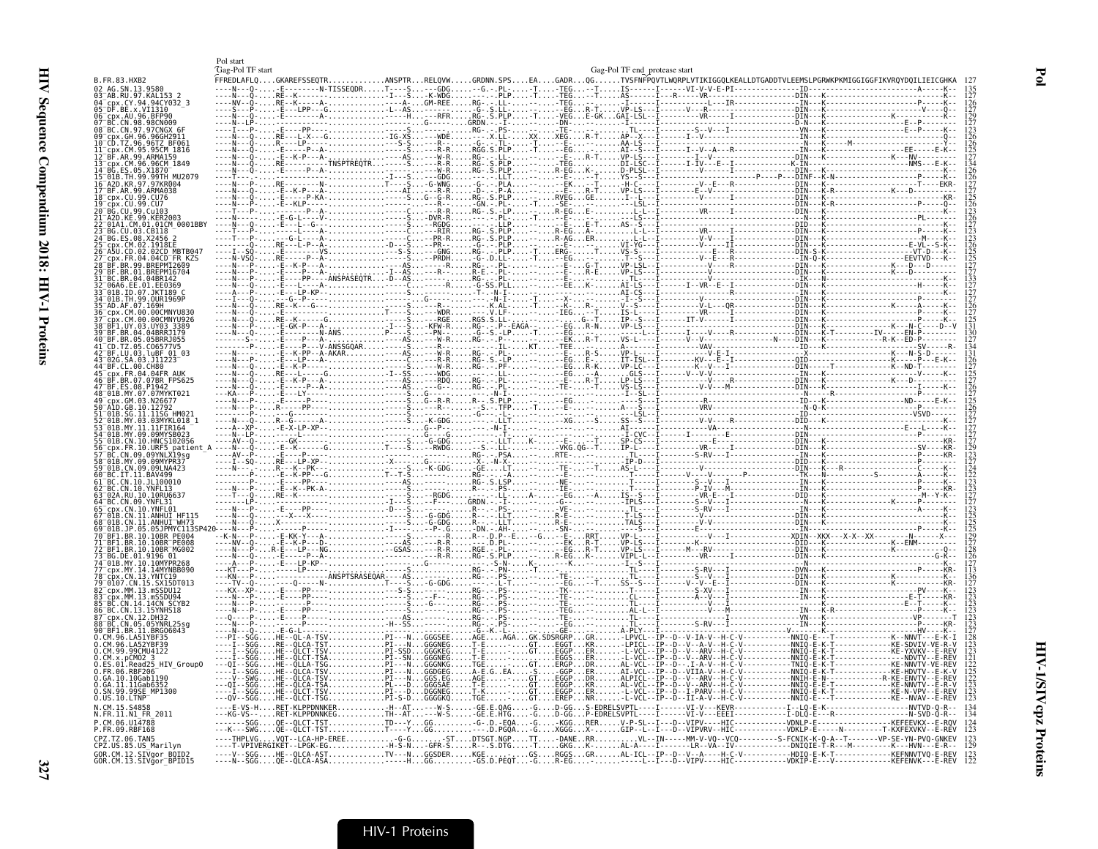|                                                           | Pol start<br>Gag-Pol TF start |          |                          |                        |                                     | Gag-Pol TF end protease start |                                                                                                                                                              |                                                                                                                                                                                                         |
|-----------------------------------------------------------|-------------------------------|----------|--------------------------|------------------------|-------------------------------------|-------------------------------|--------------------------------------------------------------------------------------------------------------------------------------------------------------|---------------------------------------------------------------------------------------------------------------------------------------------------------------------------------------------------------|
| 3. FR. 83. HXB2                                           |                               |          |                          |                        |                                     |                               |                                                                                                                                                              |                                                                                                                                                                                                         |
| AG.SN.13.9580<br>-AB.RU.97.KAL153 2<br>.CY.94.94CY032 3   |                               |          |                          |                        |                                     |                               |                                                                                                                                                              |                                                                                                                                                                                                         |
| x VT1310<br>cpx.AU.96.BFP90                               |                               |          |                          |                        |                                     |                               |                                                                                                                                                              |                                                                                                                                                                                                         |
| 3C.CN.98.98CN009<br>BC.CN.97.97CNGX                       |                               |          |                          |                        |                                     |                               |                                                                                                                                                              |                                                                                                                                                                                                         |
| GH.96.96GH2911.<br>.96.96TZ BF061                         |                               |          |                          |                        |                                     |                               |                                                                                                                                                              |                                                                                                                                                                                                         |
| .CM.95.95CM 1816<br>F.AR.99.ARMA159                       |                               |          |                          |                        |                                     |                               |                                                                                                                                                              |                                                                                                                                                                                                         |
| cpx.CM.96.96CM 1849                                       |                               |          |                          |                        |                                     |                               |                                                                                                                                                              |                                                                                                                                                                                                         |
| 99TH MU2079<br>97.97KR004                                 |                               |          |                          |                        |                                     |                               |                                                                                                                                                              |                                                                                                                                                                                                         |
| 99.ARMA038<br>rnx .CII .99 .CII76 .                       |                               |          |                          |                        |                                     |                               |                                                                                                                                                              |                                                                                                                                                                                                         |
| 99 017<br>CU.99. Cu103                                    |                               |          |                          |                        |                                     |                               |                                                                                                                                                              |                                                                                                                                                                                                         |
| 99 KFR2003<br>.01.01CM 0001BBY                            |                               |          |                          |                        |                                     |                               |                                                                                                                                                              |                                                                                                                                                                                                         |
| .03.CB118                                                 |                               |          |                          |                        |                                     |                               |                                                                                                                                                              |                                                                                                                                                                                                         |
| 1918FF<br>02CD MBTB047                                    |                               |          |                          |                        |                                     |                               |                                                                                                                                                              |                                                                                                                                                                                                         |
| $04CD$ FR<br>99.BREPM12609                                |                               |          |                          |                        |                                     |                               |                                                                                                                                                              |                                                                                                                                                                                                         |
| 01.BREPM16704<br>RC RR.04.04BR142                         |                               |          |                          |                        |                                     |                               |                                                                                                                                                              |                                                                                                                                                                                                         |
| IRAR FF A1 FFA369<br>01B.ID.07.JKT189                     |                               |          |                          |                        |                                     |                               |                                                                                                                                                              |                                                                                                                                                                                                         |
| 91B.TH.99.OUR1969P                                        |                               |          |                          |                        |                                     |                               |                                                                                                                                                              |                                                                                                                                                                                                         |
| cpx.CM.00.00CMNYU830<br>CM.00.00CMNYU926                  |                               |          |                          |                        |                                     |                               |                                                                                                                                                              |                                                                                                                                                                                                         |
| BFI.UY.03.UY03.3389<br>BF.BR.04.04BRRJ179                 |                               |          |                          |                        |                                     |                               |                                                                                                                                                              |                                                                                                                                                                                                         |
| BF.BR.05.05BRR1055<br>CD.TZ.05.C06577V5                   |                               |          |                          |                        |                                     |                               |                                                                                                                                                              |                                                                                                                                                                                                         |
| .03. LuBF<br>03.J11223                                    |                               |          |                          |                        |                                     |                               |                                                                                                                                                              |                                                                                                                                                                                                         |
| 00.CH80<br>x FR 04 04FR AUK                               |                               |          |                          |                        |                                     |                               |                                                                                                                                                              |                                                                                                                                                                                                         |
| .BR.07.07BR_FPS625<br>3F.ES.08.P1942                      |                               |          |                          |                        |                                     |                               |                                                                                                                                                              |                                                                                                                                                                                                         |
| .GM.03.N26677                                             |                               |          |                          |                        |                                     |                               |                                                                                                                                                              |                                                                                                                                                                                                         |
| \1D.GB.10.12792<br>SG.11.11SG HM021                       |                               |          |                          |                        |                                     |                               |                                                                                                                                                              |                                                                                                                                                                                                         |
| MY.03.03MYKL018 1<br>MY 11 11FIR164<br>LB.MY.09.09MYSB023 |                               |          |                          |                        |                                     |                               |                                                                                                                                                              |                                                                                                                                                                                                         |
| 10.HNCS102056                                             |                               |          |                          |                        |                                     |                               |                                                                                                                                                              |                                                                                                                                                                                                         |
| 10.URF5 patient<br>CN.09.09YNLX19sg<br>IY 09 09MYPR37     |                               |          |                          |                        |                                     |                               |                                                                                                                                                              |                                                                                                                                                                                                         |
| CN 09 091 NA423<br>11. RAV499                             |                               |          |                          |                        |                                     |                               |                                                                                                                                                              |                                                                                                                                                                                                         |
|                                                           |                               |          |                          |                        |                                     |                               |                                                                                                                                                              |                                                                                                                                                                                                         |
| .10RU6631<br>BC.CN.09.YNFL31                              |                               |          |                          |                        |                                     |                               |                                                                                                                                                              |                                                                                                                                                                                                         |
| N. 10. YNEI 01<br>N.11.ANHUI HF115.                       |                               |          |                          |                        |                                     |                               |                                                                                                                                                              |                                                                                                                                                                                                         |
| I1 ANHIIT <sup>-</sup> WH73                               |                               |          |                          |                        |                                     |                               |                                                                                                                                                              |                                                                                                                                                                                                         |
| .BR. 10.10BR PE004<br>BR.10.10BR <sup>-</sup> PE008       |                               |          |                          |                        |                                     |                               |                                                                                                                                                              |                                                                                                                                                                                                         |
| BF1.BR.10.10BR <sup>-</sup> MG002<br>.DE.01.9196.01       |                               |          |                          |                        |                                     |                               |                                                                                                                                                              |                                                                                                                                                                                                         |
| 01B.MY.10.10MYPR268                                       |                               |          |                          |                        |                                     |                               |                                                                                                                                                              |                                                                                                                                                                                                         |
| 0107.CN.15.SX15DT013                                      |                               |          |                          |                        |                                     |                               |                                                                                                                                                              |                                                                                                                                                                                                         |
| MM.13.mSSDU12<br>.MM.13.mSSDU94                           |                               |          |                          |                        |                                     |                               |                                                                                                                                                              |                                                                                                                                                                                                         |
| CN 14 14CN SCYR2<br>BC.CN.13.15YNHS18                     |                               |          |                          |                        |                                     |                               |                                                                                                                                                              |                                                                                                                                                                                                         |
| CDX.CN.12.DH32<br>.CN.05.05YNRL25sq                       |                               |          |                          |                        |                                     |                               |                                                                                                                                                              |                                                                                                                                                                                                         |
| BRG06043<br>M.96.LA51YBF35                                |                               |          | -TSVPI---N<br>-TSTPI---N | وبالمحمود والملا       | 3E---                               |                               |                                                                                                                                                              |                                                                                                                                                                                                         |
| CM.96.LA52YBF39<br>CM.99.99CMU4122                        |                               |          |                          |                        |                                     |                               |                                                                                                                                                              |                                                                                                                                                                                                         |
| .x.pCM02 3<br>.01.Read25 HIV Group0                       |                               |          |                          |                        |                                     |                               |                                                                                                                                                              |                                                                                                                                                                                                         |
| .06.RBF206<br>.10.10Gab1190                               |                               |          |                          |                        |                                     |                               | AI PTCL - - TP - - D - - V - - ARV - - H - C                                                                                                                 | ENVTV--F                                                                                                                                                                                                |
| .11.11Gab6352<br>MP1300<br>aa<br>99SF                     |                               |          | $DGGNEG$                 |                        |                                     |                               |                                                                                                                                                              | NNVTV - - F<br>. R . \<br><f-n-vpv-< td=""></f-n-vpv-<>                                                                                                                                                 |
| US.10.LTNP<br>CM. 15. S4858                               |                               |          |                          | '1-5-DGGGGKQTGE-GTEREP | $-W-S$ GE.E.QAGGD-GGS-EDRELSVPTL--- |                               |                                                                                                                                                              |                                                                                                                                                                                                         |
| FR.11.N1 FR 2011<br>CM G6 1114788                         |                               |          |                          |                        |                                     |                               | -KLPPDNNKEGTH--AT---W-S-GE.E.HTG-GD-GGP-EDRELSVPTL---I------VI-V--EEEI------------I-DLQ-E-`-R------------<br>-QLCT-TSTTD---YGG-G-.D.-EQA-G-KGGRERV-P-SL--I-- |                                                                                                                                                                                                         |
| FR.09.RBF168<br>PZ.TZ.06.TAN5                             |                               |          |                          |                        |                                     |                               |                                                                                                                                                              |                                                                                                                                                                                                         |
| PZ.US.85.US_Marilyn                                       |                               | LPGK-EG. |                          |                        |                                     |                               |                                                                                                                                                              | GFR-SR--.S.DTG-TGKGK-AL-A----I-------LR--VA--IV <sup>3</sup> -------------DNIQIE-T-R---M----------K---HVN---E-R--<br>GSDERKGE. <u></u> GSRGGSGRAL-ICL--IP--D--V <u>--A----H-C-V-----------HDIQ-</u> E-K |
| OR.CM.12.SIVaor BOID2<br>CM.13.SIVgor BPID15              | . - - - N - - SGG .           |          |                          | $\ldots$ -GS.D.PEQT-G  |                                     |                               | -----L--I---D--VIPV----HIC--------------VDKIF                                                                                                                |                                                                                                                                                                                                         |

 $Pol$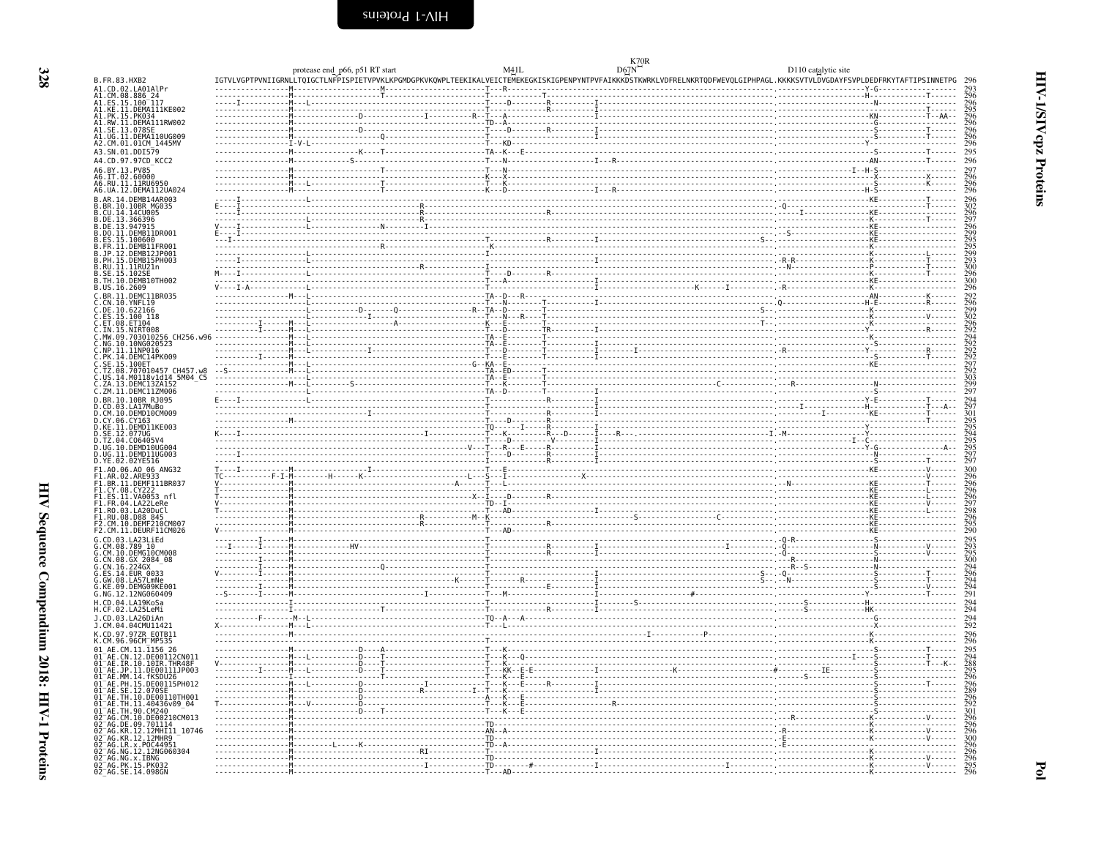<span id="page-21-0"></span>**K70R** 

D110 catalytic site

| B.FR.83.HXB2                                                                                                                                                                                                                                          | protease end p66, p51 RT start<br>IGTVLVGPTPVNIIGRNLLTQIGCTLNFPISPIETVPVKLKPGMDGPKVKQWPLTEEKIKALVEICTEMEKEGKISKIGPENPYNTPVFAIKKKDSTKWRKLVDFRELNKRTQDFWEVQLGIPHPAGL.KKKKSVTVLDVGDAYFSVPLDEDFRKYTAFTIPSINNETPG 296                                                                                                                                                  | M41L | D67N | D110 catalytic site |  |
|-------------------------------------------------------------------------------------------------------------------------------------------------------------------------------------------------------------------------------------------------------|-------------------------------------------------------------------------------------------------------------------------------------------------------------------------------------------------------------------------------------------------------------------------------------------------------------------------------------------------------------------|------|------|---------------------|--|
|                                                                                                                                                                                                                                                       | TETU.<br>TETU.<br>ARTEN PRODUKTINI PERSONALI TETU.<br>TETU.<br>ARTEN PRODUKTINI PERSONALI TETU.<br>TETU.<br>ARTEN PRODUKTINI PERSONALI TETU.<br>TETU.<br>ARTEN PRODUKTINI PERSONALI TETU.<br>ARTEN PRODUKTINI PERSONALI TETU.<br>ARTEN PRODUKTINI                                                                                                                 |      |      |                     |  |
| A1.CD.02.LA01AlPr<br>A1.CM.08.886_24<br>A1.ES.15.100_117                                                                                                                                                                                              |                                                                                                                                                                                                                                                                                                                                                                   |      |      |                     |  |
|                                                                                                                                                                                                                                                       |                                                                                                                                                                                                                                                                                                                                                                   |      |      |                     |  |
| A1.KE.11.DEMA111KE002                                                                                                                                                                                                                                 |                                                                                                                                                                                                                                                                                                                                                                   |      |      |                     |  |
| A1.PK.15.PK034<br>A1.RW.11.DEMA111RW002                                                                                                                                                                                                               |                                                                                                                                                                                                                                                                                                                                                                   |      |      |                     |  |
|                                                                                                                                                                                                                                                       |                                                                                                                                                                                                                                                                                                                                                                   |      |      |                     |  |
| A1.SE.13.078SE<br>A1.UG.11.DEMA110UG009<br>A2.CM.01.01CM_1445MV                                                                                                                                                                                       |                                                                                                                                                                                                                                                                                                                                                                   |      |      |                     |  |
|                                                                                                                                                                                                                                                       |                                                                                                                                                                                                                                                                                                                                                                   |      |      |                     |  |
| A3.SN.01.DDI579                                                                                                                                                                                                                                       |                                                                                                                                                                                                                                                                                                                                                                   |      |      |                     |  |
| A4.CD.97.97CD KCC2                                                                                                                                                                                                                                    |                                                                                                                                                                                                                                                                                                                                                                   |      |      |                     |  |
| A6.BY.13.PV85                                                                                                                                                                                                                                         |                                                                                                                                                                                                                                                                                                                                                                   |      |      |                     |  |
|                                                                                                                                                                                                                                                       |                                                                                                                                                                                                                                                                                                                                                                   |      |      |                     |  |
| A6.IT.02.60000<br>A6.IT.02.60000<br>A6.RU.11.11RU6950<br>A6.UA.12.DEMA112UA024                                                                                                                                                                        |                                                                                                                                                                                                                                                                                                                                                                   |      |      |                     |  |
|                                                                                                                                                                                                                                                       |                                                                                                                                                                                                                                                                                                                                                                   |      |      |                     |  |
| B.AR.14.DEMB14AR003                                                                                                                                                                                                                                   |                                                                                                                                                                                                                                                                                                                                                                   |      |      |                     |  |
| .10.10BR MG035                                                                                                                                                                                                                                        |                                                                                                                                                                                                                                                                                                                                                                   |      |      |                     |  |
| CU.14.14CU005                                                                                                                                                                                                                                         |                                                                                                                                                                                                                                                                                                                                                                   |      |      |                     |  |
|                                                                                                                                                                                                                                                       |                                                                                                                                                                                                                                                                                                                                                                   |      |      |                     |  |
| B.DE.13.366396<br>B.DE.13.947915<br>B.DO.11.DEMB11DR001<br>B.ES.15.100600                                                                                                                                                                             |                                                                                                                                                                                                                                                                                                                                                                   |      |      |                     |  |
|                                                                                                                                                                                                                                                       |                                                                                                                                                                                                                                                                                                                                                                   |      |      |                     |  |
|                                                                                                                                                                                                                                                       |                                                                                                                                                                                                                                                                                                                                                                   |      |      |                     |  |
| FR.11.DEMB11FR001<br>.JP.12.DEMB12JP001                                                                                                                                                                                                               |                                                                                                                                                                                                                                                                                                                                                                   |      |      |                     |  |
|                                                                                                                                                                                                                                                       |                                                                                                                                                                                                                                                                                                                                                                   |      |      |                     |  |
|                                                                                                                                                                                                                                                       |                                                                                                                                                                                                                                                                                                                                                                   |      |      |                     |  |
|                                                                                                                                                                                                                                                       |                                                                                                                                                                                                                                                                                                                                                                   |      |      |                     |  |
| <b>B.PH.15.DEMB15PH003</b><br>B.PH.15.DEMB15PH003<br>B.RU.11.11RU21n<br>B.SE.15.102SE<br>B.TH.10.DEMB10TH002<br>B.US.16.2609                                                                                                                          |                                                                                                                                                                                                                                                                                                                                                                   |      |      |                     |  |
|                                                                                                                                                                                                                                                       |                                                                                                                                                                                                                                                                                                                                                                   |      |      |                     |  |
| C.BR.11.DEMC11BR035                                                                                                                                                                                                                                   |                                                                                                                                                                                                                                                                                                                                                                   |      |      |                     |  |
| CN.10.YNFL19                                                                                                                                                                                                                                          |                                                                                                                                                                                                                                                                                                                                                                   |      |      |                     |  |
| C.DE.10.622166                                                                                                                                                                                                                                        |                                                                                                                                                                                                                                                                                                                                                                   |      |      |                     |  |
|                                                                                                                                                                                                                                                       |                                                                                                                                                                                                                                                                                                                                                                   |      |      |                     |  |
| Č.ES.15.100 118<br>C.ET.08.ET104<br>C.IN.15.NIRT008                                                                                                                                                                                                   |                                                                                                                                                                                                                                                                                                                                                                   |      |      |                     |  |
| C.MW.09.703010256 CH256.w96                                                                                                                                                                                                                           |                                                                                                                                                                                                                                                                                                                                                                   |      |      |                     |  |
| C.NG.10.10NG020523                                                                                                                                                                                                                                    |                                                                                                                                                                                                                                                                                                                                                                   |      |      |                     |  |
| C.NP.11.11NP016<br>C.PK.14.DEMC14PK009<br>C.SE.15.100ET                                                                                                                                                                                               |                                                                                                                                                                                                                                                                                                                                                                   |      |      |                     |  |
|                                                                                                                                                                                                                                                       |                                                                                                                                                                                                                                                                                                                                                                   |      |      |                     |  |
|                                                                                                                                                                                                                                                       |                                                                                                                                                                                                                                                                                                                                                                   |      |      |                     |  |
| C.J.Z.08.707010457 CH457.w8<br>C.US.14.M0118v1d14 5M04_C5<br>C.ZA.13.DEMC13ZA152<br>C.ZM.11.DEMC11ZM006                                                                                                                                               |                                                                                                                                                                                                                                                                                                                                                                   |      |      |                     |  |
|                                                                                                                                                                                                                                                       |                                                                                                                                                                                                                                                                                                                                                                   |      |      |                     |  |
|                                                                                                                                                                                                                                                       |                                                                                                                                                                                                                                                                                                                                                                   |      |      |                     |  |
| D.BR.10.10BR RJ095                                                                                                                                                                                                                                    |                                                                                                                                                                                                                                                                                                                                                                   |      |      |                     |  |
|                                                                                                                                                                                                                                                       |                                                                                                                                                                                                                                                                                                                                                                   |      |      |                     |  |
|                                                                                                                                                                                                                                                       |                                                                                                                                                                                                                                                                                                                                                                   |      |      |                     |  |
|                                                                                                                                                                                                                                                       |                                                                                                                                                                                                                                                                                                                                                                   |      |      |                     |  |
| D.BR.10.103164<br>D.CN.10.DEMD10CM009<br>D.CN.10.DEMD10CM009<br>D.CN.10.DEMD10CM009<br>D.KE.11.DEMD11KE003<br>D.KE.11.DEMD11KE003<br>D.TZ.04.C06405V4<br>D.UG.10.DEMD10UG004<br>D.UG.10.DEMD10UG004<br>D.UG.11.DEMD10UG004<br>D.UG.11.DEMD10UG004<br> |                                                                                                                                                                                                                                                                                                                                                                   |      |      |                     |  |
|                                                                                                                                                                                                                                                       |                                                                                                                                                                                                                                                                                                                                                                   |      |      |                     |  |
|                                                                                                                                                                                                                                                       |                                                                                                                                                                                                                                                                                                                                                                   |      |      |                     |  |
|                                                                                                                                                                                                                                                       |                                                                                                                                                                                                                                                                                                                                                                   |      |      |                     |  |
| D.YE.02.02YE516                                                                                                                                                                                                                                       |                                                                                                                                                                                                                                                                                                                                                                   |      |      |                     |  |
|                                                                                                                                                                                                                                                       |                                                                                                                                                                                                                                                                                                                                                                   |      |      |                     |  |
| F1.A0.06.A0 06 ANG32<br>F1.AR.02.ARE933<br>F1.BR.11.DEMF111BR037                                                                                                                                                                                      |                                                                                                                                                                                                                                                                                                                                                                   |      |      |                     |  |
|                                                                                                                                                                                                                                                       |                                                                                                                                                                                                                                                                                                                                                                   |      |      |                     |  |
| F1.CY.08.CY222                                                                                                                                                                                                                                        |                                                                                                                                                                                                                                                                                                                                                                   |      |      |                     |  |
| F1.ES.11.VA0053_nfl<br>F1.FR.04.LA22LeRe                                                                                                                                                                                                              |                                                                                                                                                                                                                                                                                                                                                                   |      |      |                     |  |
|                                                                                                                                                                                                                                                       |                                                                                                                                                                                                                                                                                                                                                                   |      |      |                     |  |
|                                                                                                                                                                                                                                                       |                                                                                                                                                                                                                                                                                                                                                                   |      |      |                     |  |
| F1.R0.03.LA20DuCl<br>F1.R0.03.LA20DuCl<br>F1.RU.08.D88 845<br>F2.CM.10.DEMF210CM007<br>F2.CM.11.DEURF11CM026                                                                                                                                          |                                                                                                                                                                                                                                                                                                                                                                   |      |      |                     |  |
|                                                                                                                                                                                                                                                       |                                                                                                                                                                                                                                                                                                                                                                   |      |      |                     |  |
| G.CD.03.LA23LiEd                                                                                                                                                                                                                                      |                                                                                                                                                                                                                                                                                                                                                                   |      |      |                     |  |
| CM.08.78910                                                                                                                                                                                                                                           |                                                                                                                                                                                                                                                                                                                                                                   |      |      |                     |  |
|                                                                                                                                                                                                                                                       |                                                                                                                                                                                                                                                                                                                                                                   |      |      |                     |  |
|                                                                                                                                                                                                                                                       |                                                                                                                                                                                                                                                                                                                                                                   |      |      |                     |  |
|                                                                                                                                                                                                                                                       |                                                                                                                                                                                                                                                                                                                                                                   |      |      |                     |  |
| G.CM. 10. DEMG10CM008<br>G.CN. 08. GX 2084_08<br>G.CN. 16. 224GX<br>G.CN. 16. 224GX<br>G. GW. 08. LA57LmNe<br>G. KE. 09. DEMG09KE001<br>C. KE. 09. DEMG09KE001                                                                                        |                                                                                                                                                                                                                                                                                                                                                                   |      |      |                     |  |
|                                                                                                                                                                                                                                                       |                                                                                                                                                                                                                                                                                                                                                                   |      |      |                     |  |
| G.NG.12.12NG060409                                                                                                                                                                                                                                    |                                                                                                                                                                                                                                                                                                                                                                   |      |      |                     |  |
| H.CD.04.LA19KoSa                                                                                                                                                                                                                                      |                                                                                                                                                                                                                                                                                                                                                                   |      |      |                     |  |
| .CF.02.LA25LeMi                                                                                                                                                                                                                                       |                                                                                                                                                                                                                                                                                                                                                                   |      |      |                     |  |
|                                                                                                                                                                                                                                                       |                                                                                                                                                                                                                                                                                                                                                                   |      |      |                     |  |
| J.CD.03.LA26DiAn<br>J.CM.04.04CMU11421                                                                                                                                                                                                                |                                                                                                                                                                                                                                                                                                                                                                   |      |      |                     |  |
| K.CD.97.97ZR EQTB11                                                                                                                                                                                                                                   |                                                                                                                                                                                                                                                                                                                                                                   |      |      |                     |  |
| CM.96.96CM MP535                                                                                                                                                                                                                                      |                                                                                                                                                                                                                                                                                                                                                                   |      |      |                     |  |
| $CM.11.\overline{1}156$ 26                                                                                                                                                                                                                            |                                                                                                                                                                                                                                                                                                                                                                   |      |      |                     |  |
|                                                                                                                                                                                                                                                       |                                                                                                                                                                                                                                                                                                                                                                   |      |      |                     |  |
| 01 AE.CN.12.1150 20<br>01 AE.CN.12.10600112CN011<br>01 AE.IR.10.10IR.THR48F<br>01 AE.JP.11.0E00111JP003<br>01 AE.MN.14.fKSDU26<br>01 AE.PH.15.0E00115PH012<br>01 AE.PH.15.0E00115PH012<br>01 AE.SH.12.0Z0SE1ATIA01                                    | $\begin{picture}(100,100)(0,0) \put(0,0){\vector(1,0){100}} \put(10,0){\vector(1,0){100}} \put(10,0){\vector(1,0){100}} \put(10,0){\vector(1,0){100}} \put(10,0){\vector(1,0){100}} \put(10,0){\vector(1,0){100}} \put(10,0){\vector(1,0){100}} \put(10,0){\vector(1,0){100}} \put(10,0){\vector(1,0){100}} \put(10,0){\vector(1,0){100}} \put(10,0){\vector(1,0$ |      |      |                     |  |
|                                                                                                                                                                                                                                                       |                                                                                                                                                                                                                                                                                                                                                                   |      |      |                     |  |
|                                                                                                                                                                                                                                                       |                                                                                                                                                                                                                                                                                                                                                                   |      |      |                     |  |
|                                                                                                                                                                                                                                                       |                                                                                                                                                                                                                                                                                                                                                                   |      |      |                     |  |
|                                                                                                                                                                                                                                                       |                                                                                                                                                                                                                                                                                                                                                                   |      |      |                     |  |
| .TH.10.DE00110TH001                                                                                                                                                                                                                                   |                                                                                                                                                                                                                                                                                                                                                                   |      |      |                     |  |
|                                                                                                                                                                                                                                                       |                                                                                                                                                                                                                                                                                                                                                                   |      |      |                     |  |
|                                                                                                                                                                                                                                                       |                                                                                                                                                                                                                                                                                                                                                                   |      |      |                     |  |
| 01-AE. HT. 11. 40436v09-04<br>01-AE. TH. 11. 40436v09-04<br>02-AG. CM. 10. DE00210CM013<br>02-AG. DE. 09. 701114<br>02-AG. KR. 12. 12MHI11_10746                                                                                                      |                                                                                                                                                                                                                                                                                                                                                                   |      |      |                     |  |
|                                                                                                                                                                                                                                                       |                                                                                                                                                                                                                                                                                                                                                                   |      |      |                     |  |
| 02=AG.KR.12.12MHR9<br>02=AG.KR.12.12MHR9<br>02=AG.LR.x.P0C44951<br>02=AG.NG.12.12NG060304                                                                                                                                                             |                                                                                                                                                                                                                                                                                                                                                                   |      |      |                     |  |
|                                                                                                                                                                                                                                                       |                                                                                                                                                                                                                                                                                                                                                                   |      |      |                     |  |
|                                                                                                                                                                                                                                                       |                                                                                                                                                                                                                                                                                                                                                                   |      |      |                     |  |
| 02 AG.NG.X.IBNG<br>02 AG.PK.15.PK032<br>02 AG.SE.14.098GN                                                                                                                                                                                             |                                                                                                                                                                                                                                                                                                                                                                   |      |      |                     |  |
|                                                                                                                                                                                                                                                       |                                                                                                                                                                                                                                                                                                                                                                   |      |      |                     |  |
|                                                                                                                                                                                                                                                       |                                                                                                                                                                                                                                                                                                                                                                   |      |      |                     |  |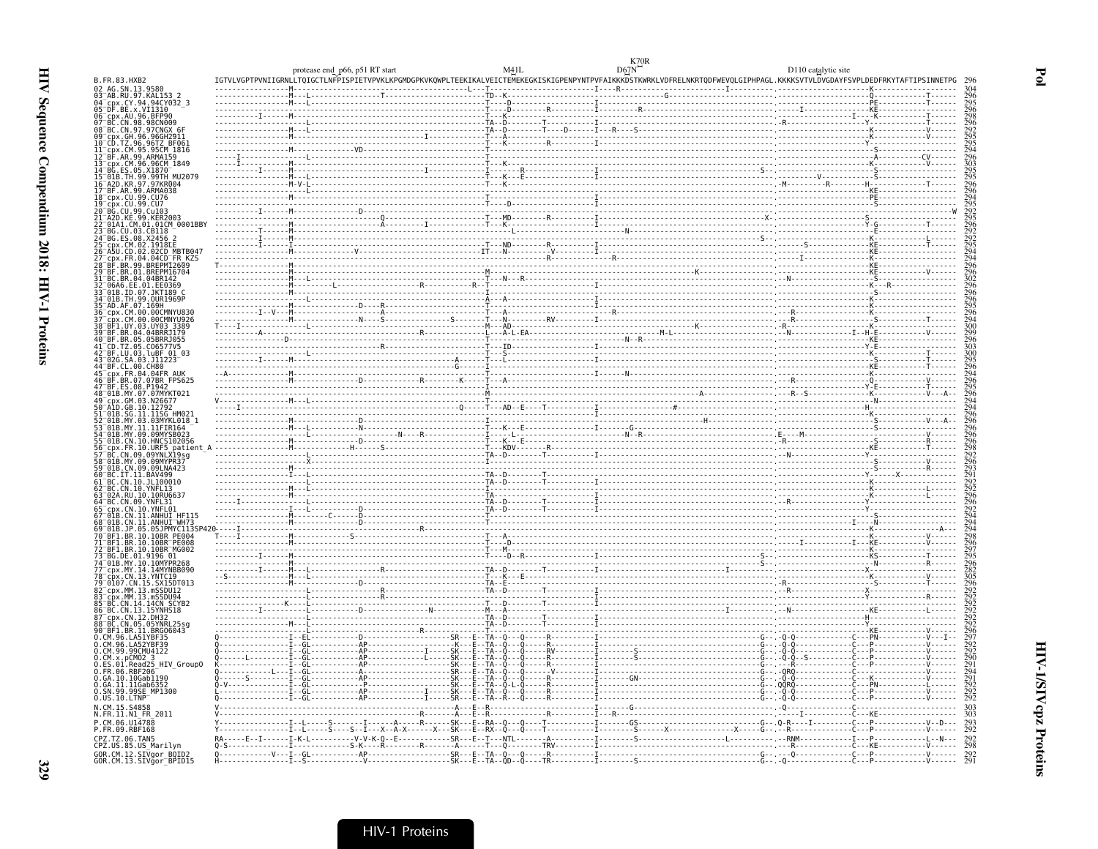|                                                                                                              | protease end_p66, p51 RT start                                                                                                                                             | M41L | D67N | D110 catalytic site |            |
|--------------------------------------------------------------------------------------------------------------|----------------------------------------------------------------------------------------------------------------------------------------------------------------------------|------|------|---------------------|------------|
| B.FR.83.HXB2                                                                                                 | IGTVLVGPTPVNIIGRNLLTQIGCTLNFPISPIETVPVKLKPGMDGPKVKQWPLTEEKIKALVEICTEMEKEGKISKIGPENPYNTPVFAIKKKDSTKWRKLVDFRELNKRTQDFWEVQLGIPHPAGL.KKKKSVTVLDVGDAYFSVPLDEDFRKYTAFTIPSINNETPG |      |      |                     |            |
| 02 AG.SN.13.9580<br>03 AB.RU.97.KAL153                                                                       |                                                                                                                                                                            |      |      |                     |            |
| 04-CDX.CY.94.94CY03<br>05-DF.BE.x.VI1310<br>06-cpx.AU.96.BFP90<br>07-BC.CN.98.98CN009<br>cpx.CY.94.94CY032 3 |                                                                                                                                                                            |      |      |                     |            |
|                                                                                                              |                                                                                                                                                                            |      |      |                     |            |
| 08 BC.CN.97.97CNGX<br>09 cpx.GH.96.96GH29<br>cpx.GH.96.96GH                                                  |                                                                                                                                                                            |      |      |                     |            |
| CD.TZ.96.96TZ BF06<br>.CM.95.95CM 1816                                                                       |                                                                                                                                                                            |      |      |                     |            |
| RF AR 99 ARMA159<br>CDX.CM.96.96CM 1849                                                                      |                                                                                                                                                                            |      |      |                     |            |
| BG.ES.05.X1870<br>99TH MU207.                                                                                |                                                                                                                                                                            |      |      |                     |            |
| A2D.KR.97.97KR004                                                                                            |                                                                                                                                                                            |      |      |                     |            |
| 17 BF.AR.99.ARMA038<br>18 cpx.CU.99.CU76<br>cpx.CU.99.CU7                                                    |                                                                                                                                                                            |      |      |                     |            |
| BG. CU. 99. Cu103<br>A2D.KE.99.KER2003                                                                       |                                                                                                                                                                            |      |      |                     |            |
| 01A1.CM.01.01CM_0001BB"                                                                                      |                                                                                                                                                                            |      |      |                     |            |
| 23 BG.CU.03.CB118<br>24 BG.ES.08.X2456                                                                       |                                                                                                                                                                            |      |      |                     |            |
| CD.02.02CD MBTB04                                                                                            |                                                                                                                                                                            |      |      |                     |            |
| FR.04.04CD FR KZS<br>.99.BREPM12609<br>01.BREPM16704                                                         |                                                                                                                                                                            |      |      |                     |            |
| BC.BR.04.04BR142                                                                                             |                                                                                                                                                                            |      |      |                     |            |
| 96A6.EE.01.EE0369<br>.ID.07.JKT189 O                                                                         |                                                                                                                                                                            |      |      |                     |            |
| 34 <sup>-</sup> 01B.TH.99.0UR1969P<br>35 <sup>-</sup> AD.AF.07.169H                                          |                                                                                                                                                                            |      |      |                     |            |
| CM.00.00CMNYU830<br>CM.00.00CMNYU926                                                                         |                                                                                                                                                                            |      |      |                     |            |
| 1.UY.03.UY03 3389"<br>BR.04.04BRRJ179                                                                        |                                                                                                                                                                            |      |      |                     |            |
| BR.05.05BRRJ055                                                                                              |                                                                                                                                                                            |      |      |                     |            |
| 41-CD.TZ.05.CO6577V5<br>42-BF.LU.03.luBF 01 03<br>.SA.03.J11223                                              |                                                                                                                                                                            |      |      |                     |            |
| 14 BF.CL.00.CH80<br>CDX.FR.04.04FR AUK                                                                       |                                                                                                                                                                            |      |      |                     |            |
| 46 <sup>-</sup> BF.BR.07.07BR FPS625<br>47 BF ES 08 P1942                                                    |                                                                                                                                                                            |      |      |                     |            |
| 48 <sup>-</sup> 01B.MY.07.07MYKT021                                                                          |                                                                                                                                                                            |      |      |                     |            |
| GM.03.N26677<br>.GB.10.12792                                                                                 |                                                                                                                                                                            |      |      |                     |            |
| 01B.SG.11.11SG HM021                                                                                         |                                                                                                                                                                            |      |      |                     |            |
| .MY.11.11FIR164<br>.MY.09.09MYSB023                                                                          |                                                                                                                                                                            |      |      |                     |            |
| 01B.CN.10.HNCS102056<br>FR.10.URF5                                                                           |                                                                                                                                                                            |      |      |                     |            |
| CN.09.09YNLX19sg<br>01B.MY.09.09MYPR37                                                                       |                                                                                                                                                                            |      |      |                     |            |
| 01B.CN.09.09LNA423<br>BC.IT.11.BAV499                                                                        |                                                                                                                                                                            |      |      |                     |            |
| BC.CN.10.JL100010<br>BC.CN.10.YNFL13                                                                         |                                                                                                                                                                            |      |      |                     |            |
| <sup>-</sup> 02A.RU.10.10RU663<br>64 RC CN 09 YNEI 31                                                        |                                                                                                                                                                            |      |      |                     |            |
| .CN.10.YNFL01                                                                                                |                                                                                                                                                                            |      |      |                     |            |
| L1.ANHUI<br>.JP.05.05JPMYC113SP                                                                              |                                                                                                                                                                            |      |      |                     |            |
| .BR.10.10BR PE004<br>$BR.10.10BR$ $P$ $E$ $0.08$                                                             |                                                                                                                                                                            |      |      |                     |            |
| BF1.BR.10.10BR MG002<br>3G.DE.01.9196                                                                        |                                                                                                                                                                            |      |      |                     |            |
| 01B.MY.10.10MYPR268                                                                                          |                                                                                                                                                                            |      |      |                     |            |
| MY.14.14MYNBB090.<br>cpx.CN.13.YNTC19<br>0107.CN.15.SX15DT013                                                |                                                                                                                                                                            |      |      |                     |            |
| cpx.MM.13.mSSDU12`                                                                                           |                                                                                                                                                                            |      |      |                     |            |
| cpx.MM.13.mSSDU94                                                                                            |                                                                                                                                                                            |      |      |                     |            |
| BC.CN.13.15YNHS18<br>cnx.CN.12.DH32                                                                          |                                                                                                                                                                            |      |      |                     |            |
| BC.CN.05.05YNRL25sc<br>90 BF1.BR.11.BRG06043                                                                 |                                                                                                                                                                            |      |      |                     |            |
| CM.96.LA51YBF35<br>96.LA52YBF39                                                                              |                                                                                                                                                                            |      |      |                     |            |
| CM.99.99CMU4122                                                                                              |                                                                                                                                                                            |      |      |                     |            |
| O.CM.x.pCMO2_3<br>O.ES.01.Read25_HIV_GroupO<br>0.FR.06.RBF206                                                |                                                                                                                                                                            |      |      |                     |            |
| 0.GA.10.10Gab1190<br>0.GA.11.11Gab6352                                                                       |                                                                                                                                                                            |      |      |                     |            |
| 0.SN.99.99SE_MP1300<br>0.US.10.LTNP                                                                          |                                                                                                                                                                            |      |      |                     |            |
| N.CM.15.S4858                                                                                                |                                                                                                                                                                            |      |      |                     |            |
| N.FR.11.N1 FR 2011<br>P.CM.06.U14788                                                                         |                                                                                                                                                                            |      |      |                     |            |
| P.FR.09.RBF168<br>CPZ.TZ.06.TAN5                                                                             |                                                                                                                                                                            |      |      |                     |            |
| CPZ.US.85.US_Marilyn                                                                                         |                                                                                                                                                                            |      |      |                     | 292<br>298 |
| GOR.CM.12.SIVgor_BOID2<br>GOR.CM.13.SIVgor_BPID15                                                            |                                                                                                                                                                            |      |      |                     |            |
|                                                                                                              |                                                                                                                                                                            |      |      |                     |            |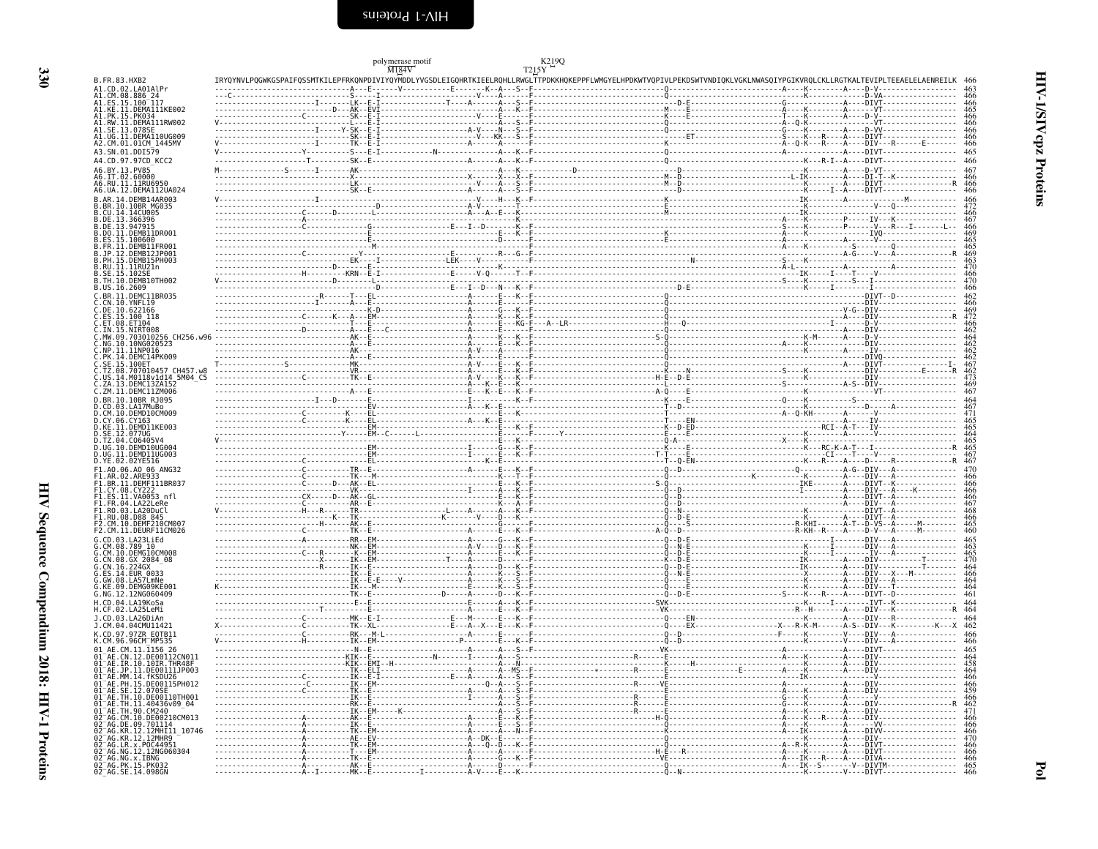<span id="page-23-0"></span>

| M184V<br>T215Y<br>IRYQYNVLPQGWKGSPAIFQSSMTKILEPFRKQNPDIVIYQYMDDLYVGSDLEIGQHRTKIEELRQHLLRWGLTTPDKKHQKEPPFLWMGYELHPDKWTVQPIVLPEKDSWTVNDIQKLVGKLNWASQIYPGIKVRQLCKLLRGTKALTEVIPLTEEAELELAENREILK<br>B.FR.83.HXB2<br>$V = \frac{1}{2}$ $V = \frac{1}{2}$ $V = \frac{1}{2}$ $V = \frac{1}{2}$ $V = \frac{1}{2}$ $V = \frac{1}{2}$ $V = \frac{1}{2}$ $V = \frac{1}{2}$ $V = \frac{1}{2}$ $V = \frac{1}{2}$ $V = \frac{1}{2}$ $V = \frac{1}{2}$ $V = \frac{1}{2}$ $V = \frac{1}{2}$ $V = \frac{1}{2}$ $V = \frac{1}{2}$ $V = \frac{1}{2}$ $V = \frac{1}{2}$ $V = \frac$<br>A1.CD.02.LA01AlPr<br>A1.CM.08.886 24<br>A1.ES.15.100 117<br>A1.KE.11.DEMA111KE002 |                   |
|------------------------------------------------------------------------------------------------------------------------------------------------------------------------------------------------------------------------------------------------------------------------------------------------------------------------------------------------------------------------------------------------------------------------------------------------------------------------------------------------------------------------------------------------------------------------------------------------------------------------------------------------------|-------------------|
|                                                                                                                                                                                                                                                                                                                                                                                                                                                                                                                                                                                                                                                      |                   |
|                                                                                                                                                                                                                                                                                                                                                                                                                                                                                                                                                                                                                                                      |                   |
| A1.PK.15.PK03                                                                                                                                                                                                                                                                                                                                                                                                                                                                                                                                                                                                                                        |                   |
| A1.RW.11.DEMA111RW002<br>A1.SE.13.078SI<br>A1.UG.11.DEMA110UG009                                                                                                                                                                                                                                                                                                                                                                                                                                                                                                                                                                                     | 466<br>466        |
| A2.CM.01.01CM 1445MV                                                                                                                                                                                                                                                                                                                                                                                                                                                                                                                                                                                                                                 | 466               |
| A3.SN.01.DDI579<br>A4.CD.97.97CD KCC2                                                                                                                                                                                                                                                                                                                                                                                                                                                                                                                                                                                                                | 465<br>466        |
| A6.BY.13.PV85<br>A6.IT.02.60000                                                                                                                                                                                                                                                                                                                                                                                                                                                                                                                                                                                                                      | 466               |
| A6.RU.11.11RU6950<br>A6.UA.12.DEMA112UA024                                                                                                                                                                                                                                                                                                                                                                                                                                                                                                                                                                                                           | 466               |
| B.AR.14.DEMB14AR003<br>B.BR.10.10BR MG035                                                                                                                                                                                                                                                                                                                                                                                                                                                                                                                                                                                                            | 466               |
| B.CU.14.14CU005<br>B.DE.13.366396                                                                                                                                                                                                                                                                                                                                                                                                                                                                                                                                                                                                                    |                   |
| B.DE.13.947915<br>B.DO.11.DEMB11DR001                                                                                                                                                                                                                                                                                                                                                                                                                                                                                                                                                                                                                | 466               |
| B.ES.15.100600<br>B.FR.11.DEMB11FR001<br>B.JP.12.DEMB12JP001                                                                                                                                                                                                                                                                                                                                                                                                                                                                                                                                                                                         |                   |
| .PH.15.DEMB15PH003                                                                                                                                                                                                                                                                                                                                                                                                                                                                                                                                                                                                                                   |                   |
| B.RU.11.11RU21n<br>B.SE.15.102SE<br>B. TH. 10. DEMB10TH002                                                                                                                                                                                                                                                                                                                                                                                                                                                                                                                                                                                           |                   |
| B.US.16.2609<br>C.BR.11.DEMC11BR035                                                                                                                                                                                                                                                                                                                                                                                                                                                                                                                                                                                                                  | 466               |
| C.CN.10.YNFL19                                                                                                                                                                                                                                                                                                                                                                                                                                                                                                                                                                                                                                       |                   |
| C.DE.10.622166<br>C.ES.15.100 118<br>C.ET.08.ET104                                                                                                                                                                                                                                                                                                                                                                                                                                                                                                                                                                                                   |                   |
| C.IN.15.NIRT008<br>C.MW.09.703010256 CH256.w96<br>C.NG.10.10NG020523                                                                                                                                                                                                                                                                                                                                                                                                                                                                                                                                                                                 |                   |
| NPL11.11NP016<br>PK.14.DEMC14PK009                                                                                                                                                                                                                                                                                                                                                                                                                                                                                                                                                                                                                   |                   |
| C.SE.15.100ET<br>TZ.08.707010457 CH457.w8                                                                                                                                                                                                                                                                                                                                                                                                                                                                                                                                                                                                            | 467               |
| us.i4.Mõil8vidi4 5M04_C5<br>zA.i3.DEMC13ZA152                                                                                                                                                                                                                                                                                                                                                                                                                                                                                                                                                                                                        | $\frac{462}{473}$ |
| C.ZM.11.DEMC11ZM006<br>D.BR.10.10BR RJ095                                                                                                                                                                                                                                                                                                                                                                                                                                                                                                                                                                                                            | 464               |
| D.CD.03.LA17MuBo<br>D.CM.10.DEMD10CM009                                                                                                                                                                                                                                                                                                                                                                                                                                                                                                                                                                                                              |                   |
| D.CY.06.CY163<br>D.KE.11.DEMD11KE003                                                                                                                                                                                                                                                                                                                                                                                                                                                                                                                                                                                                                 |                   |
| 0. SE. 12.07706<br>D.TZ.04.C06405V4<br>D.UG.10.DEMD10UG004<br>D.UG.11.DEMD11UG003                                                                                                                                                                                                                                                                                                                                                                                                                                                                                                                                                                    |                   |
| D.YE.02.02YE516                                                                                                                                                                                                                                                                                                                                                                                                                                                                                                                                                                                                                                      |                   |
| F1.A0.06.A0 06 ANG32                                                                                                                                                                                                                                                                                                                                                                                                                                                                                                                                                                                                                                 |                   |
| F1.AR.02.ARE933<br>F1.BR.11.DEMF111BR037<br>F1.CY.08.CY222                                                                                                                                                                                                                                                                                                                                                                                                                                                                                                                                                                                           |                   |
| FI.ES.11.VA0053 nfl<br>F1.FR.04.LA22LeRe                                                                                                                                                                                                                                                                                                                                                                                                                                                                                                                                                                                                             | 467               |
| F1.R0.03.LA20DuCl<br>F1.RU.08.D88 845                                                                                                                                                                                                                                                                                                                                                                                                                                                                                                                                                                                                                | 468<br>466        |
| F2.CM.10.DEMF210CM00.<br>F2.CM.11.DEURF11CM026                                                                                                                                                                                                                                                                                                                                                                                                                                                                                                                                                                                                       | 460               |
| G.CD.03.LA23LiEd                                                                                                                                                                                                                                                                                                                                                                                                                                                                                                                                                                                                                                     | 465<br>463        |
| G.CM.08.789 10<br>G.CM.10.DEMG10CM008<br>G.CN.08.GX 2084_08<br>G.CN.16.224GX                                                                                                                                                                                                                                                                                                                                                                                                                                                                                                                                                                         | 465<br>470        |
| G.ES.14.EUR 0033                                                                                                                                                                                                                                                                                                                                                                                                                                                                                                                                                                                                                                     |                   |
| .GW.08.LA57LmNe<br>G.KE.09.DEMG09KE001<br>G.NG.12.12NG060409                                                                                                                                                                                                                                                                                                                                                                                                                                                                                                                                                                                         | 464<br>461        |
| H.CD.04.LA19KoSa                                                                                                                                                                                                                                                                                                                                                                                                                                                                                                                                                                                                                                     | 464<br>464        |
| H.CF.02.LA25LeMi<br>J.CD.03.LA26DiAn                                                                                                                                                                                                                                                                                                                                                                                                                                                                                                                                                                                                                 | 464               |
| J.CM.04.04CMU11421<br>K.CD.97.97ZR EQTB11                                                                                                                                                                                                                                                                                                                                                                                                                                                                                                                                                                                                            |                   |
| K.CM.96.96CM MP535<br>01 AE.CM.11.1156 26                                                                                                                                                                                                                                                                                                                                                                                                                                                                                                                                                                                                            | 466<br>465        |
| $X[x - E11 - 1000]$ $X[x - E21 - 1000]$ $X[x - E11 - 1000]$ $X[x - E11 - 1000]$ $X[x - E11 - 1000]$ $X[x - E11 - 1000]$ $X[x - E11 - 1000]$ $X[x - E11 - 1000]$ $X[x - E11 - 1000]$ $X[x - E11 - 1000]$ $X[x - E11 - 1000]$ $X[x - E11 - 1000]$ $X[x - E11 - 1000]$ $X[x - E11 - 1000$<br>01 AE.CN.12.DE00112CN011<br>01 AE. IR. 10. 10 IR. THR48F                                                                                                                                                                                                                                                                                                   |                   |
| AE.JP.11.DE00111JP003<br>01 <sup>-</sup> AE.MM.14.fKSDU26                                                                                                                                                                                                                                                                                                                                                                                                                                                                                                                                                                                            |                   |
| 01 AE.PH.15.DE00115PH012<br>01 AF SE 12 070SE<br>01 AE.TH.10.DE00110TH001                                                                                                                                                                                                                                                                                                                                                                                                                                                                                                                                                                            |                   |
| $\begin{minipage}{0.03\textwidth} \begin{minipage}{0.03\textwidth} \begin{minipage}{0.03\textwidth} \begin{minipage}{0.03\textwidth} \begin{minipage}{0.03\textwidth} \begin{minipage}{0.03\textwidth} \begin{minipage}{0.03\textwidth} \begin{minipage}{0.03\textwidth} \begin{minipage}{0.03\textwidth} \begin{minipage}{0.03\textwidth} \begin{minipage}{0.03\textwidth} \begin{minipage}{0.03\textwidth} \begin{minipage}{0.03\textwidth} \begin{minipage}{0.03\textwidth} \begin{minipage}{0.0$<br>01 <sup>-</sup> AE.TH.11.40436v09 04<br>01 AE. TH. 90. CM240                                                                                 |                   |
| 02 AG.CM.10.DE00210CM013<br>02 <sup>-</sup> AG.DE.09.701114                                                                                                                                                                                                                                                                                                                                                                                                                                                                                                                                                                                          | 466               |
| 02 AG.KR.12.12MHI11 10746<br>02 AG.KR.12.12MHR9                                                                                                                                                                                                                                                                                                                                                                                                                                                                                                                                                                                                      |                   |
| AG.LR.x.P0C44951<br>02 AG. NG. 12. 12NG060304                                                                                                                                                                                                                                                                                                                                                                                                                                                                                                                                                                                                        | 466               |
| 02 AG.NG.X.IBNG<br>02 AG.PK.15.PK032<br>02 AG.SE.14.098GN                                                                                                                                                                                                                                                                                                                                                                                                                                                                                                                                                                                            |                   |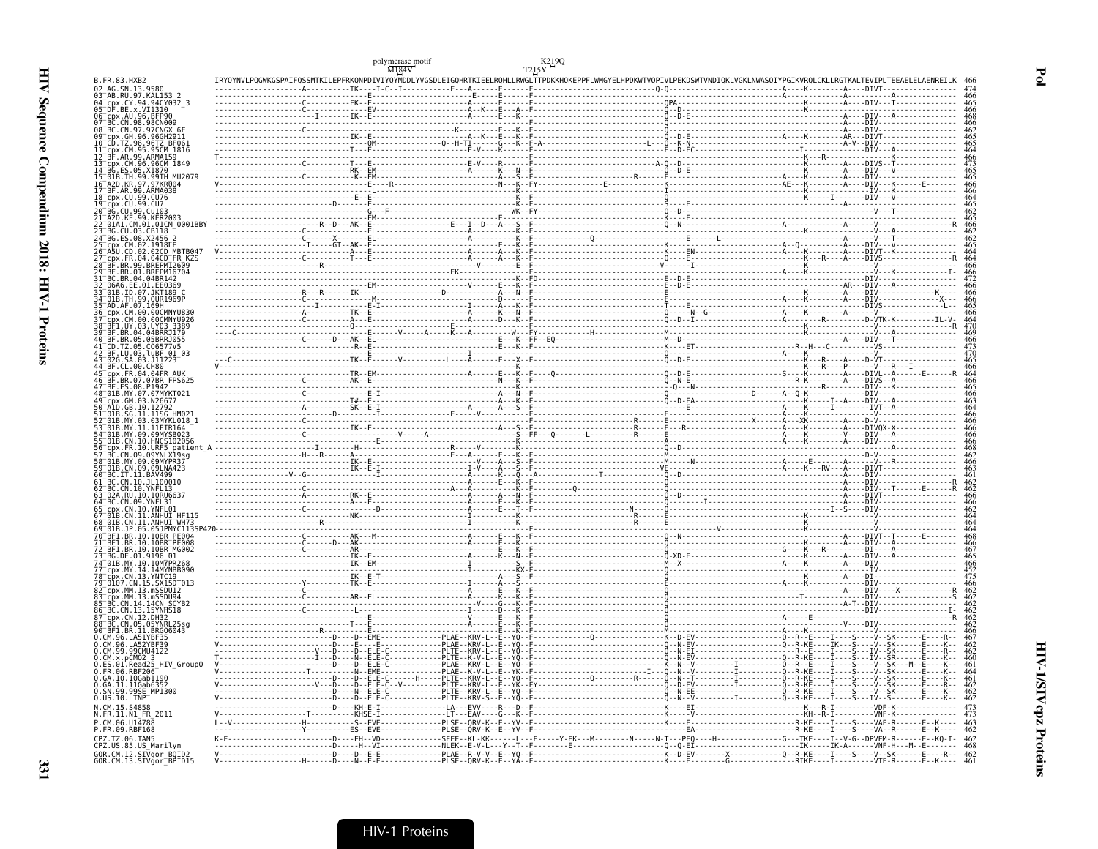|                                                                                      |                                 | polymerase motif $\frac{\text{M184V}}{\text{M184V}}$                                                                                                                                                                                          | K219Q<br>T215Y |                                                                                                                                                                                                                                                                                                                                                                                                                                                       |  |
|--------------------------------------------------------------------------------------|---------------------------------|-----------------------------------------------------------------------------------------------------------------------------------------------------------------------------------------------------------------------------------------------|----------------|-------------------------------------------------------------------------------------------------------------------------------------------------------------------------------------------------------------------------------------------------------------------------------------------------------------------------------------------------------------------------------------------------------------------------------------------------------|--|
| B. FR. 83. HXB2<br>02 AG.SN.13.9580                                                  |                                 | IRYQYNVLPQGWKGSPAIFQSSMTKILEPFRKQNPDIVIYQYMDDLYVGSDLEIGQHRTKIEELRQHLLRWGLTTPDKKHQKEPPFLWMGYELHPDKWTVQPIVLPEKDSWTVNDIQKLVGKLNWASQIYPGIKVRQLCKLLRGTKALTEVIPLTEEAELELAENREILK<br>-------------A----------TK----I-C--I-----------E---A------E---- |                |                                                                                                                                                                                                                                                                                                                                                                                                                                                       |  |
| 03 AB.RU.97.KAL153 2<br>04 cpx.CY.94.94CY032 3                                       |                                 |                                                                                                                                                                                                                                               |                |                                                                                                                                                                                                                                                                                                                                                                                                                                                       |  |
| 05 DF.BE.x.VI1310                                                                    |                                 |                                                                                                                                                                                                                                               |                |                                                                                                                                                                                                                                                                                                                                                                                                                                                       |  |
| 06 cpx.AU.96.BFP90<br>CN.98.98CN009                                                  |                                 |                                                                                                                                                                                                                                               |                |                                                                                                                                                                                                                                                                                                                                                                                                                                                       |  |
| BC.CN.97.97CNGX 6F                                                                   |                                 |                                                                                                                                                                                                                                               |                |                                                                                                                                                                                                                                                                                                                                                                                                                                                       |  |
| cpx.GH.96.96GH2911<br>CD.TZ.96.96TZ_BF061                                            |                                 |                                                                                                                                                                                                                                               |                |                                                                                                                                                                                                                                                                                                                                                                                                                                                       |  |
| $\overline{c}$ px. $\overline{c}$ m. 95. 95 $\overline{c}$ m 1816<br>AR. 99. ARMA159 |                                 |                                                                                                                                                                                                                                               |                |                                                                                                                                                                                                                                                                                                                                                                                                                                                       |  |
| cpx.CM.96.96CM 1849                                                                  |                                 |                                                                                                                                                                                                                                               |                |                                                                                                                                                                                                                                                                                                                                                                                                                                                       |  |
| ES.05.X1870<br>)1B.TH.99.99TH MU2079<br>\2D.KR.97.97KR004                            |                                 |                                                                                                                                                                                                                                               |                |                                                                                                                                                                                                                                                                                                                                                                                                                                                       |  |
| BF.AR.99.ARMA038                                                                     |                                 |                                                                                                                                                                                                                                               |                |                                                                                                                                                                                                                                                                                                                                                                                                                                                       |  |
| cpx.CU.99.CU76                                                                       |                                 |                                                                                                                                                                                                                                               |                |                                                                                                                                                                                                                                                                                                                                                                                                                                                       |  |
| px.CU.99.CU7<br>CU.99.Cu103                                                          |                                 |                                                                                                                                                                                                                                               |                |                                                                                                                                                                                                                                                                                                                                                                                                                                                       |  |
| A2D.KE.99.KER2003<br>01A1.CM.01.01CM_0001BBY                                         |                                 |                                                                                                                                                                                                                                               |                |                                                                                                                                                                                                                                                                                                                                                                                                                                                       |  |
| BG.CU.03.CB118                                                                       |                                 |                                                                                                                                                                                                                                               |                |                                                                                                                                                                                                                                                                                                                                                                                                                                                       |  |
| BG. ES. 08. X2456<br>.CM.02.1918EE                                                   |                                 |                                                                                                                                                                                                                                               |                |                                                                                                                                                                                                                                                                                                                                                                                                                                                       |  |
| .CD.02.02CD MBTB047                                                                  |                                 |                                                                                                                                                                                                                                               |                |                                                                                                                                                                                                                                                                                                                                                                                                                                                       |  |
| cpx.FR.04.04CD FR KZS<br>RR 99 RREPM12609                                            |                                 |                                                                                                                                                                                                                                               |                |                                                                                                                                                                                                                                                                                                                                                                                                                                                       |  |
| BR.01.BREPM16704<br>BR.04.04BR142                                                    |                                 |                                                                                                                                                                                                                                               |                |                                                                                                                                                                                                                                                                                                                                                                                                                                                       |  |
| 06A6.EE.01.EE0369                                                                    |                                 |                                                                                                                                                                                                                                               |                |                                                                                                                                                                                                                                                                                                                                                                                                                                                       |  |
| 01B.ID.07.JKT189 C<br>01B.TH.99.0UR1969P                                             |                                 |                                                                                                                                                                                                                                               |                |                                                                                                                                                                                                                                                                                                                                                                                                                                                       |  |
| AD. AF. 07. 169H<br>CDX CM 00 00CMNYU830                                             |                                 |                                                                                                                                                                                                                                               |                |                                                                                                                                                                                                                                                                                                                                                                                                                                                       |  |
| CM.00.00CMNYU926                                                                     |                                 |                                                                                                                                                                                                                                               |                |                                                                                                                                                                                                                                                                                                                                                                                                                                                       |  |
| uv.03.UY03.3389<br>BR.04.04BRRJ179                                                   |                                 |                                                                                                                                                                                                                                               |                |                                                                                                                                                                                                                                                                                                                                                                                                                                                       |  |
| BR.05.05BRRJ055                                                                      |                                 |                                                                                                                                                                                                                                               |                |                                                                                                                                                                                                                                                                                                                                                                                                                                                       |  |
| 41-CD.TZ.05.C06577V5<br>42-BF.LU.03.luBF 01 03                                       |                                 |                                                                                                                                                                                                                                               |                |                                                                                                                                                                                                                                                                                                                                                                                                                                                       |  |
| 02G.SA.03.J11223<br>CL.00.CH80                                                       |                                 |                                                                                                                                                                                                                                               |                |                                                                                                                                                                                                                                                                                                                                                                                                                                                       |  |
| .FR.04.04FR AUK                                                                      |                                 |                                                                                                                                                                                                                                               |                |                                                                                                                                                                                                                                                                                                                                                                                                                                                       |  |
| .BR.07.07BR FPS625<br>FS 08 P1947                                                    |                                 |                                                                                                                                                                                                                                               |                |                                                                                                                                                                                                                                                                                                                                                                                                                                                       |  |
| 01B.MY.07.07MYKT021                                                                  |                                 |                                                                                                                                                                                                                                               |                |                                                                                                                                                                                                                                                                                                                                                                                                                                                       |  |
| CDX.GM.03.N26677<br>1D.GB.10.12792                                                   |                                 |                                                                                                                                                                                                                                               |                |                                                                                                                                                                                                                                                                                                                                                                                                                                                       |  |
| SG.11                                                                                |                                 |                                                                                                                                                                                                                                               |                |                                                                                                                                                                                                                                                                                                                                                                                                                                                       |  |
| MY 11 11 FIR164                                                                      |                                 |                                                                                                                                                                                                                                               |                |                                                                                                                                                                                                                                                                                                                                                                                                                                                       |  |
| MY.09.09MYSB023<br>01B.CN.10.HNCS102056                                              |                                 |                                                                                                                                                                                                                                               |                |                                                                                                                                                                                                                                                                                                                                                                                                                                                       |  |
| CN.09.09YNLX19sg                                                                     |                                 |                                                                                                                                                                                                                                               |                |                                                                                                                                                                                                                                                                                                                                                                                                                                                       |  |
| 01B.MY.09.09MYPR37                                                                   |                                 |                                                                                                                                                                                                                                               |                |                                                                                                                                                                                                                                                                                                                                                                                                                                                       |  |
| 01B.CN.09.09LNA423<br>BC.IT.11.BAV499                                                |                                 |                                                                                                                                                                                                                                               |                |                                                                                                                                                                                                                                                                                                                                                                                                                                                       |  |
| .CN.10.JL100010<br>CN.10.YNFL13                                                      |                                 |                                                                                                                                                                                                                                               |                |                                                                                                                                                                                                                                                                                                                                                                                                                                                       |  |
| 02A.RU.10.10RU6637                                                                   |                                 |                                                                                                                                                                                                                                               |                |                                                                                                                                                                                                                                                                                                                                                                                                                                                       |  |
| CN.09.YNFL31<br>:nx.CN.10.YNFL01                                                     |                                 |                                                                                                                                                                                                                                               |                |                                                                                                                                                                                                                                                                                                                                                                                                                                                       |  |
| .CN.11.ANHUI HF115<br>)1B.CN.11.ANHUI <sup>-</sup> WH73                              |                                 |                                                                                                                                                                                                                                               |                |                                                                                                                                                                                                                                                                                                                                                                                                                                                       |  |
|                                                                                      |                                 |                                                                                                                                                                                                                                               |                |                                                                                                                                                                                                                                                                                                                                                                                                                                                       |  |
| BR.10.10BR PE004<br>BF1.BR.10.10BR <sup>-</sup> PE008                                |                                 |                                                                                                                                                                                                                                               |                |                                                                                                                                                                                                                                                                                                                                                                                                                                                       |  |
| .BR.10.10BR <sup>-</sup> MG002<br>BG.DE.01.9196 01                                   |                                 |                                                                                                                                                                                                                                               |                |                                                                                                                                                                                                                                                                                                                                                                                                                                                       |  |
| 01B.MY.10.10MYPR268                                                                  |                                 |                                                                                                                                                                                                                                               |                |                                                                                                                                                                                                                                                                                                                                                                                                                                                       |  |
| срх.MY.14.14MYNBB090<br>.CN.13.YNTC19                                                |                                 |                                                                                                                                                                                                                                               |                |                                                                                                                                                                                                                                                                                                                                                                                                                                                       |  |
| 9107.CN.15.SX15DT013                                                                 |                                 |                                                                                                                                                                                                                                               |                |                                                                                                                                                                                                                                                                                                                                                                                                                                                       |  |
| cpx.MM.13.mSSDU12<br>cpx.MM.13.mSSDU94                                               |                                 |                                                                                                                                                                                                                                               |                |                                                                                                                                                                                                                                                                                                                                                                                                                                                       |  |
| BC.CN.14.14CN SCYB2<br>86 BC.CN.13.15YNHS18                                          |                                 |                                                                                                                                                                                                                                               |                |                                                                                                                                                                                                                                                                                                                                                                                                                                                       |  |
| CDX.CN.12.DH32                                                                       |                                 |                                                                                                                                                                                                                                               |                |                                                                                                                                                                                                                                                                                                                                                                                                                                                       |  |
| CN.05.05YNRL25sg<br>BF1.BR.11.BRG06043                                               |                                 |                                                                                                                                                                                                                                               |                |                                                                                                                                                                                                                                                                                                                                                                                                                                                       |  |
| CM.96.LA51YBF35                                                                      |                                 |                                                                                                                                                                                                                                               |                |                                                                                                                                                                                                                                                                                                                                                                                                                                                       |  |
| CM.96.LA52YBF39<br>CM.99.99CMU4122                                                   |                                 |                                                                                                                                                                                                                                               |                |                                                                                                                                                                                                                                                                                                                                                                                                                                                       |  |
| x.pCM02<br>HIV Group0<br>Read25                                                      |                                 |                                                                                                                                                                                                                                               |                |                                                                                                                                                                                                                                                                                                                                                                                                                                                       |  |
| 06.RBF206                                                                            |                                 |                                                                                                                                                                                                                                               |                | $\begin{minipage}{0.99\textwidth} \begin{tabular}{ c c c } \hline \multicolumn{3}{ c }{0.99\textwidth} \begin{tabular}{ c c } \hline \multicolumn{3}{ c }{0.99\textwidth} \begin{tabular}{ c c } \hline \multicolumn{3}{ c }{0.99\textwidth} \begin{tabular}{ c c } \hline \multicolumn{3}{ c }{0.99\textwidth} \begin{tabular}{ c c } \hline \multicolumn{3}{ c }{0.99\textwidth} \begin{tabular}{ c c } \hline \multicolumn{3}{ c }{0.99\textwidth$ |  |
| .GA.10.10Gab1190<br>.GA.11.11Gab6352                                                 |                                 |                                                                                                                                                                                                                                               |                |                                                                                                                                                                                                                                                                                                                                                                                                                                                       |  |
| SN.99.99SE MP1300<br>US.10.LTNP                                                      | ------------------D---D--ELE-C- |                                                                                                                                                                                                                                               |                |                                                                                                                                                                                                                                                                                                                                                                                                                                                       |  |
| N.CM.15.S4858<br>N.FR.11.N1 FR 2011                                                  |                                 |                                                                                                                                                                                                                                               |                |                                                                                                                                                                                                                                                                                                                                                                                                                                                       |  |
|                                                                                      |                                 |                                                                                                                                                                                                                                               |                |                                                                                                                                                                                                                                                                                                                                                                                                                                                       |  |
| P.CM.06.U14788<br>P.FR.09.RBF168                                                     |                                 |                                                                                                                                                                                                                                               |                |                                                                                                                                                                                                                                                                                                                                                                                                                                                       |  |
| CPZ.TZ.06.TAN5                                                                       |                                 |                                                                                                                                                                                                                                               |                |                                                                                                                                                                                                                                                                                                                                                                                                                                                       |  |
| CPZ.US.85.US Marilyn                                                                 |                                 |                                                                                                                                                                                                                                               |                |                                                                                                                                                                                                                                                                                                                                                                                                                                                       |  |
| GOR.CM.12.SIVgor_BOID2<br>GOR.CM.13.SIVgor_BPID15                                    |                                 |                                                                                                                                                                                                                                               |                |                                                                                                                                                                                                                                                                                                                                                                                                                                                       |  |

**HIV-1/SIVcpz Proteins**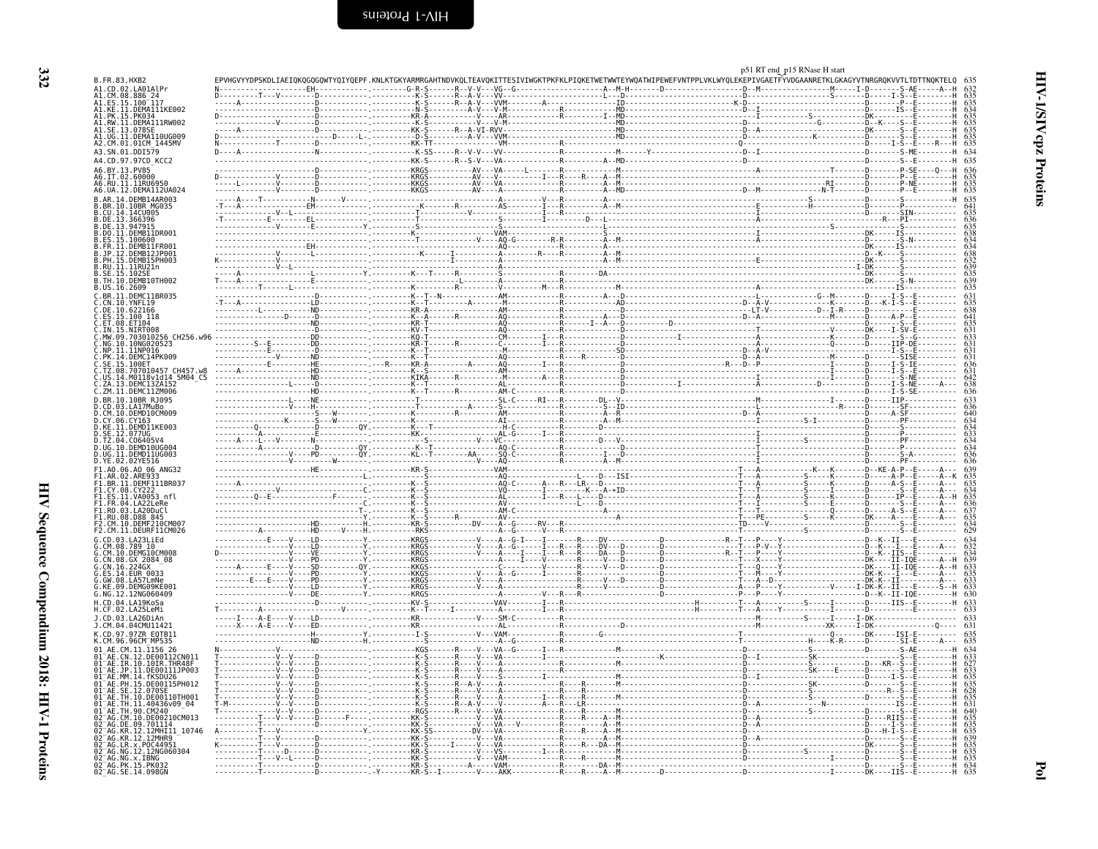| B.FR.83.HXB2                                                                            |          |                                                                                                                                                                                                                                                                                                                                                                                                                                           |      | NDVKQLTEAVQKITTESIVIWGKTPKFKLPIQKETWETWWTEYWQATWIPEWEFVNTPPLVKLWYQLEKEPIVGAETFYVDGAANRETKLGKAGYVTNRGRQKVVTLTDT |
|-----------------------------------------------------------------------------------------|----------|-------------------------------------------------------------------------------------------------------------------------------------------------------------------------------------------------------------------------------------------------------------------------------------------------------------------------------------------------------------------------------------------------------------------------------------------|------|----------------------------------------------------------------------------------------------------------------|
| A1.CD.02.LA01AlPr                                                                       |          |                                                                                                                                                                                                                                                                                                                                                                                                                                           |      |                                                                                                                |
| A1.CM.08.886_24<br>A1.ES.15.100 117                                                     |          |                                                                                                                                                                                                                                                                                                                                                                                                                                           |      |                                                                                                                |
| A1.KE.11.DEMA111KE002<br>1.PK.15.PK034                                                  |          |                                                                                                                                                                                                                                                                                                                                                                                                                                           |      |                                                                                                                |
| A1.RW.11.DEMA111RW002                                                                   |          |                                                                                                                                                                                                                                                                                                                                                                                                                                           |      |                                                                                                                |
| A1.SE.13.078SE                                                                          |          |                                                                                                                                                                                                                                                                                                                                                                                                                                           |      |                                                                                                                |
| A1.UG.11.DEMA110UG009<br>A2.CM.01.01CM_1445MV                                           |          |                                                                                                                                                                                                                                                                                                                                                                                                                                           |      |                                                                                                                |
| A3.SN.01.DDI579                                                                         |          |                                                                                                                                                                                                                                                                                                                                                                                                                                           |      |                                                                                                                |
| A4.CD.97.97CD KCC2<br>A6.BY.13.PV85                                                     |          |                                                                                                                                                                                                                                                                                                                                                                                                                                           |      |                                                                                                                |
| A6.IT.02.60000                                                                          |          |                                                                                                                                                                                                                                                                                                                                                                                                                                           |      |                                                                                                                |
| A6.RU.11.11RU6950                                                                       |          |                                                                                                                                                                                                                                                                                                                                                                                                                                           |      |                                                                                                                |
| A6.UA.12.DEMA112UA024<br>B.AR.14.DEMB14AR003                                            |          |                                                                                                                                                                                                                                                                                                                                                                                                                                           |      |                                                                                                                |
| B.BR.10.10BR MG035                                                                      |          |                                                                                                                                                                                                                                                                                                                                                                                                                                           |      |                                                                                                                |
| B.CU.14.14CU005<br>B.DE.13.366396                                                       |          | . V <del>.</del>                                                                                                                                                                                                                                                                                                                                                                                                                          |      |                                                                                                                |
| B.DE.13.947915                                                                          |          | $\begin{minipage}{0.99\textwidth} \begin{tabular}{ c c c c } \hline \multicolumn{3}{ c }{\textbf{0.69\textwidth} \begin{tabular}{ c c c c } \hline \multicolumn{3}{ c }{\textbf{0.69\textwidth} \begin{tabular}{ c c c } \hline \multicolumn{3}{ c }{\textbf{0.69\textwidth} \begin{tabular}{ c c c } \hline \multicolumn{3}{ c }{\textbf{0.69\textwidth} \begin{tabular}{ c c c } \hline \multicolumn{3}{ c }{\textbf{0.69\textwidth} \$ |      |                                                                                                                |
| B.DO.11.DEMB11DR001                                                                     |          |                                                                                                                                                                                                                                                                                                                                                                                                                                           |      |                                                                                                                |
| B.ES.15.100600<br>B.FR.11.DEMB11FR001                                                   |          |                                                                                                                                                                                                                                                                                                                                                                                                                                           |      |                                                                                                                |
| B.JP.12.DEMB12JP001<br>8.PH.15.DEMB15PH003                                              |          |                                                                                                                                                                                                                                                                                                                                                                                                                                           |      |                                                                                                                |
| B.RU.11.11RU21n                                                                         |          |                                                                                                                                                                                                                                                                                                                                                                                                                                           |      |                                                                                                                |
| B.SE.15.102SE<br>B. TH. 10. DEMB10TH002                                                 |          |                                                                                                                                                                                                                                                                                                                                                                                                                                           |      |                                                                                                                |
| B.US.16.2609                                                                            |          |                                                                                                                                                                                                                                                                                                                                                                                                                                           |      |                                                                                                                |
| C.BR.11.DEMC11BR035                                                                     |          |                                                                                                                                                                                                                                                                                                                                                                                                                                           |      |                                                                                                                |
| C.CN.10.YNFL19<br>DE.10.622166                                                          |          |                                                                                                                                                                                                                                                                                                                                                                                                                                           |      |                                                                                                                |
| .ES.15.100 118                                                                          |          |                                                                                                                                                                                                                                                                                                                                                                                                                                           |      |                                                                                                                |
| C.ET.08.ET104                                                                           |          |                                                                                                                                                                                                                                                                                                                                                                                                                                           |      |                                                                                                                |
| C.EN.35.NiŘT008<br>C.IN.15.NiŘT008<br>C.NO.10.108010256 CH256.w96<br>C.NG.10.10NG020523 |          |                                                                                                                                                                                                                                                                                                                                                                                                                                           |      |                                                                                                                |
| C.NP.11.11NP016<br>C.NP.11.11NP016<br>C.PK.14.DEMC14PK009                               |          | M------------                                                                                                                                                                                                                                                                                                                                                                                                                             |      |                                                                                                                |
|                                                                                         |          |                                                                                                                                                                                                                                                                                                                                                                                                                                           |      |                                                                                                                |
| .SE.15.100ET<br>TZ.08.707010457 CH457.w8                                                |          |                                                                                                                                                                                                                                                                                                                                                                                                                                           |      |                                                                                                                |
| us.i4.Mõil8vidi4 5M04_C5<br>ZA.13.DEMC13ZA152                                           |          |                                                                                                                                                                                                                                                                                                                                                                                                                                           |      |                                                                                                                |
| C.ZM.11.DEMC11ZM006                                                                     |          |                                                                                                                                                                                                                                                                                                                                                                                                                                           |      |                                                                                                                |
| D.BR.10.10BR RJ095                                                                      |          |                                                                                                                                                                                                                                                                                                                                                                                                                                           |      |                                                                                                                |
| D.CD.03.LA17MuBo<br>.CM.10.DEMD10CM009                                                  |          |                                                                                                                                                                                                                                                                                                                                                                                                                                           |      |                                                                                                                |
| D.CY.06.CY163                                                                           |          |                                                                                                                                                                                                                                                                                                                                                                                                                                           | . 9. |                                                                                                                |
| D.KE.11.DEMD11KE003<br>D.SE.12.077UG<br>D.TZ.04.C06405V4                                |          |                                                                                                                                                                                                                                                                                                                                                                                                                                           |      |                                                                                                                |
|                                                                                         |          |                                                                                                                                                                                                                                                                                                                                                                                                                                           |      |                                                                                                                |
| D.UG.10.DEMD10UG004                                                                     |          |                                                                                                                                                                                                                                                                                                                                                                                                                                           |      |                                                                                                                |
| D.UG.11.DEMD11UG003<br>D.YE.02.02YE516                                                  |          |                                                                                                                                                                                                                                                                                                                                                                                                                                           |      |                                                                                                                |
| F1.A0.06.A0 06 ANG32<br>AR.02.ARE933                                                    |          | - - - - - - - - - - - - - - - AN -                                                                                                                                                                                                                                                                                                                                                                                                        |      |                                                                                                                |
| F1.BR.11.DEMF111BR037<br>F1.CY.08.CY222                                                 |          |                                                                                                                                                                                                                                                                                                                                                                                                                                           |      |                                                                                                                |
| FI.ES.11.VA0053 nfl                                                                     |          |                                                                                                                                                                                                                                                                                                                                                                                                                                           |      |                                                                                                                |
| F1.FR.04.LA22LeRe                                                                       |          |                                                                                                                                                                                                                                                                                                                                                                                                                                           |      |                                                                                                                |
| F1.RO.03.LA20DuCl<br>F1.RU.08.D88 845                                                   |          |                                                                                                                                                                                                                                                                                                                                                                                                                                           |      |                                                                                                                |
| F2.CM.10.DEMF210CM007                                                                   |          | . - . KR - S - - . DV - - A - - G                                                                                                                                                                                                                                                                                                                                                                                                         |      |                                                                                                                |
| F2.CM.11.DEURF11CM026<br>G.CD.03.LA23LiEd                                               |          | -----------HD------V----H ------------RKŠ-------------------A--Ğ-------V---R-<br>-----------F----V----LD----------Y. ---------KRGS-----------V----A--G-I----I----                                                                                                                                                                                                                                                                         |      |                                                                                                                |
| $G. \tilde{C}M. \tilde{08}.78910$                                                       |          |                                                                                                                                                                                                                                                                                                                                                                                                                                           |      |                                                                                                                |
| G.CM.10.DEMG10CM008<br>G.CN.08.GX 2084_08<br>G.CN.16.224GX                              |          |                                                                                                                                                                                                                                                                                                                                                                                                                                           |      |                                                                                                                |
|                                                                                         | . F V CD |                                                                                                                                                                                                                                                                                                                                                                                                                                           |      |                                                                                                                |
| 0.ES.14.EUR<br>6.GW.08.LA57LmNe<br>6.KE.09.DEMG09KE001<br>6.NG.12.12NG060409            | . V PN   | . - KKGS<br>. KRGS                                                                                                                                                                                                                                                                                                                                                                                                                        |      |                                                                                                                |
|                                                                                         |          |                                                                                                                                                                                                                                                                                                                                                                                                                                           |      |                                                                                                                |
|                                                                                         |          | $1.1.1.1$ KV-S                                                                                                                                                                                                                                                                                                                                                                                                                            |      |                                                                                                                |
| H.CD.04.LA19KoSa<br>H.CF.02.LA25LeMi                                                    |          |                                                                                                                                                                                                                                                                                                                                                                                                                                           |      |                                                                                                                |
| J.CD.03.LA26DiAn                                                                        |          |                                                                                                                                                                                                                                                                                                                                                                                                                                           |      |                                                                                                                |
| J.CM.04.04CMU11421                                                                      |          |                                                                                                                                                                                                                                                                                                                                                                                                                                           |      |                                                                                                                |
| K.CD.97.97ZR E0TB11<br>K.CM.96.96CM_MP535                                               |          |                                                                                                                                                                                                                                                                                                                                                                                                                                           |      |                                                                                                                |
| 01 AE.CM.11.1156 26                                                                     |          |                                                                                                                                                                                                                                                                                                                                                                                                                                           |      |                                                                                                                |
| AE.CN.12.DE00112CN011                                                                   |          |                                                                                                                                                                                                                                                                                                                                                                                                                                           |      |                                                                                                                |
| 01 AE.IR.10.10IR.THR48F<br>01 AE.JP.11.DE00111JP003                                     |          |                                                                                                                                                                                                                                                                                                                                                                                                                                           |      |                                                                                                                |
| 01-AE.MM.14.fKSDU26<br>01-AE.PH.15.DE00115PH012                                         |          |                                                                                                                                                                                                                                                                                                                                                                                                                                           |      |                                                                                                                |
| .SE.12.070SE<br>-AF                                                                     |          |                                                                                                                                                                                                                                                                                                                                                                                                                                           |      |                                                                                                                |
| )I AE.TH.10.DE00110TH001<br>AE.TH.11.40436v09 04                                        |          |                                                                                                                                                                                                                                                                                                                                                                                                                                           |      |                                                                                                                |
| AE.TH.90.CM240                                                                          |          |                                                                                                                                                                                                                                                                                                                                                                                                                                           |      |                                                                                                                |
| CM.10.DE00210CM013                                                                      |          |                                                                                                                                                                                                                                                                                                                                                                                                                                           |      |                                                                                                                |
| 02 AG.DE.09.701114<br>02 AG.KR.12.12MHI11 10746<br>02 AG.KR.12.12MHR9                   |          |                                                                                                                                                                                                                                                                                                                                                                                                                                           |      |                                                                                                                |
| 2 AG.LR.x.POC44951                                                                      |          |                                                                                                                                                                                                                                                                                                                                                                                                                                           |      |                                                                                                                |
| 2 AG.NG.12.12NG060304                                                                   |          |                                                                                                                                                                                                                                                                                                                                                                                                                                           |      |                                                                                                                |
| 02 AG.NG.x.IBNG<br>02 AG.NG.x.IBNG<br>02 AG.PK.15.PK032<br>02 AG.SE.14.098GN            |          |                                                                                                                                                                                                                                                                                                                                                                                                                                           |      |                                                                                                                |
|                                                                                         |          |                                                                                                                                                                                                                                                                                                                                                                                                                                           |      |                                                                                                                |

<span id="page-25-0"></span>p51 RT end\_p15 RNase H start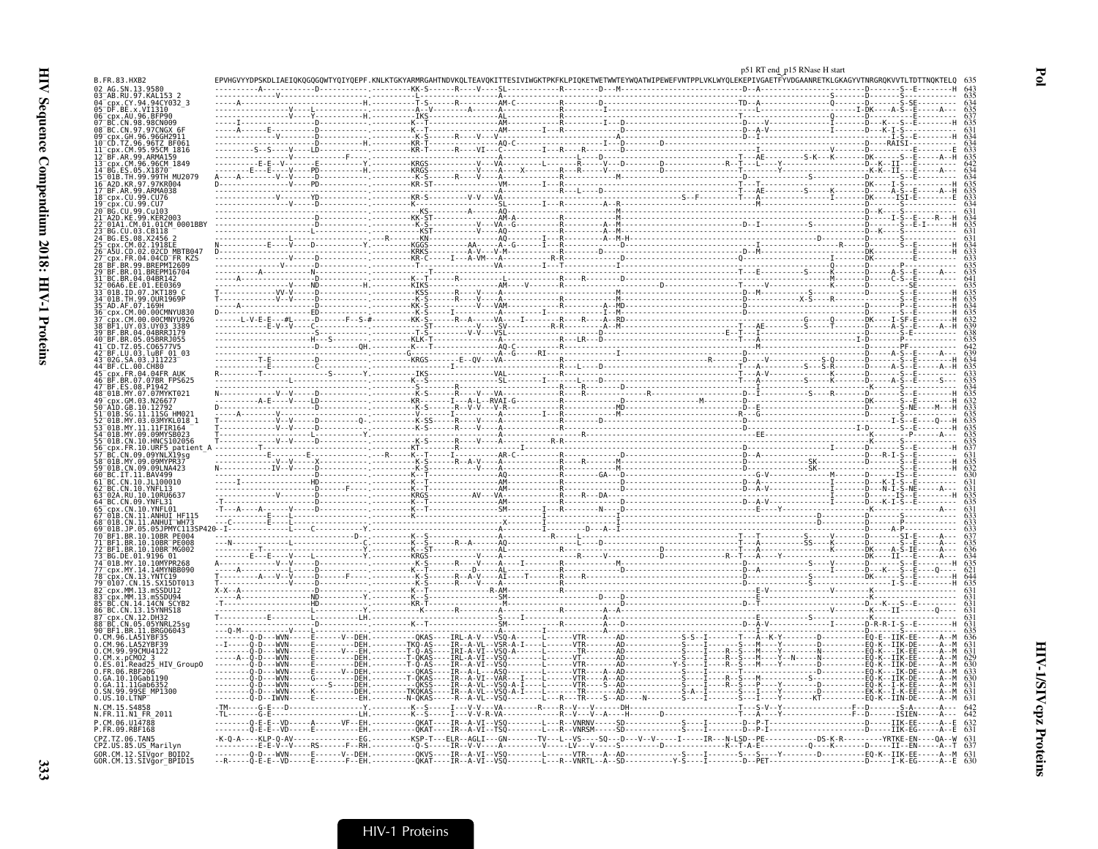|                                                   |  | p51 RT end_p15 RNase H start                                                  |  |
|---------------------------------------------------|--|-------------------------------------------------------------------------------|--|
| B.FR.83.HXB2<br>02 AG.SN.13.95                    |  | ETWETWWTEYWQATWIPEWEFVNTPPLVKLWYQLEKEPIVGAETFYVDGAANRETKLGKAGYVTNRGRQKVVTLTDT |  |
| 03 <sup>–</sup> AB.RU.97.KAL153                   |  |                                                                               |  |
| 96.BFP90<br>96 <sup>-</sup> cpx.AU.               |  |                                                                               |  |
| 98CN009<br>08 <sup>-</sup> BC.CN.97.97CNGX        |  |                                                                               |  |
|                                                   |  |                                                                               |  |
|                                                   |  |                                                                               |  |
|                                                   |  |                                                                               |  |
| 99.99TH MU207                                     |  |                                                                               |  |
| .ARMA038                                          |  |                                                                               |  |
|                                                   |  |                                                                               |  |
|                                                   |  |                                                                               |  |
|                                                   |  |                                                                               |  |
|                                                   |  |                                                                               |  |
|                                                   |  |                                                                               |  |
|                                                   |  |                                                                               |  |
|                                                   |  |                                                                               |  |
| .07. IKT189. (                                    |  |                                                                               |  |
|                                                   |  |                                                                               |  |
|                                                   |  |                                                                               |  |
|                                                   |  |                                                                               |  |
|                                                   |  |                                                                               |  |
|                                                   |  |                                                                               |  |
|                                                   |  |                                                                               |  |
| 07.07BR FPS625                                    |  |                                                                               |  |
|                                                   |  |                                                                               |  |
|                                                   |  |                                                                               |  |
|                                                   |  |                                                                               |  |
|                                                   |  |                                                                               |  |
|                                                   |  |                                                                               |  |
|                                                   |  |                                                                               |  |
|                                                   |  |                                                                               |  |
| CN.10.JL100010<br>.CN.10.YNFL13                   |  |                                                                               |  |
|                                                   |  |                                                                               |  |
|                                                   |  |                                                                               |  |
|                                                   |  |                                                                               |  |
|                                                   |  |                                                                               |  |
|                                                   |  |                                                                               |  |
| MY.14.14MYNBB096                                  |  |                                                                               |  |
|                                                   |  |                                                                               |  |
| MM.13.mSSDU94                                     |  |                                                                               |  |
|                                                   |  |                                                                               |  |
| :px.CN.12.DH.                                     |  |                                                                               |  |
| BF1.BR.11.BRG06043                                |  |                                                                               |  |
|                                                   |  |                                                                               |  |
| CM.x.pCMO2 3                                      |  |                                                                               |  |
| .Read25 HIV Group                                 |  |                                                                               |  |
| GA.10.10Gab1190<br>.GA.11.11Gab635                |  |                                                                               |  |
| D.SN.99.99SE MP1300<br>$0.05.10.$ LTNP            |  |                                                                               |  |
|                                                   |  |                                                                               |  |
| .FR.11.N1 FR 2011<br>P.CM.06.U14788               |  |                                                                               |  |
| P.FR.09.RBF168<br>PZ.TZ.06.TAN5                   |  |                                                                               |  |
| CPZ.US.85.US_Marilyn                              |  |                                                                               |  |
| GOR.CM.12.SIVgor_BOID2<br>GOR.CM.13.SIVgor_BPID15 |  |                                                                               |  |
|                                                   |  |                                                                               |  |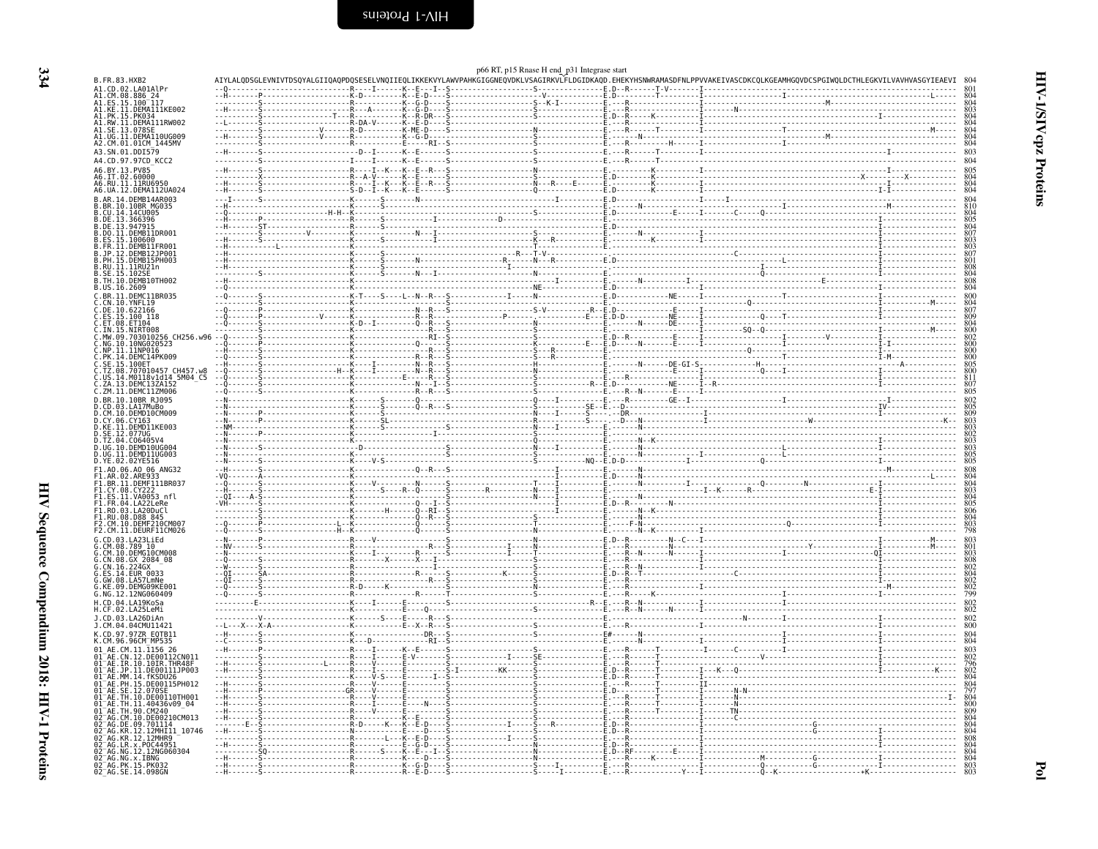<span id="page-27-0"></span>

|                                                                           |   |  |                    | p66 RT, p15 Rnase H end p31 Integrase start |  |                                                                                                                                                                                                                                                                                                                                                                                                                                                                                       |                                                                                  |
|---------------------------------------------------------------------------|---|--|--------------------|---------------------------------------------|--|---------------------------------------------------------------------------------------------------------------------------------------------------------------------------------------------------------------------------------------------------------------------------------------------------------------------------------------------------------------------------------------------------------------------------------------------------------------------------------------|----------------------------------------------------------------------------------|
| B.FR.83.HXB2<br>A1.CD.02.LA01AlPr                                         |   |  |                    |                                             |  | AIYLALQDSGLEVNIVTDSQYALGIIQAQPDQSESELVNQIIEQLIKKEKVYLAWVPAHKGIGGNEQVDKLVSAGIRKVLFLDGIDKAQD.EHEKYHSNWRAMASDFNLPPVVAKEIVASCDKCQLKGEAMHGQVDCSP(                                                                                                                                                                                                                                                                                                                                          |                                                                                  |
| AI.CM.08.886_24<br>A1.ES.15.100 <sup>-</sup> 117<br>A1.KE.11.DEMA111KE002 |   |  |                    |                                             |  |                                                                                                                                                                                                                                                                                                                                                                                                                                                                                       |                                                                                  |
|                                                                           |   |  |                    |                                             |  |                                                                                                                                                                                                                                                                                                                                                                                                                                                                                       | $804$<br>$803$<br>$804$<br>$804$<br>$804$<br>$804$<br>$804$                      |
| A1.PK.15.PK034<br>A1.RW.11.DEMA111RW002<br>.SE.13<br>.0789                |   |  |                    |                                             |  |                                                                                                                                                                                                                                                                                                                                                                                                                                                                                       |                                                                                  |
| AI.UG.II.DEMAI10UG009<br>A2.CM.01.01CM 1445MV                             |   |  |                    |                                             |  |                                                                                                                                                                                                                                                                                                                                                                                                                                                                                       |                                                                                  |
| A3.SN.01.DDI579                                                           |   |  |                    |                                             |  | $\begin{minipage}[t]{.000\textwidth} {\begin{minipage}[t]{0.000\textwidth} {\begin{minipage}[t]{0.000\textwidth} {\begin{minipage}[t]{0.000\textwidth} {\begin{minipage}[t]{0.000\textwidth} {\begin{minipage}[t]{0.000\textwidth} {\begin{minipage}[t]{0.000\textwidth} {\begin{minipage}[t]{0.000\textwidth} {\begin{minipage}[t]{0.000\textwidth} {\begin{minipage}[t]{0.000\textwidth} {\begin{minipage}[t]{0.000\textwidth} {\begin{minipage}[t]{0.000\textwidth} {\begin{minip$ | 803                                                                              |
| A4.CD.97.97CD_KCC2<br>A6.BY.13.PV85                                       |   |  |                    |                                             |  |                                                                                                                                                                                                                                                                                                                                                                                                                                                                                       | 804                                                                              |
| A6.IT.02.60000<br>A6.RU.11.11RU6950                                       |   |  |                    |                                             |  |                                                                                                                                                                                                                                                                                                                                                                                                                                                                                       | 805804804804                                                                     |
| A6.UA.12.DEMA112UA024                                                     |   |  |                    |                                             |  |                                                                                                                                                                                                                                                                                                                                                                                                                                                                                       |                                                                                  |
| B.AR.14.DEMB14AR003<br>.BR.10.10BR MG035<br>.CU.14.14CU005                |   |  |                    |                                             |  |                                                                                                                                                                                                                                                                                                                                                                                                                                                                                       | $\begin{smallmatrix}804\810\804\end{smallmatrix}$                                |
| .DE.13.366396                                                             |   |  |                    |                                             |  |                                                                                                                                                                                                                                                                                                                                                                                                                                                                                       |                                                                                  |
| DE.13.947915<br>DO.11.DEMB11DR001                                         |   |  |                    |                                             |  |                                                                                                                                                                                                                                                                                                                                                                                                                                                                                       |                                                                                  |
| ES.15.100600<br>.FR.11.DEMB11FR001                                        |   |  |                    |                                             |  |                                                                                                                                                                                                                                                                                                                                                                                                                                                                                       |                                                                                  |
| .jp.12.DEMB12JP001<br>.ph.15.DEMB15PH003                                  |   |  |                    |                                             |  |                                                                                                                                                                                                                                                                                                                                                                                                                                                                                       |                                                                                  |
| .RU.11.11RU21n<br>.SE.15.102SE                                            |   |  |                    |                                             |  |                                                                                                                                                                                                                                                                                                                                                                                                                                                                                       |                                                                                  |
| B.TH.10.DEMB10TH002<br>B.US.16.2609                                       |   |  |                    |                                             |  |                                                                                                                                                                                                                                                                                                                                                                                                                                                                                       | $\frac{808}{804}$<br>$\frac{804}{808}$                                           |
| C.BR.11.DEMC11BR035<br>C.CN.10.YNFL19                                     |   |  |                    |                                             |  |                                                                                                                                                                                                                                                                                                                                                                                                                                                                                       | 800                                                                              |
| .05.10.622166                                                             |   |  |                    |                                             |  |                                                                                                                                                                                                                                                                                                                                                                                                                                                                                       | $804807$<br>$809804$<br>$800800$<br>$800800$<br>$800$<br>$800$<br>$805$<br>$800$ |
| ES.15.100 118.                                                            |   |  |                    |                                             |  |                                                                                                                                                                                                                                                                                                                                                                                                                                                                                       |                                                                                  |
| ∷ET.08.ET104<br>∷IN.15.NIRT008<br>∷MW.09.703010256 CH256.w96              |   |  |                    |                                             |  |                                                                                                                                                                                                                                                                                                                                                                                                                                                                                       |                                                                                  |
| .NG.10.10NG020523<br>NP.11.11NP016                                        |   |  |                    |                                             |  |                                                                                                                                                                                                                                                                                                                                                                                                                                                                                       |                                                                                  |
| PK.14.DEMC14PK009<br>.SE.15.100ET                                         |   |  |                    |                                             |  |                                                                                                                                                                                                                                                                                                                                                                                                                                                                                       |                                                                                  |
| TZ.08.707010457 CH457.w8.<br>.US.14.M0118v1d14_5M04_C5                    |   |  |                    |                                             |  |                                                                                                                                                                                                                                                                                                                                                                                                                                                                                       |                                                                                  |
| .ZA.13.DEMC13ZA152<br>C.ZM.11.DEMC11ZM006                                 |   |  |                    |                                             |  |                                                                                                                                                                                                                                                                                                                                                                                                                                                                                       | $\frac{811}{807}$<br>807                                                         |
| D.BR.10.10BR RJ095                                                        |   |  |                    |                                             |  |                                                                                                                                                                                                                                                                                                                                                                                                                                                                                       |                                                                                  |
| D.CD.03.LA17MuBo<br>D.CM.10.DEMD10CM009                                   |   |  |                    |                                             |  |                                                                                                                                                                                                                                                                                                                                                                                                                                                                                       | 802<br>805<br>809<br>803<br>803                                                  |
| D.ČY.06.CY163<br>D.KE.11.DEMD11KE003                                      |   |  |                    |                                             |  |                                                                                                                                                                                                                                                                                                                                                                                                                                                                                       |                                                                                  |
| .SE.12.077UG<br>.TZ.04.C06405V                                            |   |  |                    |                                             |  |                                                                                                                                                                                                                                                                                                                                                                                                                                                                                       | 802<br>802<br>803<br>803<br>805<br>805                                           |
| .UG.10.DEMD10UG004<br>D.UG.11.DEMD11UG003                                 |   |  |                    |                                             |  |                                                                                                                                                                                                                                                                                                                                                                                                                                                                                       |                                                                                  |
| D.YE.02.02YE516<br>F1.A0.06.A0 06 ANG32                                   |   |  |                    |                                             |  |                                                                                                                                                                                                                                                                                                                                                                                                                                                                                       |                                                                                  |
| F1.BR.11.DEMFII1BR037                                                     |   |  |                    |                                             |  |                                                                                                                                                                                                                                                                                                                                                                                                                                                                                       | 808<br>804<br>804<br>803<br>804<br>805<br>806<br>804<br>803<br>798               |
| F1.CY.08.CY222                                                            |   |  |                    |                                             |  |                                                                                                                                                                                                                                                                                                                                                                                                                                                                                       |                                                                                  |
| F1.ES.11.VA0053 nfl<br>F1.FR.04.LA22LeRe<br>F1.RO.03.LA20DuCl             |   |  |                    |                                             |  |                                                                                                                                                                                                                                                                                                                                                                                                                                                                                       |                                                                                  |
| F1.RU.08.D88 845<br>M.10.DEMF210CM007                                     |   |  |                    |                                             |  |                                                                                                                                                                                                                                                                                                                                                                                                                                                                                       |                                                                                  |
| F2.CM.11.DEURF11CM026                                                     |   |  |                    |                                             |  |                                                                                                                                                                                                                                                                                                                                                                                                                                                                                       |                                                                                  |
| G.CD.03.LA23LiEd                                                          |   |  |                    |                                             |  |                                                                                                                                                                                                                                                                                                                                                                                                                                                                                       |                                                                                  |
| G.CM.08.789 10-<br>G.CM.10.DEMG10CM008<br>G.CN.08.GX_2084_08              |   |  |                    |                                             |  |                                                                                                                                                                                                                                                                                                                                                                                                                                                                                       | 803<br>801<br>803<br>808<br>802<br>802<br>802<br>802<br>802<br>902               |
| 224GX<br>.CN.16<br>ES.14.EUR 0033                                         |   |  |                    |                                             |  |                                                                                                                                                                                                                                                                                                                                                                                                                                                                                       |                                                                                  |
| GW.08.LA57LmNe<br>.DEMG09KE001<br>KE.09                                   |   |  |                    |                                             |  |                                                                                                                                                                                                                                                                                                                                                                                                                                                                                       |                                                                                  |
| G.NG.12.12NG060409<br>L.CD.04.LA19KoSa                                    |   |  |                    |                                             |  |                                                                                                                                                                                                                                                                                                                                                                                                                                                                                       |                                                                                  |
| H.CF.02.LA25LeMi                                                          |   |  |                    |                                             |  |                                                                                                                                                                                                                                                                                                                                                                                                                                                                                       | $\frac{802}{802}$                                                                |
| J.CD.03.LA26DiAn<br>J.CM.04.04CMU11421                                    |   |  |                    |                                             |  |                                                                                                                                                                                                                                                                                                                                                                                                                                                                                       | $\frac{802}{800}$                                                                |
| K.CD.97.97ZR EQTB11<br>K.CM.96.96CM MP535                                 |   |  |                    |                                             |  |                                                                                                                                                                                                                                                                                                                                                                                                                                                                                       | $\frac{804}{804}$                                                                |
| DE00112CN011                                                              |   |  |                    |                                             |  |                                                                                                                                                                                                                                                                                                                                                                                                                                                                                       |                                                                                  |
| $01-AE$<br>$01-AE$<br>IR.10.10IR.THR48F                                   |   |  |                    |                                             |  |                                                                                                                                                                                                                                                                                                                                                                                                                                                                                       |                                                                                  |
| .JP.11.DE00111JP003<br>91 <sup>-</sup> AE.MM.14.fKSDU26                   |   |  |                    |                                             |  |                                                                                                                                                                                                                                                                                                                                                                                                                                                                                       |                                                                                  |
| 01 AE.PH.15.DE00115PH012                                                  |   |  |                    |                                             |  |                                                                                                                                                                                                                                                                                                                                                                                                                                                                                       | 796<br>802<br>804<br>804<br>797<br>804<br>800                                    |
| TH.10.DE00110TH001<br>TH.11.40436v09_04<br>ΆE                             |   |  |                    |                                             |  |                                                                                                                                                                                                                                                                                                                                                                                                                                                                                       |                                                                                  |
| TH.90.CM240<br>ΆF<br>CM.10.DE00210CM013                                   |   |  |                    |                                             |  |                                                                                                                                                                                                                                                                                                                                                                                                                                                                                       |                                                                                  |
| 02 <sup>-</sup> AG.DE.09.701114<br>12.12MHI11 10746                       | . |  |                    |                                             |  |                                                                                                                                                                                                                                                                                                                                                                                                                                                                                       | $804$<br>$804$<br>$808$<br>$804$<br>$804$<br>$804$<br>$804$<br>$803$             |
| AG.KR.12.12MHR9<br>AG.LR.x.P0C44951                                       |   |  | . N <mark>.</mark> |                                             |  |                                                                                                                                                                                                                                                                                                                                                                                                                                                                                       |                                                                                  |
|                                                                           |   |  |                    |                                             |  |                                                                                                                                                                                                                                                                                                                                                                                                                                                                                       |                                                                                  |
|                                                                           |   |  |                    |                                             |  |                                                                                                                                                                                                                                                                                                                                                                                                                                                                                       |                                                                                  |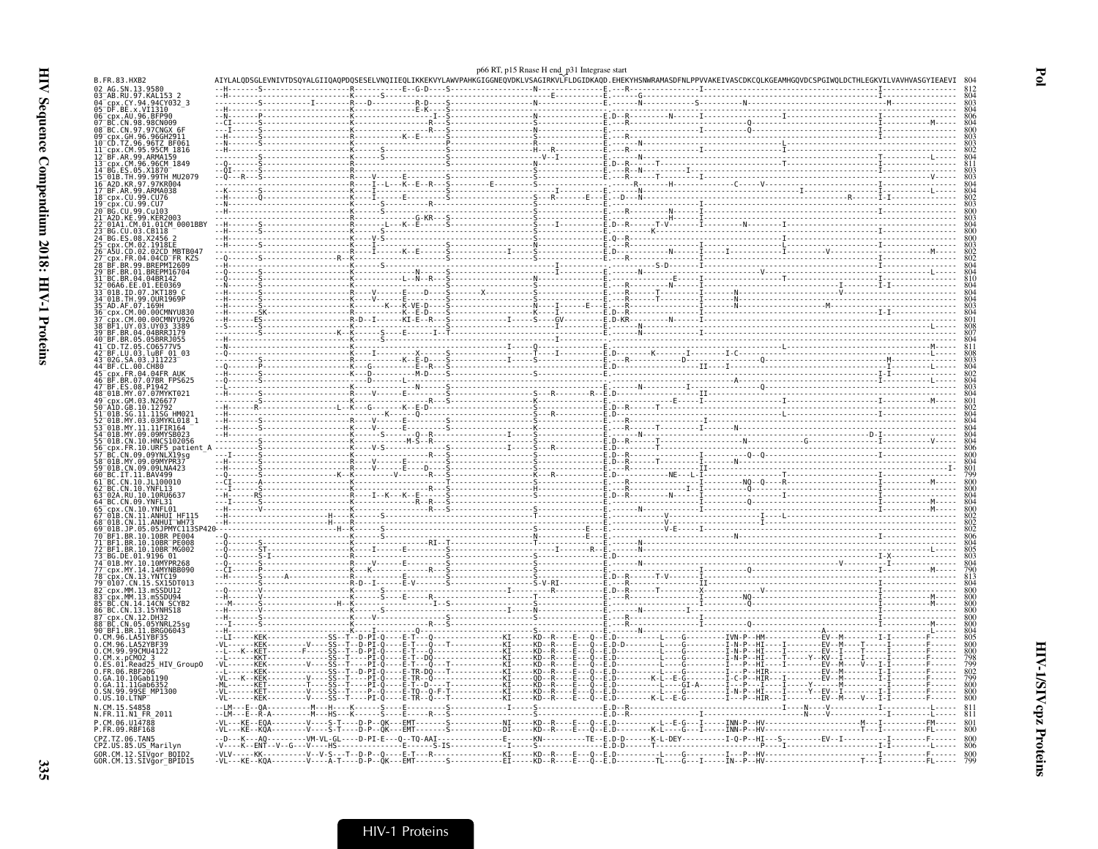| AG. SN. 13.9580<br>_AG.3N.197.886<br>-AB.RU.97.KAL153_2<br>-cpx.CY.94.94CY032_3<br>-DF.BE.x.VI1310<br>cpx.AU.96.BFP90<br>BC.CN.98.98CN009<br>BC.CN.97.97CNGX<br>GH. 96.96GH2911<br>96.96TZ BF06<br>-cpx.CM.95.95CM_1816<br>BF.AR.99.ARMA159<br>cpx.CM.96.96CM 1849<br>ES.05.X1870<br>TH.99.99TH MU2079<br>A2D.KR.97.97KR004<br>BF.AR.99.ARMA038<br>cpx.CU.99.CU76<br>cpx.CU.99.CU7<br>01CM 0001BBY<br>03.CB118<br>. X2456<br>.02.1918EE<br>.CD.02.02CD MBTB047<br>.FR.04.04CD FR KŽS<br>BR.99.BREPM12609<br>04.04BR14<br>EE.01.EE0369<br>01B.ID.07.JKT189 C<br>01B.TH.99.0UR1969P<br>AD.AF.07.169H<br>.CM.00.00CMNYU830<br>CM.00.00CMNYU926<br>JY.03.UY03 3389<br>BR.04.04BRRJ179<br>BR.05.05BRRJ055<br>C06577V5<br>BF.LU.03.luBF_01_03<br>.03.J11223<br>.00 CHRO<br>CDX.FR.04.04FR AUK<br>BR.07.07BR FPS625<br>GM.03.N26677<br>10.12792<br>SG.11.11SG HM021<br>03.03MYKL018_1 |                                     |                                            |                                              |  |
|--------------------------------------------------------------------------------------------------------------------------------------------------------------------------------------------------------------------------------------------------------------------------------------------------------------------------------------------------------------------------------------------------------------------------------------------------------------------------------------------------------------------------------------------------------------------------------------------------------------------------------------------------------------------------------------------------------------------------------------------------------------------------------------------------------------------------------------------------------------------------------|-------------------------------------|--------------------------------------------|----------------------------------------------|--|
|                                                                                                                                                                                                                                                                                                                                                                                                                                                                                                                                                                                                                                                                                                                                                                                                                                                                                |                                     |                                            |                                              |  |
|                                                                                                                                                                                                                                                                                                                                                                                                                                                                                                                                                                                                                                                                                                                                                                                                                                                                                |                                     |                                            |                                              |  |
|                                                                                                                                                                                                                                                                                                                                                                                                                                                                                                                                                                                                                                                                                                                                                                                                                                                                                |                                     |                                            |                                              |  |
|                                                                                                                                                                                                                                                                                                                                                                                                                                                                                                                                                                                                                                                                                                                                                                                                                                                                                |                                     |                                            |                                              |  |
|                                                                                                                                                                                                                                                                                                                                                                                                                                                                                                                                                                                                                                                                                                                                                                                                                                                                                |                                     |                                            |                                              |  |
|                                                                                                                                                                                                                                                                                                                                                                                                                                                                                                                                                                                                                                                                                                                                                                                                                                                                                |                                     |                                            |                                              |  |
|                                                                                                                                                                                                                                                                                                                                                                                                                                                                                                                                                                                                                                                                                                                                                                                                                                                                                |                                     |                                            |                                              |  |
|                                                                                                                                                                                                                                                                                                                                                                                                                                                                                                                                                                                                                                                                                                                                                                                                                                                                                |                                     |                                            |                                              |  |
|                                                                                                                                                                                                                                                                                                                                                                                                                                                                                                                                                                                                                                                                                                                                                                                                                                                                                |                                     |                                            |                                              |  |
|                                                                                                                                                                                                                                                                                                                                                                                                                                                                                                                                                                                                                                                                                                                                                                                                                                                                                |                                     |                                            |                                              |  |
|                                                                                                                                                                                                                                                                                                                                                                                                                                                                                                                                                                                                                                                                                                                                                                                                                                                                                |                                     |                                            |                                              |  |
|                                                                                                                                                                                                                                                                                                                                                                                                                                                                                                                                                                                                                                                                                                                                                                                                                                                                                |                                     |                                            |                                              |  |
|                                                                                                                                                                                                                                                                                                                                                                                                                                                                                                                                                                                                                                                                                                                                                                                                                                                                                |                                     |                                            |                                              |  |
|                                                                                                                                                                                                                                                                                                                                                                                                                                                                                                                                                                                                                                                                                                                                                                                                                                                                                |                                     |                                            |                                              |  |
|                                                                                                                                                                                                                                                                                                                                                                                                                                                                                                                                                                                                                                                                                                                                                                                                                                                                                |                                     |                                            |                                              |  |
|                                                                                                                                                                                                                                                                                                                                                                                                                                                                                                                                                                                                                                                                                                                                                                                                                                                                                |                                     |                                            |                                              |  |
|                                                                                                                                                                                                                                                                                                                                                                                                                                                                                                                                                                                                                                                                                                                                                                                                                                                                                |                                     |                                            |                                              |  |
|                                                                                                                                                                                                                                                                                                                                                                                                                                                                                                                                                                                                                                                                                                                                                                                                                                                                                |                                     |                                            |                                              |  |
|                                                                                                                                                                                                                                                                                                                                                                                                                                                                                                                                                                                                                                                                                                                                                                                                                                                                                |                                     |                                            |                                              |  |
|                                                                                                                                                                                                                                                                                                                                                                                                                                                                                                                                                                                                                                                                                                                                                                                                                                                                                |                                     |                                            |                                              |  |
|                                                                                                                                                                                                                                                                                                                                                                                                                                                                                                                                                                                                                                                                                                                                                                                                                                                                                |                                     |                                            |                                              |  |
|                                                                                                                                                                                                                                                                                                                                                                                                                                                                                                                                                                                                                                                                                                                                                                                                                                                                                |                                     | $R - D - - I - - - - - - KI - E - - R - -$ |                                              |  |
|                                                                                                                                                                                                                                                                                                                                                                                                                                                                                                                                                                                                                                                                                                                                                                                                                                                                                |                                     |                                            |                                              |  |
|                                                                                                                                                                                                                                                                                                                                                                                                                                                                                                                                                                                                                                                                                                                                                                                                                                                                                |                                     |                                            |                                              |  |
|                                                                                                                                                                                                                                                                                                                                                                                                                                                                                                                                                                                                                                                                                                                                                                                                                                                                                |                                     |                                            |                                              |  |
|                                                                                                                                                                                                                                                                                                                                                                                                                                                                                                                                                                                                                                                                                                                                                                                                                                                                                |                                     |                                            |                                              |  |
|                                                                                                                                                                                                                                                                                                                                                                                                                                                                                                                                                                                                                                                                                                                                                                                                                                                                                |                                     |                                            |                                              |  |
|                                                                                                                                                                                                                                                                                                                                                                                                                                                                                                                                                                                                                                                                                                                                                                                                                                                                                |                                     |                                            |                                              |  |
|                                                                                                                                                                                                                                                                                                                                                                                                                                                                                                                                                                                                                                                                                                                                                                                                                                                                                |                                     |                                            |                                              |  |
|                                                                                                                                                                                                                                                                                                                                                                                                                                                                                                                                                                                                                                                                                                                                                                                                                                                                                |                                     |                                            |                                              |  |
|                                                                                                                                                                                                                                                                                                                                                                                                                                                                                                                                                                                                                                                                                                                                                                                                                                                                                |                                     |                                            |                                              |  |
| 01B.MY.11.11FIR164<br>MY.09.09MYSB023                                                                                                                                                                                                                                                                                                                                                                                                                                                                                                                                                                                                                                                                                                                                                                                                                                          |                                     |                                            |                                              |  |
| 01B.CN.10.HNCS102056                                                                                                                                                                                                                                                                                                                                                                                                                                                                                                                                                                                                                                                                                                                                                                                                                                                           |                                     |                                            |                                              |  |
| patien<br>09.09YNLX19sg                                                                                                                                                                                                                                                                                                                                                                                                                                                                                                                                                                                                                                                                                                                                                                                                                                                        |                                     |                                            |                                              |  |
| 01B.MY.09.09MYPR37                                                                                                                                                                                                                                                                                                                                                                                                                                                                                                                                                                                                                                                                                                                                                                                                                                                             |                                     |                                            |                                              |  |
| CN.09.09LNA423<br>$-11$ RAV499                                                                                                                                                                                                                                                                                                                                                                                                                                                                                                                                                                                                                                                                                                                                                                                                                                                 |                                     |                                            |                                              |  |
| 10.JL100010                                                                                                                                                                                                                                                                                                                                                                                                                                                                                                                                                                                                                                                                                                                                                                                                                                                                    |                                     |                                            |                                              |  |
| CN.10.YNFL13<br>10.10RU6637                                                                                                                                                                                                                                                                                                                                                                                                                                                                                                                                                                                                                                                                                                                                                                                                                                                    |                                     |                                            |                                              |  |
| CN.10.YNFL01                                                                                                                                                                                                                                                                                                                                                                                                                                                                                                                                                                                                                                                                                                                                                                                                                                                                   |                                     |                                            |                                              |  |
| ANHUI HF115.                                                                                                                                                                                                                                                                                                                                                                                                                                                                                                                                                                                                                                                                                                                                                                                                                                                                   |                                     |                                            |                                              |  |
| .ANHUI <sup>-</sup> WH73<br>05 05 1PMYC113S                                                                                                                                                                                                                                                                                                                                                                                                                                                                                                                                                                                                                                                                                                                                                                                                                                    |                                     |                                            |                                              |  |
| BR.10.10BR PE004<br>BR.10.10BR PE008                                                                                                                                                                                                                                                                                                                                                                                                                                                                                                                                                                                                                                                                                                                                                                                                                                           |                                     |                                            |                                              |  |
| .BR.10.10BR MG002                                                                                                                                                                                                                                                                                                                                                                                                                                                                                                                                                                                                                                                                                                                                                                                                                                                              |                                     |                                            |                                              |  |
| DE.01.9196 01<br>MY.10.10MYPR268                                                                                                                                                                                                                                                                                                                                                                                                                                                                                                                                                                                                                                                                                                                                                                                                                                               |                                     |                                            |                                              |  |
| MY.14.14MYNBB090                                                                                                                                                                                                                                                                                                                                                                                                                                                                                                                                                                                                                                                                                                                                                                                                                                                               |                                     |                                            |                                              |  |
| CN.13.YNTC19<br>.CN.15.SX15DT013                                                                                                                                                                                                                                                                                                                                                                                                                                                                                                                                                                                                                                                                                                                                                                                                                                               |                                     |                                            |                                              |  |
| cpx.MM.13.mSSDU12                                                                                                                                                                                                                                                                                                                                                                                                                                                                                                                                                                                                                                                                                                                                                                                                                                                              |                                     |                                            |                                              |  |
| .<br>CDX.MM.13.mSSDU94<br>BC.CN.14.14CN_SCYB2                                                                                                                                                                                                                                                                                                                                                                                                                                                                                                                                                                                                                                                                                                                                                                                                                                  |                                     |                                            |                                              |  |
| BC.CN.13.15YNHS18<br>cpx.CN.12.DH32                                                                                                                                                                                                                                                                                                                                                                                                                                                                                                                                                                                                                                                                                                                                                                                                                                            |                                     |                                            |                                              |  |
| CN.05.05YNRL25sg                                                                                                                                                                                                                                                                                                                                                                                                                                                                                                                                                                                                                                                                                                                                                                                                                                                               |                                     |                                            |                                              |  |
| BF1.BR.11.BRG06043<br>M.96.LA51YBF35                                                                                                                                                                                                                                                                                                                                                                                                                                                                                                                                                                                                                                                                                                                                                                                                                                           |                                     |                                            |                                              |  |
| CM.96.LA52YBF39<br>CM.99.99CMU4122                                                                                                                                                                                                                                                                                                                                                                                                                                                                                                                                                                                                                                                                                                                                                                                                                                             |                                     |                                            |                                              |  |
| $CM.x.$ pCM02 3                                                                                                                                                                                                                                                                                                                                                                                                                                                                                                                                                                                                                                                                                                                                                                                                                                                                |                                     |                                            | - - - - - KD - - R -<br>- - - - - KD - - R - |  |
| Read25_HIV_Group0<br>FR.06.RBF206                                                                                                                                                                                                                                                                                                                                                                                                                                                                                                                                                                                                                                                                                                                                                                                                                                              |                                     |                                            |                                              |  |
| GA.10.10Gab1190                                                                                                                                                                                                                                                                                                                                                                                                                                                                                                                                                                                                                                                                                                                                                                                                                                                                |                                     |                                            | $-QD - -R$                                   |  |
| GA.11.11Gab635<br>SN.99.99SE_MP1300                                                                                                                                                                                                                                                                                                                                                                                                                                                                                                                                                                                                                                                                                                                                                                                                                                            |                                     |                                            | KTKN                                         |  |
| US.10.LTNP                                                                                                                                                                                                                                                                                                                                                                                                                                                                                                                                                                                                                                                                                                                                                                                                                                                                     |                                     |                                            |                                              |  |
| CM.15.S4858<br>N.FR.11.N1 FR 2011                                                                                                                                                                                                                                                                                                                                                                                                                                                                                                                                                                                                                                                                                                                                                                                                                                              |                                     |                                            |                                              |  |
| CM.06.U14788                                                                                                                                                                                                                                                                                                                                                                                                                                                                                                                                                                                                                                                                                                                                                                                                                                                                   |                                     |                                            |                                              |  |
| FR.09.RBF168                                                                                                                                                                                                                                                                                                                                                                                                                                                                                                                                                                                                                                                                                                                                                                                                                                                                   |                                     |                                            |                                              |  |
| CPZ.TZ.06.TAN5<br>CPZ.US.85.US_Marilyn                                                                                                                                                                                                                                                                                                                                                                                                                                                                                                                                                                                                                                                                                                                                                                                                                                         |                                     |                                            |                                              |  |
| GOR.CM.12.SIVgor_BOID2<br>GOR.CM.13.SIVgor_BPID15                                                                                                                                                                                                                                                                                                                                                                                                                                                                                                                                                                                                                                                                                                                                                                                                                              | K--ENT--V--G---V----HS------------- |                                            |                                              |  |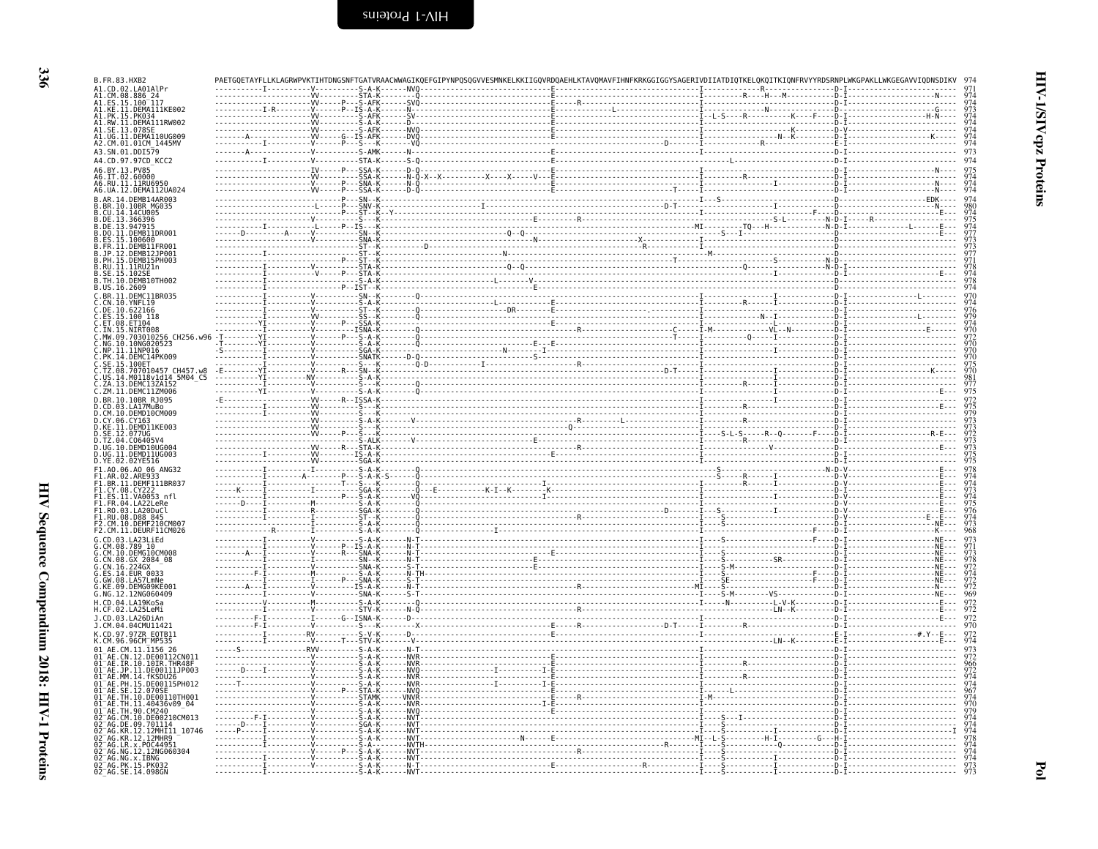| B.FR.83.HXB2                                                              |                         |                           |  |                                                                                                                                                                                                                                                                                                                                                                                                                                               |                                               |
|---------------------------------------------------------------------------|-------------------------|---------------------------|--|-----------------------------------------------------------------------------------------------------------------------------------------------------------------------------------------------------------------------------------------------------------------------------------------------------------------------------------------------------------------------------------------------------------------------------------------------|-----------------------------------------------|
| .CD.02.LA01AlPr                                                           |                         |                           |  |                                                                                                                                                                                                                                                                                                                                                                                                                                               |                                               |
| .CM.08.886_24<br>.ES.15.100_117<br>.KE.11.DEMA111KE002                    |                         |                           |  |                                                                                                                                                                                                                                                                                                                                                                                                                                               |                                               |
| .PK.15.PK03<br>.RW.11.DEMA111RW002                                        |                         |                           |  |                                                                                                                                                                                                                                                                                                                                                                                                                                               | 974<br>974                                    |
| .SE.13.078SE<br>.UG.11.DEMA110UG009                                       |                         |                           |  |                                                                                                                                                                                                                                                                                                                                                                                                                                               | $\frac{974}{974}$                             |
| 42.CM.01.01CM 1445MV<br>A3.SN.01.DDI579                                   |                         |                           |  |                                                                                                                                                                                                                                                                                                                                                                                                                                               |                                               |
| A4.CD.97.97CD KCC2                                                        |                         |                           |  |                                                                                                                                                                                                                                                                                                                                                                                                                                               |                                               |
| 6.BY.13.PV85<br>46.IT.02.60000<br>46.RU.11.11RU6950                       |                         |                           |  |                                                                                                                                                                                                                                                                                                                                                                                                                                               |                                               |
| 46.UA.12.DEMA112UA024                                                     |                         |                           |  |                                                                                                                                                                                                                                                                                                                                                                                                                                               | $\frac{974}{974}$                             |
| AR.14.DEMB14AR003                                                         |                         |                           |  |                                                                                                                                                                                                                                                                                                                                                                                                                                               | 974<br>980<br>974<br>975<br>977               |
| .BR.10.10BR MG035<br>.CU.14.14CU005<br>.DE.13.366396                      |                         |                           |  |                                                                                                                                                                                                                                                                                                                                                                                                                                               |                                               |
| DE.13.947915<br>DO.11.DEMB11DR001                                         |                         |                           |  |                                                                                                                                                                                                                                                                                                                                                                                                                                               |                                               |
| FR.11<br>DEMB11FR001                                                      |                         |                           |  |                                                                                                                                                                                                                                                                                                                                                                                                                                               |                                               |
| JP.12.DEMB12JP001<br>PH.15.DEMB15PH003                                    |                         |                           |  |                                                                                                                                                                                                                                                                                                                                                                                                                                               |                                               |
| .RU.II.IIRU21n<br>.SE.15.102SE                                            |                         |                           |  |                                                                                                                                                                                                                                                                                                                                                                                                                                               |                                               |
| TH.10.DEMB10TH002<br>B.US.16.2609                                         |                         |                           |  |                                                                                                                                                                                                                                                                                                                                                                                                                                               | 978<br>974<br>978<br>974                      |
|                                                                           |                         |                           |  |                                                                                                                                                                                                                                                                                                                                                                                                                                               | 970                                           |
| .BR.11.DEMC11BR035<br>.CN.10.YNFL19<br>.DE.10.622166<br>.ES.15.100_118    |                         |                           |  |                                                                                                                                                                                                                                                                                                                                                                                                                                               |                                               |
| ET.08.ET104                                                               |                         |                           |  |                                                                                                                                                                                                                                                                                                                                                                                                                                               |                                               |
| IN.15.NIRT008<br>703010256 CH256.w96                                      |                         | ----------V------P---S-A- |  |                                                                                                                                                                                                                                                                                                                                                                                                                                               |                                               |
| NG.10.10NG020523<br>NP.11<br>11NP016                                      |                         |                           |  |                                                                                                                                                                                                                                                                                                                                                                                                                                               |                                               |
| .PK.14.DEMC14PK009<br>.SE.15.100ET                                        |                         |                           |  |                                                                                                                                                                                                                                                                                                                                                                                                                                               |                                               |
| TZ.08.707010457 CH457.w8<br>US.14.M0118v1d14 5M04_C5<br>ZA.13.DEMC13ZA152 |                         |                           |  |                                                                                                                                                                                                                                                                                                                                                                                                                                               | 970<br>981                                    |
| ZM.11.DEMC11ZM006                                                         |                         |                           |  |                                                                                                                                                                                                                                                                                                                                                                                                                                               | $\frac{977}{975}$                             |
| BR.10.10BR RJ095<br>CD.03.<br>.LA17MuBo                                   | . VV - - R - - ISSA - K |                           |  |                                                                                                                                                                                                                                                                                                                                                                                                                                               |                                               |
| CM.10.DEMD10CM009<br>CY.06.CY163                                          |                         |                           |  |                                                                                                                                                                                                                                                                                                                                                                                                                                               |                                               |
| KE.11.DEMD11KE003<br>SE.12.077UG                                          |                         |                           |  |                                                                                                                                                                                                                                                                                                                                                                                                                                               |                                               |
| TZ.04.C06405V4<br>UG.10.DEMD10UG004                                       |                         |                           |  |                                                                                                                                                                                                                                                                                                                                                                                                                                               | 973<br>972<br>973<br>973<br>975               |
| UG.11.DEMD11UG003<br>YE.02.02YE516.                                       |                         |                           |  |                                                                                                                                                                                                                                                                                                                                                                                                                                               |                                               |
| .AO.06.AO 06 ANG32                                                        |                         |                           |  |                                                                                                                                                                                                                                                                                                                                                                                                                                               |                                               |
| .BR.11.DEMF111BR037<br>.CY.08.CY222                                       |                         |                           |  |                                                                                                                                                                                                                                                                                                                                                                                                                                               |                                               |
| ES.11.VA0053 nfl<br>.FR.04.LA22LeRe                                       |                         |                           |  |                                                                                                                                                                                                                                                                                                                                                                                                                                               |                                               |
| RO.03.LA20DuCl<br>RU.08.D88 845<br>CM.10.DEMF210CM007                     |                         |                           |  |                                                                                                                                                                                                                                                                                                                                                                                                                                               |                                               |
| 2.CM.11.DEURF11CM026                                                      |                         |                           |  |                                                                                                                                                                                                                                                                                                                                                                                                                                               | 974<br>973<br>974<br>975<br>974<br>973<br>968 |
| CD.03.LA23LiEd                                                            |                         |                           |  |                                                                                                                                                                                                                                                                                                                                                                                                                                               |                                               |
| CM.08.789 10<br>CM.10.DEMG10CM008                                         |                         |                           |  |                                                                                                                                                                                                                                                                                                                                                                                                                                               |                                               |
| CN.08.GX 2084 08                                                          |                         |                           |  |                                                                                                                                                                                                                                                                                                                                                                                                                                               | 973<br>978<br>972<br>972<br>972<br>972        |
| ES.14.EUR 0033<br>GW.08.LA57LmNe                                          |                         |                           |  |                                                                                                                                                                                                                                                                                                                                                                                                                                               |                                               |
| KE.09.DEMG09KE001<br>NG.12.12NG060409                                     |                         |                           |  | $\begin{minipage}{0.99\textwidth} \begin{tabular}{ c c c c } \hline \multicolumn{1}{ c }{0.99\textwidth} \begin{tabular}{ c c c } \hline \multicolumn{1}{ c }{0.99\textwidth} \begin{tabular}{ c c c } \hline \multicolumn{1}{ c }{0.99\textwidth} \begin{tabular}{ c c c } \hline \multicolumn{1}{ c }{0.99\textwidth} \begin{tabular}{ c c } \hline \multicolumn{1}{ c }{0.99\textwidth} \begin{tabular}{ c c } \hline \multicolumn{1}{ c $ |                                               |
| CD.04.LA19KoSa<br>CF.02.LA25LeMi                                          |                         |                           |  |                                                                                                                                                                                                                                                                                                                                                                                                                                               | 972                                           |
| CD.03.LA26DiAn<br>.CM.04.04CMU11421                                       |                         |                           |  |                                                                                                                                                                                                                                                                                                                                                                                                                                               | 972                                           |
| CD.97.97ZR E0TB11                                                         |                         |                           |  |                                                                                                                                                                                                                                                                                                                                                                                                                                               | 972                                           |
| CM.96.96CM MP535<br>AE.CM.11.1156 26                                      |                         |                           |  |                                                                                                                                                                                                                                                                                                                                                                                                                                               |                                               |
| AE.IR.10.10IR.THR48F                                                      |                         |                           |  |                                                                                                                                                                                                                                                                                                                                                                                                                                               |                                               |
| AE<br>.JP.11.DE00111JP003<br>MM.14.fKSDU26                                |                         |                           |  |                                                                                                                                                                                                                                                                                                                                                                                                                                               |                                               |
| .15.DE00115PH012<br>.SE.12.070SE                                          |                         |                           |  |                                                                                                                                                                                                                                                                                                                                                                                                                                               |                                               |
| AE.TH.10.DE00110TH001<br>11.40436v09 04                                   |                         |                           |  |                                                                                                                                                                                                                                                                                                                                                                                                                                               |                                               |
| CM240<br>CM.10.DE00210CM013                                               |                         |                           |  |                                                                                                                                                                                                                                                                                                                                                                                                                                               |                                               |
| AG.DE.09.701114                                                           |                         |                           |  |                                                                                                                                                                                                                                                                                                                                                                                                                                               |                                               |
| AG.KR.I2.12MHI11_10746<br>AG.KR.12.12MHR9<br>AG. LR. x. POC44951          |                         |                           |  |                                                                                                                                                                                                                                                                                                                                                                                                                                               | 978<br>974                                    |
| AG.NG.12.12NG060304                                                       |                         |                           |  |                                                                                                                                                                                                                                                                                                                                                                                                                                               |                                               |
| AG.NG.X.IBNG<br>AG.PK.15.PK032<br>02 <sup>-</sup> AG.SE.14.098GN          |                         |                           |  |                                                                                                                                                                                                                                                                                                                                                                                                                                               |                                               |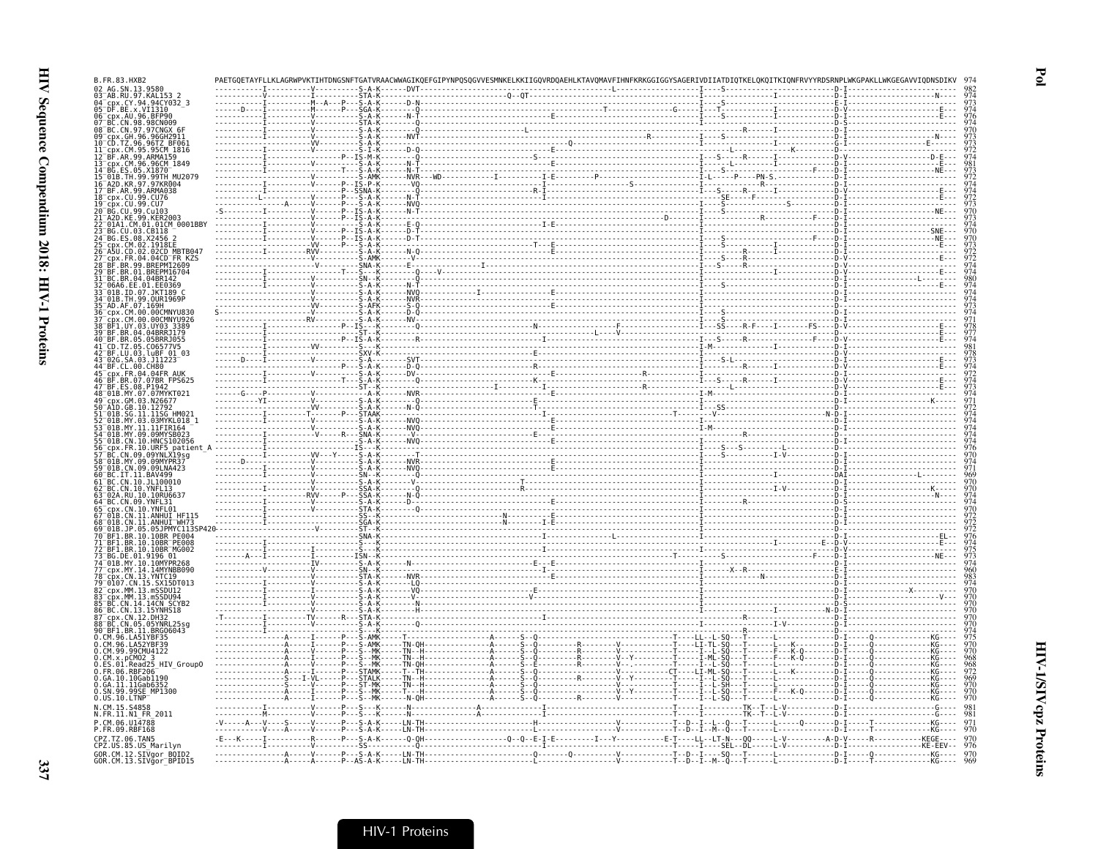| B.FR.83.HXB2                                                 |                             |  |                                       |                                   |                                    |
|--------------------------------------------------------------|-----------------------------|--|---------------------------------------|-----------------------------------|------------------------------------|
| 02 AG.SN.13.9580<br>03 AB.RU.97.KAL                          |                             |  |                                       |                                   |                                    |
| cpx.CY.94.94CY032 3<br>05 DF.BE.x.VI1310                     |                             |  |                                       |                                   |                                    |
| 06 cpx.AU.96.BFP90<br>07 BC.CN.98.98CN00<br>.CN.98.98CN009   |                             |  |                                       |                                   |                                    |
| 08 <sup>-</sup> BC.CN.97.97CNGX 6<br>GH 96 96GH2911          |                             |  |                                       |                                   |                                    |
| 96.96TZ BF06<br>.CM.95.95CM 1816                             |                             |  |                                       |                                   |                                    |
| BF.AR.99.ARMA159<br>cpx.CM.96.96CM 1849                      |                             |  |                                       |                                   |                                    |
| 91B.TH.99.99TH MU2079                                        |                             |  |                                       |                                   |                                    |
| 97.97KR004                                                   |                             |  |                                       |                                   |                                    |
| BF.AR.99.ARMA038<br>cpx.CU.99.CU76                           |                             |  |                                       |                                   |                                    |
| cpx.CU.99.CU7<br>CU.99.Cu103                                 |                             |  |                                       |                                   |                                    |
| A2D.KE.99.KER2003-<br>01A1.CM.01.01CM_0001BBY                |                             |  |                                       |                                   |                                    |
| CU.03.CB118<br>08.X2456                                      |                             |  |                                       |                                   |                                    |
|                                                              |                             |  |                                       |                                   |                                    |
| FR KZS<br>BR.99.BREPM12609                                   |                             |  |                                       |                                   |                                    |
| 01.BREPM16704                                                |                             |  |                                       |                                   |                                    |
| .BR.04.04BR14<br>EE.01.EE0369.                               |                             |  |                                       |                                   |                                    |
| 01B TD 07 1KT189<br>01B.TH.99.0UR1969P                       |                             |  |                                       |                                   |                                    |
| 35 <sup>-</sup> AD.AF.07.169H<br>cpx.CM.00.00CMNYU830        |                             |  |                                       |                                   |                                    |
| .CM.00.00CMNYU926<br>BF1.UY.03.UY03 3389                     |                             |  |                                       |                                   |                                    |
| .BR.04.04BRRJ179<br>BR.05.05BRRJ055                          |                             |  |                                       |                                   |                                    |
| .TZ.05<br>BF.LU.03.luBF 01 03                                |                             |  |                                       |                                   |                                    |
| SA.03.J11223<br>BF.CL.00.CH80                                |                             |  |                                       |                                   |                                    |
| .FR.04.04FR AUK                                              |                             |  |                                       |                                   |                                    |
| .BR.07.07BR FPS625<br>08 P1942                               |                             |  |                                       |                                   |                                    |
| 01B.MY.07.07MYKT021<br>.03.N26677                            |                             |  |                                       |                                   |                                    |
| GB 10.12792                                                  |                             |  |                                       |                                   |                                    |
|                                                              |                             |  |                                       |                                   |                                    |
| CN.10.HNCS10205                                              |                             |  |                                       |                                   |                                    |
| 10. URE5<br>patien<br>CN.09.09YNLX19sg                       |                             |  |                                       |                                   |                                    |
| MY 09 09MYPR3<br>01B.CN.09.09LNA423                          |                             |  |                                       |                                   |                                    |
| BC. IT. 11. BAV499<br>BC.CN.10.JL100010                      |                             |  |                                       |                                   |                                    |
| 10 YNFI 13                                                   |                             |  |                                       |                                   |                                    |
|                                                              |                             |  |                                       |                                   |                                    |
| .11.ANHUI HF11<br>CN.11.ANHUI <sup>-</sup> WH73              |                             |  |                                       |                                   |                                    |
| JP.05.05JPMYC113SI                                           | - ST - - I                  |  |                                       |                                   |                                    |
| .10.10RR<br>BR. 10. 10BR <sup>-</sup> PE008                  |                             |  |                                       |                                   |                                    |
| BR.10.10BR MG002<br>BG DE 01.9196 01                         |                             |  |                                       |                                   |                                    |
| 74 <sup>-</sup> 01B.MY.10.10MYPR268<br>CDX.MY.14.14MYNBB090  | - - - - - - S - A -         |  |                                       |                                   |                                    |
| CN. 13. YNTC19<br>0107.CN.15.SX15DT013                       |                             |  |                                       |                                   |                                    |
| cpx.MM.13.mSSDU12<br>.MM.13.mSSDU94                          |                             |  |                                       |                                   |                                    |
| CN.14.14CN SCYB2<br>BC.CN.13.15YNHS18                        |                             |  |                                       |                                   |                                    |
| CDX.CN.12.DH32<br>CN.05.05YNRL25sg                           |                             |  |                                       |                                   |                                    |
| BF1.BR.11.BRG06043<br>.96.LA51YBF35                          |                             |  |                                       |                                   |                                    |
| CM 96 LA52YRE39                                              | - Š - AMK -                 |  |                                       | --T------F---K-0-------D          |                                    |
| 99.99CMU4122.<br>O.CM.x.pCMO2_3<br>O.ES.01.Read25_HIV_GroupO |                             |  |                                       | - F - - - K - Q - - - - - - - D - |                                    |
| 0.FR.06.RBF206                                               |                             |  |                                       | ∙C⊤----LI-ML-SQ                   |                                    |
| .GA.10.10Gab1190<br>0.GA.11.11Gab635                         |                             |  |                                       |                                   |                                    |
| SN.99.99SE MP1300<br>.US.10.LTNP                             |                             |  |                                       |                                   |                                    |
| N.CM.15.S4858<br>N.FR.11.N1 FR 2011                          |                             |  |                                       |                                   |                                    |
| P.CM.06.U14788                                               |                             |  |                                       | -----L-----0-------D-             |                                    |
| P.FR.09.RBF168<br>CPZ.TZ.06.TAN5                             | . V P S - A - K - LN - TH - |  |                                       |                                   | . T - - - - - - - - - - - - - KG - |
| CPZ.US.85.US_Marilyn                                         |                             |  |                                       |                                   |                                    |
| GOR.CM.12.SIVgor_BOID2<br>GOR.CM.13.SIVgor_BPID15            |                             |  | . - - - - - - - T - - D - - I - - M - |                                   |                                    |

 $\mathbf{P}\mathbf{d}$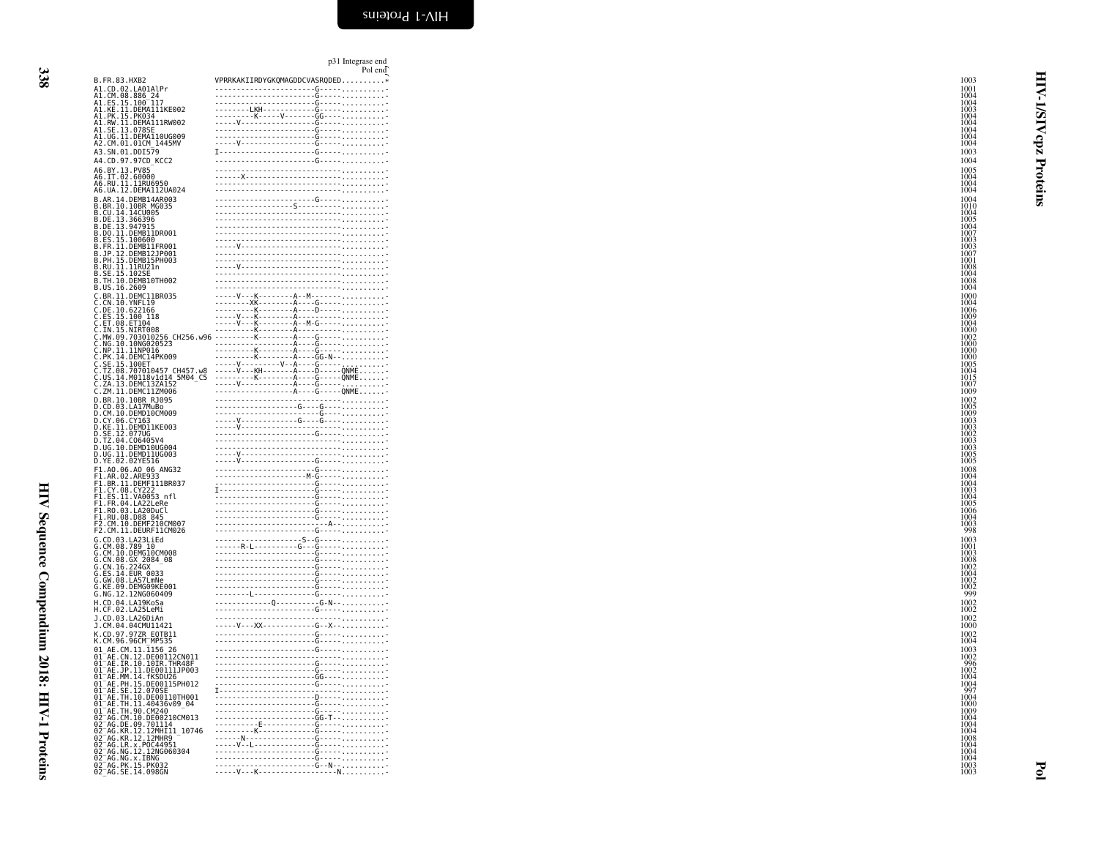| 338                                                                 |  |
|---------------------------------------------------------------------|--|
|                                                                     |  |
|                                                                     |  |
|                                                                     |  |
|                                                                     |  |
|                                                                     |  |
|                                                                     |  |
|                                                                     |  |
|                                                                     |  |
|                                                                     |  |
|                                                                     |  |
|                                                                     |  |
|                                                                     |  |
|                                                                     |  |
| $\frac{1}{2}$                                                       |  |
|                                                                     |  |
| $\sim$                                                              |  |
| ≀                                                                   |  |
|                                                                     |  |
| í                                                                   |  |
| $\ddot{\phantom{0}}$                                                |  |
|                                                                     |  |
| <b>VOID CARRENT RECEIVED A THE HEAT COORDING</b>                    |  |
| j<br>ŗ                                                              |  |
| ֧֧֧֦֧֧֧֧֧֧֧֧֧֧֧֧֦֧֧֚֬֓֓֓֓֓֓֓֓֡֓֓֓֡֬֓֓֓֡֘֬֝֓֓֡֬֓֓֓֓֬֝֓֓֓֓֓֓֬֓֬֓֬֬֬֬֬ |  |

|                   |                                                                                                                          | p31 Integrase end<br>Pol end                                                                                                                                                                                                                                                                                                                                      |
|-------------------|--------------------------------------------------------------------------------------------------------------------------|-------------------------------------------------------------------------------------------------------------------------------------------------------------------------------------------------------------------------------------------------------------------------------------------------------------------------------------------------------------------|
| B. FR. 83. HXB2   |                                                                                                                          | VPRRKAKIIRDYGKQMAGDDCVASRQDED*                                                                                                                                                                                                                                                                                                                                    |
|                   | A1.CD.02.LA01AlPr                                                                                                        |                                                                                                                                                                                                                                                                                                                                                                   |
|                   | A1.CM.08.886_24<br>A1.ES.15.100_117<br>A1.ES.11.DEMA111KE002                                                             |                                                                                                                                                                                                                                                                                                                                                                   |
|                   | A1.PK.15.PK034<br>A1.RW.11.DEMA111RW002                                                                                  |                                                                                                                                                                                                                                                                                                                                                                   |
|                   | .SE.13.078SE                                                                                                             |                                                                                                                                                                                                                                                                                                                                                                   |
|                   | A1.UG.11.DEMA110UG009<br>A2.CM.01.01CM_1445MV                                                                            |                                                                                                                                                                                                                                                                                                                                                                   |
|                   |                                                                                                                          |                                                                                                                                                                                                                                                                                                                                                                   |
|                   | A3.SN.01.DDI579<br>A4.CD.97.97CD KCC2                                                                                    |                                                                                                                                                                                                                                                                                                                                                                   |
|                   |                                                                                                                          |                                                                                                                                                                                                                                                                                                                                                                   |
|                   | A6.BY.13.PV85<br>A6.IT.02.60000<br>A6.RU.11.11RU6950                                                                     |                                                                                                                                                                                                                                                                                                                                                                   |
|                   | A6.UA.12.DEMA112UA024                                                                                                    |                                                                                                                                                                                                                                                                                                                                                                   |
|                   | B.AR.14.DEMB14AR003                                                                                                      |                                                                                                                                                                                                                                                                                                                                                                   |
|                   | B.BR.10.10BR MG035<br>B.CU.14.14CU005<br>B.DE.13.366396                                                                  |                                                                                                                                                                                                                                                                                                                                                                   |
|                   |                                                                                                                          |                                                                                                                                                                                                                                                                                                                                                                   |
| B.DE.13.947915    | B.DO.11.DEMB11DR001                                                                                                      |                                                                                                                                                                                                                                                                                                                                                                   |
|                   |                                                                                                                          |                                                                                                                                                                                                                                                                                                                                                                   |
|                   | B.ES.15.100600<br>B.FR.11.DEMB11FR001<br>B.JP.12.DEMB12JP001                                                             |                                                                                                                                                                                                                                                                                                                                                                   |
|                   | B. PH. 15. DEMB15PH003                                                                                                   |                                                                                                                                                                                                                                                                                                                                                                   |
| SE.15.1029        | B.RU.11.11RU21n                                                                                                          |                                                                                                                                                                                                                                                                                                                                                                   |
|                   |                                                                                                                          |                                                                                                                                                                                                                                                                                                                                                                   |
|                   |                                                                                                                          |                                                                                                                                                                                                                                                                                                                                                                   |
|                   |                                                                                                                          | <b>B.TH: 10. DEWOLUGERS 2014</b><br><b>B. THE LOCAL CONTROLL BROSS</b><br>C.ON. 10. ONE CLIBROSS<br>C.ON. 10. ONE LIB<br>C.DE. 10. ONE LIB<br>C. DE. 10. ONE LIB<br>C. DE. 10. ONE LIB<br>C. THIS 2014<br>C. THIS 2014<br>C. THIS 2014<br>C. THIS 2014<br>C. T                                                                                                    |
|                   |                                                                                                                          |                                                                                                                                                                                                                                                                                                                                                                   |
|                   |                                                                                                                          |                                                                                                                                                                                                                                                                                                                                                                   |
|                   |                                                                                                                          |                                                                                                                                                                                                                                                                                                                                                                   |
|                   |                                                                                                                          |                                                                                                                                                                                                                                                                                                                                                                   |
|                   |                                                                                                                          |                                                                                                                                                                                                                                                                                                                                                                   |
|                   |                                                                                                                          |                                                                                                                                                                                                                                                                                                                                                                   |
|                   |                                                                                                                          |                                                                                                                                                                                                                                                                                                                                                                   |
|                   |                                                                                                                          |                                                                                                                                                                                                                                                                                                                                                                   |
|                   |                                                                                                                          |                                                                                                                                                                                                                                                                                                                                                                   |
|                   |                                                                                                                          |                                                                                                                                                                                                                                                                                                                                                                   |
|                   |                                                                                                                          | $\begin{picture}(100,100)(0,0) \put(0,0){\vector(1,0){100}} \put(10,0){\vector(1,0){100}} \put(10,0){\vector(1,0){100}} \put(10,0){\vector(1,0){100}} \put(10,0){\vector(1,0){100}} \put(10,0){\vector(1,0){100}} \put(10,0){\vector(1,0){100}} \put(10,0){\vector(1,0){100}} \put(10,0){\vector(1,0){100}} \put(10,0){\vector(1,0){100}} \put(10,0){\vector(1,0$ |
|                   | D.KE.11.DEMD11KE003                                                                                                      |                                                                                                                                                                                                                                                                                                                                                                   |
|                   |                                                                                                                          |                                                                                                                                                                                                                                                                                                                                                                   |
|                   | D.SE.12.07706<br>D.TZ.04.C06405V4<br>D.UG.10.DEMD10UG004                                                                 |                                                                                                                                                                                                                                                                                                                                                                   |
|                   | D.UG.II.DEMDIIUG003                                                                                                      |                                                                                                                                                                                                                                                                                                                                                                   |
|                   | D.YE.02.02YE516                                                                                                          |                                                                                                                                                                                                                                                                                                                                                                   |
|                   | F1.A0.06.A0 06 ANG32<br>F1.AR.02.ARE933<br>F1.BR.11.DEMF111BR037                                                         |                                                                                                                                                                                                                                                                                                                                                                   |
|                   |                                                                                                                          |                                                                                                                                                                                                                                                                                                                                                                   |
| F1.CY.08.CY222    | .ES.11.VA0053 nfl                                                                                                        |                                                                                                                                                                                                                                                                                                                                                                   |
|                   | F1.FR.04.LA22LeRe                                                                                                        |                                                                                                                                                                                                                                                                                                                                                                   |
|                   | F1.R0.03.LA20DuCl<br>F1.RU.08.D88 845                                                                                    |                                                                                                                                                                                                                                                                                                                                                                   |
|                   | F2.CM.10.DEMF210CM007                                                                                                    |                                                                                                                                                                                                                                                                                                                                                                   |
|                   | F2.CM.11.DEURF11CM026                                                                                                    |                                                                                                                                                                                                                                                                                                                                                                   |
|                   | G.CD.03.LA23LiEd                                                                                                         |                                                                                                                                                                                                                                                                                                                                                                   |
| G.CM.08.789 10    |                                                                                                                          |                                                                                                                                                                                                                                                                                                                                                                   |
|                   | G.CM.10.0EMG10CM008<br>G.CN.08.GX_2084_08                                                                                |                                                                                                                                                                                                                                                                                                                                                                   |
|                   | G.CN.16.2246X<br>G.ES.14.EUR 0033<br>G.GW.08.LA57LmNe                                                                    |                                                                                                                                                                                                                                                                                                                                                                   |
|                   |                                                                                                                          |                                                                                                                                                                                                                                                                                                                                                                   |
|                   | G.KE.09.DEMG09KE001<br>G.NG.12.12NG060409                                                                                |                                                                                                                                                                                                                                                                                                                                                                   |
|                   | H.CD.04.LA19KoSa                                                                                                         |                                                                                                                                                                                                                                                                                                                                                                   |
|                   | H.CF.02.LA25LeMi                                                                                                         |                                                                                                                                                                                                                                                                                                                                                                   |
|                   | J.CD.03.LA26DiAn<br>J.CM.04.04CMU11421                                                                                   |                                                                                                                                                                                                                                                                                                                                                                   |
|                   | K.CD.97.97ZR EQTB11                                                                                                      |                                                                                                                                                                                                                                                                                                                                                                   |
|                   | K.CM.96.96CM MP535                                                                                                       |                                                                                                                                                                                                                                                                                                                                                                   |
|                   | 01 AE.CM.11.1156 26                                                                                                      |                                                                                                                                                                                                                                                                                                                                                                   |
|                   | 01 AE.CN.12.DE00112CN011<br>01 AE.IR.10.10IR.THR48F<br>01 AE.JP.11.DE00111JP003                                          |                                                                                                                                                                                                                                                                                                                                                                   |
|                   |                                                                                                                          |                                                                                                                                                                                                                                                                                                                                                                   |
|                   | 01 AE.MM.14. FKSDU26<br>01 AE.MM.14. FKSDU26<br>01 AE.PH.15. DE00115PH012                                                |                                                                                                                                                                                                                                                                                                                                                                   |
| $01^-$ AE.<br>.SE | .12.070SE                                                                                                                |                                                                                                                                                                                                                                                                                                                                                                   |
|                   | 01 AE TH 10 06001107H001<br>01 AE TH 11 40436v09 04<br>01 AE TH 90 CM2401000004                                          |                                                                                                                                                                                                                                                                                                                                                                   |
|                   |                                                                                                                          |                                                                                                                                                                                                                                                                                                                                                                   |
|                   | 02 AG.CM.10.DE00210CM013<br>02 AG.DE.09.701114                                                                           |                                                                                                                                                                                                                                                                                                                                                                   |
|                   |                                                                                                                          |                                                                                                                                                                                                                                                                                                                                                                   |
|                   | 02 AG.KR.12.12MHI11 10746<br>02 AG.KR.12.12MHR9 -<br>02 AG.KR.12.12MHR9<br>02 AG.LR.x.POC44951<br>02 AG.NG.12.12NG060304 |                                                                                                                                                                                                                                                                                                                                                                   |
|                   |                                                                                                                          |                                                                                                                                                                                                                                                                                                                                                                   |
|                   | 02 AG. NG. x. IBNG<br>02 AG. PK. 15. PK032                                                                               | ------------------------G----- <sub>-----</sub> -------                                                                                                                                                                                                                                                                                                           |
|                   | 02 AG. SE. 14.098GN                                                                                                      |                                                                                                                                                                                                                                                                                                                                                                   |

<u>1003</u> — Синтепсисов и области по последници по последници по последници по последници по последници по последниц

<span id="page-31-0"></span>HIV-1/SIVcpz Proteins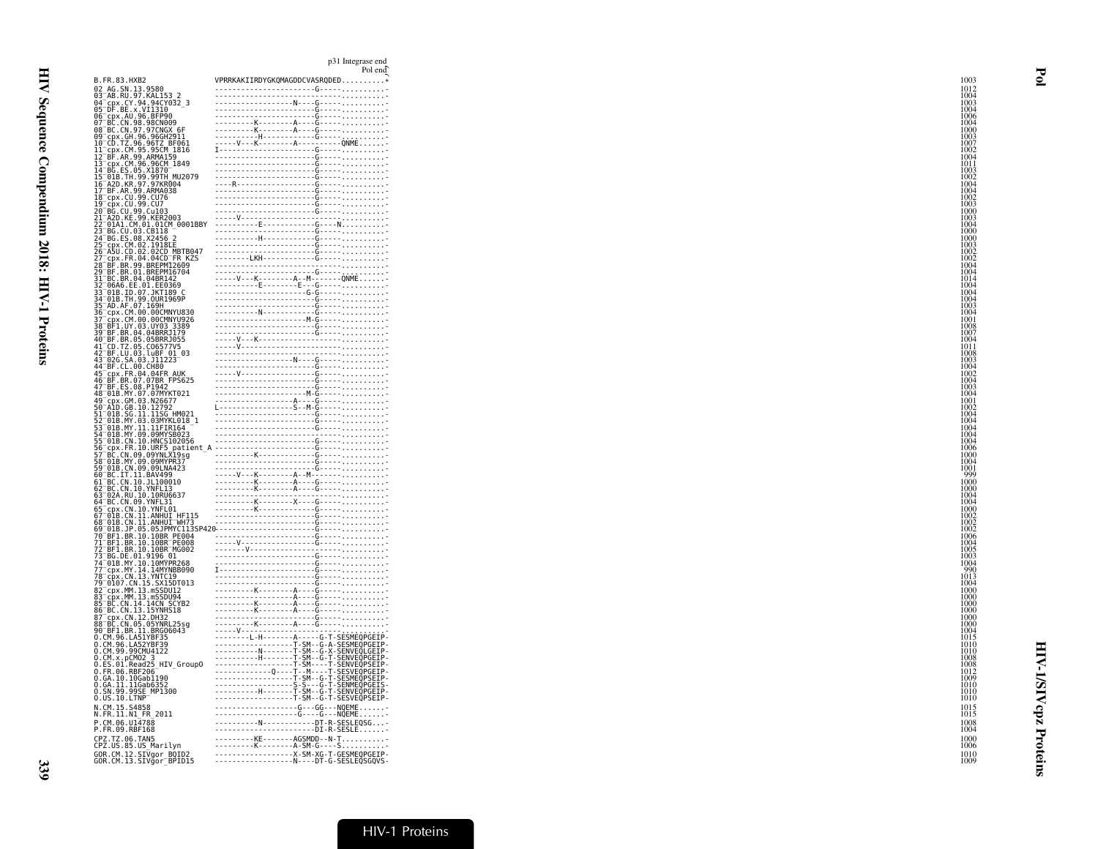|                                                                                         | p31 Integrase end<br>Pol end<br>8, $B_1, B_2, B_3, B_4, B_5$<br>$B_2, B_4, B_5, B_6, B_7, B_8, B_8, B_9, B_1, B_1, B_2, B_3, B_4, B_5, B_6, B_7, B_8, B_8, B_1, B_2, B_3, B_4, B_5, B_6, B_7, B_8, B_8, B_9, B_1, B_2, B_3, B_4, B_5, B_6, B_7, B_8, B_8, B_9, B_1, B_2, B_3, B_4, B_5, B_6, B_7, B_8, B_8, B_9, B_$ |
|-----------------------------------------------------------------------------------------|----------------------------------------------------------------------------------------------------------------------------------------------------------------------------------------------------------------------------------------------------------------------------------------------------------------------|
| B.FR.83.HXB2                                                                            | VPRRKAKIIRDYGKQMAGDDCVASRQDED*                                                                                                                                                                                                                                                                                       |
| 02 AG.SN.13.9580<br>03 AB.RU.97.KAL153 2<br>04 cpx.CY.94.94CY032_3<br>05 DF.BE.x.VI1310 |                                                                                                                                                                                                                                                                                                                      |
|                                                                                         |                                                                                                                                                                                                                                                                                                                      |
|                                                                                         |                                                                                                                                                                                                                                                                                                                      |
|                                                                                         |                                                                                                                                                                                                                                                                                                                      |
|                                                                                         |                                                                                                                                                                                                                                                                                                                      |
|                                                                                         |                                                                                                                                                                                                                                                                                                                      |
|                                                                                         |                                                                                                                                                                                                                                                                                                                      |
|                                                                                         |                                                                                                                                                                                                                                                                                                                      |
|                                                                                         |                                                                                                                                                                                                                                                                                                                      |
|                                                                                         |                                                                                                                                                                                                                                                                                                                      |
|                                                                                         |                                                                                                                                                                                                                                                                                                                      |
|                                                                                         |                                                                                                                                                                                                                                                                                                                      |
|                                                                                         |                                                                                                                                                                                                                                                                                                                      |
|                                                                                         |                                                                                                                                                                                                                                                                                                                      |
|                                                                                         |                                                                                                                                                                                                                                                                                                                      |
|                                                                                         |                                                                                                                                                                                                                                                                                                                      |
|                                                                                         |                                                                                                                                                                                                                                                                                                                      |
|                                                                                         |                                                                                                                                                                                                                                                                                                                      |
|                                                                                         |                                                                                                                                                                                                                                                                                                                      |
|                                                                                         |                                                                                                                                                                                                                                                                                                                      |
|                                                                                         |                                                                                                                                                                                                                                                                                                                      |
|                                                                                         |                                                                                                                                                                                                                                                                                                                      |
|                                                                                         |                                                                                                                                                                                                                                                                                                                      |
|                                                                                         |                                                                                                                                                                                                                                                                                                                      |
|                                                                                         |                                                                                                                                                                                                                                                                                                                      |
|                                                                                         |                                                                                                                                                                                                                                                                                                                      |
|                                                                                         |                                                                                                                                                                                                                                                                                                                      |
|                                                                                         |                                                                                                                                                                                                                                                                                                                      |
|                                                                                         |                                                                                                                                                                                                                                                                                                                      |
|                                                                                         |                                                                                                                                                                                                                                                                                                                      |
|                                                                                         |                                                                                                                                                                                                                                                                                                                      |
|                                                                                         |                                                                                                                                                                                                                                                                                                                      |
|                                                                                         |                                                                                                                                                                                                                                                                                                                      |
|                                                                                         |                                                                                                                                                                                                                                                                                                                      |
|                                                                                         |                                                                                                                                                                                                                                                                                                                      |
|                                                                                         |                                                                                                                                                                                                                                                                                                                      |
|                                                                                         |                                                                                                                                                                                                                                                                                                                      |
|                                                                                         |                                                                                                                                                                                                                                                                                                                      |
|                                                                                         |                                                                                                                                                                                                                                                                                                                      |
|                                                                                         |                                                                                                                                                                                                                                                                                                                      |
|                                                                                         |                                                                                                                                                                                                                                                                                                                      |
|                                                                                         |                                                                                                                                                                                                                                                                                                                      |
|                                                                                         |                                                                                                                                                                                                                                                                                                                      |
|                                                                                         |                                                                                                                                                                                                                                                                                                                      |
|                                                                                         |                                                                                                                                                                                                                                                                                                                      |
|                                                                                         |                                                                                                                                                                                                                                                                                                                      |
|                                                                                         |                                                                                                                                                                                                                                                                                                                      |
|                                                                                         |                                                                                                                                                                                                                                                                                                                      |
|                                                                                         |                                                                                                                                                                                                                                                                                                                      |
|                                                                                         |                                                                                                                                                                                                                                                                                                                      |
|                                                                                         |                                                                                                                                                                                                                                                                                                                      |
|                                                                                         |                                                                                                                                                                                                                                                                                                                      |
| N.CM.15.S4858                                                                           | -------------------G---GG---NQEME                                                                                                                                                                                                                                                                                    |
| N.FR.11.N1 FR 2011                                                                      |                                                                                                                                                                                                                                                                                                                      |
| P.CM.06.U14788<br>P.FR.09.RBF168                                                        | ---------KE-------AGSMDD--N-T                                                                                                                                                                                                                                                                                        |
|                                                                                         |                                                                                                                                                                                                                                                                                                                      |
| CPZ.TZ.06.TAN5                                                                          |                                                                                                                                                                                                                                                                                                                      |
| CPZ.US.85.US_Marilyn<br>GOR.CM.12.SIVgor_BOID2<br>GOR.CM.13.SIVgor_BPID15               | ---------K--------A-SM-G----S                                                                                                                                                                                                                                                                                        |

HIV-1/SIVcpz Proteins

**HIV-1/SIVcpz Proteins** 

Pol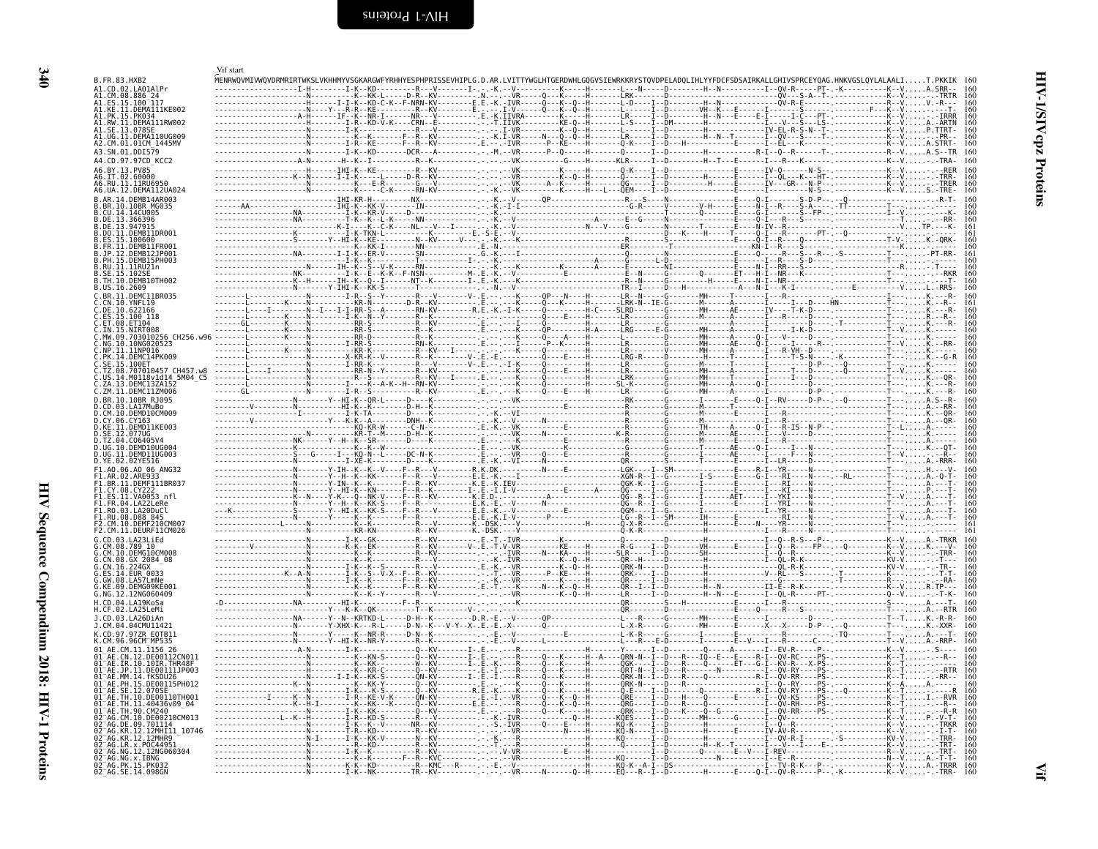<span id="page-33-1"></span><span id="page-33-0"></span>

| B.FR.83.HXB2<br>A1.CD.02.LA01AlPr<br>A1.CM.08.886 24                                                      |  |                                    |       |  | MENRWOVMIVWOVDRMRIRTWKSLVKHHMYVSGKARGWFYRHHYESPHPRISSEVHIPLG.D.AR.LVITTYWGLHTGERDWHLGQGVSIEWRKKRYSTQVDPELADQLIHLYYFDCFSDSAIRKALLGHIVSPRCEYQAG.HNKVGSLQYLALAALIT.PKKIK 160 |  |
|-----------------------------------------------------------------------------------------------------------|--|------------------------------------|-------|--|---------------------------------------------------------------------------------------------------------------------------------------------------------------------------|--|
| A1.ES.15.100 <sup>-117</sup><br>A1.KE.11.DEMA111KE002<br>A1.PK.15.PK034                                   |  |                                    |       |  |                                                                                                                                                                           |  |
| A1.RW.11.DEMA111RW002<br>A1.SE.13.078SE<br>A1.UG.11.DEMA110UG009                                          |  |                                    |       |  |                                                                                                                                                                           |  |
| A2.CM.01.01CM 1445MV<br>A3.SN.01.DDI579                                                                   |  |                                    |       |  |                                                                                                                                                                           |  |
| A4.CD.97.97CD KCC2<br>A6.BY.13.PV85<br>A6.IT.02.60000                                                     |  |                                    |       |  |                                                                                                                                                                           |  |
| A6.RU.11.11RU6950<br>A6.UA.12.DEMA112UA024<br>B.AR.14.DEMB14AR003                                         |  |                                    |       |  |                                                                                                                                                                           |  |
| B.BR.10.10BR MG035<br>B.CU.14.14CU005                                                                     |  |                                    |       |  |                                                                                                                                                                           |  |
| B.DE.13.366396<br>R.DF. 13.947915<br>B.DO.11.DEMB11DR001                                                  |  |                                    |       |  |                                                                                                                                                                           |  |
| B.ES.15.100600<br>B. FR. 11. DEMB11FR001<br>B.JP.12.DEMB12JP001                                           |  |                                    |       |  |                                                                                                                                                                           |  |
| B.PH.15.DEMB15PH003<br>B.RU.11.11RU21n<br>B.SE.15.102SE<br>B.TH.10.DEMB10TH002                            |  |                                    |       |  |                                                                                                                                                                           |  |
| B.US.16.2609<br>C.BR.11.DEMC11BR035                                                                       |  |                                    |       |  |                                                                                                                                                                           |  |
| C.CN.10.YNFL19<br>C.DE.10.622166<br>C.ES.15.100 118                                                       |  |                                    |       |  |                                                                                                                                                                           |  |
| C.ET.08.ET104<br>C.IN.15.NIRT008<br>C.MW.09.703010256_CH256.w96                                           |  |                                    |       |  |                                                                                                                                                                           |  |
| C.NG.10.10NG020523<br>C.NP.11.11NP016                                                                     |  |                                    |       |  |                                                                                                                                                                           |  |
| C.PK.14.DEMC14PK009<br>C.SE.15.100ET<br>C.TZ.08.707010457 CH457.w8                                        |  |                                    |       |  |                                                                                                                                                                           |  |
| C.US.14.M0118v1d14 5M04 C5<br>C.ZA.13.DEMC13ZA152<br>C.ZM.11.DEMC11ZM006                                  |  |                                    |       |  |                                                                                                                                                                           |  |
| D.BR.10.10BR RJ095<br>D.CD.03.LA17MuBo<br>D.CM.10.DEMD10CM009                                             |  |                                    |       |  |                                                                                                                                                                           |  |
| D.CY.06.CY163<br>D.KE.11.DEMD11KE003<br>D.SE.12.077UG                                                     |  |                                    |       |  |                                                                                                                                                                           |  |
| D.TZ.04.C06405V4<br>D.UG.10.DEMD10UG004<br>D.UG.11.DEMD11UG003                                            |  |                                    |       |  |                                                                                                                                                                           |  |
| D.YE.02.02YE516<br>F1.A0.06.A0 06 ANG32                                                                   |  |                                    |       |  |                                                                                                                                                                           |  |
| F1.AR.02.ARE933<br>F1.BR.11.DEMF111BR037<br>F1.CY.08.CY222<br>F1.ES.11.VA0053_nfl                         |  |                                    |       |  |                                                                                                                                                                           |  |
| F1.FR.04.LA22LeRe<br>F1.R0.03.LA20DuCl                                                                    |  |                                    |       |  |                                                                                                                                                                           |  |
| F1.RU.08.D88 845<br>F2.CM.10.DEMF210CM007<br>F2.CM.11.DEURF11CM026                                        |  |                                    |       |  |                                                                                                                                                                           |  |
| G.CD.03.LA23LiEd<br>G.CM.08.789 10                                                                        |  |                                    |       |  |                                                                                                                                                                           |  |
| G.CM.10.DEMG10CM008<br>G.CN.08.GX 2084 08<br>G.CN.16.224GX                                                |  |                                    |       |  |                                                                                                                                                                           |  |
| G.ES.14.EUR_0033<br>G.GW.08.LA57LmNe<br>G.KE.09.DEMG09KE001                                               |  |                                    |       |  |                                                                                                                                                                           |  |
| G.NG.12.12NG060409<br>H.CD.04.LA19KoSa<br>H.CF.02.LA25LeMi                                                |  |                                    |       |  |                                                                                                                                                                           |  |
| J.CD.03.LA26DiAn<br>J.CM.04.04CMU11421                                                                    |  |                                    |       |  |                                                                                                                                                                           |  |
| K.CD.97.97ZR EQTB11<br>K.CM.96.96CM MP535<br>A1 AF CM 11 1156 26                                          |  | . T - K - 0 - - KV - - . T - . F . | . R . |  | ----------------H-------Y------I--D--------Q-----A-------I--EV-R-----P-- .------------K--V-.S-----                                                                        |  |
| 01 AE.CN.12.DE00112CN011<br>01 AE.IR.10.10IR.THR48F<br>01 AE.JP.11.DE00111JP003                           |  |                                    |       |  |                                                                                                                                                                           |  |
| 01-AE.MM.14. FRSDU26<br>01-AE.PH.15. DE00115PH012<br>$01^-$ AE.SE.12.070SE                                |  |                                    |       |  |                                                                                                                                                                           |  |
| 01 AE.TH.10.DE00110TH001<br>01 AE.TH.11.40436v09_04                                                       |  |                                    |       |  |                                                                                                                                                                           |  |
| 01 AE.TH.90.CM240<br>02 AG.CM.10.DE00210CM013<br>02 AG. DE. 09.701114                                     |  |                                    |       |  |                                                                                                                                                                           |  |
| 02 AG.KR.12.12MHI11 10746<br>02 AG.KR.12.12MHR9<br>02 AG.LR.x.P0C44951                                    |  |                                    |       |  |                                                                                                                                                                           |  |
| 02 AG. NG. 12. 12NG060304<br>02 AG.NG.x.12NG<br>02 AG.NG.x.1BNG<br>02 AG.PK.15.PK032<br>02 AG.SE.14.098GN |  |                                    |       |  |                                                                                                                                                                           |  |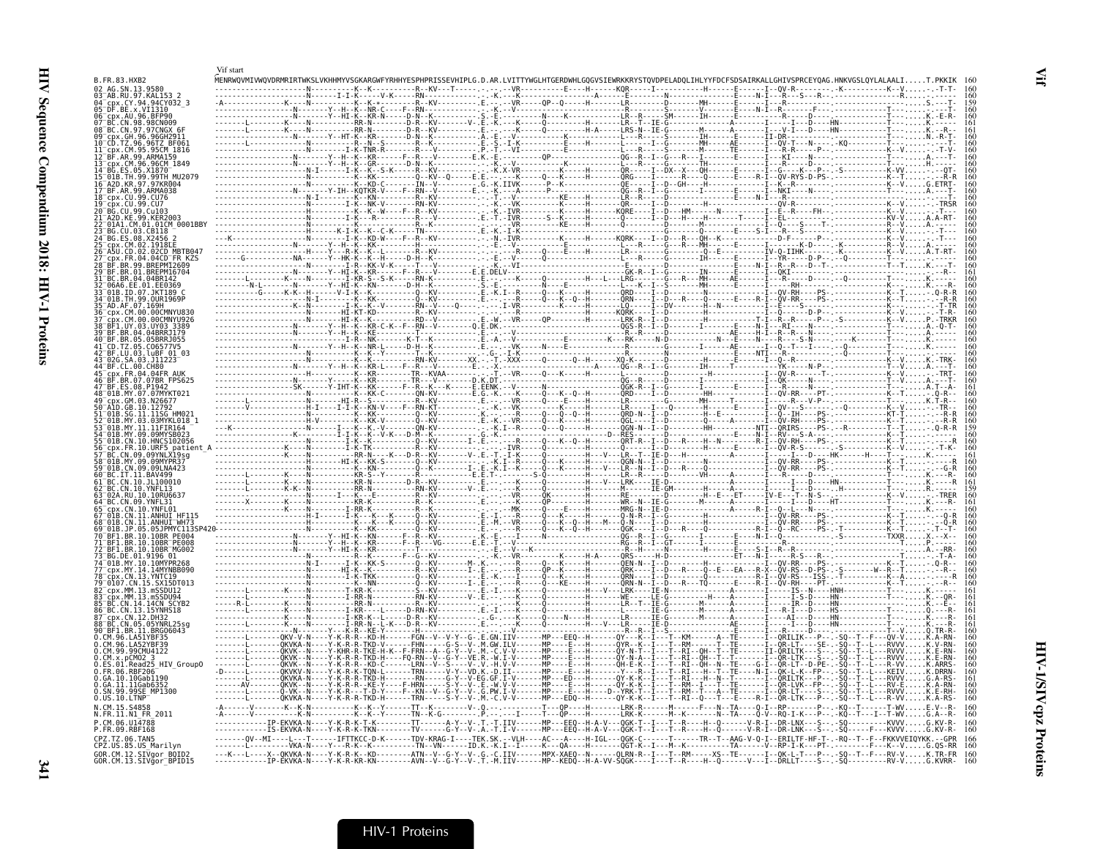|                                                | Vif start                                         |                                                  |                                                                                                                                       |                                     |                                                |                                                                                                                                                               |                                                                                                                                                                                                                                                                                                                                                 |
|------------------------------------------------|---------------------------------------------------|--------------------------------------------------|---------------------------------------------------------------------------------------------------------------------------------------|-------------------------------------|------------------------------------------------|---------------------------------------------------------------------------------------------------------------------------------------------------------------|-------------------------------------------------------------------------------------------------------------------------------------------------------------------------------------------------------------------------------------------------------------------------------------------------------------------------------------------------|
| B.FR.83.HXB2                                   |                                                   |                                                  |                                                                                                                                       |                                     |                                                |                                                                                                                                                               |                                                                                                                                                                                                                                                                                                                                                 |
|                                                |                                                   |                                                  |                                                                                                                                       |                                     |                                                |                                                                                                                                                               |                                                                                                                                                                                                                                                                                                                                                 |
| VT1310                                         |                                                   |                                                  |                                                                                                                                       |                                     |                                                |                                                                                                                                                               |                                                                                                                                                                                                                                                                                                                                                 |
|                                                |                                                   |                                                  |                                                                                                                                       |                                     |                                                |                                                                                                                                                               |                                                                                                                                                                                                                                                                                                                                                 |
|                                                |                                                   |                                                  |                                                                                                                                       |                                     |                                                |                                                                                                                                                               |                                                                                                                                                                                                                                                                                                                                                 |
|                                                |                                                   |                                                  |                                                                                                                                       |                                     |                                                |                                                                                                                                                               |                                                                                                                                                                                                                                                                                                                                                 |
|                                                |                                                   |                                                  |                                                                                                                                       |                                     |                                                |                                                                                                                                                               |                                                                                                                                                                                                                                                                                                                                                 |
|                                                |                                                   |                                                  |                                                                                                                                       |                                     |                                                |                                                                                                                                                               |                                                                                                                                                                                                                                                                                                                                                 |
|                                                |                                                   |                                                  |                                                                                                                                       |                                     |                                                |                                                                                                                                                               |                                                                                                                                                                                                                                                                                                                                                 |
|                                                |                                                   |                                                  |                                                                                                                                       |                                     |                                                |                                                                                                                                                               |                                                                                                                                                                                                                                                                                                                                                 |
|                                                |                                                   |                                                  |                                                                                                                                       |                                     |                                                |                                                                                                                                                               |                                                                                                                                                                                                                                                                                                                                                 |
|                                                |                                                   |                                                  |                                                                                                                                       |                                     |                                                |                                                                                                                                                               |                                                                                                                                                                                                                                                                                                                                                 |
|                                                |                                                   |                                                  |                                                                                                                                       |                                     |                                                |                                                                                                                                                               |                                                                                                                                                                                                                                                                                                                                                 |
|                                                |                                                   |                                                  |                                                                                                                                       |                                     |                                                |                                                                                                                                                               |                                                                                                                                                                                                                                                                                                                                                 |
|                                                |                                                   |                                                  |                                                                                                                                       |                                     |                                                |                                                                                                                                                               |                                                                                                                                                                                                                                                                                                                                                 |
|                                                |                                                   |                                                  |                                                                                                                                       |                                     |                                                |                                                                                                                                                               |                                                                                                                                                                                                                                                                                                                                                 |
|                                                |                                                   |                                                  |                                                                                                                                       |                                     |                                                |                                                                                                                                                               |                                                                                                                                                                                                                                                                                                                                                 |
|                                                |                                                   |                                                  |                                                                                                                                       |                                     |                                                |                                                                                                                                                               |                                                                                                                                                                                                                                                                                                                                                 |
|                                                |                                                   |                                                  |                                                                                                                                       |                                     |                                                |                                                                                                                                                               |                                                                                                                                                                                                                                                                                                                                                 |
|                                                |                                                   |                                                  |                                                                                                                                       |                                     |                                                |                                                                                                                                                               |                                                                                                                                                                                                                                                                                                                                                 |
|                                                |                                                   |                                                  |                                                                                                                                       |                                     |                                                |                                                                                                                                                               |                                                                                                                                                                                                                                                                                                                                                 |
|                                                |                                                   |                                                  |                                                                                                                                       |                                     |                                                |                                                                                                                                                               |                                                                                                                                                                                                                                                                                                                                                 |
|                                                |                                                   |                                                  |                                                                                                                                       |                                     |                                                |                                                                                                                                                               |                                                                                                                                                                                                                                                                                                                                                 |
| SA 03 111723                                   |                                                   |                                                  |                                                                                                                                       |                                     |                                                |                                                                                                                                                               |                                                                                                                                                                                                                                                                                                                                                 |
| .04.04FR AIIK<br>07.07BR FPS625                |                                                   |                                                  |                                                                                                                                       |                                     |                                                |                                                                                                                                                               |                                                                                                                                                                                                                                                                                                                                                 |
|                                                |                                                   |                                                  |                                                                                                                                       |                                     |                                                |                                                                                                                                                               |                                                                                                                                                                                                                                                                                                                                                 |
|                                                |                                                   |                                                  |                                                                                                                                       |                                     |                                                |                                                                                                                                                               |                                                                                                                                                                                                                                                                                                                                                 |
| GB. 10.12792                                   |                                                   |                                                  |                                                                                                                                       |                                     |                                                |                                                                                                                                                               |                                                                                                                                                                                                                                                                                                                                                 |
| 03MYKL018 1                                    |                                                   |                                                  |                                                                                                                                       |                                     |                                                |                                                                                                                                                               |                                                                                                                                                                                                                                                                                                                                                 |
|                                                |                                                   |                                                  |                                                                                                                                       |                                     |                                                |                                                                                                                                                               |                                                                                                                                                                                                                                                                                                                                                 |
|                                                |                                                   |                                                  |                                                                                                                                       |                                     |                                                |                                                                                                                                                               |                                                                                                                                                                                                                                                                                                                                                 |
|                                                |                                                   |                                                  |                                                                                                                                       |                                     |                                                |                                                                                                                                                               |                                                                                                                                                                                                                                                                                                                                                 |
|                                                |                                                   |                                                  |                                                                                                                                       |                                     |                                                |                                                                                                                                                               |                                                                                                                                                                                                                                                                                                                                                 |
| 10.11100010                                    |                                                   |                                                  |                                                                                                                                       |                                     |                                                |                                                                                                                                                               |                                                                                                                                                                                                                                                                                                                                                 |
|                                                |                                                   |                                                  |                                                                                                                                       |                                     |                                                |                                                                                                                                                               |                                                                                                                                                                                                                                                                                                                                                 |
|                                                |                                                   |                                                  |                                                                                                                                       |                                     |                                                |                                                                                                                                                               |                                                                                                                                                                                                                                                                                                                                                 |
|                                                |                                                   |                                                  |                                                                                                                                       |                                     |                                                |                                                                                                                                                               |                                                                                                                                                                                                                                                                                                                                                 |
|                                                |                                                   |                                                  |                                                                                                                                       |                                     |                                                |                                                                                                                                                               |                                                                                                                                                                                                                                                                                                                                                 |
|                                                |                                                   |                                                  |                                                                                                                                       |                                     |                                                |                                                                                                                                                               |                                                                                                                                                                                                                                                                                                                                                 |
| 10.10MYPR268                                   |                                                   |                                                  |                                                                                                                                       |                                     |                                                |                                                                                                                                                               | $\begin{array}{ll} \text{2.1.01} & \text{2.1.02} & \text{2.1.03} & \text{2.1.04} \\ \text{2.1.05} & \text{2.1.05} & \text{2.1.05} & \text{2.1.05} \\ \text{2.1.07} & \text{2.1.07} & \text{2.1.07} & \text{2.1.07} \\ \text{2.1.08} & \text{2.1.07} & \text{2.1.07} & \text{2.1.07} \\ \text{2.1.09} & \text{2.1.07} & \text{2.1.07} & \text{2$ |
| 14.14MYNRR090                                  |                                                   |                                                  |                                                                                                                                       |                                     |                                                |                                                                                                                                                               |                                                                                                                                                                                                                                                                                                                                                 |
|                                                | - - - - - - - I - K - TKK -                       |                                                  |                                                                                                                                       |                                     |                                                |                                                                                                                                                               |                                                                                                                                                                                                                                                                                                                                                 |
|                                                | LNI-RR                                            |                                                  |                                                                                                                                       |                                     |                                                |                                                                                                                                                               |                                                                                                                                                                                                                                                                                                                                                 |
|                                                |                                                   |                                                  | -D-RN-KV---------                                                                                                                     |                                     |                                                |                                                                                                                                                               | .<br>-HS------------T---Q.--                                                                                                                                                                                                                                                                                                                    |
|                                                |                                                   |                                                  |                                                                                                                                       |                                     |                                                |                                                                                                                                                               |                                                                                                                                                                                                                                                                                                                                                 |
| 05 05YNRI 25s<br>BRG06043                      |                                                   |                                                  |                                                                                                                                       |                                     | . <b>I</b> - - S - - - - - - - - - - - - - - - | - I - - - D - - - - HN - - - - - - - - -<br>. D <sub>.</sub>                                                                                                  |                                                                                                                                                                                                                                                                                                                                                 |
|                                                |                                                   | - Y - K - R - R - - KD - H - - - - - - FGN - - V |                                                                                                                                       |                                     |                                                |                                                                                                                                                               |                                                                                                                                                                                                                                                                                                                                                 |
|                                                | KVK - - N - - - - Y - K - R - R - TKD - H - - - - |                                                  |                                                                                                                                       |                                     |                                                |                                                                                                                                                               |                                                                                                                                                                                                                                                                                                                                                 |
| 5 HIV GroupO                                   |                                                   | $-KD-C$<br>- TON - L - - - - - - TRN -           |                                                                                                                                       |                                     |                                                |                                                                                                                                                               | K.DRRN                                                                                                                                                                                                                                                                                                                                          |
| 10Gab1196                                      |                                                   |                                                  |                                                                                                                                       |                                     |                                                |                                                                                                                                                               |                                                                                                                                                                                                                                                                                                                                                 |
| .11Gab635<br>99SE MP1300                       |                                                   | - R - - KE - Y - - -<br>F-HRN-                   |                                                                                                                                       |                                     |                                                |                                                                                                                                                               |                                                                                                                                                                                                                                                                                                                                                 |
|                                                | 0KVKA-N----Y-K-R-R-TKD-H                          |                                                  | -TRN-----S-Y--V-.M.-C.V-V-------MP---EDQ-                                                                                             |                                     | -QY-K-K--I---T--RI--Q---T--                    |                                                                                                                                                               |                                                                                                                                                                                                                                                                                                                                                 |
| N.FR.11.N1 FR 2011                             |                                                   |                                                  |                                                                                                                                       |                                     |                                                |                                                                                                                                                               |                                                                                                                                                                                                                                                                                                                                                 |
| CM 06 U14788<br>.FR.09.RBF168                  | TP-FKVKA-N                                        |                                                  | ----TT------A-Y--V-.T.-T.IIV------MP--<br>- TV - - - - - - G - Y - - V - . A . - T . I - V - - - - - - MP - - - EEQ - - H - A - V - - |                                     |                                                |                                                                                                                                                               |                                                                                                                                                                                                                                                                                                                                                 |
| Z.TZ.06.TAN5                                   |                                                   |                                                  | $-TDV-KRAG-I--$                                                                                                                       |                                     |                                                |                                                                                                                                                               | F--FKKVVEIOYKK.--GPR                                                                                                                                                                                                                                                                                                                            |
| CPZ.US.85.US Marilvn<br>GOR.CM.12.SIVgor BQID2 | · VKA - N - - - - Y - - - R - K -                 |                                                  | --TN--VN------ID.K.-K.I--I---                                                                                                         | -К---0А----Н-------0GT-К--І---М--К- |                                                | ----X--QKVKA-N----Y-K-R-K--KD--------ATN--V--G-Y--V-.G.-C.IIV------MPX-XAEQ--N------QLRN-R--I---T--RM-----XS--TE------I--QK-L-T---P--.-SQ--T--F---RV-VK.TR-FR | - - K - - V G . 0S - RR                                                                                                                                                                                                                                                                                                                         |
| GOR.CM.13.SIVğor <sup>-</sup> BPID15           | . - - - Y - K - R - KR - KN -                     | - - - - - - - AVN - - V                          |                                                                                                                                       | -----MP--KEDO--H-A-VV-SOGK---       |                                                |                                                                                                                                                               | - RV - V                                                                                                                                                                                                                                                                                                                                        |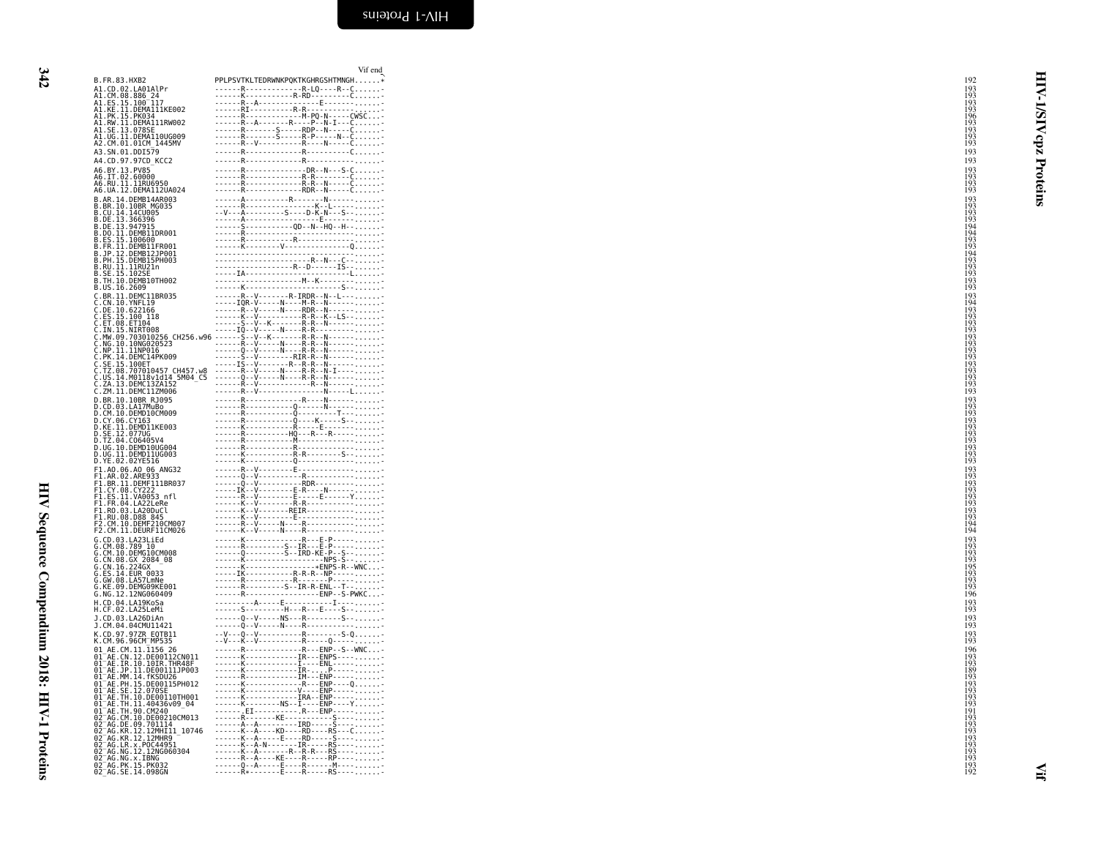$342$ 342 HIV Sequence Compendium 2018: HIV-1 Proteins

HIV Sequence Compendium 2018: HIV-1 Proteins

| B.FR.83.HXB2                                                                                                                                                                                                                                                                | PPLPSV                                                                                                                                                                                                                                                                                            |
|-----------------------------------------------------------------------------------------------------------------------------------------------------------------------------------------------------------------------------------------------------------------------------|---------------------------------------------------------------------------------------------------------------------------------------------------------------------------------------------------------------------------------------------------------------------------------------------------|
|                                                                                                                                                                                                                                                                             |                                                                                                                                                                                                                                                                                                   |
| B. r. 8.3. r. 82<br>A1. Cb. 02. LA01Al Pr<br>A1. Cb. 8. 8. 86. 24<br>A1. ES. 15. 1907<br>A1. KE. 11. DEMA111KE002<br>A1. RV. 11. DEMA111RW002<br>A1. RV. 11. DEMA110UG009<br>A1. SE. 13. 978SE<br>A2. CM. 01. DEMA110UG009<br>A2. CM. 01. DEMA110UG009<br>A2                | $-1$ = $-1$ = $-1$ = $-1$ = $-1$ = $-1$ = $-1$ = $-1$ = $-1$ = $-1$ = $-1$ = $-1$ = $-1$ = $-1$ = $-1$ = $-1$ = $-1$ = $-1$ = $-1$ = $-1$ = $-1$ = $-1$ = $-1$ = $-1$ = $-1$ = $-1$ = $-1$ = $-1$ = $-1$ = $-1$ = $-1$ = $-1$<br>$\frac{1}{2}$<br>$\frac{1}{2}$<br>$\frac{1}{2}$<br>$\frac{1}{2}$ |
|                                                                                                                                                                                                                                                                             |                                                                                                                                                                                                                                                                                                   |
|                                                                                                                                                                                                                                                                             |                                                                                                                                                                                                                                                                                                   |
|                                                                                                                                                                                                                                                                             | $\overline{a}$                                                                                                                                                                                                                                                                                    |
|                                                                                                                                                                                                                                                                             |                                                                                                                                                                                                                                                                                                   |
|                                                                                                                                                                                                                                                                             | .                                                                                                                                                                                                                                                                                                 |
|                                                                                                                                                                                                                                                                             |                                                                                                                                                                                                                                                                                                   |
|                                                                                                                                                                                                                                                                             | .<br>÷,                                                                                                                                                                                                                                                                                           |
|                                                                                                                                                                                                                                                                             | $\overline{\phantom{a}}$<br>i,<br>$- - -$                                                                                                                                                                                                                                                         |
| A4.BY.13.PV85<br>A6.BY.13.PV85<br>A6.IT.02.60000<br>A6.UA.12.DEMA112UA024<br>A6.UA.12.DEMA112UA024                                                                                                                                                                          | $\overline{\phantom{a}}$                                                                                                                                                                                                                                                                          |
|                                                                                                                                                                                                                                                                             |                                                                                                                                                                                                                                                                                                   |
|                                                                                                                                                                                                                                                                             |                                                                                                                                                                                                                                                                                                   |
| A6. UA. 12. DÉMAI12014<br>B. AR. 14. DEMB14AR093<br>B. BR. 10. 100: NORD 14R0935<br>B. CU. 14. 14. UA. 140095<br>B. DE. 13. 366396<br>B. DE. 13. 366396<br>B. DE. 13. 366396<br>B. DC. 11. DEMB11PR001<br>B. FR. 11. DEMB11PR001<br>B. PP. 12. D                            | ---------------                                                                                                                                                                                                                                                                                   |
|                                                                                                                                                                                                                                                                             |                                                                                                                                                                                                                                                                                                   |
|                                                                                                                                                                                                                                                                             |                                                                                                                                                                                                                                                                                                   |
|                                                                                                                                                                                                                                                                             |                                                                                                                                                                                                                                                                                                   |
|                                                                                                                                                                                                                                                                             |                                                                                                                                                                                                                                                                                                   |
|                                                                                                                                                                                                                                                                             |                                                                                                                                                                                                                                                                                                   |
|                                                                                                                                                                                                                                                                             |                                                                                                                                                                                                                                                                                                   |
|                                                                                                                                                                                                                                                                             |                                                                                                                                                                                                                                                                                                   |
|                                                                                                                                                                                                                                                                             |                                                                                                                                                                                                                                                                                                   |
|                                                                                                                                                                                                                                                                             |                                                                                                                                                                                                                                                                                                   |
|                                                                                                                                                                                                                                                                             | $\frac{1}{2}$                                                                                                                                                                                                                                                                                     |
|                                                                                                                                                                                                                                                                             |                                                                                                                                                                                                                                                                                                   |
|                                                                                                                                                                                                                                                                             | -<br>i,                                                                                                                                                                                                                                                                                           |
|                                                                                                                                                                                                                                                                             |                                                                                                                                                                                                                                                                                                   |
| cccccc                                                                                                                                                                                                                                                                      | ----------------<br>--------------                                                                                                                                                                                                                                                                |
|                                                                                                                                                                                                                                                                             |                                                                                                                                                                                                                                                                                                   |
|                                                                                                                                                                                                                                                                             |                                                                                                                                                                                                                                                                                                   |
|                                                                                                                                                                                                                                                                             |                                                                                                                                                                                                                                                                                                   |
| CH256.w96                                                                                                                                                                                                                                                                   |                                                                                                                                                                                                                                                                                                   |
|                                                                                                                                                                                                                                                                             |                                                                                                                                                                                                                                                                                                   |
|                                                                                                                                                                                                                                                                             |                                                                                                                                                                                                                                                                                                   |
|                                                                                                                                                                                                                                                                             |                                                                                                                                                                                                                                                                                                   |
| C<br>C<br>C<br>C<br>C<br>C                                                                                                                                                                                                                                                  |                                                                                                                                                                                                                                                                                                   |
|                                                                                                                                                                                                                                                                             | $\frac{1}{2}$                                                                                                                                                                                                                                                                                     |
|                                                                                                                                                                                                                                                                             |                                                                                                                                                                                                                                                                                                   |
|                                                                                                                                                                                                                                                                             | j<br>ŀ<br>l,<br>ł<br>÷                                                                                                                                                                                                                                                                            |
| D                                                                                                                                                                                                                                                                           |                                                                                                                                                                                                                                                                                                   |
| D                                                                                                                                                                                                                                                                           |                                                                                                                                                                                                                                                                                                   |
| D                                                                                                                                                                                                                                                                           |                                                                                                                                                                                                                                                                                                   |
| : JP. 11. DENETATION<br>. BR. 10. 10BR RJ995<br>. CM. 10. DEMD10CM999<br>. CM. 10. DEMD10CM999<br>. KE. 11. DEMD11KE003<br>. FZ. 04. C06405V4<br>. IT. 24. C06405V4<br>. UG. 11. DEMD11UG003<br>. VE. 02. 02YE516<br>. 11. DEMD11UG003<br>. YE. 0<br>D<br>D                 | ---------------                                                                                                                                                                                                                                                                                   |
|                                                                                                                                                                                                                                                                             |                                                                                                                                                                                                                                                                                                   |
| Ď<br>D                                                                                                                                                                                                                                                                      |                                                                                                                                                                                                                                                                                                   |
| Ď                                                                                                                                                                                                                                                                           |                                                                                                                                                                                                                                                                                                   |
| Đ                                                                                                                                                                                                                                                                           |                                                                                                                                                                                                                                                                                                   |
| D<br>D. YE. 02.02YE510<br>F1.A0.06.A0.06.ANG32<br>F1.A0.06.A0.06.ANG32<br>F1.BR.11.DEMF111BR037<br>F1.EY.08.CY222<br>F1.ES.11.VA0053<br>T1.ES.11.VA0053<br>T1.ER.04.LA220DuCl<br>F1.R0.03.LA200UCl<br>F2.CM.10.DEMF210CM007<br>F2.CM.10.DEMF210CM007<br>C.CM.10.DEMF        |                                                                                                                                                                                                                                                                                                   |
|                                                                                                                                                                                                                                                                             |                                                                                                                                                                                                                                                                                                   |
|                                                                                                                                                                                                                                                                             |                                                                                                                                                                                                                                                                                                   |
|                                                                                                                                                                                                                                                                             | $\frac{1}{2}$                                                                                                                                                                                                                                                                                     |
|                                                                                                                                                                                                                                                                             |                                                                                                                                                                                                                                                                                                   |
|                                                                                                                                                                                                                                                                             |                                                                                                                                                                                                                                                                                                   |
|                                                                                                                                                                                                                                                                             | $\frac{1}{1}$<br>$\frac{1}{100}$                                                                                                                                                                                                                                                                  |
|                                                                                                                                                                                                                                                                             |                                                                                                                                                                                                                                                                                                   |
|                                                                                                                                                                                                                                                                             |                                                                                                                                                                                                                                                                                                   |
| Ģ                                                                                                                                                                                                                                                                           |                                                                                                                                                                                                                                                                                                   |
|                                                                                                                                                                                                                                                                             |                                                                                                                                                                                                                                                                                                   |
|                                                                                                                                                                                                                                                                             |                                                                                                                                                                                                                                                                                                   |
| 2. CM . 11. DEURT-11.<br>CM . 08 . 789 10<br>CM . 08 . 789 10<br>CM . 08 . 6X 2084 08<br>CM . 08 . 6X 2084 08<br>CM . 08 . 6X 2084 08<br>CM . 08 . 14 . EUR<br>CM . 08 . 14 . EUR<br>CM . 08 . 14 . EUR<br>CM . 08 . 12. 12N6060409<br>CM . 08 . 1<br>ດດດດ                  | ----------                                                                                                                                                                                                                                                                                        |
|                                                                                                                                                                                                                                                                             |                                                                                                                                                                                                                                                                                                   |
| G<br>G                                                                                                                                                                                                                                                                      |                                                                                                                                                                                                                                                                                                   |
|                                                                                                                                                                                                                                                                             |                                                                                                                                                                                                                                                                                                   |
| G<br>G                                                                                                                                                                                                                                                                      |                                                                                                                                                                                                                                                                                                   |
|                                                                                                                                                                                                                                                                             |                                                                                                                                                                                                                                                                                                   |
|                                                                                                                                                                                                                                                                             | t.<br>$\overline{a}$<br>$\mathbb{R}^2$                                                                                                                                                                                                                                                            |
|                                                                                                                                                                                                                                                                             |                                                                                                                                                                                                                                                                                                   |
|                                                                                                                                                                                                                                                                             | $\frac{1}{2}$<br>$\frac{1}{2}$<br>$\frac{1}{2}$<br>$\frac{1}{2}$<br>$\overline{\phantom{a}}$<br>$\ddot{\phantom{0}}$                                                                                                                                                                              |
|                                                                                                                                                                                                                                                                             |                                                                                                                                                                                                                                                                                                   |
|                                                                                                                                                                                                                                                                             | $\frac{1}{2}$<br>$\frac{1}{2}$<br>$\overline{\phantom{a}}$<br>$\frac{1}{2}$                                                                                                                                                                                                                       |
|                                                                                                                                                                                                                                                                             |                                                                                                                                                                                                                                                                                                   |
|                                                                                                                                                                                                                                                                             |                                                                                                                                                                                                                                                                                                   |
| 01010101<br>$\frac{1}{1}$                                                                                                                                                                                                                                                   |                                                                                                                                                                                                                                                                                                   |
| ō                                                                                                                                                                                                                                                                           |                                                                                                                                                                                                                                                                                                   |
| $\substack{01\01}$                                                                                                                                                                                                                                                          |                                                                                                                                                                                                                                                                                                   |
|                                                                                                                                                                                                                                                                             |                                                                                                                                                                                                                                                                                                   |
|                                                                                                                                                                                                                                                                             |                                                                                                                                                                                                                                                                                                   |
|                                                                                                                                                                                                                                                                             |                                                                                                                                                                                                                                                                                                   |
| 01<br>01<br>01<br>01<br>02                                                                                                                                                                                                                                                  |                                                                                                                                                                                                                                                                                                   |
| ō                                                                                                                                                                                                                                                                           |                                                                                                                                                                                                                                                                                                   |
| $\frac{02}{02}$<br>10746                                                                                                                                                                                                                                                    |                                                                                                                                                                                                                                                                                                   |
|                                                                                                                                                                                                                                                                             |                                                                                                                                                                                                                                                                                                   |
|                                                                                                                                                                                                                                                                             |                                                                                                                                                                                                                                                                                                   |
|                                                                                                                                                                                                                                                                             |                                                                                                                                                                                                                                                                                                   |
|                                                                                                                                                                                                                                                                             |                                                                                                                                                                                                                                                                                                   |
| M. 36. 36CM-MB535<br>AE.CM. 11. 11.566 22<br>AE.CM. 12. DE00112CM011<br>AE.JP. 11. DE00112CM011<br>AE.JP. 11. DE0011110003<br>AE.MP. 11. DE0011110003<br>AE.MP. 11. DE00216<br>AE.MP. 11. DE00216<br>AE.MP. 11. DE0021670009<br>AE.TH. 11. 40436609<br>AE.TH<br>02020202020 |                                                                                                                                                                                                                                                                                                   |
|                                                                                                                                                                                                                                                                             |                                                                                                                                                                                                                                                                                                   |

<span id="page-35-0"></span>

|                                                                                                                                                            | Vif end                                                                                                                                                                                                                                                                                                                                                        |                          |              |
|------------------------------------------------------------------------------------------------------------------------------------------------------------|----------------------------------------------------------------------------------------------------------------------------------------------------------------------------------------------------------------------------------------------------------------------------------------------------------------------------------------------------------------|--------------------------|--------------|
| B.FR.83.HXB2                                                                                                                                               | PPLPSVTKLTEDRWNKPQKTKGHRGSHTMNGH                                                                                                                                                                                                                                                                                                                               | 192                      |              |
| A1.CD.02.LA01AlPr<br>A1.CM.08.886 24                                                                                                                       |                                                                                                                                                                                                                                                                                                                                                                | 193<br>193               | ⋞            |
| A1.ES.15.100-117<br>A1.ES.15.100-117<br>A1.KE.11.DEMA111KE002                                                                                              |                                                                                                                                                                                                                                                                                                                                                                | 193                      |              |
|                                                                                                                                                            |                                                                                                                                                                                                                                                                                                                                                                | 193                      |              |
| A1.PK.15.PK034<br>A1.RW.11.DEMA111RW002                                                                                                                    |                                                                                                                                                                                                                                                                                                                                                                | $\frac{196}{193}$        | <b>AIS/I</b> |
| A1.SE.13.078SE<br>A1.UG.11.DEMA110UG009                                                                                                                    | $\begin{array}{cccccccccccc} R_{1} & R_{2} & R_{3} & R_{4} & R_{5} & R_{6} & R_{7} & R_{8} & R_{9} & R_{10} & R_{11} & R_{12} & R_{13} & R_{14} & R_{15} & R_{16} & R_{17} & R_{18} & R_{19} & R_{10} & R_{11} & R_{12} & R_{13} & R_{14} & R_{15} & R_{16} & R_{17} & R_{18} & R_{19} & R_{10} & R_{11} & R_{12} & R_{13} & R_{14} & R_{15} & R_{16} & R_{17$ | 193                      |              |
| A2.CM.01.01CM_1445MV                                                                                                                                       |                                                                                                                                                                                                                                                                                                                                                                | 193                      | cpz          |
| A3.SN.01.DDI579                                                                                                                                            | ------R--------------R----------C-                                                                                                                                                                                                                                                                                                                             | 193                      |              |
| A4.CD.97.97CD KCC2                                                                                                                                         |                                                                                                                                                                                                                                                                                                                                                                | 193                      |              |
| A6.BY.13.PV85<br>A6.IT.02.60000<br>A6.RU.11.11RU6950                                                                                                       |                                                                                                                                                                                                                                                                                                                                                                | 193<br>193               |              |
|                                                                                                                                                            |                                                                                                                                                                                                                                                                                                                                                                | 193                      |              |
| A6.UA.12.DEMA112UA024                                                                                                                                      |                                                                                                                                                                                                                                                                                                                                                                | 193                      | Proteins     |
| B.AR.14.DEMB14AR003                                                                                                                                        |                                                                                                                                                                                                                                                                                                                                                                | 193                      |              |
| B.AR.10.10BR_MG035<br>B.CU.14.14CU005<br>B.CU.14.14CU005<br>B.DE.13.347915<br>B.DE.13.947915<br>R.DO.11.DEMB11DR001                                        |                                                                                                                                                                                                                                                                                                                                                                | $\frac{193}{193}$        |              |
|                                                                                                                                                            |                                                                                                                                                                                                                                                                                                                                                                | 193<br>194               |              |
|                                                                                                                                                            |                                                                                                                                                                                                                                                                                                                                                                | 194                      |              |
| B.ES.15.100600<br>B.ES.15.100600<br>B.FR.11.DEMB11FR001<br>B.JP.12.DEMB12JP001<br>B.PH.15.DEMB15PH003                                                      |                                                                                                                                                                                                                                                                                                                                                                | $\frac{193}{193}$        |              |
|                                                                                                                                                            |                                                                                                                                                                                                                                                                                                                                                                | 194<br>193               |              |
| .RU.11.11RU21n                                                                                                                                             |                                                                                                                                                                                                                                                                                                                                                                | 193                      |              |
| .SE.15.102S                                                                                                                                                |                                                                                                                                                                                                                                                                                                                                                                | 193                      |              |
| B.TH.10.DEMB10TH002<br>B.US.16.2609                                                                                                                        |                                                                                                                                                                                                                                                                                                                                                                | $\frac{193}{193}$        |              |
| C.BR.11.DEMC11BR035                                                                                                                                        | ------R--V-------R-IRDR--N--L----                                                                                                                                                                                                                                                                                                                              | 193                      |              |
| C.CN.10.YNFL19<br>C.DE.10.622166                                                                                                                           |                                                                                                                                                                                                                                                                                                                                                                | 194<br>193               |              |
|                                                                                                                                                            |                                                                                                                                                                                                                                                                                                                                                                | $\frac{193}{193}$        |              |
|                                                                                                                                                            |                                                                                                                                                                                                                                                                                                                                                                |                          |              |
|                                                                                                                                                            |                                                                                                                                                                                                                                                                                                                                                                | $\frac{193}{193}$        |              |
|                                                                                                                                                            |                                                                                                                                                                                                                                                                                                                                                                | 193<br>193               |              |
|                                                                                                                                                            |                                                                                                                                                                                                                                                                                                                                                                | 193                      |              |
| C.TZ.08.707010457 CH457.w8                                                                                                                                 |                                                                                                                                                                                                                                                                                                                                                                | 193<br>193               |              |
| Č.US.14.M0118v1d14_5M04_C5<br>C.ZA.13.DEMC13ZA152                                                                                                          |                                                                                                                                                                                                                                                                                                                                                                | $\frac{193}{193}$        |              |
| C.ZM.11.DEMCIIZM006                                                                                                                                        |                                                                                                                                                                                                                                                                                                                                                                | 193                      |              |
| D.BR.10.10BR RJ095                                                                                                                                         | R R  N                                                                                                                                                                                                                                                                                                                                                         | 193                      |              |
| D.CD.03.LA17MuBo<br>D.CM.10.DEMD10CM009                                                                                                                    | ------R----------Q------N------                                                                                                                                                                                                                                                                                                                                | $\frac{193}{193}$        |              |
|                                                                                                                                                            |                                                                                                                                                                                                                                                                                                                                                                | $\frac{193}{193}$        |              |
| D.CY.06.CY163<br>D.KE.11.DEMD11KE003                                                                                                                       |                                                                                                                                                                                                                                                                                                                                                                | 193                      |              |
| D.SE.12.077UG<br>D.TZ.04.C06405V4                                                                                                                          |                                                                                                                                                                                                                                                                                                                                                                | 193                      |              |
| D.UG.10.DEMD10UG004<br>D.UG.11.DEMD11UG003                                                                                                                 | ------R-----------R-------------- <sub>-----</sub> -                                                                                                                                                                                                                                                                                                           | 193                      |              |
| D.YE.02.02YE516                                                                                                                                            | ------K------------R-R--------S--<br>------K-----------Q-------------- <sub>------</sub> -                                                                                                                                                                                                                                                                     | $\frac{193}{193}$        |              |
| F1.A0.06.A0 06 ANG32                                                                                                                                       | ------R--V--------E-------------- <sub>------</sub> -                                                                                                                                                                                                                                                                                                          | 193                      |              |
| F1.AR.02.ARE933<br>F1.BR.11.DEMF111BR037                                                                                                                   |                                                                                                                                                                                                                                                                                                                                                                | 193<br>193               |              |
| F1.CY.08.CY                                                                                                                                                |                                                                                                                                                                                                                                                                                                                                                                | 193                      |              |
|                                                                                                                                                            |                                                                                                                                                                                                                                                                                                                                                                | 193<br>193<br>193        |              |
|                                                                                                                                                            |                                                                                                                                                                                                                                                                                                                                                                |                          |              |
|                                                                                                                                                            |                                                                                                                                                                                                                                                                                                                                                                | 193<br>194               |              |
| F1.C1.00.C1ZZZ<br>F1.E5.11.VA0053 nfl<br>F1.FR.04.LA22LeRe<br>F1.R0.03.LA20DuCl<br>F2.CM.10.DEMF210CM007<br>F2.CM.10.DEMF210CM007<br>F2.CM.11.DEURF11CM026 |                                                                                                                                                                                                                                                                                                                                                                | 194                      |              |
| G.CD.03.LA23LiEd                                                                                                                                           | K R  E - P - - - -                                                                                                                                                                                                                                                                                                                                             | 193<br>193<br>193        |              |
|                                                                                                                                                            |                                                                                                                                                                                                                                                                                                                                                                |                          |              |
|                                                                                                                                                            |                                                                                                                                                                                                                                                                                                                                                                | 193<br>195               |              |
| G.CM.08.789 10<br>G.CM.08.789 10<br>G.CM.10.DEMG10CM008<br>G.CN.16.224GX<br>G.ES.14.EUR_0033                                                               |                                                                                                                                                                                                                                                                                                                                                                | 193                      |              |
| .GW.08.LA57LmNe<br>.KE.09.DEMG09KE001                                                                                                                      |                                                                                                                                                                                                                                                                                                                                                                | 193                      |              |
| G.NG.12.12NG060409                                                                                                                                         |                                                                                                                                                                                                                                                                                                                                                                | $\frac{193}{196}$        |              |
| H.CD.04.LA19KoSa                                                                                                                                           | - - - - - - S - - - - - - - - - - H - - - R - - - E - - - - S - - -                                                                                                                                                                                                                                                                                            | 193<br>193               |              |
| H.CF.02.LA25LeMi<br>J.CD.03.LA26DiAn                                                                                                                       | ------Q--V-----NS---R--------S--                                                                                                                                                                                                                                                                                                                               | 193                      |              |
| J.CM.04.04CMU11421                                                                                                                                         | ------Q--V-----N----R-------------                                                                                                                                                                                                                                                                                                                             | 193                      |              |
| K.CD.97.97ZR_EQTB11<br>K.CM.96.96CM_MP535                                                                                                                  |                                                                                                                                                                                                                                                                                                                                                                | 193<br>193               |              |
| 01 AE.CM.11.1156 26                                                                                                                                        | ------R-------------R---ENP--S--WNC-                                                                                                                                                                                                                                                                                                                           | 196                      |              |
| 01 AE.CN.12.DĒ001IŽCN011<br>01 AE.IR.10.10IR.THR48F                                                                                                        | K IR  ENPS                                                                                                                                                                                                                                                                                                                                                     | 193                      |              |
|                                                                                                                                                            | ------K------------I----ENL-----                                                                                                                                                                                                                                                                                                                               | 193<br>189<br>193<br>193 |              |
| 01-AE.JP.11.DE00111JP003<br>01-AE.JP.11.DE00111JP003<br>01-AE.PH.15.DE00115PH012<br>01-AE.SE.12.070SE                                                      |                                                                                                                                                                                                                                                                                                                                                                |                          |              |
|                                                                                                                                                            |                                                                                                                                                                                                                                                                                                                                                                | 193                      |              |
| 01 AE.TH.10.DE00110TH001                                                                                                                                   |                                                                                                                                                                                                                                                                                                                                                                | 193                      |              |
| 01 AE.TH.11.40436v09 04                                                                                                                                    | ------K--------NS--I----ENP----Y-                                                                                                                                                                                                                                                                                                                              | 193                      |              |
| 01-AE.TH.30.CM240<br>01-AE.TH.90.CM240<br>02-AG.CM.10.DE00210CM013<br>02-AG.KR.12.12MHI11_10746                                                            |                                                                                                                                                                                                                                                                                                                                                                | $\frac{191}{193}$        |              |
|                                                                                                                                                            |                                                                                                                                                                                                                                                                                                                                                                | 193                      |              |
| 02 <sup>-</sup> AG.KR.12.12MHR9                                                                                                                            | -------K--A------E-----RD------S---------------<br>-------K--A-N--------IR------RS---------------                                                                                                                                                                                                                                                              | 193                      |              |
| 02 <sup>-</sup> AG.LR.x.P0C4495                                                                                                                            |                                                                                                                                                                                                                                                                                                                                                                | $\frac{193}{193}$        |              |
| 02-AG. NG. 12. 12. 1206<br>02-AG. NG. 12. 12NG060304<br>02-AG. NG. x. 1BNG<br>02-AG. SE. 14. 098GN                                                         |                                                                                                                                                                                                                                                                                                                                                                |                          |              |
|                                                                                                                                                            |                                                                                                                                                                                                                                                                                                                                                                | $\frac{193}{193}$<br>193 |              |
|                                                                                                                                                            |                                                                                                                                                                                                                                                                                                                                                                |                          |              |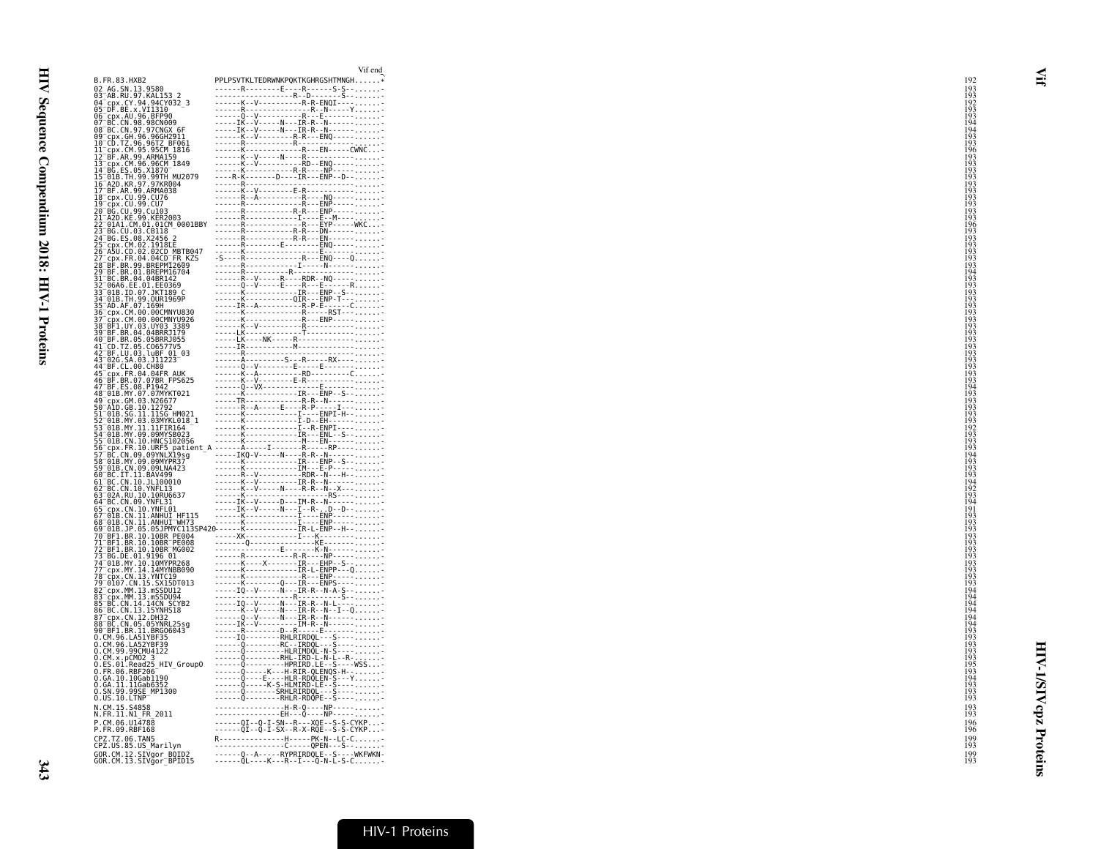| 02_AG.SN.13.9580<br>03 <sup>_</sup> AB.RU.97.KAL153_2<br>$P1-P1-P2V1KL1DNNNPQN1K1G1H1NnG1H1NnG1H1NnG1H1NnG1H1NnG1H1NnG1H1NnG1H1NnG1H1NnG1H1NnG1H1NnG1H1NnG1H1NnG1H1NnG1H1NnG1H1NnG1H1NnG1H1NnG1H1NnG1H1NnG1H1NnG1H1NnG1H1NnG1H1NnG1H1NnG1H1NnG1H1NnG1H1NnG1H1NnG1H1NnG1H1NnG1H1NnG1H1NnG1H1$<br>03 - AB - NO. 37 - NAL 17932<br>05 - DF .BE .x .VI1310<br>06 - CPX .AU .96 .BFP90<br>07 - BC .CN .98 .98CN009<br>08 BC.CN.99.90CN609<br>08 BC.CN.99.90CN607 6F<br>09 CD.TZ.96.96GH2911<br>11 Cpx.CM.99.95CM 1816<br>12 BF.AR.99.ARMA159.40<br>12 Br. AN. 99: ANNA19<br>13 Cpx. CM. 96.96CM<br>14 BG. ES. 05. X1870<br>16 A2D. KR. 97. 97KR004<br>16 A2D. KR. 97. 97KR004<br>17 BF. AR. 99. ARMA038<br>18 cpx CU 99. CU76<br>19 cpx.CU.99.CU7<br>20 BG.CU.99.CU7<br>$^-$ A2D.KE.99.KER2003<br>$-01A1.CM.01.01CM 0001BBY$<br>23 BG.CU.03.CB118<br>24 BG.ES.08.X2456 2<br>25 CPX.CM.02.1918E<br>25 CPX.CM.02.02CD_MBTB047<br>26 ASU.CD.02.02CD_MBTB047<br>27 CPX.FR.04.04CDTTR_KZS<br>22 TAE (1, 00 S. 1976)<br>22 Termin (1, 00 S. 1976)<br>23 Termin (1, 00 S. 1976)<br>23 Termin (1, 00 S. 1976)<br>23 Termin (1, 00 S. 1976)<br>23 Termin (1, 00 S. 1976)<br>23 Termin (1, 00 S. 1976)<br>23 Termin (1, 00 S. 1976)<br>24 Termin<br>60-BC.IT.11.BAV499<br>61-BC.CN.10.JL100010<br>62-BC.CN.10.JL100010<br>63-02A.RU.10.10RU6637<br>64 BC.CN.09.YNFL31<br>64 BC. CN. 09. YNFL31<br>65 Cpx. CN. 110. YNFL01<br>65 Cpx. CN. 110. ANHUI HF115<br>67 O1B. CN. 11. ANHUI HF115<br>67 O1B. JP. 05. 05. ND. NHUI HF115<br>68 O1B. JP. 05. 05. ND. 108R<br>70 BF1. BR. 10. 108R<br>70 BF1. BR. 10. 108R<br>70 BF<br>77-Cpx.MY.14.14MYNBB090<br>78-cpx.CN.13.YNTC19<br>79-0107.CN.13.YNTC19<br>82-cpx.MM.13.mSSDU12<br>90-BF1.BR.11.BRG06043<br>0.CM.96.LA51YBF35<br>0.CM.96.LA51YBF35<br>0.CM.96.LA52YBF39<br>0.CM.99.99CMU4122<br>o.cm.spcmo2_3<br>O.CM.x.pCMO2_3<br>O.ES.01.Read25_HIV_GroupO<br>0.FR.06.RBF206<br>0.GA.10.10Gabi190<br>O.GA.11.11Gab6352<br>O.SN.99.99SE_MP1300<br>------- Q---------RHLR-RDQPE--S----<br>0.0S.10.LTNP<br>P.CM.06.U14788<br>P.FR.09.RBF168<br>CPZ.TZ.06.TAN5<br>R----------------H-----PK-N--LC-C-<br>CPZ.US.85.US_Marilyn<br>------Q--A-----RYPRIRDQLE--S----WKFWKN-<br>GOR.CM.12.SIVgor_BOID2<br>GOR.CM.13.SIVgor_BPID15 |                                    | Vif end                             |
|-------------------------------------------------------------------------------------------------------------------------------------------------------------------------------------------------------------------------------------------------------------------------------------------------------------------------------------------------------------------------------------------------------------------------------------------------------------------------------------------------------------------------------------------------------------------------------------------------------------------------------------------------------------------------------------------------------------------------------------------------------------------------------------------------------------------------------------------------------------------------------------------------------------------------------------------------------------------------------------------------------------------------------------------------------------------------------------------------------------------------------------------------------------------------------------------------------------------------------------------------------------------------------------------------------------------------------------------------------------------------------------------------------------------------------------------------------------------------------------------------------------------------------------------------------------------------------------------------------------------------------------------------------------------------------------------------------------------------------------------------------------------------------------------------------------------------------------------------------------------------------------------------------------------------------------------------------------------------------------------------------------------------------------------------------------------------------------------------------------------------------------------------------------------------------------------------------------------------------------------------------|------------------------------------|-------------------------------------|
|                                                                                                                                                                                                                                                                                                                                                                                                                                                                                                                                                                                                                                                                                                                                                                                                                                                                                                                                                                                                                                                                                                                                                                                                                                                                                                                                                                                                                                                                                                                                                                                                                                                                                                                                                                                                                                                                                                                                                                                                                                                                                                                                                                                                                                                       | B.FR.83.HXB2                       | PPLPSVTKLTEDRWNKPQKTKGHRGSHTMNGH*   |
|                                                                                                                                                                                                                                                                                                                                                                                                                                                                                                                                                                                                                                                                                                                                                                                                                                                                                                                                                                                                                                                                                                                                                                                                                                                                                                                                                                                                                                                                                                                                                                                                                                                                                                                                                                                                                                                                                                                                                                                                                                                                                                                                                                                                                                                       |                                    |                                     |
|                                                                                                                                                                                                                                                                                                                                                                                                                                                                                                                                                                                                                                                                                                                                                                                                                                                                                                                                                                                                                                                                                                                                                                                                                                                                                                                                                                                                                                                                                                                                                                                                                                                                                                                                                                                                                                                                                                                                                                                                                                                                                                                                                                                                                                                       |                                    |                                     |
|                                                                                                                                                                                                                                                                                                                                                                                                                                                                                                                                                                                                                                                                                                                                                                                                                                                                                                                                                                                                                                                                                                                                                                                                                                                                                                                                                                                                                                                                                                                                                                                                                                                                                                                                                                                                                                                                                                                                                                                                                                                                                                                                                                                                                                                       |                                    |                                     |
|                                                                                                                                                                                                                                                                                                                                                                                                                                                                                                                                                                                                                                                                                                                                                                                                                                                                                                                                                                                                                                                                                                                                                                                                                                                                                                                                                                                                                                                                                                                                                                                                                                                                                                                                                                                                                                                                                                                                                                                                                                                                                                                                                                                                                                                       |                                    |                                     |
|                                                                                                                                                                                                                                                                                                                                                                                                                                                                                                                                                                                                                                                                                                                                                                                                                                                                                                                                                                                                                                                                                                                                                                                                                                                                                                                                                                                                                                                                                                                                                                                                                                                                                                                                                                                                                                                                                                                                                                                                                                                                                                                                                                                                                                                       |                                    |                                     |
|                                                                                                                                                                                                                                                                                                                                                                                                                                                                                                                                                                                                                                                                                                                                                                                                                                                                                                                                                                                                                                                                                                                                                                                                                                                                                                                                                                                                                                                                                                                                                                                                                                                                                                                                                                                                                                                                                                                                                                                                                                                                                                                                                                                                                                                       |                                    |                                     |
|                                                                                                                                                                                                                                                                                                                                                                                                                                                                                                                                                                                                                                                                                                                                                                                                                                                                                                                                                                                                                                                                                                                                                                                                                                                                                                                                                                                                                                                                                                                                                                                                                                                                                                                                                                                                                                                                                                                                                                                                                                                                                                                                                                                                                                                       |                                    |                                     |
|                                                                                                                                                                                                                                                                                                                                                                                                                                                                                                                                                                                                                                                                                                                                                                                                                                                                                                                                                                                                                                                                                                                                                                                                                                                                                                                                                                                                                                                                                                                                                                                                                                                                                                                                                                                                                                                                                                                                                                                                                                                                                                                                                                                                                                                       |                                    |                                     |
|                                                                                                                                                                                                                                                                                                                                                                                                                                                                                                                                                                                                                                                                                                                                                                                                                                                                                                                                                                                                                                                                                                                                                                                                                                                                                                                                                                                                                                                                                                                                                                                                                                                                                                                                                                                                                                                                                                                                                                                                                                                                                                                                                                                                                                                       |                                    |                                     |
|                                                                                                                                                                                                                                                                                                                                                                                                                                                                                                                                                                                                                                                                                                                                                                                                                                                                                                                                                                                                                                                                                                                                                                                                                                                                                                                                                                                                                                                                                                                                                                                                                                                                                                                                                                                                                                                                                                                                                                                                                                                                                                                                                                                                                                                       |                                    |                                     |
|                                                                                                                                                                                                                                                                                                                                                                                                                                                                                                                                                                                                                                                                                                                                                                                                                                                                                                                                                                                                                                                                                                                                                                                                                                                                                                                                                                                                                                                                                                                                                                                                                                                                                                                                                                                                                                                                                                                                                                                                                                                                                                                                                                                                                                                       |                                    |                                     |
|                                                                                                                                                                                                                                                                                                                                                                                                                                                                                                                                                                                                                                                                                                                                                                                                                                                                                                                                                                                                                                                                                                                                                                                                                                                                                                                                                                                                                                                                                                                                                                                                                                                                                                                                                                                                                                                                                                                                                                                                                                                                                                                                                                                                                                                       |                                    |                                     |
|                                                                                                                                                                                                                                                                                                                                                                                                                                                                                                                                                                                                                                                                                                                                                                                                                                                                                                                                                                                                                                                                                                                                                                                                                                                                                                                                                                                                                                                                                                                                                                                                                                                                                                                                                                                                                                                                                                                                                                                                                                                                                                                                                                                                                                                       |                                    |                                     |
|                                                                                                                                                                                                                                                                                                                                                                                                                                                                                                                                                                                                                                                                                                                                                                                                                                                                                                                                                                                                                                                                                                                                                                                                                                                                                                                                                                                                                                                                                                                                                                                                                                                                                                                                                                                                                                                                                                                                                                                                                                                                                                                                                                                                                                                       |                                    |                                     |
|                                                                                                                                                                                                                                                                                                                                                                                                                                                                                                                                                                                                                                                                                                                                                                                                                                                                                                                                                                                                                                                                                                                                                                                                                                                                                                                                                                                                                                                                                                                                                                                                                                                                                                                                                                                                                                                                                                                                                                                                                                                                                                                                                                                                                                                       |                                    |                                     |
|                                                                                                                                                                                                                                                                                                                                                                                                                                                                                                                                                                                                                                                                                                                                                                                                                                                                                                                                                                                                                                                                                                                                                                                                                                                                                                                                                                                                                                                                                                                                                                                                                                                                                                                                                                                                                                                                                                                                                                                                                                                                                                                                                                                                                                                       |                                    |                                     |
|                                                                                                                                                                                                                                                                                                                                                                                                                                                                                                                                                                                                                                                                                                                                                                                                                                                                                                                                                                                                                                                                                                                                                                                                                                                                                                                                                                                                                                                                                                                                                                                                                                                                                                                                                                                                                                                                                                                                                                                                                                                                                                                                                                                                                                                       |                                    |                                     |
|                                                                                                                                                                                                                                                                                                                                                                                                                                                                                                                                                                                                                                                                                                                                                                                                                                                                                                                                                                                                                                                                                                                                                                                                                                                                                                                                                                                                                                                                                                                                                                                                                                                                                                                                                                                                                                                                                                                                                                                                                                                                                                                                                                                                                                                       |                                    |                                     |
|                                                                                                                                                                                                                                                                                                                                                                                                                                                                                                                                                                                                                                                                                                                                                                                                                                                                                                                                                                                                                                                                                                                                                                                                                                                                                                                                                                                                                                                                                                                                                                                                                                                                                                                                                                                                                                                                                                                                                                                                                                                                                                                                                                                                                                                       |                                    |                                     |
|                                                                                                                                                                                                                                                                                                                                                                                                                                                                                                                                                                                                                                                                                                                                                                                                                                                                                                                                                                                                                                                                                                                                                                                                                                                                                                                                                                                                                                                                                                                                                                                                                                                                                                                                                                                                                                                                                                                                                                                                                                                                                                                                                                                                                                                       |                                    |                                     |
|                                                                                                                                                                                                                                                                                                                                                                                                                                                                                                                                                                                                                                                                                                                                                                                                                                                                                                                                                                                                                                                                                                                                                                                                                                                                                                                                                                                                                                                                                                                                                                                                                                                                                                                                                                                                                                                                                                                                                                                                                                                                                                                                                                                                                                                       |                                    |                                     |
|                                                                                                                                                                                                                                                                                                                                                                                                                                                                                                                                                                                                                                                                                                                                                                                                                                                                                                                                                                                                                                                                                                                                                                                                                                                                                                                                                                                                                                                                                                                                                                                                                                                                                                                                                                                                                                                                                                                                                                                                                                                                                                                                                                                                                                                       |                                    |                                     |
|                                                                                                                                                                                                                                                                                                                                                                                                                                                                                                                                                                                                                                                                                                                                                                                                                                                                                                                                                                                                                                                                                                                                                                                                                                                                                                                                                                                                                                                                                                                                                                                                                                                                                                                                                                                                                                                                                                                                                                                                                                                                                                                                                                                                                                                       |                                    |                                     |
|                                                                                                                                                                                                                                                                                                                                                                                                                                                                                                                                                                                                                                                                                                                                                                                                                                                                                                                                                                                                                                                                                                                                                                                                                                                                                                                                                                                                                                                                                                                                                                                                                                                                                                                                                                                                                                                                                                                                                                                                                                                                                                                                                                                                                                                       |                                    |                                     |
|                                                                                                                                                                                                                                                                                                                                                                                                                                                                                                                                                                                                                                                                                                                                                                                                                                                                                                                                                                                                                                                                                                                                                                                                                                                                                                                                                                                                                                                                                                                                                                                                                                                                                                                                                                                                                                                                                                                                                                                                                                                                                                                                                                                                                                                       |                                    |                                     |
|                                                                                                                                                                                                                                                                                                                                                                                                                                                                                                                                                                                                                                                                                                                                                                                                                                                                                                                                                                                                                                                                                                                                                                                                                                                                                                                                                                                                                                                                                                                                                                                                                                                                                                                                                                                                                                                                                                                                                                                                                                                                                                                                                                                                                                                       |                                    |                                     |
|                                                                                                                                                                                                                                                                                                                                                                                                                                                                                                                                                                                                                                                                                                                                                                                                                                                                                                                                                                                                                                                                                                                                                                                                                                                                                                                                                                                                                                                                                                                                                                                                                                                                                                                                                                                                                                                                                                                                                                                                                                                                                                                                                                                                                                                       |                                    |                                     |
|                                                                                                                                                                                                                                                                                                                                                                                                                                                                                                                                                                                                                                                                                                                                                                                                                                                                                                                                                                                                                                                                                                                                                                                                                                                                                                                                                                                                                                                                                                                                                                                                                                                                                                                                                                                                                                                                                                                                                                                                                                                                                                                                                                                                                                                       |                                    |                                     |
|                                                                                                                                                                                                                                                                                                                                                                                                                                                                                                                                                                                                                                                                                                                                                                                                                                                                                                                                                                                                                                                                                                                                                                                                                                                                                                                                                                                                                                                                                                                                                                                                                                                                                                                                                                                                                                                                                                                                                                                                                                                                                                                                                                                                                                                       |                                    |                                     |
|                                                                                                                                                                                                                                                                                                                                                                                                                                                                                                                                                                                                                                                                                                                                                                                                                                                                                                                                                                                                                                                                                                                                                                                                                                                                                                                                                                                                                                                                                                                                                                                                                                                                                                                                                                                                                                                                                                                                                                                                                                                                                                                                                                                                                                                       |                                    |                                     |
|                                                                                                                                                                                                                                                                                                                                                                                                                                                                                                                                                                                                                                                                                                                                                                                                                                                                                                                                                                                                                                                                                                                                                                                                                                                                                                                                                                                                                                                                                                                                                                                                                                                                                                                                                                                                                                                                                                                                                                                                                                                                                                                                                                                                                                                       |                                    |                                     |
|                                                                                                                                                                                                                                                                                                                                                                                                                                                                                                                                                                                                                                                                                                                                                                                                                                                                                                                                                                                                                                                                                                                                                                                                                                                                                                                                                                                                                                                                                                                                                                                                                                                                                                                                                                                                                                                                                                                                                                                                                                                                                                                                                                                                                                                       |                                    |                                     |
|                                                                                                                                                                                                                                                                                                                                                                                                                                                                                                                                                                                                                                                                                                                                                                                                                                                                                                                                                                                                                                                                                                                                                                                                                                                                                                                                                                                                                                                                                                                                                                                                                                                                                                                                                                                                                                                                                                                                                                                                                                                                                                                                                                                                                                                       |                                    |                                     |
|                                                                                                                                                                                                                                                                                                                                                                                                                                                                                                                                                                                                                                                                                                                                                                                                                                                                                                                                                                                                                                                                                                                                                                                                                                                                                                                                                                                                                                                                                                                                                                                                                                                                                                                                                                                                                                                                                                                                                                                                                                                                                                                                                                                                                                                       |                                    |                                     |
|                                                                                                                                                                                                                                                                                                                                                                                                                                                                                                                                                                                                                                                                                                                                                                                                                                                                                                                                                                                                                                                                                                                                                                                                                                                                                                                                                                                                                                                                                                                                                                                                                                                                                                                                                                                                                                                                                                                                                                                                                                                                                                                                                                                                                                                       |                                    |                                     |
|                                                                                                                                                                                                                                                                                                                                                                                                                                                                                                                                                                                                                                                                                                                                                                                                                                                                                                                                                                                                                                                                                                                                                                                                                                                                                                                                                                                                                                                                                                                                                                                                                                                                                                                                                                                                                                                                                                                                                                                                                                                                                                                                                                                                                                                       |                                    |                                     |
|                                                                                                                                                                                                                                                                                                                                                                                                                                                                                                                                                                                                                                                                                                                                                                                                                                                                                                                                                                                                                                                                                                                                                                                                                                                                                                                                                                                                                                                                                                                                                                                                                                                                                                                                                                                                                                                                                                                                                                                                                                                                                                                                                                                                                                                       |                                    |                                     |
|                                                                                                                                                                                                                                                                                                                                                                                                                                                                                                                                                                                                                                                                                                                                                                                                                                                                                                                                                                                                                                                                                                                                                                                                                                                                                                                                                                                                                                                                                                                                                                                                                                                                                                                                                                                                                                                                                                                                                                                                                                                                                                                                                                                                                                                       |                                    |                                     |
|                                                                                                                                                                                                                                                                                                                                                                                                                                                                                                                                                                                                                                                                                                                                                                                                                                                                                                                                                                                                                                                                                                                                                                                                                                                                                                                                                                                                                                                                                                                                                                                                                                                                                                                                                                                                                                                                                                                                                                                                                                                                                                                                                                                                                                                       |                                    |                                     |
|                                                                                                                                                                                                                                                                                                                                                                                                                                                                                                                                                                                                                                                                                                                                                                                                                                                                                                                                                                                                                                                                                                                                                                                                                                                                                                                                                                                                                                                                                                                                                                                                                                                                                                                                                                                                                                                                                                                                                                                                                                                                                                                                                                                                                                                       |                                    |                                     |
|                                                                                                                                                                                                                                                                                                                                                                                                                                                                                                                                                                                                                                                                                                                                                                                                                                                                                                                                                                                                                                                                                                                                                                                                                                                                                                                                                                                                                                                                                                                                                                                                                                                                                                                                                                                                                                                                                                                                                                                                                                                                                                                                                                                                                                                       | 59 <sup>-</sup> 01B.CN.09.09LNA423 |                                     |
|                                                                                                                                                                                                                                                                                                                                                                                                                                                                                                                                                                                                                                                                                                                                                                                                                                                                                                                                                                                                                                                                                                                                                                                                                                                                                                                                                                                                                                                                                                                                                                                                                                                                                                                                                                                                                                                                                                                                                                                                                                                                                                                                                                                                                                                       |                                    |                                     |
|                                                                                                                                                                                                                                                                                                                                                                                                                                                                                                                                                                                                                                                                                                                                                                                                                                                                                                                                                                                                                                                                                                                                                                                                                                                                                                                                                                                                                                                                                                                                                                                                                                                                                                                                                                                                                                                                                                                                                                                                                                                                                                                                                                                                                                                       |                                    |                                     |
|                                                                                                                                                                                                                                                                                                                                                                                                                                                                                                                                                                                                                                                                                                                                                                                                                                                                                                                                                                                                                                                                                                                                                                                                                                                                                                                                                                                                                                                                                                                                                                                                                                                                                                                                                                                                                                                                                                                                                                                                                                                                                                                                                                                                                                                       |                                    |                                     |
|                                                                                                                                                                                                                                                                                                                                                                                                                                                                                                                                                                                                                                                                                                                                                                                                                                                                                                                                                                                                                                                                                                                                                                                                                                                                                                                                                                                                                                                                                                                                                                                                                                                                                                                                                                                                                                                                                                                                                                                                                                                                                                                                                                                                                                                       |                                    |                                     |
|                                                                                                                                                                                                                                                                                                                                                                                                                                                                                                                                                                                                                                                                                                                                                                                                                                                                                                                                                                                                                                                                                                                                                                                                                                                                                                                                                                                                                                                                                                                                                                                                                                                                                                                                                                                                                                                                                                                                                                                                                                                                                                                                                                                                                                                       |                                    |                                     |
|                                                                                                                                                                                                                                                                                                                                                                                                                                                                                                                                                                                                                                                                                                                                                                                                                                                                                                                                                                                                                                                                                                                                                                                                                                                                                                                                                                                                                                                                                                                                                                                                                                                                                                                                                                                                                                                                                                                                                                                                                                                                                                                                                                                                                                                       |                                    |                                     |
|                                                                                                                                                                                                                                                                                                                                                                                                                                                                                                                                                                                                                                                                                                                                                                                                                                                                                                                                                                                                                                                                                                                                                                                                                                                                                                                                                                                                                                                                                                                                                                                                                                                                                                                                                                                                                                                                                                                                                                                                                                                                                                                                                                                                                                                       |                                    |                                     |
|                                                                                                                                                                                                                                                                                                                                                                                                                                                                                                                                                                                                                                                                                                                                                                                                                                                                                                                                                                                                                                                                                                                                                                                                                                                                                                                                                                                                                                                                                                                                                                                                                                                                                                                                                                                                                                                                                                                                                                                                                                                                                                                                                                                                                                                       |                                    |                                     |
|                                                                                                                                                                                                                                                                                                                                                                                                                                                                                                                                                                                                                                                                                                                                                                                                                                                                                                                                                                                                                                                                                                                                                                                                                                                                                                                                                                                                                                                                                                                                                                                                                                                                                                                                                                                                                                                                                                                                                                                                                                                                                                                                                                                                                                                       |                                    |                                     |
|                                                                                                                                                                                                                                                                                                                                                                                                                                                                                                                                                                                                                                                                                                                                                                                                                                                                                                                                                                                                                                                                                                                                                                                                                                                                                                                                                                                                                                                                                                                                                                                                                                                                                                                                                                                                                                                                                                                                                                                                                                                                                                                                                                                                                                                       |                                    |                                     |
|                                                                                                                                                                                                                                                                                                                                                                                                                                                                                                                                                                                                                                                                                                                                                                                                                                                                                                                                                                                                                                                                                                                                                                                                                                                                                                                                                                                                                                                                                                                                                                                                                                                                                                                                                                                                                                                                                                                                                                                                                                                                                                                                                                                                                                                       |                                    |                                     |
|                                                                                                                                                                                                                                                                                                                                                                                                                                                                                                                                                                                                                                                                                                                                                                                                                                                                                                                                                                                                                                                                                                                                                                                                                                                                                                                                                                                                                                                                                                                                                                                                                                                                                                                                                                                                                                                                                                                                                                                                                                                                                                                                                                                                                                                       |                                    |                                     |
|                                                                                                                                                                                                                                                                                                                                                                                                                                                                                                                                                                                                                                                                                                                                                                                                                                                                                                                                                                                                                                                                                                                                                                                                                                                                                                                                                                                                                                                                                                                                                                                                                                                                                                                                                                                                                                                                                                                                                                                                                                                                                                                                                                                                                                                       |                                    |                                     |
|                                                                                                                                                                                                                                                                                                                                                                                                                                                                                                                                                                                                                                                                                                                                                                                                                                                                                                                                                                                                                                                                                                                                                                                                                                                                                                                                                                                                                                                                                                                                                                                                                                                                                                                                                                                                                                                                                                                                                                                                                                                                                                                                                                                                                                                       |                                    |                                     |
|                                                                                                                                                                                                                                                                                                                                                                                                                                                                                                                                                                                                                                                                                                                                                                                                                                                                                                                                                                                                                                                                                                                                                                                                                                                                                                                                                                                                                                                                                                                                                                                                                                                                                                                                                                                                                                                                                                                                                                                                                                                                                                                                                                                                                                                       |                                    |                                     |
|                                                                                                                                                                                                                                                                                                                                                                                                                                                                                                                                                                                                                                                                                                                                                                                                                                                                                                                                                                                                                                                                                                                                                                                                                                                                                                                                                                                                                                                                                                                                                                                                                                                                                                                                                                                                                                                                                                                                                                                                                                                                                                                                                                                                                                                       |                                    |                                     |
|                                                                                                                                                                                                                                                                                                                                                                                                                                                                                                                                                                                                                                                                                                                                                                                                                                                                                                                                                                                                                                                                                                                                                                                                                                                                                                                                                                                                                                                                                                                                                                                                                                                                                                                                                                                                                                                                                                                                                                                                                                                                                                                                                                                                                                                       |                                    |                                     |
|                                                                                                                                                                                                                                                                                                                                                                                                                                                                                                                                                                                                                                                                                                                                                                                                                                                                                                                                                                                                                                                                                                                                                                                                                                                                                                                                                                                                                                                                                                                                                                                                                                                                                                                                                                                                                                                                                                                                                                                                                                                                                                                                                                                                                                                       |                                    |                                     |
|                                                                                                                                                                                                                                                                                                                                                                                                                                                                                                                                                                                                                                                                                                                                                                                                                                                                                                                                                                                                                                                                                                                                                                                                                                                                                                                                                                                                                                                                                                                                                                                                                                                                                                                                                                                                                                                                                                                                                                                                                                                                                                                                                                                                                                                       |                                    |                                     |
|                                                                                                                                                                                                                                                                                                                                                                                                                                                                                                                                                                                                                                                                                                                                                                                                                                                                                                                                                                                                                                                                                                                                                                                                                                                                                                                                                                                                                                                                                                                                                                                                                                                                                                                                                                                                                                                                                                                                                                                                                                                                                                                                                                                                                                                       |                                    |                                     |
|                                                                                                                                                                                                                                                                                                                                                                                                                                                                                                                                                                                                                                                                                                                                                                                                                                                                                                                                                                                                                                                                                                                                                                                                                                                                                                                                                                                                                                                                                                                                                                                                                                                                                                                                                                                                                                                                                                                                                                                                                                                                                                                                                                                                                                                       |                                    |                                     |
|                                                                                                                                                                                                                                                                                                                                                                                                                                                                                                                                                                                                                                                                                                                                                                                                                                                                                                                                                                                                                                                                                                                                                                                                                                                                                                                                                                                                                                                                                                                                                                                                                                                                                                                                                                                                                                                                                                                                                                                                                                                                                                                                                                                                                                                       |                                    |                                     |
|                                                                                                                                                                                                                                                                                                                                                                                                                                                                                                                                                                                                                                                                                                                                                                                                                                                                                                                                                                                                                                                                                                                                                                                                                                                                                                                                                                                                                                                                                                                                                                                                                                                                                                                                                                                                                                                                                                                                                                                                                                                                                                                                                                                                                                                       |                                    |                                     |
|                                                                                                                                                                                                                                                                                                                                                                                                                                                                                                                                                                                                                                                                                                                                                                                                                                                                                                                                                                                                                                                                                                                                                                                                                                                                                                                                                                                                                                                                                                                                                                                                                                                                                                                                                                                                                                                                                                                                                                                                                                                                                                                                                                                                                                                       |                                    |                                     |
|                                                                                                                                                                                                                                                                                                                                                                                                                                                                                                                                                                                                                                                                                                                                                                                                                                                                                                                                                                                                                                                                                                                                                                                                                                                                                                                                                                                                                                                                                                                                                                                                                                                                                                                                                                                                                                                                                                                                                                                                                                                                                                                                                                                                                                                       |                                    |                                     |
|                                                                                                                                                                                                                                                                                                                                                                                                                                                                                                                                                                                                                                                                                                                                                                                                                                                                                                                                                                                                                                                                                                                                                                                                                                                                                                                                                                                                                                                                                                                                                                                                                                                                                                                                                                                                                                                                                                                                                                                                                                                                                                                                                                                                                                                       | N.CM.15.S4858                      | ------------------H-R-Q----NP-----  |
|                                                                                                                                                                                                                                                                                                                                                                                                                                                                                                                                                                                                                                                                                                                                                                                                                                                                                                                                                                                                                                                                                                                                                                                                                                                                                                                                                                                                                                                                                                                                                                                                                                                                                                                                                                                                                                                                                                                                                                                                                                                                                                                                                                                                                                                       | N.FR.11.N1 FR 2011                 | ---------------EH---Q----NP-----    |
|                                                                                                                                                                                                                                                                                                                                                                                                                                                                                                                                                                                                                                                                                                                                                                                                                                                                                                                                                                                                                                                                                                                                                                                                                                                                                                                                                                                                                                                                                                                                                                                                                                                                                                                                                                                                                                                                                                                                                                                                                                                                                                                                                                                                                                                       |                                    |                                     |
|                                                                                                                                                                                                                                                                                                                                                                                                                                                                                                                                                                                                                                                                                                                                                                                                                                                                                                                                                                                                                                                                                                                                                                                                                                                                                                                                                                                                                                                                                                                                                                                                                                                                                                                                                                                                                                                                                                                                                                                                                                                                                                                                                                                                                                                       |                                    |                                     |
|                                                                                                                                                                                                                                                                                                                                                                                                                                                                                                                                                                                                                                                                                                                                                                                                                                                                                                                                                                                                                                                                                                                                                                                                                                                                                                                                                                                                                                                                                                                                                                                                                                                                                                                                                                                                                                                                                                                                                                                                                                                                                                                                                                                                                                                       |                                    |                                     |
|                                                                                                                                                                                                                                                                                                                                                                                                                                                                                                                                                                                                                                                                                                                                                                                                                                                                                                                                                                                                                                                                                                                                                                                                                                                                                                                                                                                                                                                                                                                                                                                                                                                                                                                                                                                                                                                                                                                                                                                                                                                                                                                                                                                                                                                       |                                    |                                     |
|                                                                                                                                                                                                                                                                                                                                                                                                                                                                                                                                                                                                                                                                                                                                                                                                                                                                                                                                                                                                                                                                                                                                                                                                                                                                                                                                                                                                                                                                                                                                                                                                                                                                                                                                                                                                                                                                                                                                                                                                                                                                                                                                                                                                                                                       |                                    | -------QL-----K---R--I---Q-N-L-S-C- |
|                                                                                                                                                                                                                                                                                                                                                                                                                                                                                                                                                                                                                                                                                                                                                                                                                                                                                                                                                                                                                                                                                                                                                                                                                                                                                                                                                                                                                                                                                                                                                                                                                                                                                                                                                                                                                                                                                                                                                                                                                                                                                                                                                                                                                                                       |                                    |                                     |

HIV-1/SIVcpz Proteins

**HIV-1/SIVcpz Proteins**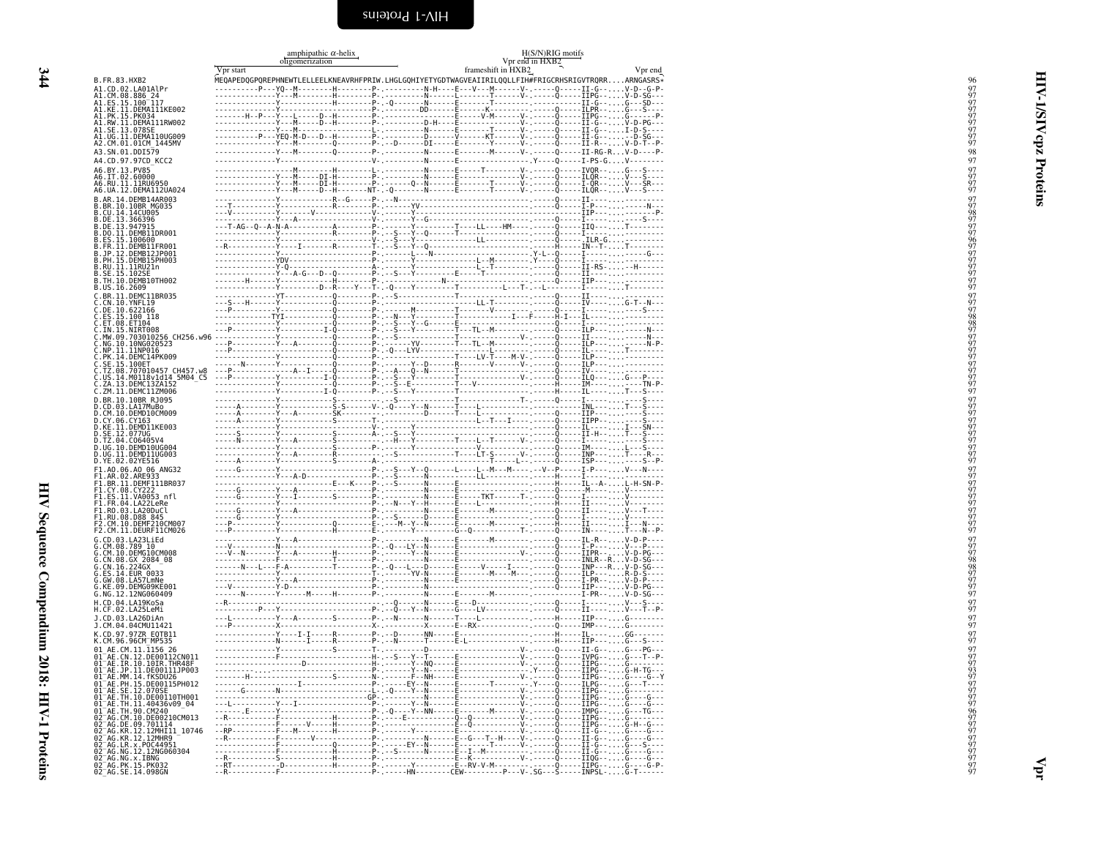<span id="page-37-0"></span>

|                                                                                                                                                                                                                                                       |           | amphipathic $\alpha$ -helix<br>oligomerization |  |                    | H(S/N)RIG motifs<br>Vpr end in HXB2 |         |
|-------------------------------------------------------------------------------------------------------------------------------------------------------------------------------------------------------------------------------------------------------|-----------|------------------------------------------------|--|--------------------|-------------------------------------|---------|
|                                                                                                                                                                                                                                                       | Vpr start |                                                |  | frameshift in HXB2 |                                     | Vpr end |
| B.FR.83.HXB2                                                                                                                                                                                                                                          |           |                                                |  |                    |                                     |         |
| A1.CD.02.LA01AlPr<br>AI.CM.08.886_24<br>A1.ES.15.100_117                                                                                                                                                                                              |           |                                                |  |                    |                                     |         |
|                                                                                                                                                                                                                                                       |           |                                                |  |                    |                                     |         |
| AI.KĒ.II.DĒMAIIIKE002<br>AI.PK.15.PK034<br>A1.RW.II.DEMA111RW002                                                                                                                                                                                      |           |                                                |  |                    |                                     |         |
| A1.SE.13.078SE                                                                                                                                                                                                                                        |           |                                                |  |                    |                                     |         |
| A1.UG.11.DEMA110UG009<br>A2.CM.01.01CM 1445MV                                                                                                                                                                                                         |           |                                                |  |                    |                                     |         |
| A3.SN.01.DDI579                                                                                                                                                                                                                                       |           |                                                |  |                    |                                     |         |
| 44.CD.97.97CD KCC2                                                                                                                                                                                                                                    |           |                                                |  |                    |                                     |         |
| A6.BY.13.PV85<br>A6.IT.02.60000<br>A6.RV.11.11RU6950                                                                                                                                                                                                  |           |                                                |  |                    |                                     |         |
| A6.UA.12.DEMA112UA024                                                                                                                                                                                                                                 |           |                                                |  |                    |                                     |         |
| B.AR.14.DEMB14AR003                                                                                                                                                                                                                                   |           |                                                |  |                    |                                     |         |
| B.BR.10.10BR MG035<br>B.CU.14.14CU005                                                                                                                                                                                                                 |           |                                                |  |                    |                                     |         |
| B.DE.13.366396<br>B.DE.13.947915                                                                                                                                                                                                                      |           |                                                |  |                    |                                     |         |
| B.DO.II.DEMBIIDR001<br>B.ES.15.100600                                                                                                                                                                                                                 |           |                                                |  |                    |                                     |         |
|                                                                                                                                                                                                                                                       |           |                                                |  |                    |                                     |         |
| B.FR.11.DEMB11FR001<br>B.JP.12.DEMB12JP001<br>B.PH.15.DEMB13JP003<br>B.PH.15.DEMB151                                                                                                                                                                  |           |                                                |  |                    |                                     |         |
| B.RU.II.llRU21n                                                                                                                                                                                                                                       |           |                                                |  |                    |                                     |         |
| B.SE.15.102SE<br>B.TH.10.DEMB10TH002                                                                                                                                                                                                                  |           |                                                |  |                    |                                     |         |
| B.US.16.2609<br>C.BR.11.DEMC11BR035                                                                                                                                                                                                                   |           |                                                |  |                    |                                     |         |
| C.CN.10.YNFL19                                                                                                                                                                                                                                        |           |                                                |  |                    |                                     |         |
| C.DE.10.622166<br>C.ES.15.100 118<br>C.ET.08.ET104<br>C.ET.08.ET10400                                                                                                                                                                                 |           |                                                |  |                    |                                     |         |
| .IN.15.NIRT008                                                                                                                                                                                                                                        |           |                                                |  |                    |                                     |         |
| .MW.09.703010256 CH256.w96<br>.MG.10.10NG020523                                                                                                                                                                                                       |           |                                                |  |                    |                                     |         |
| .NP.11.11NP016<br>.PK.14.DEMC14PK009                                                                                                                                                                                                                  |           |                                                |  |                    |                                     |         |
| .SE.15.100ET                                                                                                                                                                                                                                          |           |                                                |  |                    |                                     |         |
| .TZ.08.707010457_CH457.w8                                                                                                                                                                                                                             |           |                                                |  |                    |                                     |         |
| .US.14.M0118v1d14 5M04 C5<br>C.ZA.13.DEMC13ZA152                                                                                                                                                                                                      |           |                                                |  |                    |                                     |         |
| C.ZM.11.DEMC11ZM006<br>D.BR.10.10BR_RJ095                                                                                                                                                                                                             |           |                                                |  |                    |                                     |         |
| D.CD.03.LA17MuBo                                                                                                                                                                                                                                      |           |                                                |  |                    |                                     |         |
| D.CM.10.DEMD10CM009<br>D.CY.06.CY163<br>D.KE.11.DEMD11KE003                                                                                                                                                                                           |           |                                                |  |                    |                                     |         |
|                                                                                                                                                                                                                                                       |           |                                                |  |                    |                                     |         |
| D.SE.12.077UG<br>D.TZ.04.C06405V4<br>D.UG.10.DEMD10UG004                                                                                                                                                                                              |           |                                                |  |                    |                                     |         |
| D.UG.11.DEMD11UG003                                                                                                                                                                                                                                   |           |                                                |  |                    |                                     |         |
| D.YE.02.02YE516<br>F1.AO.06.AO 06 ANG32                                                                                                                                                                                                               |           |                                                |  |                    |                                     |         |
| F1.AR.02.ARE933                                                                                                                                                                                                                                       |           |                                                |  |                    |                                     |         |
| F1.BR.11.DEMF111BR037<br>F1.CY.08.CY222<br>F1.ES.11.VA0053_nfl                                                                                                                                                                                        |           |                                                |  |                    |                                     |         |
|                                                                                                                                                                                                                                                       |           |                                                |  |                    |                                     |         |
| FI.FR.04.LA22LeRe<br>F1.RO.03.LA20DuCl                                                                                                                                                                                                                |           |                                                |  |                    |                                     |         |
| F1.RU.08.D88 845<br>F2.CM.10.DEMF210CM007                                                                                                                                                                                                             |           |                                                |  |                    |                                     |         |
| F2.CM.11.DEURF11CM026<br>G.CD.03.LA23LiEd                                                                                                                                                                                                             |           |                                                |  |                    |                                     |         |
|                                                                                                                                                                                                                                                       |           |                                                |  |                    |                                     |         |
|                                                                                                                                                                                                                                                       |           |                                                |  |                    |                                     |         |
|                                                                                                                                                                                                                                                       |           |                                                |  |                    |                                     |         |
| Ğ.ÉS.14.EUR 0033<br>G.GW.08.LA57LmNe<br>G.KE.09.DEMG09KE001                                                                                                                                                                                           |           |                                                |  |                    |                                     |         |
| G.NG.12.12NG060409                                                                                                                                                                                                                                    |           |                                                |  |                    |                                     |         |
| H.CD.04.LA19KoSa<br>H.CF.02.LA25LeMi                                                                                                                                                                                                                  |           |                                                |  |                    |                                     |         |
| J.CD.03.LA26DiAn                                                                                                                                                                                                                                      |           |                                                |  |                    |                                     |         |
| J.CM.04.04CMU11421                                                                                                                                                                                                                                    |           |                                                |  |                    |                                     |         |
| K.CD.97.97ZR EQTB11<br>K.CM.96.96CM⊤MP535                                                                                                                                                                                                             |           |                                                |  |                    |                                     |         |
| 01 AE.CM.11.1156 26<br>01 AE.CN.12.DE00112CN011<br>01 AE.IR.10.10IR.THR48F                                                                                                                                                                            |           |                                                |  |                    |                                     |         |
|                                                                                                                                                                                                                                                       |           |                                                |  |                    |                                     |         |
| 01 <sup>-</sup> AE.JP.11.DE00111JP003<br>01 <sup>-</sup> AE.MM.14.fKSDU26                                                                                                                                                                             |           |                                                |  |                    |                                     |         |
| 01_AE.PH.15.DE00115PH012                                                                                                                                                                                                                              |           |                                                |  |                    |                                     |         |
| 01 AE.SE.12.070SE<br>01 AE.SE.12.070SE<br>01 AE.TH.10.DE00110TH001                                                                                                                                                                                    |           |                                                |  |                    |                                     |         |
|                                                                                                                                                                                                                                                       |           |                                                |  |                    |                                     |         |
|                                                                                                                                                                                                                                                       |           |                                                |  |                    |                                     |         |
|                                                                                                                                                                                                                                                       |           |                                                |  |                    |                                     |         |
| 91 AE. IH. 10. UE001101H001<br>01 AE. TH. 11. 40436v09 - 04<br>02 AG. CM. 10. CM200<br>02 AG. CM. 10. DE00210CM013<br>02 AG. KR. 12. 12MHT11 - 10746<br>02 AG. KR. 12. PCC44951<br>07 AG. KR. 12. PCC44951<br>07 AG. NG. 12. TRNG060304<br>07 AG. NG. |           |                                                |  |                    |                                     |         |
|                                                                                                                                                                                                                                                       |           |                                                |  |                    |                                     |         |
| 02=AG.NG.x.IBNG<br>02=AG.PK.15.PK032<br>02=AG.SE.14.098GN                                                                                                                                                                                             |           |                                                |  |                    |                                     |         |
|                                                                                                                                                                                                                                                       |           |                                                |  |                    |                                     |         |

<span id="page-37-1"></span>HIV-1/SIV cpz Proteins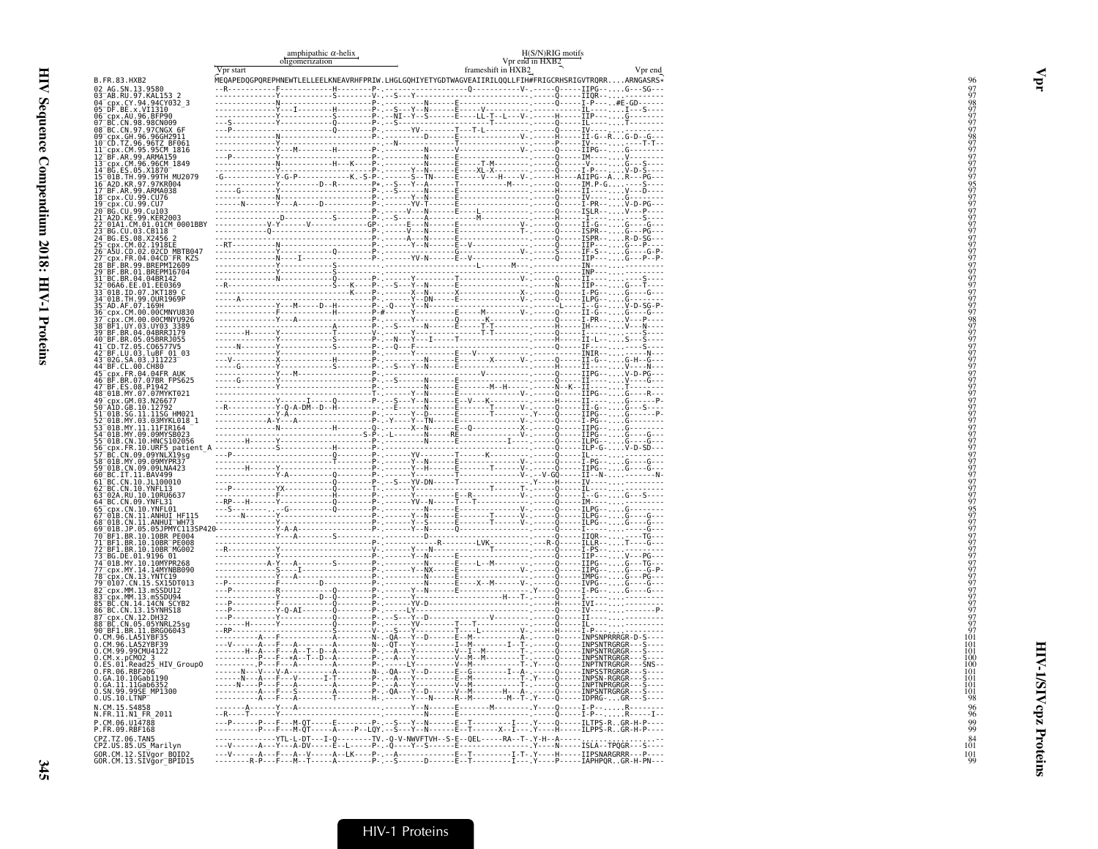|                                                                                                                                                                                                                                                          | Vpr start | amphipathic $\alpha$ -helix<br>oligomerization | H(S/N)RIG motifs<br>Vpr end in HXB2<br>frameshift in HXB2 | Vpr end                                                                                                                                                                                                             |
|----------------------------------------------------------------------------------------------------------------------------------------------------------------------------------------------------------------------------------------------------------|-----------|------------------------------------------------|-----------------------------------------------------------|---------------------------------------------------------------------------------------------------------------------------------------------------------------------------------------------------------------------|
| B.FR.83.HXB2                                                                                                                                                                                                                                             |           |                                                |                                                           |                                                                                                                                                                                                                     |
| 02 AG.SN.13.9580                                                                                                                                                                                                                                         |           |                                                |                                                           |                                                                                                                                                                                                                     |
| 92 AG. 301.13.32<br>93 AB.RU.97.KAL153 2<br>94 Cpx.CY.94.94CY032_3<br>95 DF.BE.x.VI1310<br>96 CCN.84.96.BFP90<br>97 BC.CN.98.98CN009<br>88 BC.CN.98.98CN009<br>88 BC.CN.97.97CNGX 6F                                                                     |           |                                                |                                                           |                                                                                                                                                                                                                     |
|                                                                                                                                                                                                                                                          |           |                                                |                                                           |                                                                                                                                                                                                                     |
|                                                                                                                                                                                                                                                          |           |                                                |                                                           |                                                                                                                                                                                                                     |
| 09-CDX.GH.96.96GH2911<br>10-CD.TZ.96.96TZ_BF061<br>11_cpx.CM.95.95CM_1816                                                                                                                                                                                |           |                                                |                                                           |                                                                                                                                                                                                                     |
| 12 BF.AR.99.ARMA159                                                                                                                                                                                                                                      |           |                                                |                                                           |                                                                                                                                                                                                                     |
|                                                                                                                                                                                                                                                          |           |                                                |                                                           |                                                                                                                                                                                                                     |
| 13 Cpx. CM. 96.96CM<br>14 BG. ES. 05. X1870<br>15 018. TH. 99.99TH_MU2079                                                                                                                                                                                |           |                                                |                                                           |                                                                                                                                                                                                                     |
| 16 A2D.KR.97.97KR004                                                                                                                                                                                                                                     |           |                                                |                                                           |                                                                                                                                                                                                                     |
| 17-BF.AR.99.ARMA038<br>18-cpx.cu.99.cu76<br>19-cpx.cu.99.cu7                                                                                                                                                                                             |           |                                                |                                                           |                                                                                                                                                                                                                     |
| 20 BG.CU.99.Cu103<br>21 A2D.KE.99.KER2003                                                                                                                                                                                                                |           |                                                |                                                           |                                                                                                                                                                                                                     |
| 22 01A1.CM.01.01CM 0001BBY                                                                                                                                                                                                                               |           |                                                |                                                           |                                                                                                                                                                                                                     |
| 23 BG.CU.03.CB118<br>24 BG.ES.08.X2456 2                                                                                                                                                                                                                 |           |                                                |                                                           |                                                                                                                                                                                                                     |
| CDX.CM.02.1918LE<br>A5U.CD.02.02CD_MBTB047                                                                                                                                                                                                               |           |                                                |                                                           |                                                                                                                                                                                                                     |
| cpx.FR.04.04CD <sup>-</sup> FR KZS                                                                                                                                                                                                                       |           |                                                |                                                           |                                                                                                                                                                                                                     |
| 28 BF.BR.99.BREPM12609<br>29 BF.BR.01.BREPM16704                                                                                                                                                                                                         |           |                                                |                                                           |                                                                                                                                                                                                                     |
| 31 BC.BR.04.04BR142<br>32 <sup>-</sup> 06A6.EE.01.EE0369                                                                                                                                                                                                 |           |                                                |                                                           |                                                                                                                                                                                                                     |
| 33 <sup>-</sup> 01B.ID.07.JKT189 C                                                                                                                                                                                                                       |           |                                                |                                                           |                                                                                                                                                                                                                     |
| 34-01B.TH.99.0UR1969P<br>35-AD.AF.07.169H                                                                                                                                                                                                                |           |                                                |                                                           |                                                                                                                                                                                                                     |
| 36 cpx.CM.00.00CMNYU830<br>37 cpx.cm.00.00CMNYU926<br>38 BF1.UY.03.UY03 3389                                                                                                                                                                             |           |                                                |                                                           |                                                                                                                                                                                                                     |
|                                                                                                                                                                                                                                                          |           |                                                |                                                           |                                                                                                                                                                                                                     |
| 39 BF.BR.04.04BRRJ179<br>40 BF.BR.05.05BRRJ055<br>41 CD.TZ.05.C06577V5                                                                                                                                                                                   |           |                                                |                                                           |                                                                                                                                                                                                                     |
| 42 BF.LU.03.luBF 01 03<br>43 026.SA.03.J11223                                                                                                                                                                                                            |           |                                                |                                                           |                                                                                                                                                                                                                     |
| 44 BF.CL.00.CH80                                                                                                                                                                                                                                         |           |                                                |                                                           |                                                                                                                                                                                                                     |
|                                                                                                                                                                                                                                                          |           |                                                |                                                           |                                                                                                                                                                                                                     |
|                                                                                                                                                                                                                                                          |           |                                                |                                                           |                                                                                                                                                                                                                     |
|                                                                                                                                                                                                                                                          |           |                                                |                                                           |                                                                                                                                                                                                                     |
| 44 BF. CL. 00. CH80<br>45 Ep. F. P. 04. 04FR AUK<br>47 BF. ES. 08. P1942<br>47 BF. ES. 08. P1942<br>47 BF. ES. 08. P1942<br>49 OL. 08. P1942<br>59 AM. 08. 10. 11. 1156 HM021<br>59 OAD. GB. 10. 11. 1156 HM021<br>52 OHB. NY. 03. 03. NYKL018<br>53 OB. |           |                                                |                                                           |                                                                                                                                                                                                                     |
|                                                                                                                                                                                                                                                          |           |                                                |                                                           |                                                                                                                                                                                                                     |
| 55 01B.CN.10.HNCS102056                                                                                                                                                                                                                                  |           |                                                |                                                           |                                                                                                                                                                                                                     |
| 56 CDX . FR. 10. URF5 patient_A<br>57 BC. CN. 09. 09YNLX19sg<br>58 01B. MY. 09. 09MYPR37<br>59 01B. CN. 09. 09LNA423                                                                                                                                     |           |                                                |                                                           |                                                                                                                                                                                                                     |
|                                                                                                                                                                                                                                                          |           |                                                |                                                           |                                                                                                                                                                                                                     |
| 60 BC.IT.11.BAV499                                                                                                                                                                                                                                       |           |                                                |                                                           |                                                                                                                                                                                                                     |
| 61 BC.CN.10.JL100010<br>62 BC.CN.10.YNFL13                                                                                                                                                                                                               |           |                                                |                                                           |                                                                                                                                                                                                                     |
| 63 02A.RU.10.10RU6637                                                                                                                                                                                                                                    |           |                                                |                                                           |                                                                                                                                                                                                                     |
| 63 024:RO. (D. 107.0805)<br>64 DC. CN. 09. YNFL31<br>67 01B. CN. 11. ANHUI HF115<br>67 01B. CN. 11. ANHUI HF115<br>68 01B. JP. 05. 05. DPMYC1135P<br>70 BF1. BR. 10. 10BR PE004<br>72 BF1. BR. 10. 10BR PE004<br>72 BF1. BR. 10. 10BR PE008              |           |                                                |                                                           |                                                                                                                                                                                                                     |
|                                                                                                                                                                                                                                                          |           |                                                |                                                           |                                                                                                                                                                                                                     |
|                                                                                                                                                                                                                                                          |           |                                                |                                                           |                                                                                                                                                                                                                     |
| 72 <sup>-</sup> BF1.BR.10.10BR <sup>-</sup> MG002                                                                                                                                                                                                        |           |                                                |                                                           |                                                                                                                                                                                                                     |
| 73 BG.DE.01.9196.01<br>74 01B.MY.10.10MYPR268<br>77 cpx.MY.10.10MYPR268<br>78 cpx.MY.14.14MYNB8090<br>79 0107.CN.15.SX15DT013                                                                                                                            |           |                                                |                                                           |                                                                                                                                                                                                                     |
|                                                                                                                                                                                                                                                          |           |                                                |                                                           |                                                                                                                                                                                                                     |
|                                                                                                                                                                                                                                                          |           |                                                |                                                           |                                                                                                                                                                                                                     |
| 82-cpx.MM.13.mS5DU12<br>83-cpx.MM.13.mS5DU12<br>83-bC.CN.14.14CN SCYB2<br>86-BC.CN.14.14CNS18<br>87-cpx.CN.12.0EXBD                                                                                                                                      |           |                                                |                                                           |                                                                                                                                                                                                                     |
|                                                                                                                                                                                                                                                          |           |                                                |                                                           |                                                                                                                                                                                                                     |
| 88 BC.CN.05.05YNRL25sg                                                                                                                                                                                                                                   |           |                                                |                                                           |                                                                                                                                                                                                                     |
| 90 BF1.BR.11.BRG06043                                                                                                                                                                                                                                    |           |                                                |                                                           |                                                                                                                                                                                                                     |
| 0. CM. 96. LA51YBF35<br>0.CM.96.LA52YBF39<br>0.CM.99.99CMU4122                                                                                                                                                                                           |           |                                                |                                                           |                                                                                                                                                                                                                     |
| $0.$ CM $.$ x $.$ pCM02 $.3$                                                                                                                                                                                                                             |           |                                                |                                                           |                                                                                                                                                                                                                     |
|                                                                                                                                                                                                                                                          |           |                                                |                                                           |                                                                                                                                                                                                                     |
| 0.GA.10.10Gab1190                                                                                                                                                                                                                                        |           |                                                |                                                           |                                                                                                                                                                                                                     |
| 0.GA.11.11Gab6352<br>0.SN.99.99SE MP1300                                                                                                                                                                                                                 |           |                                                |                                                           |                                                                                                                                                                                                                     |
| $0.05.10.$ LTNP<br>N.CM.15.S4858                                                                                                                                                                                                                         |           |                                                |                                                           |                                                                                                                                                                                                                     |
| N.FR.11.N1_FR_2011                                                                                                                                                                                                                                       |           |                                                |                                                           |                                                                                                                                                                                                                     |
| P.CM.06.U14788<br>P.FR.09.RBF168                                                                                                                                                                                                                         |           |                                                |                                                           | ---P------P---F---M-QT-----E--------P- --S---Y--N------E--T------------I----Y----Q------ILTPS-RGR-H-P----<br>-----------P---F---M-QT-----A----P--LQY.--S---Y--N------E--T------X--I----Y----H-----ILPPS-RGR-H-P---- |
| CPZ.TZ.06.TAN5                                                                                                                                                                                                                                           |           |                                                |                                                           | --------------YTL-L-DT---I-Q--------TV.-Q-V-NWVFTVH--S-E--QEL-----RA--T-.Y-H--A-----<br>---V------A---Y---A-DV-----E--L-----P-.-Q----Y--S------E-----------------Y----N-----ISLA--TPQGR--S----                      |
| CPZ.US.85.US_Marilyn<br>GOR.CM.12.SIVgor BQID2                                                                                                                                                                                                           |           |                                                |                                                           |                                                                                                                                                                                                                     |
| GOR.CM.13.SIVgor <sup>-</sup> BPID15                                                                                                                                                                                                                     |           |                                                |                                                           |                                                                                                                                                                                                                     |

Vpr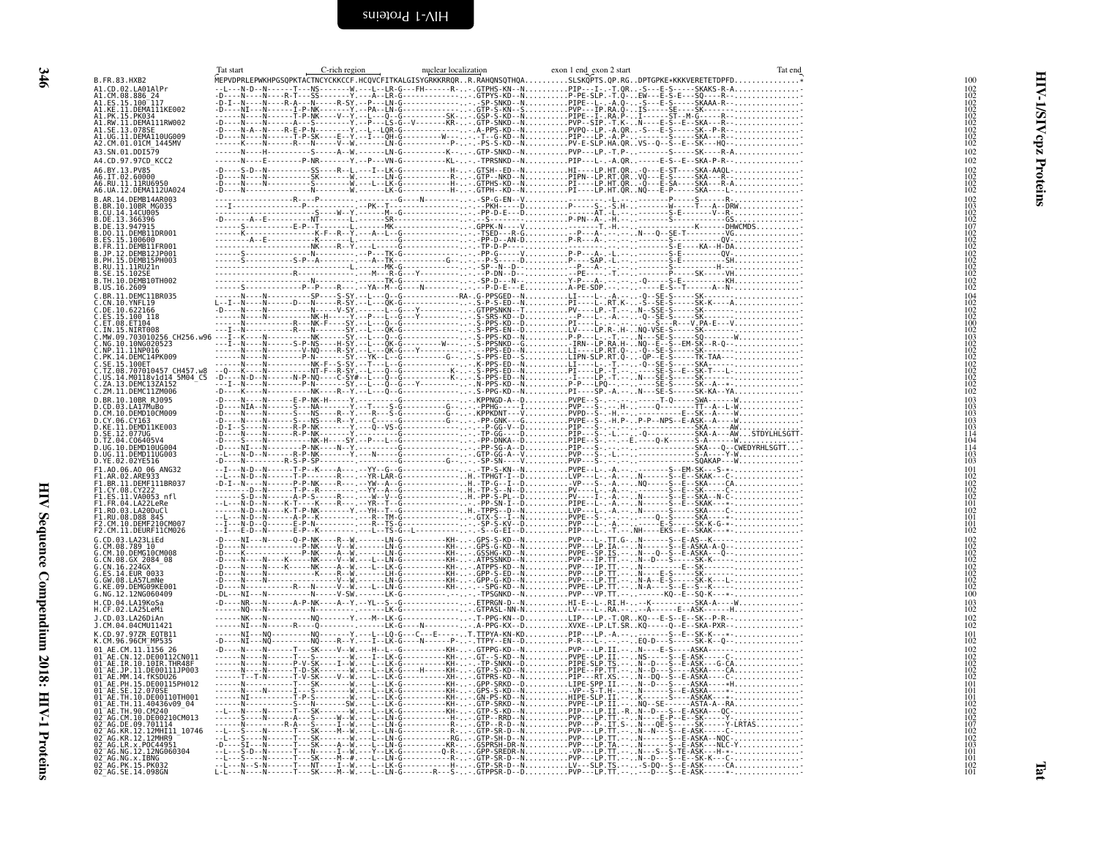<span id="page-39-1"></span><span id="page-39-0"></span>

|                                                                           | Tat start | C-rich region | nuclear localization | exon 1 end exon 2 start                                                                                                                                                                                                             | Tat end |                                                                                  |
|---------------------------------------------------------------------------|-----------|---------------|----------------------|-------------------------------------------------------------------------------------------------------------------------------------------------------------------------------------------------------------------------------------|---------|----------------------------------------------------------------------------------|
| B.FR.83.HXB2                                                              |           |               |                      | MEPVDPRLEPWKHPGSQPKTACTNCYCKKCCF.HCQVCFITKALGISYGRKKRRQRR.RAHQNSQTHQASLSKQPTS.QP.RGDPTGPKE*KKKVERETETDPFD*                                                                                                                          |         | 100                                                                              |
| A1.CD.02.LA01AlPr<br>A1.CM.08.886 24                                      |           |               |                      | 1990 - 12. 200 - 12. 200 - 12. 200 - 12. 200 - 12. 200 - 12. 200 - 12. 200 - 12. 200 - 12. 200 - 12. 200 - 12.<br>- 200 - 12. 200 - 12. 200 - 12. 200 - 12. 200 - 12. 200 - 12. 200 - 12. 200 - 12. 200 - 12. 200 - 12. 200 - 1<br> |         | $\frac{102}{102}$                                                                |
| A1.ES.15.100 <sup>-</sup> 117<br>A1.KE.11.DEMA111KE002                    |           |               |                      |                                                                                                                                                                                                                                     |         |                                                                                  |
| A1.PK.15.PK034                                                            |           |               |                      |                                                                                                                                                                                                                                     |         |                                                                                  |
| A1.RW.11.DEMA111RW002<br>A1.SE.13.078SE<br>A1.UG.11.DEMA110UG009          |           |               |                      |                                                                                                                                                                                                                                     |         |                                                                                  |
| A2.CM.01.01CM 1445MV                                                      |           |               |                      |                                                                                                                                                                                                                                     |         | $\frac{102}{102}$<br>$\frac{102}{102}$<br>$\frac{102}{102}$<br>$\frac{102}{102}$ |
| A3.SN.01.DDI579                                                           |           |               |                      |                                                                                                                                                                                                                                     |         | 102                                                                              |
| A4.CD.97.97CD_KCC2                                                        |           |               |                      | ------N----E--------P-NR-------Y.--P---VN-G----------KL--.-TPRSNKD--NPIP---L-.-A.QR-----E-S--E--SKA-P-R--                                                                                                                           |         | 102                                                                              |
|                                                                           |           |               |                      |                                                                                                                                                                                                                                     |         | $\frac{102}{102}$                                                                |
|                                                                           |           |               |                      |                                                                                                                                                                                                                                     |         | $^{102}_{102}$                                                                   |
|                                                                           |           |               |                      |                                                                                                                                                                                                                                     |         |                                                                                  |
|                                                                           |           |               |                      |                                                                                                                                                                                                                                     |         | $\frac{102}{103}$                                                                |
|                                                                           |           |               |                      |                                                                                                                                                                                                                                     |         |                                                                                  |
|                                                                           |           |               |                      |                                                                                                                                                                                                                                     |         |                                                                                  |
|                                                                           |           |               |                      |                                                                                                                                                                                                                                     |         |                                                                                  |
|                                                                           |           |               |                      |                                                                                                                                                                                                                                     |         | 102<br>102<br>107<br>102<br>102<br>102<br>102<br>102<br>102<br>102               |
|                                                                           |           |               |                      |                                                                                                                                                                                                                                     |         |                                                                                  |
|                                                                           |           |               |                      |                                                                                                                                                                                                                                     |         |                                                                                  |
|                                                                           |           |               |                      |                                                                                                                                                                                                                                     |         |                                                                                  |
|                                                                           |           |               |                      |                                                                                                                                                                                                                                     |         | 104<br>102<br>102<br>102<br>100<br>100                                           |
|                                                                           |           |               |                      |                                                                                                                                                                                                                                     |         |                                                                                  |
|                                                                           |           |               |                      |                                                                                                                                                                                                                                     |         |                                                                                  |
|                                                                           |           |               |                      |                                                                                                                                                                                                                                     |         | iŏž                                                                              |
|                                                                           |           |               |                      |                                                                                                                                                                                                                                     |         | 103<br>103<br>102<br>102<br>102<br>102                                           |
|                                                                           |           |               |                      |                                                                                                                                                                                                                                     |         |                                                                                  |
|                                                                           |           |               |                      |                                                                                                                                                                                                                                     |         | $\frac{102}{102}$                                                                |
|                                                                           |           |               |                      |                                                                                                                                                                                                                                     |         |                                                                                  |
|                                                                           |           |               |                      |                                                                                                                                                                                                                                     |         | $^{102}_{102}$                                                                   |
|                                                                           |           |               |                      |                                                                                                                                                                                                                                     |         | $\begin{array}{c} 103 \\ 103 \\ 103 \end{array}$                                 |
|                                                                           |           |               |                      |                                                                                                                                                                                                                                     |         | 103                                                                              |
|                                                                           |           |               |                      |                                                                                                                                                                                                                                     |         | 103                                                                              |
|                                                                           |           |               |                      |                                                                                                                                                                                                                                     |         | 114                                                                              |
|                                                                           |           |               |                      |                                                                                                                                                                                                                                     |         | $\frac{104}{114}$<br>$\frac{104}{103}$                                           |
|                                                                           |           |               |                      |                                                                                                                                                                                                                                     |         | 103                                                                              |
|                                                                           |           |               |                      |                                                                                                                                                                                                                                     |         | 101                                                                              |
|                                                                           |           |               |                      |                                                                                                                                                                                                                                     |         | 102<br>102<br>102                                                                |
|                                                                           |           |               |                      |                                                                                                                                                                                                                                     |         | 102                                                                              |
|                                                                           |           |               |                      |                                                                                                                                                                                                                                     |         | $\frac{101}{102}$<br>$\frac{102}{101}$                                           |
|                                                                           |           |               |                      |                                                                                                                                                                                                                                     |         |                                                                                  |
|                                                                           |           |               |                      |                                                                                                                                                                                                                                     |         | $\frac{101}{102}$                                                                |
|                                                                           |           |               |                      |                                                                                                                                                                                                                                     |         | $\begin{array}{c} 102 \\ 102 \\ 102 \\ 102 \\ 102 \\ 102 \\ 102 \end{array}$     |
|                                                                           |           |               |                      |                                                                                                                                                                                                                                     |         |                                                                                  |
|                                                                           |           |               |                      |                                                                                                                                                                                                                                     |         |                                                                                  |
|                                                                           |           |               |                      |                                                                                                                                                                                                                                     |         |                                                                                  |
|                                                                           |           |               |                      |                                                                                                                                                                                                                                     |         | $\frac{102}{102}$<br>$\frac{102}{100}$                                           |
| H.CD.04.LA19KoSa                                                          |           |               |                      |                                                                                                                                                                                                                                     |         | $\frac{103}{102}$                                                                |
| H.CF.02.LA25LeMi<br>J.CD.03.LA26DiAn                                      |           |               |                      |                                                                                                                                                                                                                                     |         |                                                                                  |
| J.CM.04.04CMU11421                                                        |           |               |                      |                                                                                                                                                                                                                                     |         | $\frac{102}{102}$                                                                |
| K.CD.97.97ZR EQTB11<br>K.CM.96.96CM_MP535                                 |           |               |                      |                                                                                                                                                                                                                                     |         | $^{101}_{102}$                                                                   |
| 01 AE.CM.11.1156 26                                                       |           |               |                      |                                                                                                                                                                                                                                     |         | 102                                                                              |
| 01 AE.CN.12.DE00112CN011<br>01 AE.IR.10.10IR.THR48F                       |           |               |                      |                                                                                                                                                                                                                                     |         |                                                                                  |
| 01 AE.JP.11.DE00111JP003                                                  |           |               |                      |                                                                                                                                                                                                                                     |         | $\frac{102}{102}$<br>$\frac{102}{102}$<br>$\frac{102}{101}$                      |
| 01-AE:MM.14.fKSDU26<br>01-AE:MM.14.fKSDU26<br>01-AE:SE.12.070SE           |           |               |                      |                                                                                                                                                                                                                                     |         |                                                                                  |
| 01 AE.TH.10.DE00110TH001                                                  |           |               |                      |                                                                                                                                                                                                                                     |         | iŏi<br>101                                                                       |
| 01 AE.TH.11.40436v09 04<br>01 AE. TH. 90. CM240                           |           |               |                      |                                                                                                                                                                                                                                     |         |                                                                                  |
| 02 AG.CM.10.DE00210CM013                                                  |           |               |                      |                                                                                                                                                                                                                                     |         |                                                                                  |
| 02 <sup>-</sup> AG.DE.09.701114<br>02 <sup>-</sup> AG.KR.12.12MHI11 10746 |           |               |                      |                                                                                                                                                                                                                                     |         | 102<br>102<br>102<br>107<br>102                                                  |
| 02 AG.KR.12.12MHR9<br>02 AG. LR. x. P0C44951                              |           |               |                      |                                                                                                                                                                                                                                     |         | $^{102}_{103}$                                                                   |
| 02 <sup>-</sup> AG.NG.12.12NG060304                                       |           |               |                      |                                                                                                                                                                                                                                     |         | 101                                                                              |
| 02 AG.NG.x.IBNG<br>02 AG.PK.15.PK032<br>02 AG.SE.14.098GN                 |           |               |                      |                                                                                                                                                                                                                                     |         | 101<br>102                                                                       |
|                                                                           |           |               |                      |                                                                                                                                                                                                                                     |         | iŏī                                                                              |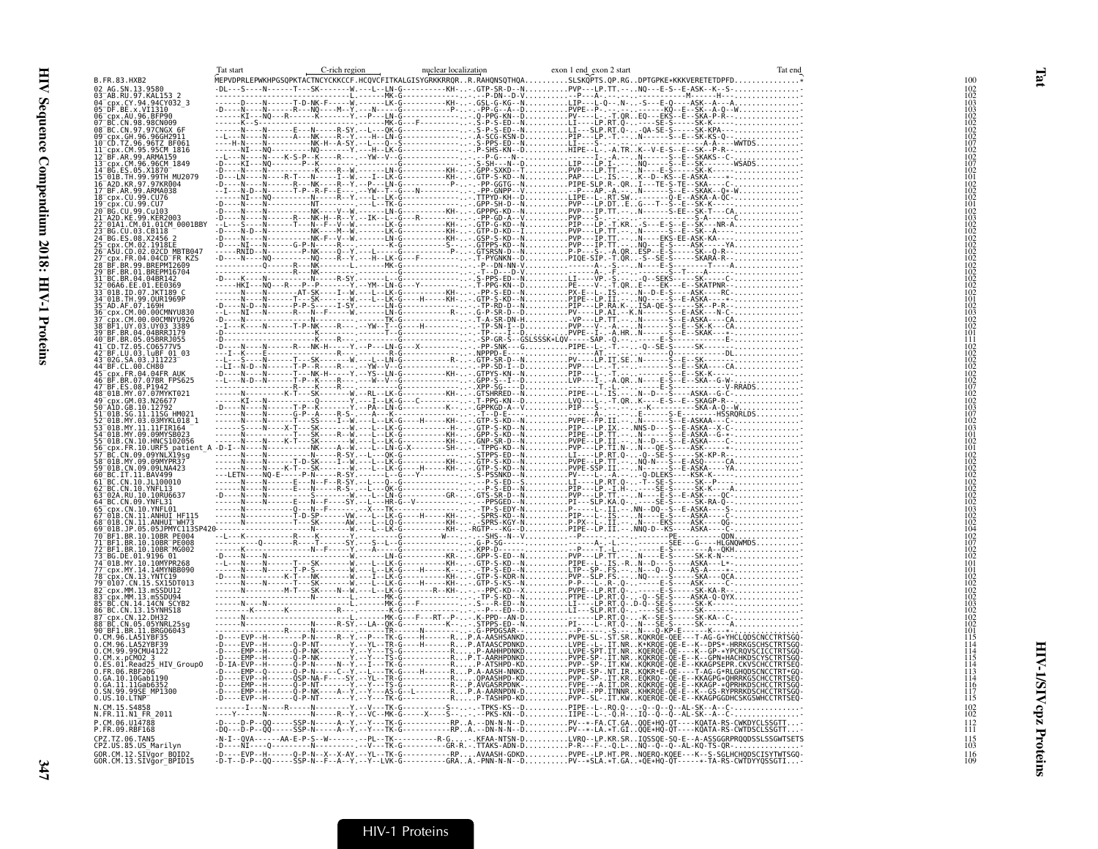| Tat start | C-rich region | nuclear localization | exon 1 end exon 2 start                                                                                   | Tat end |                   |
|-----------|---------------|----------------------|-----------------------------------------------------------------------------------------------------------|---------|-------------------|
|           |               |                      | MEPVDPRLEPWKHPGSQPKTACTNCYCKKCCF.HCQVCFITKALGISYGRKKRRQRR.RAHQNSQTHQASLSKQPTS.QP.RGDPTGPKE*KKKVERETETDPFD |         |                   |
|           |               |                      |                                                                                                           |         |                   |
|           |               |                      |                                                                                                           |         |                   |
|           |               |                      |                                                                                                           |         |                   |
|           |               |                      |                                                                                                           |         |                   |
|           |               |                      |                                                                                                           |         |                   |
|           |               |                      |                                                                                                           |         |                   |
|           |               |                      |                                                                                                           |         |                   |
|           |               |                      |                                                                                                           |         |                   |
|           |               |                      |                                                                                                           |         |                   |
|           |               |                      |                                                                                                           |         |                   |
|           |               |                      |                                                                                                           |         |                   |
|           |               |                      |                                                                                                           |         |                   |
|           |               |                      |                                                                                                           |         |                   |
|           |               |                      |                                                                                                           |         |                   |
|           |               |                      |                                                                                                           |         |                   |
|           |               |                      |                                                                                                           |         |                   |
|           |               |                      |                                                                                                           |         |                   |
|           |               |                      |                                                                                                           |         |                   |
|           |               |                      |                                                                                                           |         |                   |
|           |               |                      |                                                                                                           |         |                   |
|           |               |                      |                                                                                                           |         |                   |
|           |               |                      |                                                                                                           |         |                   |
|           |               |                      |                                                                                                           |         |                   |
|           |               |                      |                                                                                                           |         |                   |
|           |               |                      |                                                                                                           |         |                   |
|           |               |                      |                                                                                                           |         |                   |
|           |               |                      |                                                                                                           |         |                   |
|           |               |                      |                                                                                                           |         |                   |
|           |               |                      |                                                                                                           |         |                   |
|           |               |                      |                                                                                                           |         |                   |
|           |               |                      |                                                                                                           |         |                   |
|           |               |                      |                                                                                                           |         |                   |
|           |               |                      |                                                                                                           |         |                   |
|           |               |                      |                                                                                                           |         |                   |
|           |               |                      |                                                                                                           |         |                   |
|           |               |                      |                                                                                                           |         |                   |
|           |               |                      |                                                                                                           |         |                   |
|           |               |                      |                                                                                                           |         |                   |
|           |               |                      |                                                                                                           |         |                   |
|           |               |                      |                                                                                                           |         |                   |
|           |               |                      |                                                                                                           |         |                   |
|           |               |                      |                                                                                                           |         |                   |
|           |               |                      |                                                                                                           |         |                   |
|           |               |                      |                                                                                                           |         |                   |
|           |               |                      |                                                                                                           |         |                   |
|           |               |                      |                                                                                                           |         |                   |
|           |               |                      |                                                                                                           |         |                   |
|           |               |                      |                                                                                                           |         |                   |
|           |               |                      |                                                                                                           |         |                   |
|           |               |                      |                                                                                                           |         |                   |
|           |               |                      |                                                                                                           |         |                   |
|           |               |                      |                                                                                                           |         |                   |
|           |               |                      |                                                                                                           |         |                   |
|           |               |                      |                                                                                                           |         |                   |
|           |               |                      |                                                                                                           |         |                   |
|           |               |                      |                                                                                                           |         |                   |
|           |               |                      |                                                                                                           |         |                   |
|           |               |                      |                                                                                                           |         |                   |
|           |               |                      |                                                                                                           |         |                   |
|           |               |                      |                                                                                                           |         |                   |
|           |               |                      |                                                                                                           |         | 111               |
|           |               |                      |                                                                                                           |         | 115               |
|           |               |                      |                                                                                                           |         | 103               |
|           |               |                      |                                                                                                           |         | $\frac{116}{109}$ |

Tat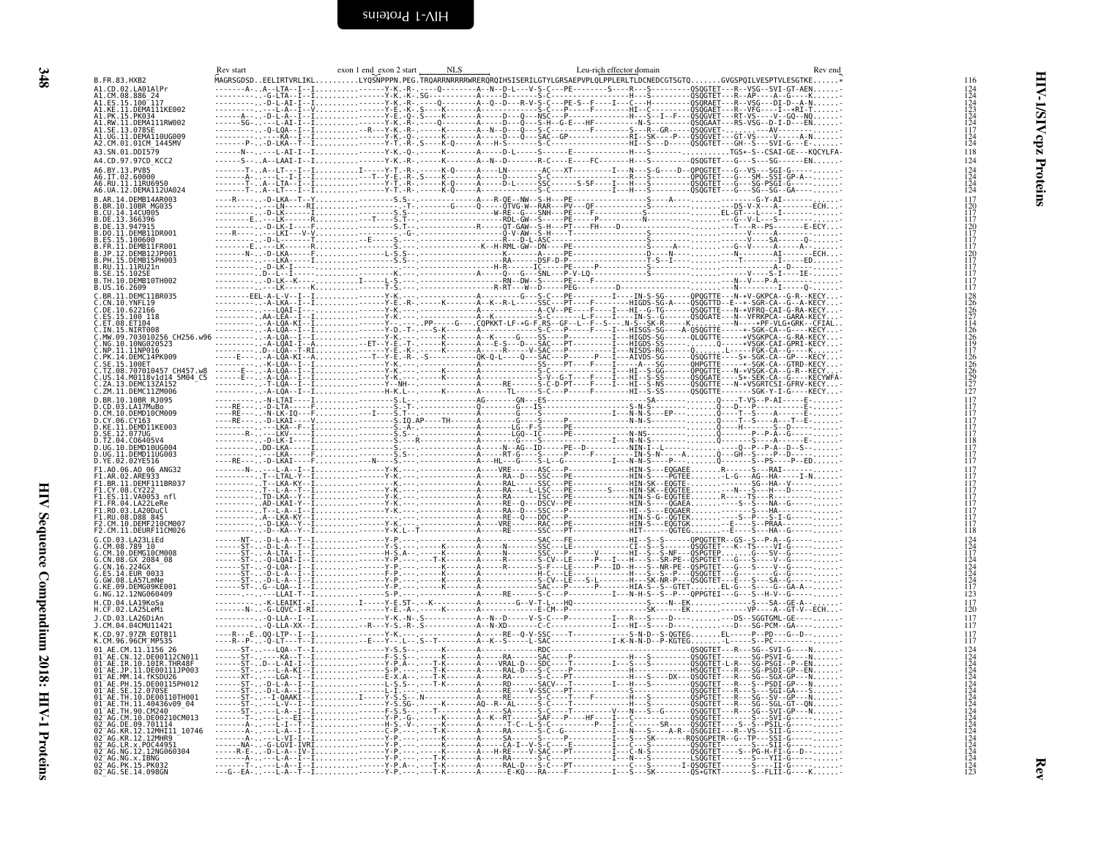<span id="page-41-0"></span>

| ۰.      |
|---------|
|         |
|         |
| I<br>۰. |

<span id="page-41-1"></span>

| Rev start | exon 1 end exon 2 start<br><b>NLS</b> | Leu-rich effector domain<br>Rev end | 116                                                                                               |
|-----------|---------------------------------------|-------------------------------------|---------------------------------------------------------------------------------------------------|
|           |                                       |                                     |                                                                                                   |
|           |                                       |                                     | 124<br>124<br>123<br>123<br>124<br>124<br>117                                                     |
|           |                                       |                                     |                                                                                                   |
|           |                                       |                                     |                                                                                                   |
|           |                                       |                                     | $\frac{124}{124}$                                                                                 |
|           |                                       |                                     | 118<br>124                                                                                        |
|           |                                       |                                     | 124                                                                                               |
|           |                                       |                                     | $\frac{124}{124}$                                                                                 |
|           |                                       |                                     | 117                                                                                               |
|           |                                       |                                     | $\frac{120}{117}$                                                                                 |
|           |                                       |                                     |                                                                                                   |
|           |                                       |                                     | 117<br>120<br>117<br>117                                                                          |
|           |                                       |                                     |                                                                                                   |
|           |                                       |                                     | 117<br>120<br>117<br>117<br>117                                                                   |
|           |                                       |                                     |                                                                                                   |
|           |                                       |                                     |                                                                                                   |
|           |                                       |                                     | 117                                                                                               |
|           |                                       |                                     | $\begin{array}{c} 128 \\ 126 \\ 126 \\ 127 \\ 114 \end{array}$                                    |
|           |                                       |                                     |                                                                                                   |
|           |                                       |                                     |                                                                                                   |
|           |                                       |                                     | 126<br>126<br>119<br>117                                                                          |
|           |                                       |                                     |                                                                                                   |
|           |                                       |                                     | $\frac{126}{126}$<br>$\frac{126}{129}$<br>$\frac{129}{127}$                                       |
|           |                                       |                                     |                                                                                                   |
|           |                                       |                                     |                                                                                                   |
|           |                                       |                                     | 117<br>$\frac{117}{117}$                                                                          |
|           |                                       |                                     | 117                                                                                               |
|           |                                       |                                     | ĬÎ7<br>117                                                                                        |
|           |                                       |                                     | 118<br>117                                                                                        |
|           |                                       |                                     | ĬÎ7                                                                                               |
|           |                                       |                                     | 117                                                                                               |
|           |                                       |                                     | $\frac{117}{117}$                                                                                 |
|           |                                       |                                     | i i 7<br>1 1 7<br>117                                                                             |
|           |                                       |                                     |                                                                                                   |
|           |                                       |                                     | 117<br>117<br>117                                                                                 |
|           |                                       |                                     | ĬÎ7<br>118                                                                                        |
|           |                                       |                                     |                                                                                                   |
|           |                                       |                                     | $\begin{array}{c} 124 \\ 124 \\ 117 \\ 124 \\ 124 \\ 124 \\ 124 \\ 124 \\ 117 \\ 123 \end{array}$ |
|           |                                       |                                     |                                                                                                   |
|           |                                       |                                     |                                                                                                   |
|           |                                       |                                     |                                                                                                   |
|           |                                       |                                     | $\frac{117}{120}$                                                                                 |
|           |                                       |                                     |                                                                                                   |
|           |                                       |                                     | $\frac{117}{117}$                                                                                 |
|           |                                       |                                     | $\frac{117}{117}$                                                                                 |
|           |                                       |                                     |                                                                                                   |
|           |                                       |                                     |                                                                                                   |
|           |                                       |                                     |                                                                                                   |
|           |                                       |                                     |                                                                                                   |
|           |                                       |                                     |                                                                                                   |
|           |                                       |                                     |                                                                                                   |
|           |                                       |                                     |                                                                                                   |
|           |                                       |                                     |                                                                                                   |
|           |                                       |                                     |                                                                                                   |
|           |                                       |                                     |                                                                                                   |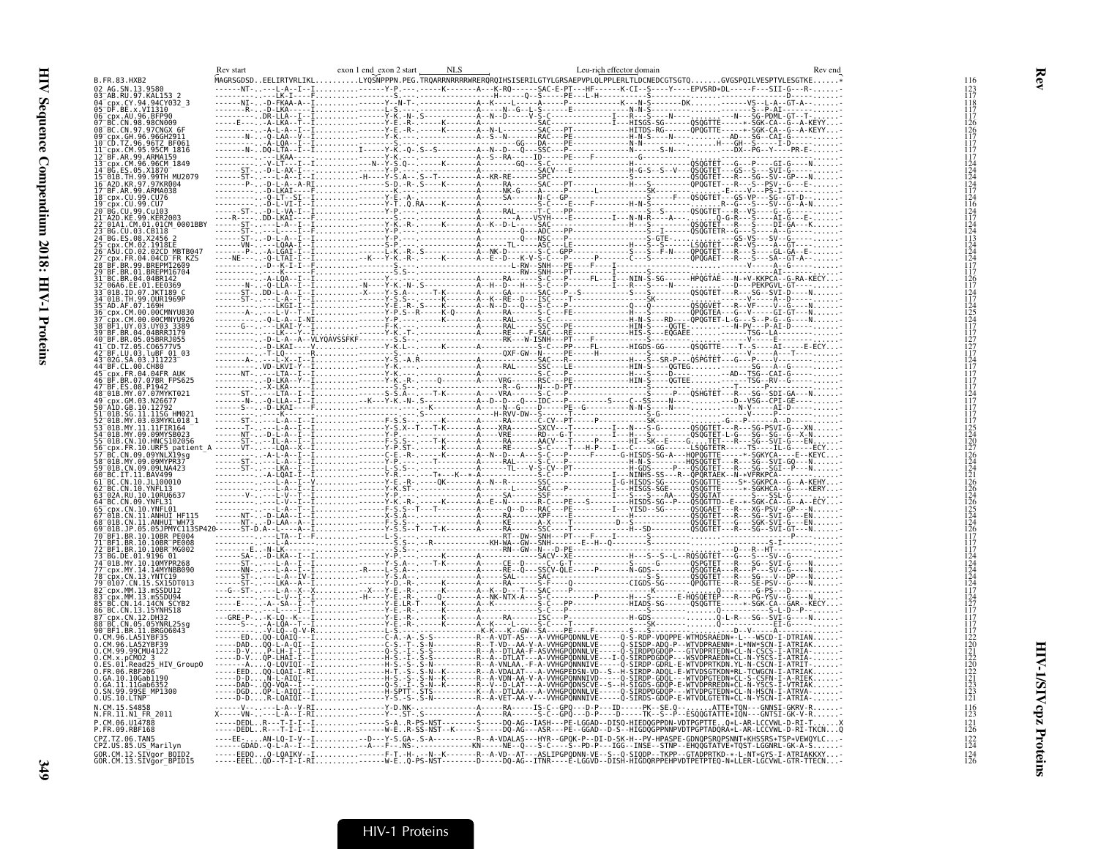| $0.05.10.$ LTNP<br>P.CM.06.U14788<br>P.FR.09.RBF168<br>124<br>CPZ.US.85.US_Marilyn<br>GOR.CM.12.SIVgor_BOID2<br>GOR.CM.13.SIVgor_BPID15 |                    | Rev start | exon 1 end_exon 2 start | NLS | Leu-rich effector domain |  |
|-----------------------------------------------------------------------------------------------------------------------------------------|--------------------|-----------|-------------------------|-----|--------------------------|--|
|                                                                                                                                         |                    |           |                         |     |                          |  |
|                                                                                                                                         |                    |           |                         |     |                          |  |
|                                                                                                                                         |                    |           |                         |     |                          |  |
|                                                                                                                                         |                    |           |                         |     |                          |  |
|                                                                                                                                         |                    |           |                         |     |                          |  |
|                                                                                                                                         |                    |           |                         |     |                          |  |
|                                                                                                                                         |                    |           |                         |     |                          |  |
|                                                                                                                                         |                    |           |                         |     |                          |  |
|                                                                                                                                         |                    |           |                         |     |                          |  |
|                                                                                                                                         |                    |           |                         |     |                          |  |
|                                                                                                                                         |                    |           |                         |     |                          |  |
|                                                                                                                                         |                    |           |                         |     |                          |  |
|                                                                                                                                         |                    |           |                         |     |                          |  |
|                                                                                                                                         |                    |           |                         |     |                          |  |
|                                                                                                                                         |                    |           |                         |     |                          |  |
|                                                                                                                                         |                    |           |                         |     |                          |  |
|                                                                                                                                         |                    |           |                         |     |                          |  |
|                                                                                                                                         |                    |           |                         |     |                          |  |
|                                                                                                                                         |                    |           |                         |     |                          |  |
|                                                                                                                                         |                    |           |                         |     |                          |  |
|                                                                                                                                         |                    |           |                         |     |                          |  |
|                                                                                                                                         |                    |           |                         |     |                          |  |
|                                                                                                                                         |                    |           |                         |     |                          |  |
|                                                                                                                                         |                    |           |                         |     |                          |  |
|                                                                                                                                         |                    |           |                         |     |                          |  |
|                                                                                                                                         |                    |           |                         |     |                          |  |
|                                                                                                                                         |                    |           |                         |     |                          |  |
|                                                                                                                                         |                    |           |                         |     |                          |  |
|                                                                                                                                         |                    |           |                         |     |                          |  |
|                                                                                                                                         |                    |           |                         |     |                          |  |
|                                                                                                                                         |                    |           |                         |     |                          |  |
|                                                                                                                                         |                    |           |                         |     |                          |  |
|                                                                                                                                         |                    |           |                         |     |                          |  |
|                                                                                                                                         |                    |           |                         |     |                          |  |
|                                                                                                                                         |                    |           |                         |     |                          |  |
|                                                                                                                                         |                    |           |                         |     |                          |  |
|                                                                                                                                         |                    |           |                         |     |                          |  |
|                                                                                                                                         |                    |           |                         |     |                          |  |
|                                                                                                                                         |                    |           |                         |     |                          |  |
|                                                                                                                                         |                    |           |                         |     |                          |  |
|                                                                                                                                         |                    |           |                         |     |                          |  |
|                                                                                                                                         |                    |           |                         |     |                          |  |
|                                                                                                                                         |                    |           |                         |     |                          |  |
|                                                                                                                                         |                    |           |                         |     |                          |  |
|                                                                                                                                         |                    |           |                         |     |                          |  |
|                                                                                                                                         |                    |           |                         |     |                          |  |
|                                                                                                                                         |                    |           |                         |     |                          |  |
|                                                                                                                                         |                    |           |                         |     |                          |  |
|                                                                                                                                         |                    |           |                         |     |                          |  |
|                                                                                                                                         |                    |           |                         |     |                          |  |
|                                                                                                                                         |                    |           |                         |     |                          |  |
|                                                                                                                                         |                    |           |                         |     |                          |  |
|                                                                                                                                         |                    |           |                         |     |                          |  |
|                                                                                                                                         |                    |           |                         |     |                          |  |
|                                                                                                                                         | N.FR.11.N1 FR 2011 |           |                         |     |                          |  |
|                                                                                                                                         |                    |           |                         |     |                          |  |
|                                                                                                                                         |                    |           |                         |     |                          |  |
|                                                                                                                                         |                    |           |                         |     |                          |  |
|                                                                                                                                         |                    |           |                         |     |                          |  |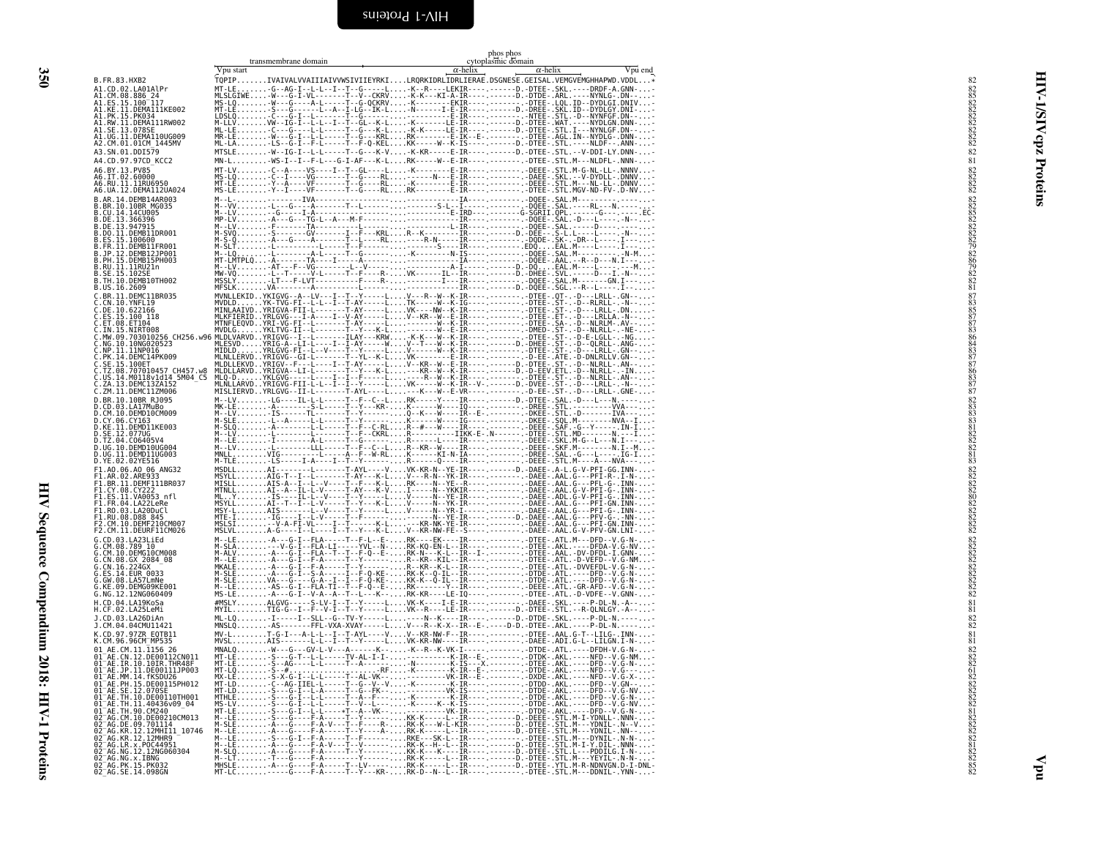|                          | ğ<br>ĺ                        |
|--------------------------|-------------------------------|
|                          |                               |
|                          |                               |
|                          |                               |
|                          |                               |
|                          |                               |
|                          |                               |
|                          |                               |
|                          |                               |
|                          |                               |
|                          |                               |
|                          |                               |
|                          |                               |
|                          |                               |
|                          |                               |
|                          |                               |
|                          |                               |
|                          |                               |
|                          |                               |
|                          |                               |
|                          |                               |
|                          |                               |
|                          |                               |
|                          |                               |
|                          |                               |
|                          |                               |
|                          |                               |
|                          |                               |
|                          |                               |
|                          |                               |
|                          |                               |
|                          |                               |
|                          |                               |
|                          |                               |
|                          |                               |
|                          |                               |
|                          |                               |
|                          |                               |
|                          |                               |
|                          |                               |
|                          |                               |
|                          |                               |
| $\overline{\phantom{a}}$ |                               |
|                          | i                             |
|                          |                               |
|                          |                               |
|                          |                               |
|                          |                               |
|                          | $\frac{1}{2}$                 |
|                          |                               |
|                          |                               |
|                          | ١                             |
|                          |                               |
|                          |                               |
|                          |                               |
|                          |                               |
|                          | <b><i><u>Property</u></i></b> |
|                          |                               |
|                          |                               |
|                          |                               |
|                          | :                             |
|                          | ١                             |
|                          | THE SOTAT                     |
|                          |                               |
|                          | $\frac{1}{2}$                 |
|                          |                               |
|                          | $\overline{\phantom{a}}$      |
|                          | ׇ֚֘֕֡                         |
|                          |                               |
|                          |                               |
|                          |                               |
|                          | I Proteins                    |

<span id="page-43-0"></span>HIV Sequence Compendium 2018: HIV-1 Proteins

<span id="page-43-1"></span>

| Vpu start<br>$\alpha$ -helix<br>Vpu end<br>$\alpha$ -helix<br>TQPIPIVAIVALVVAIIIAIVVWSIVIIEYRKILRQRKIDRLIDRLIERAE.DSGNESE.GEISAL.VEMGVEMGHHAPWD.VDDL*<br>82<br>MT-LE-G--AG-I--L-L--I--T--G-----L-K--R----LEKIR----.------D.-DTEE-.SKL.----DRDF-A.GNN--<br>825822282822822822<br>A1.CM.08.886_24<br>A1.ES.15.100_117<br>A1.PK.15.PK034<br>A1.SE.13.078SE<br>A1.UG.11.DEMA110UG009<br>A2.CM.01.01CM 1445MV<br>82<br>MTSLEV--IG-I--L-L-----T--G---K-V-K-KR-----E-IR---------D.-DTEE-.STL.--V-DDI-LY.DNN--<br>A4.CD.97.97CD KCC2<br>81<br>MT-LV-C--A----VS----I--T--GL----L-K--------E-IR----.----------DEEE-.STL.M-G-NL-LL-.NNNV-<br>$\begin{smallmatrix} 82 \\ 82 \\ 82 \\ 82 \\ 82 \end{smallmatrix}$<br>A6.IT.02.60000<br>A6.RU.11.11RU6950<br>A6.UA.12.DEMA112UA024<br>828582282928692828782887828<br>B.BR.10.10BR MG035<br>B.DE.13.947915<br>B.DO.11.DEMB11DR001<br>B.ES.15.100600<br>B.JP.12.DEMB12JP001<br>B.RU.11.11RU21n<br>B.US.16.2609<br>$8783$<br>$85$<br>$87$<br>$\frac{87}{83}$<br>$\frac{83}{86}$<br>84<br>83<br>87<br>87<br>86<br>83<br>87<br>C.ZM.11.DEMC11ZM006<br>MISLIERVDYRLGVG--II-L-------T-AYL----L---K---W--E-VR----.---------D-EE-.ST-.-D---LRLL-.GNE--<br>87<br>$\frac{82}{83}$<br>D.CD.03.LA17MuBo<br>83<br>D.CY.06.CY163<br>81<br>82<br>82<br>82<br>83<br>D.SE.12.077UG<br>D.UG.11.DEMD11UG003<br>MSDLLAI--------L------T-AYL----VVK-KR-N--YE-IR----.------D.-DAEE-.A-L.G-V-PFI-GG.INN--<br>82<br>82<br>82<br>82<br>80<br>F1.A0.06.A0 06 ANG32<br>F1.BR.11.DEMF111BR037<br>F1.CY.08.CY222<br>F1.ES.11.VA0053 nfl<br>82<br>82<br>82<br>82<br>82<br>F1.RU.08.D88 845<br>F2.CM.10.DEMF210CM007<br>F2.CM.11.DEURF11CM026<br>M--LE-A---G-I--FLA-----T--F-L--E-RK----EK----IR---------------DTEE-.ATL.M---DFD--V.G-N--<br>M-SLA--V-Q-I--ELA-LI-----YVL--N-RK-KO-EN-L--IR----.---------DIEE-.AKL.----DEDA-V.Q-NV-<br>G.CM.08.789 10<br>G.CM.10.DEMG10CM008<br>G.CN.08.GX_2084_08<br>G.CN.16.224GX<br>G.ES.14.EUR 0033<br>G.KE.09.DEMGO9KE001<br>81<br>- MYILTIG-G--I--F--V-I--T--Y-----LVK--R----LE-IR----.------D.-DTEE-.STL.--R-QLNLGY.-A<br>81<br>ML-LQI-----I--SLL--G--TV-Y-----L----N--K----IR----.-----D.-DTDE-.SKL.----P-DL-N.-----<br>J.CD.03.LA26DiAn<br>$_{82}^{82}$<br>MNSLQAS-------FFL-VXA-XVAY-----[V---R--K-X--IR--E-.----D-D.-DTEE-.AKL.----P-DL-N.-------<br>MV-LT-G-I---A-L-L--I--T-AYL----VV--KR-NW-F--IR----.-------.DTEE-.AAL.G-T--LILG-.INN--<br>K.CD.97.97ZR EQTB11<br>MVSLAIS-------L-L--I--T--Y-----LVK-KR-NW----IR----.-----------DAEE-.ADI.G-L--LILGN.I-N--<br>81<br>01 AE.CM.11.1156 26<br>828282<br>01 AE.CN.12.DE00112CN011<br>01 <sup>-</sup> AE.IR.10.10IR.THR48F<br>01 AE. JP. 11. DE00111JP003<br>01 AE. MM. 14. fKSDU26<br>61<br>91–АЕ: PH: 15.0E00115PH012<br>01–АЕ: FH: 15.0E00115PH012<br>01–АЕ: TH: 10.0E00110TH001<br>01–АЕ: TH: 11.140435099_04<br>01–АЕ: TH: 10.0E00210CM013<br>02–АG: DE: 09.701114<br>02–АG: RE: 09.7011141<br>02–АG: RE: 12.12MHR11 10746<br>02–АG: RE: 12.<br>02 AG.KR.12.12MHR9<br>02-AG.LR.x.P0C44951<br>02-AG.LR.x.P0C44951<br>02-AG.NG.12.12NG060304<br>02-AG.NC.X.I5.PK032<br>02-AG.PK.15.PK032<br>02_AG.SE.14.098GN |                                         | transmembrane domain | phos phos<br>cytoplasmic domain |  |
|-------------------------------------------------------------------------------------------------------------------------------------------------------------------------------------------------------------------------------------------------------------------------------------------------------------------------------------------------------------------------------------------------------------------------------------------------------------------------------------------------------------------------------------------------------------------------------------------------------------------------------------------------------------------------------------------------------------------------------------------------------------------------------------------------------------------------------------------------------------------------------------------------------------------------------------------------------------------------------------------------------------------------------------------------------------------------------------------------------------------------------------------------------------------------------------------------------------------------------------------------------------------------------------------------------------------------------------------------------------------------------------------------------------------------------------------------------------------------------------------------------------------------------------------------------------------------------------------------------------------------------------------------------------------------------------------------------------------------------------------------------------------------------------------------------------------------------------------------------------------------------------------------------------------------------------------------------------------------------------------------------------------------------------------------------------------------------------------------------------------------------------------------------------------------------------------------------------------------------------------------------------------------------------------------------------------------------------------------------------------------------------------------------------------------------------------------------------------------------------------------------------------------------------------------------------------------------------------------------------------------------------------------------------------------------------------------------------------------------------------------------------------------------------------------------------------------------------------------------------------------------------------------------------------------------------------------------------------------------------------------------------------------------------------------------------------------------------------------------------|-----------------------------------------|----------------------|---------------------------------|--|
|                                                                                                                                                                                                                                                                                                                                                                                                                                                                                                                                                                                                                                                                                                                                                                                                                                                                                                                                                                                                                                                                                                                                                                                                                                                                                                                                                                                                                                                                                                                                                                                                                                                                                                                                                                                                                                                                                                                                                                                                                                                                                                                                                                                                                                                                                                                                                                                                                                                                                                                                                                                                                                                                                                                                                                                                                                                                                                                                                                                                                                                                                                             | B.FR.83.HXB2                            |                      |                                 |  |
|                                                                                                                                                                                                                                                                                                                                                                                                                                                                                                                                                                                                                                                                                                                                                                                                                                                                                                                                                                                                                                                                                                                                                                                                                                                                                                                                                                                                                                                                                                                                                                                                                                                                                                                                                                                                                                                                                                                                                                                                                                                                                                                                                                                                                                                                                                                                                                                                                                                                                                                                                                                                                                                                                                                                                                                                                                                                                                                                                                                                                                                                                                             | A1.CD.02.LA01AlPr                       |                      |                                 |  |
|                                                                                                                                                                                                                                                                                                                                                                                                                                                                                                                                                                                                                                                                                                                                                                                                                                                                                                                                                                                                                                                                                                                                                                                                                                                                                                                                                                                                                                                                                                                                                                                                                                                                                                                                                                                                                                                                                                                                                                                                                                                                                                                                                                                                                                                                                                                                                                                                                                                                                                                                                                                                                                                                                                                                                                                                                                                                                                                                                                                                                                                                                                             | A1.KE.11.DEMA111KE002                   |                      |                                 |  |
|                                                                                                                                                                                                                                                                                                                                                                                                                                                                                                                                                                                                                                                                                                                                                                                                                                                                                                                                                                                                                                                                                                                                                                                                                                                                                                                                                                                                                                                                                                                                                                                                                                                                                                                                                                                                                                                                                                                                                                                                                                                                                                                                                                                                                                                                                                                                                                                                                                                                                                                                                                                                                                                                                                                                                                                                                                                                                                                                                                                                                                                                                                             | A1.RW.11.DEMA111RW002                   |                      |                                 |  |
|                                                                                                                                                                                                                                                                                                                                                                                                                                                                                                                                                                                                                                                                                                                                                                                                                                                                                                                                                                                                                                                                                                                                                                                                                                                                                                                                                                                                                                                                                                                                                                                                                                                                                                                                                                                                                                                                                                                                                                                                                                                                                                                                                                                                                                                                                                                                                                                                                                                                                                                                                                                                                                                                                                                                                                                                                                                                                                                                                                                                                                                                                                             |                                         |                      |                                 |  |
|                                                                                                                                                                                                                                                                                                                                                                                                                                                                                                                                                                                                                                                                                                                                                                                                                                                                                                                                                                                                                                                                                                                                                                                                                                                                                                                                                                                                                                                                                                                                                                                                                                                                                                                                                                                                                                                                                                                                                                                                                                                                                                                                                                                                                                                                                                                                                                                                                                                                                                                                                                                                                                                                                                                                                                                                                                                                                                                                                                                                                                                                                                             | A3.SN.01.DDI579                         |                      |                                 |  |
|                                                                                                                                                                                                                                                                                                                                                                                                                                                                                                                                                                                                                                                                                                                                                                                                                                                                                                                                                                                                                                                                                                                                                                                                                                                                                                                                                                                                                                                                                                                                                                                                                                                                                                                                                                                                                                                                                                                                                                                                                                                                                                                                                                                                                                                                                                                                                                                                                                                                                                                                                                                                                                                                                                                                                                                                                                                                                                                                                                                                                                                                                                             | A6.BY.13.PV85                           |                      |                                 |  |
|                                                                                                                                                                                                                                                                                                                                                                                                                                                                                                                                                                                                                                                                                                                                                                                                                                                                                                                                                                                                                                                                                                                                                                                                                                                                                                                                                                                                                                                                                                                                                                                                                                                                                                                                                                                                                                                                                                                                                                                                                                                                                                                                                                                                                                                                                                                                                                                                                                                                                                                                                                                                                                                                                                                                                                                                                                                                                                                                                                                                                                                                                                             |                                         |                      |                                 |  |
|                                                                                                                                                                                                                                                                                                                                                                                                                                                                                                                                                                                                                                                                                                                                                                                                                                                                                                                                                                                                                                                                                                                                                                                                                                                                                                                                                                                                                                                                                                                                                                                                                                                                                                                                                                                                                                                                                                                                                                                                                                                                                                                                                                                                                                                                                                                                                                                                                                                                                                                                                                                                                                                                                                                                                                                                                                                                                                                                                                                                                                                                                                             | B.AR.14.DEMB14AR003                     |                      |                                 |  |
|                                                                                                                                                                                                                                                                                                                                                                                                                                                                                                                                                                                                                                                                                                                                                                                                                                                                                                                                                                                                                                                                                                                                                                                                                                                                                                                                                                                                                                                                                                                                                                                                                                                                                                                                                                                                                                                                                                                                                                                                                                                                                                                                                                                                                                                                                                                                                                                                                                                                                                                                                                                                                                                                                                                                                                                                                                                                                                                                                                                                                                                                                                             | B.CU.14.14CU005<br>B.DE.13.366396       |                      |                                 |  |
|                                                                                                                                                                                                                                                                                                                                                                                                                                                                                                                                                                                                                                                                                                                                                                                                                                                                                                                                                                                                                                                                                                                                                                                                                                                                                                                                                                                                                                                                                                                                                                                                                                                                                                                                                                                                                                                                                                                                                                                                                                                                                                                                                                                                                                                                                                                                                                                                                                                                                                                                                                                                                                                                                                                                                                                                                                                                                                                                                                                                                                                                                                             |                                         |                      |                                 |  |
|                                                                                                                                                                                                                                                                                                                                                                                                                                                                                                                                                                                                                                                                                                                                                                                                                                                                                                                                                                                                                                                                                                                                                                                                                                                                                                                                                                                                                                                                                                                                                                                                                                                                                                                                                                                                                                                                                                                                                                                                                                                                                                                                                                                                                                                                                                                                                                                                                                                                                                                                                                                                                                                                                                                                                                                                                                                                                                                                                                                                                                                                                                             | B.FR.11.DEMB11FR001                     |                      |                                 |  |
|                                                                                                                                                                                                                                                                                                                                                                                                                                                                                                                                                                                                                                                                                                                                                                                                                                                                                                                                                                                                                                                                                                                                                                                                                                                                                                                                                                                                                                                                                                                                                                                                                                                                                                                                                                                                                                                                                                                                                                                                                                                                                                                                                                                                                                                                                                                                                                                                                                                                                                                                                                                                                                                                                                                                                                                                                                                                                                                                                                                                                                                                                                             | B. PH. 15. DEMB15PH003                  |                      |                                 |  |
|                                                                                                                                                                                                                                                                                                                                                                                                                                                                                                                                                                                                                                                                                                                                                                                                                                                                                                                                                                                                                                                                                                                                                                                                                                                                                                                                                                                                                                                                                                                                                                                                                                                                                                                                                                                                                                                                                                                                                                                                                                                                                                                                                                                                                                                                                                                                                                                                                                                                                                                                                                                                                                                                                                                                                                                                                                                                                                                                                                                                                                                                                                             | B.SE.15.102S<br>B. TH. 10. DEMB10TH002  |                      |                                 |  |
|                                                                                                                                                                                                                                                                                                                                                                                                                                                                                                                                                                                                                                                                                                                                                                                                                                                                                                                                                                                                                                                                                                                                                                                                                                                                                                                                                                                                                                                                                                                                                                                                                                                                                                                                                                                                                                                                                                                                                                                                                                                                                                                                                                                                                                                                                                                                                                                                                                                                                                                                                                                                                                                                                                                                                                                                                                                                                                                                                                                                                                                                                                             |                                         |                      |                                 |  |
|                                                                                                                                                                                                                                                                                                                                                                                                                                                                                                                                                                                                                                                                                                                                                                                                                                                                                                                                                                                                                                                                                                                                                                                                                                                                                                                                                                                                                                                                                                                                                                                                                                                                                                                                                                                                                                                                                                                                                                                                                                                                                                                                                                                                                                                                                                                                                                                                                                                                                                                                                                                                                                                                                                                                                                                                                                                                                                                                                                                                                                                                                                             |                                         |                      |                                 |  |
|                                                                                                                                                                                                                                                                                                                                                                                                                                                                                                                                                                                                                                                                                                                                                                                                                                                                                                                                                                                                                                                                                                                                                                                                                                                                                                                                                                                                                                                                                                                                                                                                                                                                                                                                                                                                                                                                                                                                                                                                                                                                                                                                                                                                                                                                                                                                                                                                                                                                                                                                                                                                                                                                                                                                                                                                                                                                                                                                                                                                                                                                                                             |                                         |                      |                                 |  |
|                                                                                                                                                                                                                                                                                                                                                                                                                                                                                                                                                                                                                                                                                                                                                                                                                                                                                                                                                                                                                                                                                                                                                                                                                                                                                                                                                                                                                                                                                                                                                                                                                                                                                                                                                                                                                                                                                                                                                                                                                                                                                                                                                                                                                                                                                                                                                                                                                                                                                                                                                                                                                                                                                                                                                                                                                                                                                                                                                                                                                                                                                                             |                                         |                      |                                 |  |
|                                                                                                                                                                                                                                                                                                                                                                                                                                                                                                                                                                                                                                                                                                                                                                                                                                                                                                                                                                                                                                                                                                                                                                                                                                                                                                                                                                                                                                                                                                                                                                                                                                                                                                                                                                                                                                                                                                                                                                                                                                                                                                                                                                                                                                                                                                                                                                                                                                                                                                                                                                                                                                                                                                                                                                                                                                                                                                                                                                                                                                                                                                             |                                         |                      |                                 |  |
|                                                                                                                                                                                                                                                                                                                                                                                                                                                                                                                                                                                                                                                                                                                                                                                                                                                                                                                                                                                                                                                                                                                                                                                                                                                                                                                                                                                                                                                                                                                                                                                                                                                                                                                                                                                                                                                                                                                                                                                                                                                                                                                                                                                                                                                                                                                                                                                                                                                                                                                                                                                                                                                                                                                                                                                                                                                                                                                                                                                                                                                                                                             |                                         |                      |                                 |  |
|                                                                                                                                                                                                                                                                                                                                                                                                                                                                                                                                                                                                                                                                                                                                                                                                                                                                                                                                                                                                                                                                                                                                                                                                                                                                                                                                                                                                                                                                                                                                                                                                                                                                                                                                                                                                                                                                                                                                                                                                                                                                                                                                                                                                                                                                                                                                                                                                                                                                                                                                                                                                                                                                                                                                                                                                                                                                                                                                                                                                                                                                                                             |                                         |                      |                                 |  |
|                                                                                                                                                                                                                                                                                                                                                                                                                                                                                                                                                                                                                                                                                                                                                                                                                                                                                                                                                                                                                                                                                                                                                                                                                                                                                                                                                                                                                                                                                                                                                                                                                                                                                                                                                                                                                                                                                                                                                                                                                                                                                                                                                                                                                                                                                                                                                                                                                                                                                                                                                                                                                                                                                                                                                                                                                                                                                                                                                                                                                                                                                                             | D.BR.10.10BR RJ095                      |                      |                                 |  |
|                                                                                                                                                                                                                                                                                                                                                                                                                                                                                                                                                                                                                                                                                                                                                                                                                                                                                                                                                                                                                                                                                                                                                                                                                                                                                                                                                                                                                                                                                                                                                                                                                                                                                                                                                                                                                                                                                                                                                                                                                                                                                                                                                                                                                                                                                                                                                                                                                                                                                                                                                                                                                                                                                                                                                                                                                                                                                                                                                                                                                                                                                                             | D.CM.10.DEMD10CM009                     |                      |                                 |  |
|                                                                                                                                                                                                                                                                                                                                                                                                                                                                                                                                                                                                                                                                                                                                                                                                                                                                                                                                                                                                                                                                                                                                                                                                                                                                                                                                                                                                                                                                                                                                                                                                                                                                                                                                                                                                                                                                                                                                                                                                                                                                                                                                                                                                                                                                                                                                                                                                                                                                                                                                                                                                                                                                                                                                                                                                                                                                                                                                                                                                                                                                                                             | D.KE.11.DEMD11KE003                     |                      |                                 |  |
|                                                                                                                                                                                                                                                                                                                                                                                                                                                                                                                                                                                                                                                                                                                                                                                                                                                                                                                                                                                                                                                                                                                                                                                                                                                                                                                                                                                                                                                                                                                                                                                                                                                                                                                                                                                                                                                                                                                                                                                                                                                                                                                                                                                                                                                                                                                                                                                                                                                                                                                                                                                                                                                                                                                                                                                                                                                                                                                                                                                                                                                                                                             | D.TZ.04.C06405V4<br>D.UG.10.DEMD10UG004 |                      |                                 |  |
|                                                                                                                                                                                                                                                                                                                                                                                                                                                                                                                                                                                                                                                                                                                                                                                                                                                                                                                                                                                                                                                                                                                                                                                                                                                                                                                                                                                                                                                                                                                                                                                                                                                                                                                                                                                                                                                                                                                                                                                                                                                                                                                                                                                                                                                                                                                                                                                                                                                                                                                                                                                                                                                                                                                                                                                                                                                                                                                                                                                                                                                                                                             | D.YE.02.02YE516                         |                      |                                 |  |
|                                                                                                                                                                                                                                                                                                                                                                                                                                                                                                                                                                                                                                                                                                                                                                                                                                                                                                                                                                                                                                                                                                                                                                                                                                                                                                                                                                                                                                                                                                                                                                                                                                                                                                                                                                                                                                                                                                                                                                                                                                                                                                                                                                                                                                                                                                                                                                                                                                                                                                                                                                                                                                                                                                                                                                                                                                                                                                                                                                                                                                                                                                             | F1.AR.02.ARE933                         |                      |                                 |  |
|                                                                                                                                                                                                                                                                                                                                                                                                                                                                                                                                                                                                                                                                                                                                                                                                                                                                                                                                                                                                                                                                                                                                                                                                                                                                                                                                                                                                                                                                                                                                                                                                                                                                                                                                                                                                                                                                                                                                                                                                                                                                                                                                                                                                                                                                                                                                                                                                                                                                                                                                                                                                                                                                                                                                                                                                                                                                                                                                                                                                                                                                                                             |                                         |                      |                                 |  |
|                                                                                                                                                                                                                                                                                                                                                                                                                                                                                                                                                                                                                                                                                                                                                                                                                                                                                                                                                                                                                                                                                                                                                                                                                                                                                                                                                                                                                                                                                                                                                                                                                                                                                                                                                                                                                                                                                                                                                                                                                                                                                                                                                                                                                                                                                                                                                                                                                                                                                                                                                                                                                                                                                                                                                                                                                                                                                                                                                                                                                                                                                                             | F1.FR.04.LA22LeRe<br>F1.R0.03.LA20DuCl  |                      |                                 |  |
|                                                                                                                                                                                                                                                                                                                                                                                                                                                                                                                                                                                                                                                                                                                                                                                                                                                                                                                                                                                                                                                                                                                                                                                                                                                                                                                                                                                                                                                                                                                                                                                                                                                                                                                                                                                                                                                                                                                                                                                                                                                                                                                                                                                                                                                                                                                                                                                                                                                                                                                                                                                                                                                                                                                                                                                                                                                                                                                                                                                                                                                                                                             |                                         |                      |                                 |  |
|                                                                                                                                                                                                                                                                                                                                                                                                                                                                                                                                                                                                                                                                                                                                                                                                                                                                                                                                                                                                                                                                                                                                                                                                                                                                                                                                                                                                                                                                                                                                                                                                                                                                                                                                                                                                                                                                                                                                                                                                                                                                                                                                                                                                                                                                                                                                                                                                                                                                                                                                                                                                                                                                                                                                                                                                                                                                                                                                                                                                                                                                                                             | G.CD.03.LA23LiEd                        |                      |                                 |  |
|                                                                                                                                                                                                                                                                                                                                                                                                                                                                                                                                                                                                                                                                                                                                                                                                                                                                                                                                                                                                                                                                                                                                                                                                                                                                                                                                                                                                                                                                                                                                                                                                                                                                                                                                                                                                                                                                                                                                                                                                                                                                                                                                                                                                                                                                                                                                                                                                                                                                                                                                                                                                                                                                                                                                                                                                                                                                                                                                                                                                                                                                                                             |                                         |                      |                                 |  |
|                                                                                                                                                                                                                                                                                                                                                                                                                                                                                                                                                                                                                                                                                                                                                                                                                                                                                                                                                                                                                                                                                                                                                                                                                                                                                                                                                                                                                                                                                                                                                                                                                                                                                                                                                                                                                                                                                                                                                                                                                                                                                                                                                                                                                                                                                                                                                                                                                                                                                                                                                                                                                                                                                                                                                                                                                                                                                                                                                                                                                                                                                                             |                                         |                      |                                 |  |
|                                                                                                                                                                                                                                                                                                                                                                                                                                                                                                                                                                                                                                                                                                                                                                                                                                                                                                                                                                                                                                                                                                                                                                                                                                                                                                                                                                                                                                                                                                                                                                                                                                                                                                                                                                                                                                                                                                                                                                                                                                                                                                                                                                                                                                                                                                                                                                                                                                                                                                                                                                                                                                                                                                                                                                                                                                                                                                                                                                                                                                                                                                             | G.GW.08.LA57LmNe                        |                      |                                 |  |
|                                                                                                                                                                                                                                                                                                                                                                                                                                                                                                                                                                                                                                                                                                                                                                                                                                                                                                                                                                                                                                                                                                                                                                                                                                                                                                                                                                                                                                                                                                                                                                                                                                                                                                                                                                                                                                                                                                                                                                                                                                                                                                                                                                                                                                                                                                                                                                                                                                                                                                                                                                                                                                                                                                                                                                                                                                                                                                                                                                                                                                                                                                             | G.NG.12.12NG060409<br>H.CD.04.LA19KoSa  |                      |                                 |  |
|                                                                                                                                                                                                                                                                                                                                                                                                                                                                                                                                                                                                                                                                                                                                                                                                                                                                                                                                                                                                                                                                                                                                                                                                                                                                                                                                                                                                                                                                                                                                                                                                                                                                                                                                                                                                                                                                                                                                                                                                                                                                                                                                                                                                                                                                                                                                                                                                                                                                                                                                                                                                                                                                                                                                                                                                                                                                                                                                                                                                                                                                                                             | H.CF.02.LA25LeMi                        |                      |                                 |  |
|                                                                                                                                                                                                                                                                                                                                                                                                                                                                                                                                                                                                                                                                                                                                                                                                                                                                                                                                                                                                                                                                                                                                                                                                                                                                                                                                                                                                                                                                                                                                                                                                                                                                                                                                                                                                                                                                                                                                                                                                                                                                                                                                                                                                                                                                                                                                                                                                                                                                                                                                                                                                                                                                                                                                                                                                                                                                                                                                                                                                                                                                                                             | J.CM.04.04CMU11421                      |                      |                                 |  |
|                                                                                                                                                                                                                                                                                                                                                                                                                                                                                                                                                                                                                                                                                                                                                                                                                                                                                                                                                                                                                                                                                                                                                                                                                                                                                                                                                                                                                                                                                                                                                                                                                                                                                                                                                                                                                                                                                                                                                                                                                                                                                                                                                                                                                                                                                                                                                                                                                                                                                                                                                                                                                                                                                                                                                                                                                                                                                                                                                                                                                                                                                                             | K.CM.96.96CM MP535                      |                      |                                 |  |
|                                                                                                                                                                                                                                                                                                                                                                                                                                                                                                                                                                                                                                                                                                                                                                                                                                                                                                                                                                                                                                                                                                                                                                                                                                                                                                                                                                                                                                                                                                                                                                                                                                                                                                                                                                                                                                                                                                                                                                                                                                                                                                                                                                                                                                                                                                                                                                                                                                                                                                                                                                                                                                                                                                                                                                                                                                                                                                                                                                                                                                                                                                             |                                         |                      |                                 |  |
|                                                                                                                                                                                                                                                                                                                                                                                                                                                                                                                                                                                                                                                                                                                                                                                                                                                                                                                                                                                                                                                                                                                                                                                                                                                                                                                                                                                                                                                                                                                                                                                                                                                                                                                                                                                                                                                                                                                                                                                                                                                                                                                                                                                                                                                                                                                                                                                                                                                                                                                                                                                                                                                                                                                                                                                                                                                                                                                                                                                                                                                                                                             |                                         |                      |                                 |  |
|                                                                                                                                                                                                                                                                                                                                                                                                                                                                                                                                                                                                                                                                                                                                                                                                                                                                                                                                                                                                                                                                                                                                                                                                                                                                                                                                                                                                                                                                                                                                                                                                                                                                                                                                                                                                                                                                                                                                                                                                                                                                                                                                                                                                                                                                                                                                                                                                                                                                                                                                                                                                                                                                                                                                                                                                                                                                                                                                                                                                                                                                                                             |                                         |                      |                                 |  |
|                                                                                                                                                                                                                                                                                                                                                                                                                                                                                                                                                                                                                                                                                                                                                                                                                                                                                                                                                                                                                                                                                                                                                                                                                                                                                                                                                                                                                                                                                                                                                                                                                                                                                                                                                                                                                                                                                                                                                                                                                                                                                                                                                                                                                                                                                                                                                                                                                                                                                                                                                                                                                                                                                                                                                                                                                                                                                                                                                                                                                                                                                                             |                                         |                      |                                 |  |
|                                                                                                                                                                                                                                                                                                                                                                                                                                                                                                                                                                                                                                                                                                                                                                                                                                                                                                                                                                                                                                                                                                                                                                                                                                                                                                                                                                                                                                                                                                                                                                                                                                                                                                                                                                                                                                                                                                                                                                                                                                                                                                                                                                                                                                                                                                                                                                                                                                                                                                                                                                                                                                                                                                                                                                                                                                                                                                                                                                                                                                                                                                             |                                         |                      |                                 |  |
|                                                                                                                                                                                                                                                                                                                                                                                                                                                                                                                                                                                                                                                                                                                                                                                                                                                                                                                                                                                                                                                                                                                                                                                                                                                                                                                                                                                                                                                                                                                                                                                                                                                                                                                                                                                                                                                                                                                                                                                                                                                                                                                                                                                                                                                                                                                                                                                                                                                                                                                                                                                                                                                                                                                                                                                                                                                                                                                                                                                                                                                                                                             |                                         |                      |                                 |  |
|                                                                                                                                                                                                                                                                                                                                                                                                                                                                                                                                                                                                                                                                                                                                                                                                                                                                                                                                                                                                                                                                                                                                                                                                                                                                                                                                                                                                                                                                                                                                                                                                                                                                                                                                                                                                                                                                                                                                                                                                                                                                                                                                                                                                                                                                                                                                                                                                                                                                                                                                                                                                                                                                                                                                                                                                                                                                                                                                                                                                                                                                                                             |                                         |                      |                                 |  |
|                                                                                                                                                                                                                                                                                                                                                                                                                                                                                                                                                                                                                                                                                                                                                                                                                                                                                                                                                                                                                                                                                                                                                                                                                                                                                                                                                                                                                                                                                                                                                                                                                                                                                                                                                                                                                                                                                                                                                                                                                                                                                                                                                                                                                                                                                                                                                                                                                                                                                                                                                                                                                                                                                                                                                                                                                                                                                                                                                                                                                                                                                                             |                                         |                      |                                 |  |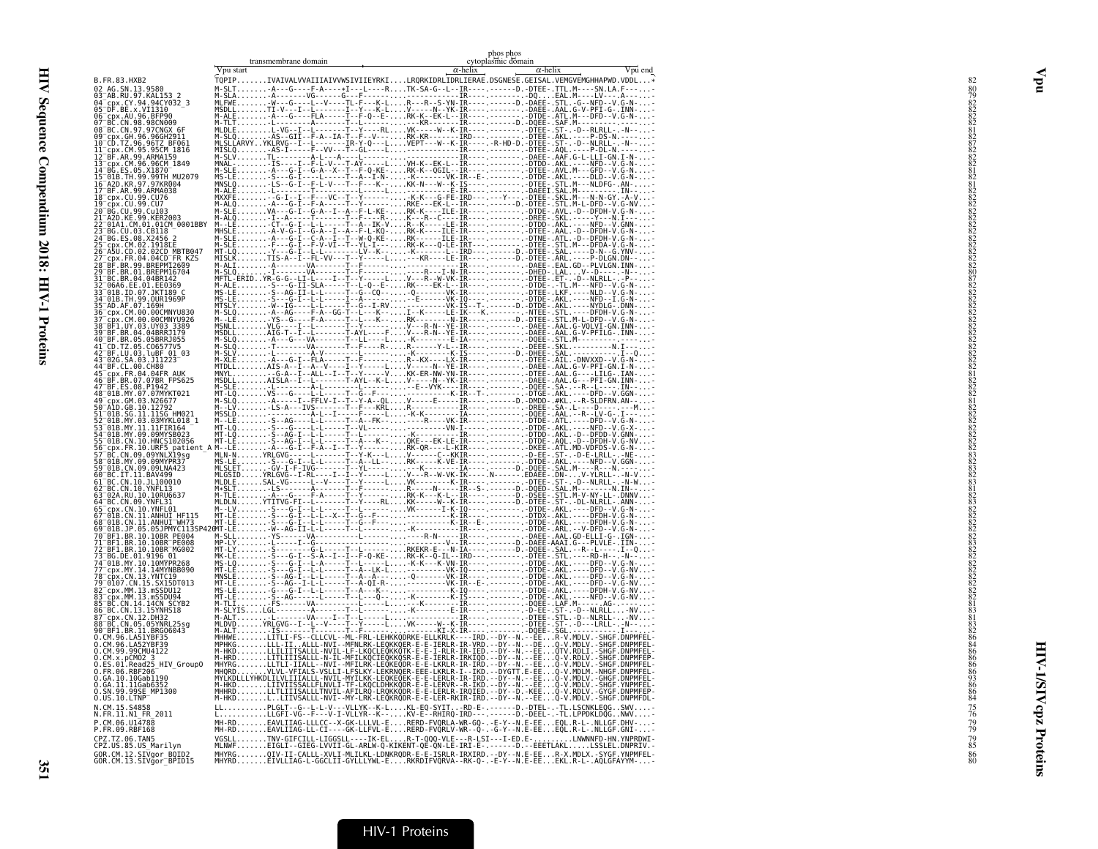|                                                                           | transmembrane domain | phos phos<br>cytoplasmic domain                                                                                                                                                     |         |
|---------------------------------------------------------------------------|----------------------|-------------------------------------------------------------------------------------------------------------------------------------------------------------------------------------|---------|
|                                                                           | Vpu start            | $\alpha$ -helix<br>$\alpha$ -helix                                                                                                                                                  | Vpu end |
| B.FR.83.HXB2                                                              |                      | TQPIPIVAIVALVVAIIIAIVVWSIVIIEYRKILRQRKIDRLIDRLIERAE.DSGNESE.GEISAL.VEMGVEMGHHAPWD.VDDL*                                                                                             |         |
|                                                                           |                      |                                                                                                                                                                                     |         |
|                                                                           |                      |                                                                                                                                                                                     |         |
|                                                                           |                      |                                                                                                                                                                                     |         |
|                                                                           |                      |                                                                                                                                                                                     |         |
|                                                                           |                      |                                                                                                                                                                                     |         |
|                                                                           |                      |                                                                                                                                                                                     |         |
|                                                                           |                      |                                                                                                                                                                                     |         |
|                                                                           |                      |                                                                                                                                                                                     |         |
|                                                                           |                      |                                                                                                                                                                                     |         |
|                                                                           |                      |                                                                                                                                                                                     |         |
|                                                                           |                      |                                                                                                                                                                                     |         |
|                                                                           |                      |                                                                                                                                                                                     |         |
|                                                                           |                      |                                                                                                                                                                                     |         |
|                                                                           |                      |                                                                                                                                                                                     |         |
|                                                                           |                      |                                                                                                                                                                                     |         |
|                                                                           |                      |                                                                                                                                                                                     |         |
|                                                                           |                      |                                                                                                                                                                                     |         |
|                                                                           |                      |                                                                                                                                                                                     |         |
|                                                                           |                      |                                                                                                                                                                                     |         |
|                                                                           |                      |                                                                                                                                                                                     |         |
|                                                                           |                      |                                                                                                                                                                                     |         |
|                                                                           |                      |                                                                                                                                                                                     |         |
|                                                                           |                      |                                                                                                                                                                                     |         |
|                                                                           |                      |                                                                                                                                                                                     |         |
|                                                                           |                      |                                                                                                                                                                                     |         |
|                                                                           |                      |                                                                                                                                                                                     |         |
|                                                                           |                      |                                                                                                                                                                                     |         |
|                                                                           |                      |                                                                                                                                                                                     |         |
|                                                                           |                      |                                                                                                                                                                                     |         |
|                                                                           |                      |                                                                                                                                                                                     |         |
|                                                                           |                      |                                                                                                                                                                                     |         |
|                                                                           |                      |                                                                                                                                                                                     |         |
|                                                                           |                      |                                                                                                                                                                                     |         |
|                                                                           |                      |                                                                                                                                                                                     |         |
|                                                                           |                      |                                                                                                                                                                                     |         |
|                                                                           |                      |                                                                                                                                                                                     |         |
|                                                                           |                      |                                                                                                                                                                                     |         |
|                                                                           |                      |                                                                                                                                                                                     |         |
|                                                                           |                      |                                                                                                                                                                                     |         |
|                                                                           |                      |                                                                                                                                                                                     |         |
|                                                                           |                      |                                                                                                                                                                                     |         |
|                                                                           |                      |                                                                                                                                                                                     |         |
|                                                                           |                      |                                                                                                                                                                                     |         |
|                                                                           |                      |                                                                                                                                                                                     |         |
| N.CM.15.S4858<br>N.FR.11.N1_FR_2011                                       |                      |                                                                                                                                                                                     |         |
| P.CM.06.U14788<br>P.FR.09.RBF168                                          |                      |                                                                                                                                                                                     |         |
| CPZ.TZ.06.TAN5                                                            |                      | VGSLLTNV-GIFCILL-LIGGSLL----IK-ELR-T-QQQ-VLE---R-LSI---I-ED.E-LNWNNFD-HN.YNPRDWI-<br>MLNWFEIGLI--GIEG-LVVII-GL-ARLW-Q-KIKENT-QE-QN-LE-IRI-E-.------D.--EEETLAKLLSSLEL.DNPRIV.-      |         |
| CPZ.US.85.US_Marilyn<br>GOR.CM.12.SIVgor_BOID2<br>GOR.CM.13.SIVgor_BPID15 |                      | MHYRGOIV-II-CALLL-XVLI-MLILKL-LDNKRQDR-E-E-ISRLR-IRXIRD.--DY--N.E-EER-X.MDLX.-SYGF.YNPMFEL-<br>MHYRDEIVLLIAG-L-GGCLII-GYLLLYWL-ERKRDIFVQRVA--RK-Q-.-E-Y--N.E-EEEKL.R-L-.AQLGFAYYM-- |         |
|                                                                           |                      |                                                                                                                                                                                     |         |

HIV-1/SIVcpz Proteins

**HIV-1/SIVcpz Proteins** 

351

Vpu

#### HIV-1 Proteins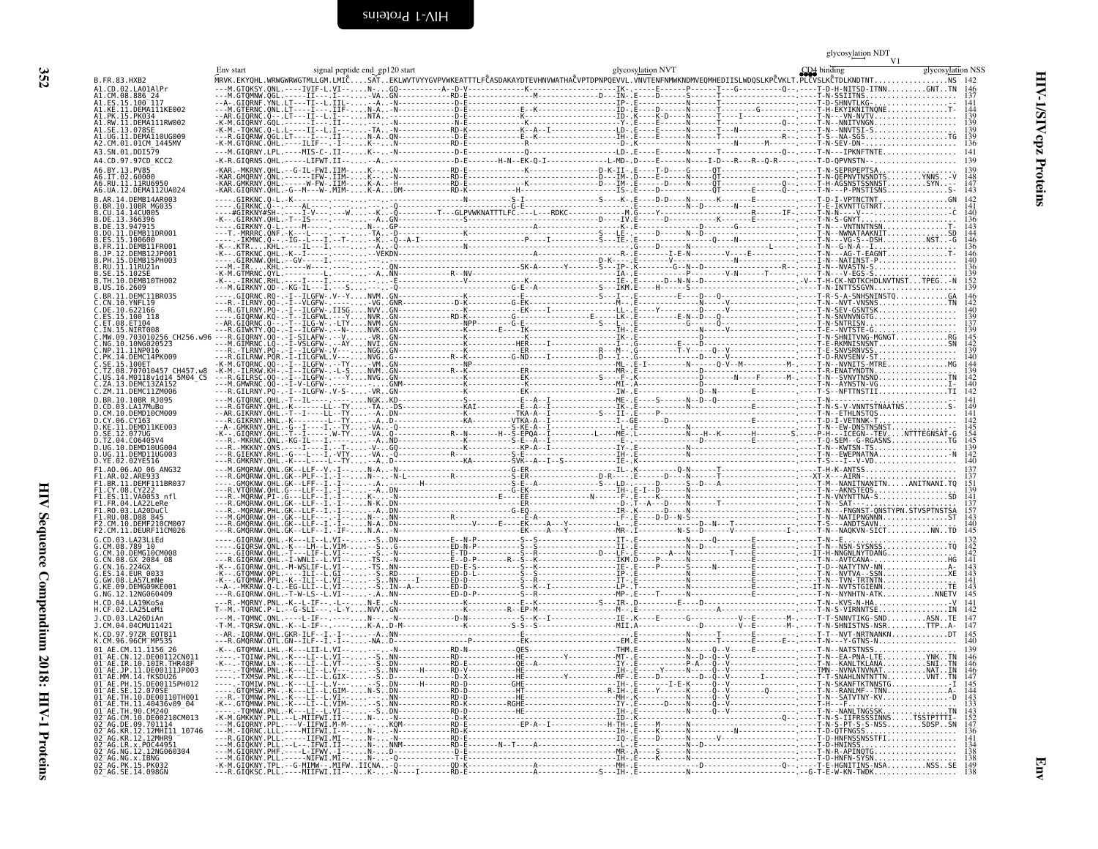<span id="page-45-0"></span>

|  | 35<br>Ñ |  |
|--|---------|--|
|  |         |  |
|  |         |  |
|  |         |  |

<span id="page-45-1"></span>

|                                                                                                                                                                                                                                                   |  | Env start GD4 bindling signal peptide end gp120 start<br>MRVK.EKYQHL.WRWGWRWGTMLLGM.LMLCM.LMLCSATEKLWVTVYYGVPVWKEATTTLFČASDAKAYDTEVHNVWATHAČVPTDPNPQEVVL.VNVTENFNMWKNDMVEQMHEDIISLWDQSLKPČVKLT.PLCVSLKČTDLKNDTNT               | V1<br>glycosylation NSS |
|---------------------------------------------------------------------------------------------------------------------------------------------------------------------------------------------------------------------------------------------------|--|--------------------------------------------------------------------------------------------------------------------------------------------------------------------------------------------------------------------------------|-------------------------|
| B.FR.83.HXB2<br>A1.CD.02.LA01AlPr                                                                                                                                                                                                                 |  | MRVK.EKYOHL UNIVERSITY AND THE CONTROLL IN THE CONTROLL IN THE CONTROLL IN THE CONTROLL IN THE CONTROLL IN THE CONTROLL IN THE CONTROLL IN THE CONTROLL IN THE CONTROLL IN THE CONTROLL IN THE CONTROLL IN THE CONTROLL IN THE |                         |
| A1.CM.08.886 24<br>A1.ES.15.100 <sup>-</sup> 117                                                                                                                                                                                                  |  |                                                                                                                                                                                                                                |                         |
| A1.KE.11.DEMA111KE002<br>A1.PK.15.PK034<br>A1.RW.11.DEMA111RW002                                                                                                                                                                                  |  |                                                                                                                                                                                                                                |                         |
| A1.SE.13.078SE<br>A1.UG.11.DEMA110UG009                                                                                                                                                                                                           |  |                                                                                                                                                                                                                                |                         |
| A2.CM.01.01CM 1445MV<br>A3.SN.01.DDI579                                                                                                                                                                                                           |  |                                                                                                                                                                                                                                |                         |
|                                                                                                                                                                                                                                                   |  |                                                                                                                                                                                                                                |                         |
|                                                                                                                                                                                                                                                   |  |                                                                                                                                                                                                                                |                         |
|                                                                                                                                                                                                                                                   |  |                                                                                                                                                                                                                                |                         |
|                                                                                                                                                                                                                                                   |  |                                                                                                                                                                                                                                |                         |
|                                                                                                                                                                                                                                                   |  |                                                                                                                                                                                                                                |                         |
|                                                                                                                                                                                                                                                   |  |                                                                                                                                                                                                                                |                         |
|                                                                                                                                                                                                                                                   |  |                                                                                                                                                                                                                                |                         |
|                                                                                                                                                                                                                                                   |  |                                                                                                                                                                                                                                |                         |
|                                                                                                                                                                                                                                                   |  |                                                                                                                                                                                                                                |                         |
|                                                                                                                                                                                                                                                   |  |                                                                                                                                                                                                                                |                         |
|                                                                                                                                                                                                                                                   |  |                                                                                                                                                                                                                                |                         |
|                                                                                                                                                                                                                                                   |  |                                                                                                                                                                                                                                |                         |
|                                                                                                                                                                                                                                                   |  |                                                                                                                                                                                                                                |                         |
|                                                                                                                                                                                                                                                   |  |                                                                                                                                                                                                                                |                         |
|                                                                                                                                                                                                                                                   |  |                                                                                                                                                                                                                                |                         |
|                                                                                                                                                                                                                                                   |  |                                                                                                                                                                                                                                |                         |
|                                                                                                                                                                                                                                                   |  |                                                                                                                                                                                                                                |                         |
|                                                                                                                                                                                                                                                   |  |                                                                                                                                                                                                                                |                         |
|                                                                                                                                                                                                                                                   |  |                                                                                                                                                                                                                                |                         |
|                                                                                                                                                                                                                                                   |  |                                                                                                                                                                                                                                |                         |
|                                                                                                                                                                                                                                                   |  |                                                                                                                                                                                                                                |                         |
|                                                                                                                                                                                                                                                   |  |                                                                                                                                                                                                                                |                         |
|                                                                                                                                                                                                                                                   |  |                                                                                                                                                                                                                                |                         |
|                                                                                                                                                                                                                                                   |  |                                                                                                                                                                                                                                |                         |
|                                                                                                                                                                                                                                                   |  |                                                                                                                                                                                                                                |                         |
|                                                                                                                                                                                                                                                   |  |                                                                                                                                                                                                                                |                         |
|                                                                                                                                                                                                                                                   |  |                                                                                                                                                                                                                                |                         |
|                                                                                                                                                                                                                                                   |  |                                                                                                                                                                                                                                |                         |
|                                                                                                                                                                                                                                                   |  |                                                                                                                                                                                                                                |                         |
|                                                                                                                                                                                                                                                   |  |                                                                                                                                                                                                                                |                         |
|                                                                                                                                                                                                                                                   |  |                                                                                                                                                                                                                                |                         |
|                                                                                                                                                                                                                                                   |  |                                                                                                                                                                                                                                |                         |
|                                                                                                                                                                                                                                                   |  |                                                                                                                                                                                                                                |                         |
| 01 AE.CM.11.1156 26                                                                                                                                                                                                                               |  |                                                                                                                                                                                                                                |                         |
| 01 <sup>-</sup> AE.CN.12.DE00112CN01<br>$01^-$ AE.IR.10.10IR.THR48F                                                                                                                                                                               |  |                                                                                                                                                                                                                                |                         |
| 01 AE.JP.11.DE00111JP003<br>01 AE.MM.14.fKSDU26<br>01 <sup>-</sup> AE.PH.15.DE00115PH012                                                                                                                                                          |  |                                                                                                                                                                                                                                |                         |
| 01 <sup>-</sup> AE.SE.12.070SE                                                                                                                                                                                                                    |  |                                                                                                                                                                                                                                |                         |
|                                                                                                                                                                                                                                                   |  |                                                                                                                                                                                                                                |                         |
| 91 – AE: SE - 12. 0705<br>01 – AE: TH. 11. 40436v09_04<br>01 – AE: TH. 11. 40436v09_04<br>01 – AE: TH. 90. CM240<br>02 – AG. DE. 09. 701114<br>02 – AG. KR. 12. 12MH101 – 10746<br>02 – AG. KR. 12. 12MH101 – 10746<br>02 – AG. KR. 12. 12MH101 – |  |                                                                                                                                                                                                                                |                         |
| 02 <sup>-</sup> AG.KR.12.12MHR9                                                                                                                                                                                                                   |  |                                                                                                                                                                                                                                |                         |
| 02 AG.LR.x.POC44951<br>02 AG.NG.12.12NG060304                                                                                                                                                                                                     |  |                                                                                                                                                                                                                                |                         |
| 02=AG.NG.x.IBNG<br>02=AG.NG.x.IBNG<br>02=AG.PK.15.PK032<br>02=AG.SE.14.098GN                                                                                                                                                                      |  |                                                                                                                                                                                                                                |                         |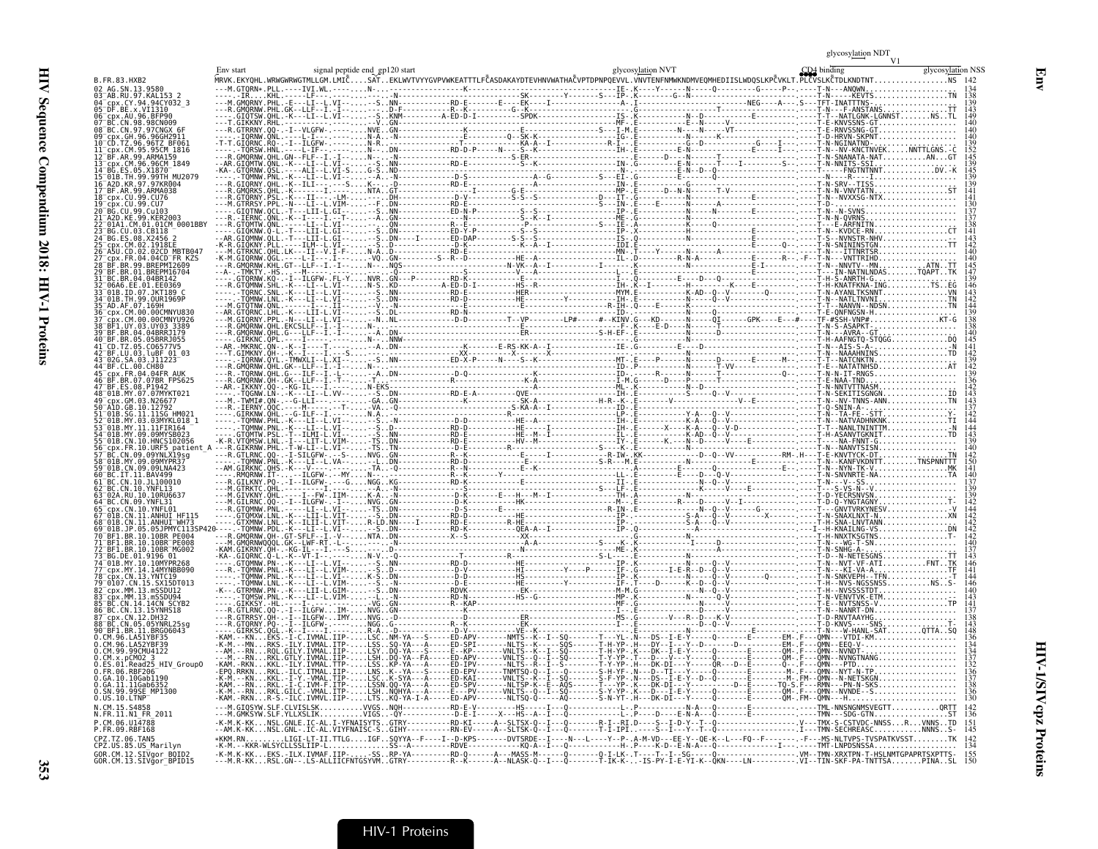HIV Sequence Compendium 2018: HIV-1 Proteins  $323$  Sequence Compendium  $1001$  HIV-1 Proteins  $353$ 

| B. FR. 83. HXB2                                                             |  |  |  |  |                   |
|-----------------------------------------------------------------------------|--|--|--|--|-------------------|
| cpx.CY.94.94CY032 3                                                         |  |  |  |  |                   |
| `DF.RF.x.VT1310<br>cnx.AU.96.BFP90                                          |  |  |  |  |                   |
| GH. 96.96GH2911<br>.96TZ BF063                                              |  |  |  |  |                   |
| rnx.CM.95.95CM 1816<br>99 ARMA159<br>.96.96CM 1849                          |  |  |  |  |                   |
| MU2079<br>97.97KR004                                                        |  |  |  |  |                   |
| 99.ARMA038<br>.99.CU76                                                      |  |  |  |  |                   |
| .01CM 0001BBY                                                               |  |  |  |  |                   |
| 93. CR118                                                                   |  |  |  |  |                   |
| 04CD <sup>-</sup> FR KZS<br>99.BREPM12609                                   |  |  |  |  |                   |
| .BREPM16704<br>04.04BR142<br>E.01.EE0369:                                   |  |  |  |  |                   |
| 01B. TH. 99. OUR1969P<br>.07.169H                                           |  |  |  |  |                   |
| CM.00.00CMNYU830<br>M.00.00CMNYU926:<br>BF1.UY.03.UY03.3389<br>04 04RRR1179 |  |  |  |  |                   |
| BF.BR.05.05BRRJ055                                                          |  |  |  |  |                   |
| 02G.SA.03.J11223<br>FR 04 04 FR AIIK                                        |  |  |  |  |                   |
| 07.07BR FPS625<br>01B.MY.07.07MYKT021                                       |  |  |  |  |                   |
| GM.03.N26677<br>GR 10 12792                                                 |  |  |  |  |                   |
| ' 03.03MYKL018 '<br>09.09MYSB023.                                           |  |  |  |  |                   |
| CN.10.HNCS102056<br>patient<br>CN 09.09YNLX19sa                             |  |  |  |  |                   |
| 09.09MYPR37<br>.IT.11.BAV499                                                |  |  |  |  |                   |
| 10.JL100010<br>RC CN 10 YNEI 13<br>RII. 10.10RU663                          |  |  |  |  |                   |
|                                                                             |  |  |  |  |                   |
| .11.ANHUI WH73<br>BR.10.10BR PE004                                          |  |  |  |  |                   |
| 3R 10 10BR PE008<br>R.10.10BR <sup>-</sup> MG002<br>BG.DE.01.9196.01        |  |  |  |  |                   |
| 10.10MYPR268<br>cnx.MY.14.14MYNBB090<br>13. YNTC19                          |  |  |  |  |                   |
| 15.SX15DT013<br>CDX.MM.13.mSSDU12<br>MM.13.mSSDU94                          |  |  |  |  |                   |
| .14.14CN SCYB2<br>13.15YNHS18<br>. CN . 12 . DH32                           |  |  |  |  |                   |
| BC.CN.05.05YNRL25sg<br>BF1.BR.11.BRG06043                                   |  |  |  |  |                   |
| CM.99.99CMU4122                                                             |  |  |  |  |                   |
| Read25 HIV Group0<br>FR 06 RRF206<br>GA. 10.10Gab1190                       |  |  |  |  |                   |
| 11Gab63<br>SN.99.99SE MP1300<br>0.US.10.LTNP <sup>-</sup>                   |  |  |  |  | 130               |
| N.CM.15.S4858<br>N1 FR 2011                                                 |  |  |  |  |                   |
| .FR.09.RBF168<br><b>CPZ TZ 06 TAN5</b><br>CPZ.US.85.US_Marilyn              |  |  |  |  | 145<br>142<br>134 |
| GOR.CM.12.SIVgor_BOID2<br>GOR.CM.13.SIVgor_BPID15                           |  |  |  |  |                   |

Env

# HIV-1 Proteins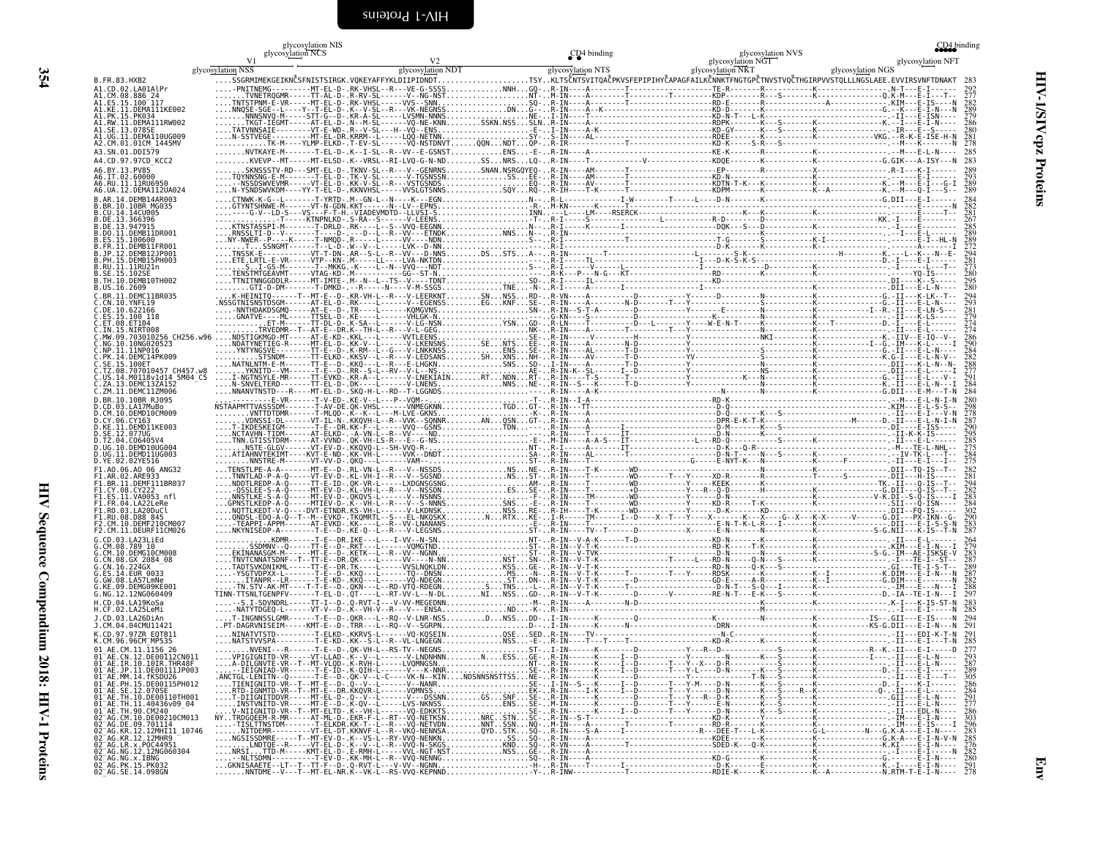<span id="page-47-0"></span>

|                                                                                                                                                                                                                                                       | glycosylation NIS<br>glycosylation NCS |                | CD <sub>4</sub> binding | glycosylation NVS |                                                    | CD4 binding |
|-------------------------------------------------------------------------------------------------------------------------------------------------------------------------------------------------------------------------------------------------------|----------------------------------------|----------------|-------------------------|-------------------|----------------------------------------------------|-------------|
| glycosylation NSS                                                                                                                                                                                                                                     |                                        | V <sub>2</sub> |                         | glycosylation NGT | glycosylation NGS<br>Strategy RGS<br>$\frac{1}{2}$ |             |
| B.FR.83.HXB2                                                                                                                                                                                                                                          |                                        |                |                         |                   |                                                    |             |
| A1.CD.02.LA01AlPr<br>A1.CM.08.886 24                                                                                                                                                                                                                  |                                        |                |                         |                   |                                                    |             |
| A1.ES.15.100 <sup>-</sup> 117<br>A1.KE.11.DEMA111KE002<br>A1.PK.15.PK034                                                                                                                                                                              |                                        |                |                         |                   |                                                    |             |
| A1.RW.11.DEMA111RW002<br>A1.SE.13.078SE                                                                                                                                                                                                               |                                        |                |                         |                   |                                                    |             |
| A1.UG.I1.DEMAI10UG009<br>A2.CM.01.01CM 1445MV                                                                                                                                                                                                         |                                        |                |                         |                   |                                                    |             |
| A3.SN.01.DDI579<br>A4.CD.97.97CD KCC2                                                                                                                                                                                                                 |                                        |                |                         |                   |                                                    |             |
| A6.BY.13.PV85                                                                                                                                                                                                                                         |                                        |                |                         |                   |                                                    |             |
| A6.IT.02.60000<br>A6.RU.11.11RU6950<br>A6.UA.12.DEMA112UA024                                                                                                                                                                                          |                                        |                |                         |                   |                                                    |             |
| B.AR.14.DEMB14AR003                                                                                                                                                                                                                                   |                                        |                |                         |                   |                                                    |             |
| .BR.10.10BR MG035<br>.CU.14.14CU005<br>3.DE.13.366396                                                                                                                                                                                                 |                                        |                |                         |                   |                                                    |             |
| DE.13.947915.<br>.DO.11.DEMB11DR001                                                                                                                                                                                                                   |                                        |                |                         |                   |                                                    |             |
| ES.15.100600<br>.FR.11.DEMB11FR001                                                                                                                                                                                                                    |                                        |                |                         |                   |                                                    |             |
| .JP.12.DEMB12JP001<br>.PH.15.DEMB15PH003                                                                                                                                                                                                              |                                        |                |                         |                   |                                                    |             |
| .RU.11.11RU21n<br>.SE.15.102SE<br>.TH.10.DEMB10TH002                                                                                                                                                                                                  |                                        |                |                         |                   |                                                    |             |
| US.16.2609.<br>.BR.11.DEMC11BR035                                                                                                                                                                                                                     |                                        |                |                         |                   |                                                    |             |
| .CN.10.YNFL19                                                                                                                                                                                                                                         |                                        |                |                         |                   |                                                    |             |
| .DE.10.622166<br>ES.15.100 118<br>ET.08.ET104                                                                                                                                                                                                         |                                        |                |                         |                   |                                                    |             |
| IN.15.NIRT008<br>MW.09.703010256_CH256.w96                                                                                                                                                                                                            |                                        |                |                         |                   |                                                    |             |
| NG.10.10NG020523<br>.NP.11.11NP016<br>.PK.14.DEMC14PK009                                                                                                                                                                                              |                                        |                |                         |                   |                                                    |             |
| .SE.15.100ET<br>.TZ.08.707010457 CH457.w8                                                                                                                                                                                                             |                                        |                |                         |                   |                                                    |             |
| US.14.M0118v1d14 5M04 C5<br>.ZA.13.DEMC13ZA152                                                                                                                                                                                                        |                                        |                |                         |                   |                                                    |             |
| .ZM.11.DEMC11ZM006<br>D.BR.10.10BR RJ095                                                                                                                                                                                                              |                                        |                |                         |                   |                                                    |             |
| .CD.03.LA17MuBo<br>.CM.10.DEMD10CM009                                                                                                                                                                                                                 |                                        |                |                         |                   |                                                    |             |
| .CY.06.CY163<br>KE.11.DEMD11KE003                                                                                                                                                                                                                     |                                        |                |                         |                   |                                                    |             |
| D.SE.12.077UG<br>D.TZ.04.C06405V4                                                                                                                                                                                                                     |                                        |                |                         |                   |                                                    |             |
| D.UG.10.DEMD10UG004<br>D.UG.11.DEMD11UG003<br>D.YE.02.02YE516                                                                                                                                                                                         |                                        |                |                         |                   |                                                    |             |
| F1.A0.06.A0 06 ANG32<br>F1.AR.02.ARE933                                                                                                                                                                                                               |                                        |                |                         |                   |                                                    |             |
| F1.BR.11.DEMF111BR037<br>F1.CY.08.CY222                                                                                                                                                                                                               |                                        |                |                         |                   |                                                    |             |
| F1.ES.11.VA0053_nfl<br>F1.FR.04.LA22LeRe                                                                                                                                                                                                              |                                        |                |                         |                   |                                                    |             |
| F1.RO.03.LA20DuCl<br>F1.RU.08.D88 845                                                                                                                                                                                                                 |                                        |                |                         |                   |                                                    |             |
| F2.CM.10.DEMF210CM007<br>F2.CM.11.DEURF11CM026                                                                                                                                                                                                        |                                        |                |                         |                   |                                                    |             |
| G.CD.03.LA23LiEd<br>.CM.08.789 10<br>.CM.10.DEMG10CM008                                                                                                                                                                                               |                                        |                |                         |                   |                                                    |             |
| .CN.08.GX 2084 08<br>.CN.16.224GX                                                                                                                                                                                                                     |                                        |                |                         |                   |                                                    |             |
| ES.14.EUR 0033.<br>.GW.08.LA57LmNe                                                                                                                                                                                                                    |                                        |                |                         |                   |                                                    |             |
| G.KE.09.DEMG09KE001<br>G.NG.12.12NG060409                                                                                                                                                                                                             |                                        |                |                         |                   |                                                    |             |
| H.CD.04.LA19KoSa<br>H.CF.02.LA25LeMi                                                                                                                                                                                                                  |                                        |                |                         |                   |                                                    |             |
| J.CD.03.LA26DiAn<br>J.CM.04.04CMU11421                                                                                                                                                                                                                |                                        |                |                         |                   |                                                    |             |
| K.CD.97.97ZR E0TB11<br>K.CM.96.96CM <sup>-</sup> MP535                                                                                                                                                                                                |                                        |                |                         |                   |                                                    |             |
| 01 AE.CM.11.1156 26<br>01 AE.CN.12.DE00112CN011                                                                                                                                                                                                       |                                        |                |                         |                   |                                                    |             |
| 01 <sup>-</sup> AE.IR.10.10IR.THR48F                                                                                                                                                                                                                  |                                        |                |                         |                   |                                                    |             |
| 01⊤AE.JP.11.DE0011117003<br>01⊤AE.MM.14.fKSDU26<br>01⊤AE.MM.14.fKSDU26<br>01⊤AE.SE.12.000SE<br>01⊤AE.TH.10.DE00110TH001<br>01⊤AE.TH.10.DE00110TH001                                                                                                   |                                        |                |                         |                   |                                                    |             |
|                                                                                                                                                                                                                                                       |                                        |                |                         |                   |                                                    |             |
|                                                                                                                                                                                                                                                       |                                        |                |                         |                   |                                                    |             |
|                                                                                                                                                                                                                                                       |                                        |                |                         |                   |                                                    |             |
| 91 AE. IH. 19. JEB091191891<br>01 AE. TH. 11. 40436V09 -04<br>02 AE. TH. 90. CM240<br>02 AG. CM. 10. JEB0210CM013<br>02 AG. KR. 12. 12MHR11 10746<br>02 AG. KR. 12. 12MHR9<br>02 AG. KR. 12. 12MHR9<br>02 AG. KR. 12. 12MHR9<br>02 AG. KR. 12. 12MHR9 |                                        |                |                         |                   |                                                    |             |
| 82-AG. NG. 12. 12NG060304<br>02-AG. NG. x. 1BNG<br>02-AG. PK. 15. PK032<br>02-AG. SE. 14. 098GN                                                                                                                                                       |                                        |                |                         |                   |                                                    |             |
|                                                                                                                                                                                                                                                       |                                        |                |                         |                   |                                                    | Ę           |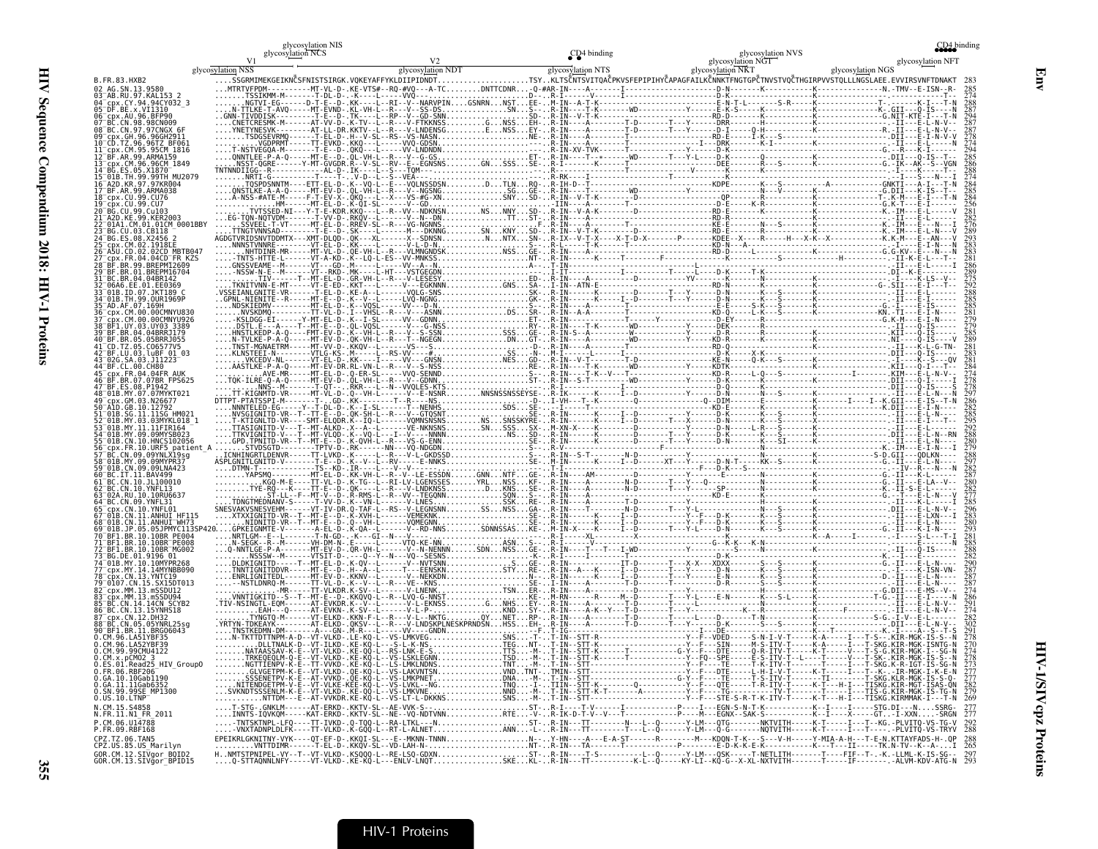|                                                                   | glycosylation NIS<br>glycosylation NCS |                   | CD <sub>4</sub> binding | glycosylation NVS                                                                                                                                                                                                                                                                                                                                   | 2D4 binding                                                                                                                                                                                       |
|-------------------------------------------------------------------|----------------------------------------|-------------------|-------------------------|-----------------------------------------------------------------------------------------------------------------------------------------------------------------------------------------------------------------------------------------------------------------------------------------------------------------------------------------------------|---------------------------------------------------------------------------------------------------------------------------------------------------------------------------------------------------|
|                                                                   | glycosylation NSS                      | glycosylation NDT | glycosylation NTS       | glycosylation NGT<br>glycosylation NKT                                                                                                                                                                                                                                                                                                              | glycosylation NFT<br>glycosylation NGS                                                                                                                                                            |
| B.FR.83.HXB2<br>02 AG.SN.13.9586                                  |                                        |                   |                         |                                                                                                                                                                                                                                                                                                                                                     |                                                                                                                                                                                                   |
| 03 <sup>-</sup> AB.RU.97.KAL153<br>cpx.CY.94.94CY032 3            |                                        |                   |                         |                                                                                                                                                                                                                                                                                                                                                     |                                                                                                                                                                                                   |
| 95 <sup>-</sup> DF.BE.x.VI1310<br>06 <sup>-</sup> cpx.AU.96.BFP90 |                                        |                   |                         |                                                                                                                                                                                                                                                                                                                                                     |                                                                                                                                                                                                   |
|                                                                   |                                        |                   |                         |                                                                                                                                                                                                                                                                                                                                                     |                                                                                                                                                                                                   |
|                                                                   |                                        |                   |                         |                                                                                                                                                                                                                                                                                                                                                     |                                                                                                                                                                                                   |
|                                                                   |                                        |                   |                         |                                                                                                                                                                                                                                                                                                                                                     |                                                                                                                                                                                                   |
|                                                                   |                                        |                   |                         |                                                                                                                                                                                                                                                                                                                                                     |                                                                                                                                                                                                   |
|                                                                   |                                        |                   |                         |                                                                                                                                                                                                                                                                                                                                                     |                                                                                                                                                                                                   |
|                                                                   |                                        |                   |                         |                                                                                                                                                                                                                                                                                                                                                     |                                                                                                                                                                                                   |
|                                                                   |                                        |                   |                         |                                                                                                                                                                                                                                                                                                                                                     |                                                                                                                                                                                                   |
| A2D.KE.99.KER2003<br>141 CM 01 01CM 0001BBY                       |                                        |                   |                         |                                                                                                                                                                                                                                                                                                                                                     |                                                                                                                                                                                                   |
|                                                                   |                                        |                   |                         |                                                                                                                                                                                                                                                                                                                                                     |                                                                                                                                                                                                   |
| .CM.02.1918EE                                                     |                                        |                   |                         |                                                                                                                                                                                                                                                                                                                                                     |                                                                                                                                                                                                   |
| px.FR.04.04CD <sup>-</sup> FR KZS<br>BR.01.BREPM16704             |                                        |                   |                         |                                                                                                                                                                                                                                                                                                                                                     |                                                                                                                                                                                                   |
| 1 BC.BR.04.04BR142                                                |                                        |                   |                         |                                                                                                                                                                                                                                                                                                                                                     |                                                                                                                                                                                                   |
| 01B.ID.07.JKT189 C                                                |                                        |                   |                         |                                                                                                                                                                                                                                                                                                                                                     |                                                                                                                                                                                                   |
| 35 <sup>-</sup> AD.AF.07.169H                                     |                                        |                   |                         |                                                                                                                                                                                                                                                                                                                                                     |                                                                                                                                                                                                   |
| UY 03 UY03 3389.                                                  |                                        |                   |                         |                                                                                                                                                                                                                                                                                                                                                     |                                                                                                                                                                                                   |
| 39 <sup>-</sup> RF RR 04 04RRR1179                                |                                        |                   |                         |                                                                                                                                                                                                                                                                                                                                                     |                                                                                                                                                                                                   |
| BF.LU.03.luBF 01 03"                                              |                                        |                   |                         |                                                                                                                                                                                                                                                                                                                                                     |                                                                                                                                                                                                   |
|                                                                   |                                        |                   |                         |                                                                                                                                                                                                                                                                                                                                                     |                                                                                                                                                                                                   |
|                                                                   |                                        |                   |                         |                                                                                                                                                                                                                                                                                                                                                     |                                                                                                                                                                                                   |
|                                                                   |                                        |                   |                         |                                                                                                                                                                                                                                                                                                                                                     |                                                                                                                                                                                                   |
| $^-$ cpx.GM.03.N26677                                             |                                        |                   |                         |                                                                                                                                                                                                                                                                                                                                                     |                                                                                                                                                                                                   |
|                                                                   |                                        |                   |                         |                                                                                                                                                                                                                                                                                                                                                     |                                                                                                                                                                                                   |
|                                                                   |                                        |                   |                         |                                                                                                                                                                                                                                                                                                                                                     |                                                                                                                                                                                                   |
| FR.10.URF5 patient A                                              |                                        |                   |                         |                                                                                                                                                                                                                                                                                                                                                     |                                                                                                                                                                                                   |
| 1B.MY.09.09MYPR37<br>01B.CN.09.09LNA423                           |                                        |                   |                         |                                                                                                                                                                                                                                                                                                                                                     |                                                                                                                                                                                                   |
| BC.IT.11.BAV499<br>C.CN.10.JL100010                               |                                        |                   |                         |                                                                                                                                                                                                                                                                                                                                                     |                                                                                                                                                                                                   |
| 3C.CN.10.YNFL13                                                   |                                        |                   |                         |                                                                                                                                                                                                                                                                                                                                                     |                                                                                                                                                                                                   |
|                                                                   |                                        |                   |                         |                                                                                                                                                                                                                                                                                                                                                     |                                                                                                                                                                                                   |
|                                                                   |                                        |                   |                         |                                                                                                                                                                                                                                                                                                                                                     |                                                                                                                                                                                                   |
| .BR.10.10BR PE004                                                 |                                        |                   |                         |                                                                                                                                                                                                                                                                                                                                                     |                                                                                                                                                                                                   |
| $BR.10.10BR$ PE008<br>72 BF1.BR.10.10BR MG002                     |                                        |                   |                         |                                                                                                                                                                                                                                                                                                                                                     |                                                                                                                                                                                                   |
| 77 cpx.MY.14.14MYNBB090                                           |                                        |                   |                         |                                                                                                                                                                                                                                                                                                                                                     |                                                                                                                                                                                                   |
| .CN.13.YNTC19<br>79 <sup>−</sup> 0107.CN.15.SX15DT01              |                                        |                   |                         |                                                                                                                                                                                                                                                                                                                                                     |                                                                                                                                                                                                   |
|                                                                   |                                        |                   |                         |                                                                                                                                                                                                                                                                                                                                                     |                                                                                                                                                                                                   |
| CN.14.14CN SCYB2<br>BC.CN.13.15YNHS18                             |                                        |                   |                         |                                                                                                                                                                                                                                                                                                                                                     |                                                                                                                                                                                                   |
|                                                                   |                                        |                   |                         |                                                                                                                                                                                                                                                                                                                                                     |                                                                                                                                                                                                   |
|                                                                   |                                        |                   |                         |                                                                                                                                                                                                                                                                                                                                                     |                                                                                                                                                                                                   |
| 0.CM.96.LA52YBF39<br>0.CM.99.99CMU4122                            |                                        |                   |                         |                                                                                                                                                                                                                                                                                                                                                     |                                                                                                                                                                                                   |
| 0.ES.01.Read25_HIV_Group0<br>0.FR.06.RBF206                       |                                        |                   |                         |                                                                                                                                                                                                                                                                                                                                                     |                                                                                                                                                                                                   |
| 0.GA.10.10Gab1190                                                 |                                        |                   |                         |                                                                                                                                                                                                                                                                                                                                                     |                                                                                                                                                                                                   |
| 0.GA.11.11Gab6352<br>0.SN.99.99SE_MP1300                          |                                        |                   |                         |                                                                                                                                                                                                                                                                                                                                                     |                                                                                                                                                                                                   |
| $0.05.10.$ LTNP<br>N.CM.15.S4858                                  |                                        |                   |                         |                                                                                                                                                                                                                                                                                                                                                     |                                                                                                                                                                                                   |
| N.FR.11.N1 FR 2011<br>P.CM.06.U14788                              |                                        |                   |                         |                                                                                                                                                                                                                                                                                                                                                     |                                                                                                                                                                                                   |
| P.FR.09.RBF168<br>CPZ.TZ.06.TAN5                                  |                                        |                   |                         | -TNTSKTNPL-LFQ----TT-IVKD-.Q-TQQ-L--RA-LTKL---NST-R-IN---TT-------N---L--Q------Y-LM--qTG------NKTVITH-----K-T-----I--T--KG.-PLVITQ-VS-TG-V<br>-VNXTADNPLDLFK----TT-VLKD-.K-GQQ-L--RT-L-ALNET<br>EPEIKRLGKNITNY-VYK---QT-EF-D-.KKQI-SL---E--MKNN-TNNNY-HN----A---E-A-ST------R---------M---KDQN-T-K---S---V-H1----Y-MIA-A-H---T-E-N.KTTAYFADS-H-.QP | 288                                                                                                                                                                                               |
| CPZ.US.85.US_Marilyn                                              |                                        |                   |                         |                                                                                                                                                                                                                                                                                                                                                     | VNTTDIMR------T-EL-D-.KKQV-SL--VD-LAH-N-NT-R-IN---TA------T--------P--------E-D-K-K-E-K-----------K---T---II-----TK.N-TV--K--A-I 265                                                              |
| GOR.CM.12.SIVgor_BOID2<br>GOR.CM.13.SIVgor_BPID15                 |                                        |                   |                         |                                                                                                                                                                                                                                                                                                                                                     | HNMTSTPNIPEL-VY--T--VT-VLKD-.KSQQQ-L--RE-LSQ-GDXNST-R-IN---T-S---------L--Q-----Y-LM--GSK----T---FLITH-------T---FIF--T-.-K.-LLML-K-IS-SG-- 297<br>Q-STTAQNNLNFY-----VT-VLKD-.KE-KQ-L---ENLV-LNQT |

Env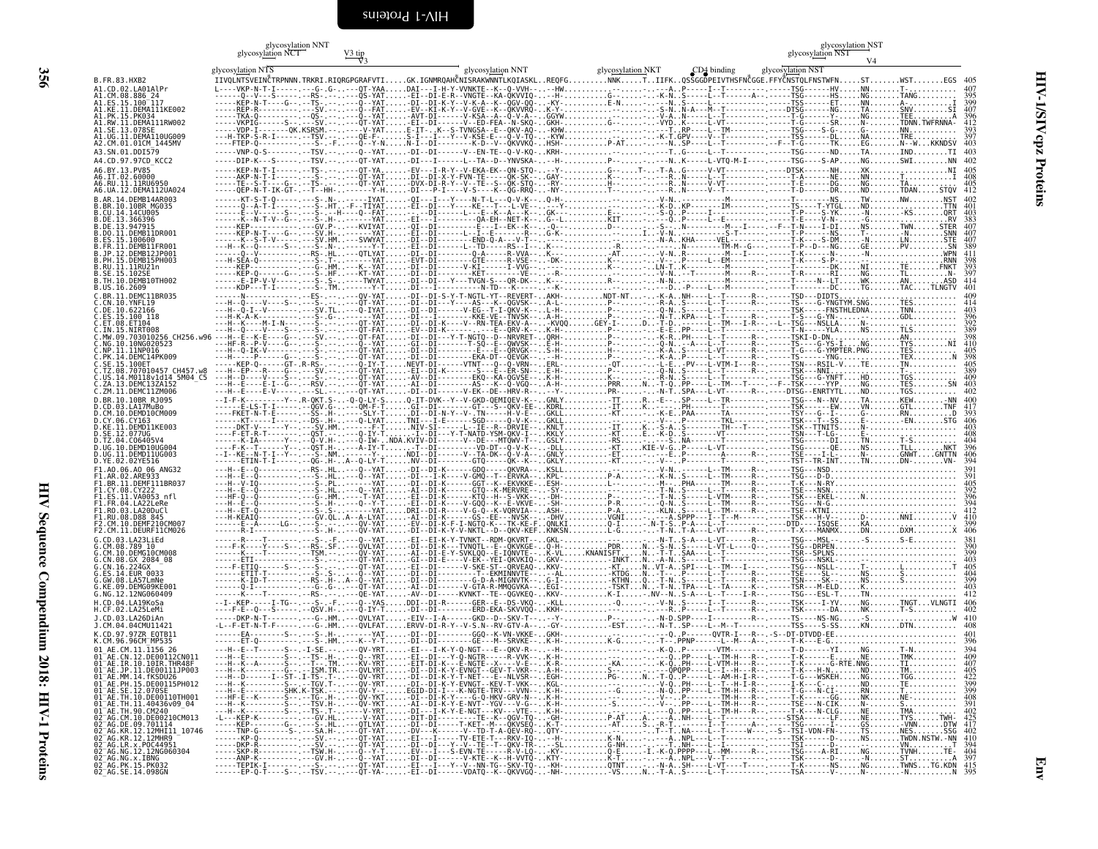<span id="page-49-0"></span>

|                                                                                                                                                                                                                                                    | $\,$ glycosylation NNT $\,$ glycosylation NCT | $\frac{V3 \text{ tip}}{V3}$ |                   |                                                                                                                                    | glycosylation NST<br>glycosylation NST |  |
|----------------------------------------------------------------------------------------------------------------------------------------------------------------------------------------------------------------------------------------------------|-----------------------------------------------|-----------------------------|-------------------|------------------------------------------------------------------------------------------------------------------------------------|----------------------------------------|--|
|                                                                                                                                                                                                                                                    | glycosylation NTS                             |                             | glycosylation NNT | glycosylation NKT<br>CD4 binding                                                                                                   | glycosylation NST                      |  |
| B.FR.83.HXB2<br>A1.CD.02.LA01AlPr                                                                                                                                                                                                                  |                                               |                             |                   | IIVQLNTSVEINČTRPNNN.TRKRI.RIQRGPGRAFVTIGK.IGNMRQAHĈNISRAKWNNTLKQIASKLREQFGNNKTIIFKQSSGGDPEIVTHSFNĈGGE.FFYĈNSTQLFNSTWFNSTWSTEGS 405 |                                        |  |
| A1.CM.08.886 24<br>A1.ES.15.100 <sup>-</sup> 117                                                                                                                                                                                                   |                                               |                             |                   |                                                                                                                                    |                                        |  |
| A1.KE.11.DEMA111KE002<br>A1.PK.15.PK034                                                                                                                                                                                                            |                                               |                             |                   |                                                                                                                                    |                                        |  |
| A1.RW.11.DEMA111RW002<br>A1.SE.13.078SE                                                                                                                                                                                                            |                                               |                             |                   |                                                                                                                                    |                                        |  |
|                                                                                                                                                                                                                                                    |                                               |                             |                   |                                                                                                                                    |                                        |  |
| A3.SN.01.DDI579<br>A4.CD.97.97CD KCC2                                                                                                                                                                                                              |                                               |                             |                   | -----DIP-K---S--------TSV.-----QT-YAT-DI---I------L--TA--D--YNVSKA---H-P----NK-----L-VTO-M-I----.------TSG----S-APNGSWINN          |                                        |  |
| A6.BY.13.PV85                                                                                                                                                                                                                                      |                                               |                             |                   |                                                                                                                                    |                                        |  |
| A6.UA.12.DEMA112UA024                                                                                                                                                                                                                              |                                               |                             |                   |                                                                                                                                    |                                        |  |
| B.AR.14.DEMB14AR003<br>B.BR.10.10BR MG035                                                                                                                                                                                                          |                                               |                             |                   |                                                                                                                                    |                                        |  |
| .CU.14.14CU005<br>B.DE.13.366396<br>.DE.13.947915                                                                                                                                                                                                  |                                               |                             |                   |                                                                                                                                    |                                        |  |
| .DO.11.DEMB11DR001<br>S. 15.100600                                                                                                                                                                                                                 |                                               |                             |                   |                                                                                                                                    |                                        |  |
| B.FR.11.DEMB11FR001<br>.JP.12.DEMB12JP001                                                                                                                                                                                                          |                                               |                             |                   |                                                                                                                                    |                                        |  |
| .PH.15.DEMB15PH003<br>.RU.11.11RU21n                                                                                                                                                                                                               |                                               |                             |                   |                                                                                                                                    |                                        |  |
| B.SE.15.102SE<br>B.TH.10.DEMB10TH002                                                                                                                                                                                                               |                                               |                             |                   |                                                                                                                                    |                                        |  |
| US.16.2609.<br>.BR.11.DEMC11BR035                                                                                                                                                                                                                  |                                               |                             |                   |                                                                                                                                    |                                        |  |
| .CN.10.YNFL19<br>.DE.10.622166                                                                                                                                                                                                                     |                                               |                             |                   |                                                                                                                                    |                                        |  |
| ES.15.100 118.<br>.ET.08.ET104                                                                                                                                                                                                                     |                                               |                             |                   |                                                                                                                                    |                                        |  |
| .IN.15.NIRT008<br>MW.09.703010256 CH256.w96                                                                                                                                                                                                        |                                               |                             |                   |                                                                                                                                    |                                        |  |
| NG.10.10NG020523<br>.NP.11.11NP016<br>C.PK.14.DEMC14PK009                                                                                                                                                                                          |                                               |                             |                   |                                                                                                                                    |                                        |  |
| .SE.15.100ET<br>TZ.08.707010457 CH457.w8                                                                                                                                                                                                           |                                               |                             |                   |                                                                                                                                    |                                        |  |
| US.14.M0118v1d14 5M04 C5<br>ZA.13.DEMC13ZA152                                                                                                                                                                                                      |                                               |                             |                   |                                                                                                                                    |                                        |  |
| .ZM.11.DEMC11ZM006<br>.BR.10.10BR RJ095                                                                                                                                                                                                            |                                               |                             |                   |                                                                                                                                    |                                        |  |
| .CD.03.LA17MuBo<br>.CM.10.DEMD10CM009                                                                                                                                                                                                              |                                               |                             |                   |                                                                                                                                    |                                        |  |
| .CY.06.CY163<br>.KE.11.DEMD11KE003                                                                                                                                                                                                                 |                                               |                             |                   |                                                                                                                                    |                                        |  |
| .SE.12.077UG<br>D.TZ.04.C06405V4                                                                                                                                                                                                                   |                                               |                             |                   |                                                                                                                                    |                                        |  |
| D.UG.10.DEMD10UG004<br>UG.11.DEMD11UG003.                                                                                                                                                                                                          |                                               |                             |                   |                                                                                                                                    |                                        |  |
| D.YE.02.02YE516<br>F1.A0.06.A0 06 ANG32                                                                                                                                                                                                            |                                               |                             |                   |                                                                                                                                    |                                        |  |
| F1.AR.02.ARE933<br>F1.BR.11.DEMF111BR037                                                                                                                                                                                                           |                                               |                             |                   |                                                                                                                                    |                                        |  |
| F1.CY.08.CY222<br>F1.ES.11.VA0053 nfl                                                                                                                                                                                                              |                                               |                             |                   |                                                                                                                                    |                                        |  |
| F1.FR.04.LA22LeRe<br>F1.RO.03.LA20DuCl<br>F1.RU.08.D88 845                                                                                                                                                                                         |                                               |                             |                   |                                                                                                                                    |                                        |  |
| F2.CM.10.DEMF210CM007<br>F2.CM.11.DEURF11CM026                                                                                                                                                                                                     |                                               |                             |                   |                                                                                                                                    |                                        |  |
| G. CD. 03. LA23L i Ed                                                                                                                                                                                                                              |                                               |                             |                   |                                                                                                                                    |                                        |  |
| G.CM.08.789_10<br>.CM.10.DEMG10CM008<br>.CN.08.GX 2084 08                                                                                                                                                                                          |                                               |                             |                   |                                                                                                                                    |                                        |  |
| .CN.16.224GX<br>ES.14.EUR 0033                                                                                                                                                                                                                     |                                               |                             |                   |                                                                                                                                    |                                        |  |
| G.GW.08.LA57LmNe<br>G.KE.09.DEMG09KE001                                                                                                                                                                                                            |                                               |                             |                   |                                                                                                                                    |                                        |  |
| G.NG.12.12NG060409<br>H.CD.04.LA19KoSa                                                                                                                                                                                                             |                                               |                             |                   |                                                                                                                                    |                                        |  |
| H.CF.02.LA25LeMi<br>J.CD.03.LA26DiAn                                                                                                                                                                                                               |                                               |                             |                   |                                                                                                                                    |                                        |  |
| J.CM.04.04CMU11421<br>K.CD.97.97ZR EQTB11                                                                                                                                                                                                          |                                               |                             |                   |                                                                                                                                    |                                        |  |
| K.CM.96.96CM <sup>-</sup> MP535                                                                                                                                                                                                                    |                                               |                             |                   |                                                                                                                                    |                                        |  |
|                                                                                                                                                                                                                                                    |                                               |                             |                   |                                                                                                                                    |                                        |  |
|                                                                                                                                                                                                                                                    |                                               |                             |                   |                                                                                                                                    |                                        |  |
|                                                                                                                                                                                                                                                    |                                               |                             |                   |                                                                                                                                    |                                        |  |
|                                                                                                                                                                                                                                                    |                                               |                             |                   |                                                                                                                                    |                                        |  |
|                                                                                                                                                                                                                                                    |                                               |                             |                   |                                                                                                                                    |                                        |  |
|                                                                                                                                                                                                                                                    |                                               |                             |                   |                                                                                                                                    |                                        |  |
|                                                                                                                                                                                                                                                    |                                               |                             |                   |                                                                                                                                    |                                        |  |
| K. (M. 96.96CM – MPS35<br>01 - AE. (M. 11. 1156 - 26<br>01 - AE. (M. 11. 1156 - 26<br>01 - AE. (R. 12. 10. 101R. THRA8F<br>01 - AE. IR. 10. 101R. THRA8F<br>01 - AE. PM. 11. 11. 1200115PH012<br>01 - AE. PM. 11. 11. 1200115PH012<br>01 - AE. TH. |                                               |                             |                   |                                                                                                                                    |                                        |  |
|                                                                                                                                                                                                                                                    |                                               |                             |                   |                                                                                                                                    |                                        |  |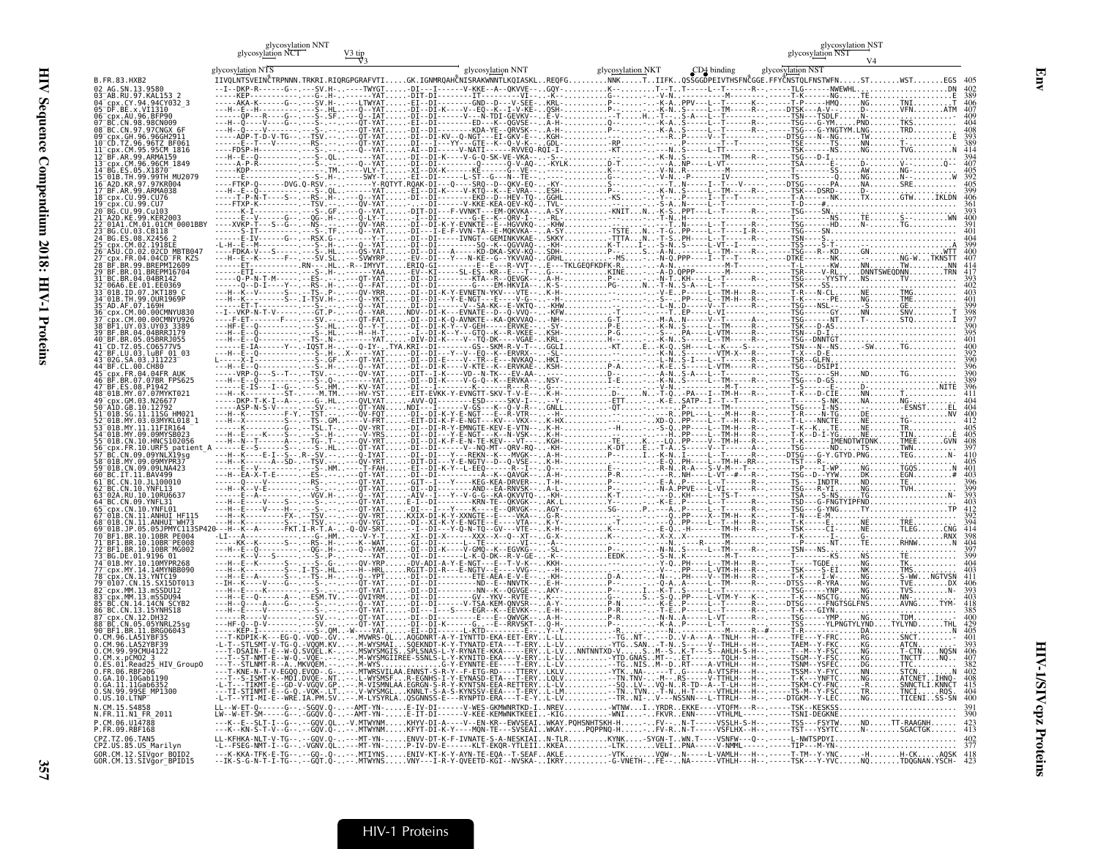| glycosylation NNT |        |
|-------------------|--------|
| glycosylation NCT | V3 tip |

|          | <b>NICT</b><br>glycosylation<br>ניי   |
|----------|---------------------------------------|
| $V2$ tin | মাণে<br>art v v<br>eviation NS .<br>. |

| $\frac{1}{2}$                                                                                                                                                                                                                             |
|-------------------------------------------------------------------------------------------------------------------------------------------------------------------------------------------------------------------------------------------|
| l                                                                                                                                                                                                                                         |
| $\sim$ accure Complementary in the result of the state in the state of the state of the state of the state of the state of the state of the state of the state of the state of the state of the state of the state of the state<br>Į<br>l |
| ֧֧֧֧֧֧֧ׅ֧֧֧֧֧֧֧֧֧֧֦֧֧֧֦֧֧֛֪֛֚֚֚֚֚֚֚֚֚֚֚֚֚֚֚֚֚֚֚֚֚֚֝֝֓֝֓֝֓֝֓֝֬֜֓֝֬֜֜֜֜֜֜֜֜֜֜<br>֧֢֧֧֧֧֧֧֧֛֧֧֛֧֪֛֚֚֚֚֝֜֜<br>ĺ                                                                                                                               |
| ֕<br>I                                                                                                                                                                                                                                    |
| ׇ֚֚֬֓֕֬֝֬֝֬֝֬֝֬֝֬֝֬֝֓֬֝֬֝֬֝֬֝֬֝֬֝֬֝֓֬֝֓֬<br>j                                                                                                                                                                                             |
| i                                                                                                                                                                                                                                         |
|                                                                                                                                                                                                                                           |
|                                                                                                                                                                                                                                           |
|                                                                                                                                                                                                                                           |
|                                                                                                                                                                                                                                           |
|                                                                                                                                                                                                                                           |
|                                                                                                                                                                                                                                           |
|                                                                                                                                                                                                                                           |
|                                                                                                                                                                                                                                           |
|                                                                                                                                                                                                                                           |
|                                                                                                                                                                                                                                           |
|                                                                                                                                                                                                                                           |
|                                                                                                                                                                                                                                           |
|                                                                                                                                                                                                                                           |
|                                                                                                                                                                                                                                           |
| f<br>ن<br>ڈ<br>i                                                                                                                                                                                                                          |

|                               | glycosylation NCT |                                                                                                                                                                                 |                   |                                  | glycosylation NST |
|-------------------------------|-------------------|---------------------------------------------------------------------------------------------------------------------------------------------------------------------------------|-------------------|----------------------------------|-------------------|
|                               | glycosylation NTS | glycosylation NNT                                                                                                                                                               | glycosylation NKT | CD4 binding<br>glycosylation NST |                   |
| B.FR.83.HXB2<br>AG SN 13 9586 |                   | IIVQLNTSVEINČTRPNNN.TRKRI.RIQRGPGRAFVTIGK.IGNMRQAHČNISRAKWNNTLKQIASKLREQFGNNKTIIFKQSSGGDPEIVTHSFNČGGE.FFYČNSTQLFNSTWFNSTWST                                                     |                   |                                  |                   |
|                               |                   |                                                                                                                                                                                 |                   |                                  |                   |
| x.VI1310                      |                   |                                                                                                                                                                                 |                   |                                  |                   |
| 96 RFP90                      |                   |                                                                                                                                                                                 |                   |                                  |                   |
|                               |                   |                                                                                                                                                                                 |                   |                                  |                   |
|                               |                   |                                                                                                                                                                                 |                   |                                  |                   |
|                               |                   |                                                                                                                                                                                 |                   |                                  |                   |
|                               |                   |                                                                                                                                                                                 |                   |                                  |                   |
|                               |                   |                                                                                                                                                                                 |                   |                                  |                   |
|                               |                   |                                                                                                                                                                                 |                   |                                  |                   |
|                               |                   |                                                                                                                                                                                 |                   |                                  |                   |
|                               |                   |                                                                                                                                                                                 |                   |                                  |                   |
|                               |                   |                                                                                                                                                                                 |                   |                                  |                   |
|                               |                   |                                                                                                                                                                                 |                   |                                  |                   |
|                               |                   |                                                                                                                                                                                 |                   |                                  |                   |
|                               |                   |                                                                                                                                                                                 |                   |                                  |                   |
|                               |                   |                                                                                                                                                                                 |                   |                                  |                   |
|                               |                   |                                                                                                                                                                                 |                   |                                  |                   |
|                               |                   |                                                                                                                                                                                 |                   |                                  |                   |
|                               |                   |                                                                                                                                                                                 |                   |                                  |                   |
|                               |                   |                                                                                                                                                                                 |                   |                                  |                   |
|                               |                   |                                                                                                                                                                                 |                   |                                  |                   |
|                               |                   |                                                                                                                                                                                 |                   |                                  |                   |
|                               |                   |                                                                                                                                                                                 |                   |                                  |                   |
|                               |                   |                                                                                                                                                                                 |                   |                                  |                   |
|                               |                   |                                                                                                                                                                                 |                   |                                  |                   |
|                               |                   |                                                                                                                                                                                 |                   |                                  |                   |
|                               |                   |                                                                                                                                                                                 |                   |                                  |                   |
|                               |                   |                                                                                                                                                                                 |                   |                                  |                   |
| F5 natient                    |                   |                                                                                                                                                                                 |                   |                                  |                   |
|                               |                   |                                                                                                                                                                                 |                   |                                  |                   |
|                               |                   |                                                                                                                                                                                 |                   |                                  |                   |
|                               |                   |                                                                                                                                                                                 |                   |                                  |                   |
|                               |                   |                                                                                                                                                                                 |                   |                                  |                   |
|                               |                   |                                                                                                                                                                                 |                   |                                  |                   |
|                               |                   |                                                                                                                                                                                 |                   |                                  |                   |
|                               |                   |                                                                                                                                                                                 |                   |                                  |                   |
|                               |                   |                                                                                                                                                                                 |                   |                                  |                   |
|                               |                   |                                                                                                                                                                                 |                   |                                  |                   |
|                               |                   |                                                                                                                                                                                 |                   |                                  |                   |
|                               |                   |                                                                                                                                                                                 |                   |                                  |                   |
|                               |                   |                                                                                                                                                                                 |                   |                                  |                   |
|                               |                   |                                                                                                                                                                                 |                   |                                  |                   |
| <b>BRG06043</b>               |                   |                                                                                                                                                                                 |                   |                                  |                   |
|                               |                   |                                                                                                                                                                                 |                   |                                  |                   |
|                               |                   |                                                                                                                                                                                 |                   |                                  |                   |
| Read25 HIV_GroupO<br>RRF206   |                   |                                                                                                                                                                                 |                   |                                  |                   |
| 10Gab119A                     |                   |                                                                                                                                                                                 |                   |                                  |                   |
| 1Gab6352<br>E MP1300          |                   |                                                                                                                                                                                 |                   |                                  |                   |
|                               |                   |                                                                                                                                                                                 |                   |                                  |                   |
| FR 2011                       |                   |                                                                                                                                                                                 |                   |                                  |                   |
|                               |                   | -90V.Q---.MIWYNMRFYT-DI-R-Y----MON-TE---5VSEAIWRAYYPOPPNO-H-FV-RN-T-----VSFEHX--H--.-------TST---YSYTCN-SGACTGK<br>-GQV.Q----MI-YN-EN <u>V</u> Y-DI-K-F-IVNAIE-S-A-NESKIAIN.ILR |                   |                                  |                   |
| 06.TAN5<br>.85.US Marilvn     |                   | VGNV.QL---MT-YN-P-IV-DV-E------KLT-EKQR-YTLEIIKKEALTKVELIPNA-                                                                                                                   |                   |                                  |                   |
| GOR.CM.12.SIVaor BOID2        |                   |                                                                                                                                                                                 |                   |                                  |                   |
|                               |                   |                                                                                                                                                                                 |                   |                                  |                   |

Env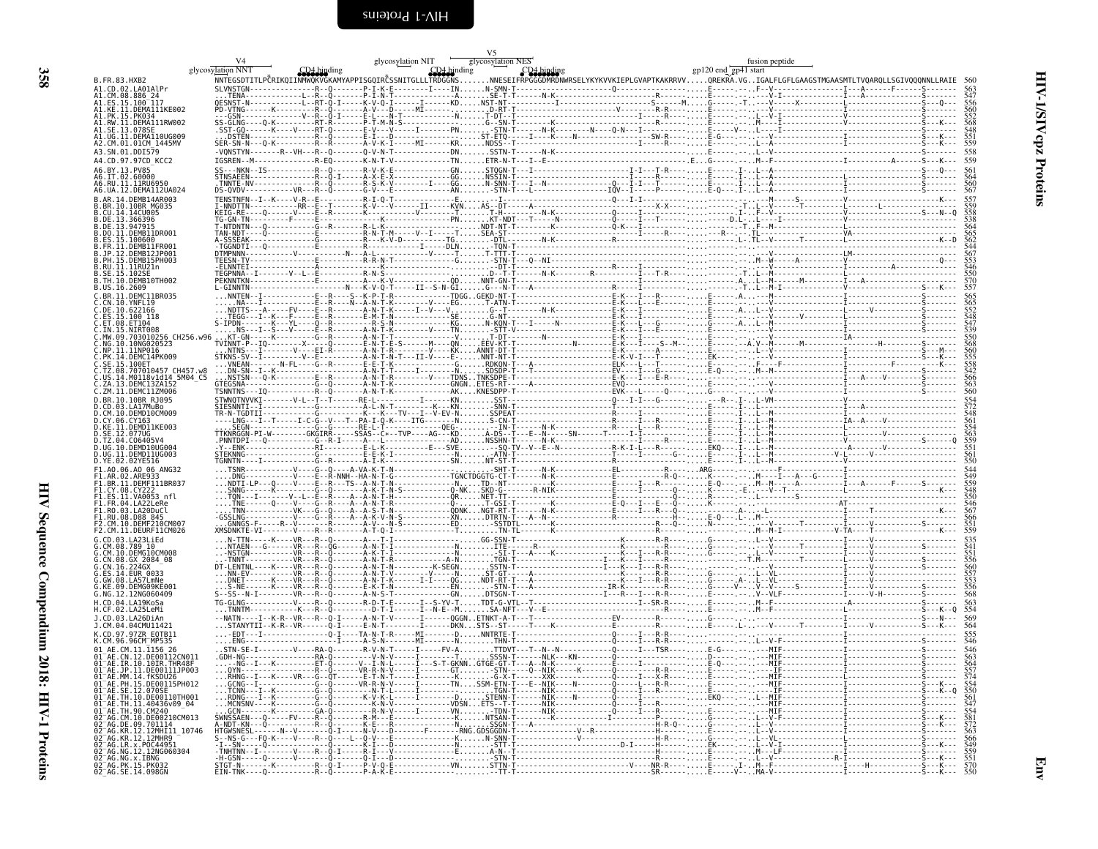<span id="page-51-0"></span>

|                                                                                                                                       | glycosylation NNT |  | glycosylation NES<br>glycosylation NIT<br>CD4 binding |  | fusion peptide<br>gp120 end gp41 start                                                                                                                            |                          |
|---------------------------------------------------------------------------------------------------------------------------------------|-------------------|--|-------------------------------------------------------|--|-------------------------------------------------------------------------------------------------------------------------------------------------------------------|--------------------------|
| B. FR. 83. HXB2                                                                                                                       |                   |  |                                                       |  | INNTEGSDTITLPČRIKQIINMMQKVGKAMYAPPISGQIRČSSNITGLLLTKDGGMSNNESEIFRPGGGDMRDNWRSELYKYKVVKIEPLGVAPTKAKRRVVQREKRA.VGIGALFLGFLGAAGSTMGAASMTLTVQARQLLSGIVQQQNNLLRAIE 560 |                          |
| A1.CD.02.LA01AlPr<br>A1.CM.08.886 24                                                                                                  |                   |  |                                                       |  |                                                                                                                                                                   |                          |
| A1.ES.15.100 <sup>-</sup> 117<br>A1.KE.11.DEMA111KE002                                                                                |                   |  |                                                       |  |                                                                                                                                                                   |                          |
| A1.PK.15.PK034<br>A1.RW.11.DEMA111RW002<br>A1.SE.13.078SE                                                                             |                   |  |                                                       |  |                                                                                                                                                                   |                          |
| A1.UG.11.DEMA110UG009<br>A2.CM.01.01CM 1445MV                                                                                         |                   |  |                                                       |  |                                                                                                                                                                   |                          |
| A3.SN.01.DDI579                                                                                                                       |                   |  |                                                       |  |                                                                                                                                                                   |                          |
| A4.CD.97.97CD KCC2<br>A6.BY.13.PV85                                                                                                   |                   |  |                                                       |  |                                                                                                                                                                   | 559                      |
| A6.IT.02.60000<br>A6.RU.11.11RU6950                                                                                                   |                   |  |                                                       |  |                                                                                                                                                                   |                          |
| A6.UA.12.DEMA112UA024<br>B.AR.14.DEMB14AR003                                                                                          |                   |  |                                                       |  |                                                                                                                                                                   |                          |
| B.BR.10.10BR MG035<br>B.CU.14.14CU005                                                                                                 |                   |  |                                                       |  |                                                                                                                                                                   |                          |
| B.DE.13.366396<br>R NE 13 947915                                                                                                      |                   |  |                                                       |  |                                                                                                                                                                   |                          |
| B.DO.11.DEMB11DR001<br>ES.15.100600                                                                                                   |                   |  |                                                       |  |                                                                                                                                                                   |                          |
| B.JP.12.DEMB12JP001                                                                                                                   |                   |  |                                                       |  |                                                                                                                                                                   |                          |
| .PH.15.DEMB15PH003<br>.RU.11.11RU21n                                                                                                  |                   |  |                                                       |  |                                                                                                                                                                   |                          |
| B.SE.15.102SE<br>B.TH.10.DEMB10TH002                                                                                                  |                   |  |                                                       |  |                                                                                                                                                                   |                          |
| B.US.16.2609<br>C.BR.11.DEMC11BR035                                                                                                   |                   |  |                                                       |  |                                                                                                                                                                   |                          |
| C.CN.10.YNFL19<br>C.DE.10.622166                                                                                                      |                   |  |                                                       |  |                                                                                                                                                                   |                          |
| C.ES.15.100 118<br>ET.08.ET104                                                                                                        |                   |  |                                                       |  |                                                                                                                                                                   |                          |
| MW.09.703010256 CH256.w96                                                                                                             |                   |  |                                                       |  |                                                                                                                                                                   |                          |
| NP.11.11NP016.                                                                                                                        |                   |  |                                                       |  |                                                                                                                                                                   |                          |
| C.PK.14.DEMC14PK009<br>C.SE.15.100ET                                                                                                  |                   |  |                                                       |  |                                                                                                                                                                   |                          |
| C.TZ.08.707010457 CH457.w8<br>US.14.M0118v1d14 5M04 C5                                                                                |                   |  |                                                       |  |                                                                                                                                                                   |                          |
| .13.DEMC13ZA152<br>C.ZM.11.DEMC11ZM006                                                                                                |                   |  |                                                       |  |                                                                                                                                                                   | $\frac{566}{563}$<br>563 |
| D.BR.10.10BR R1095                                                                                                                    |                   |  |                                                       |  |                                                                                                                                                                   |                          |
| D.CM.10.DEMD10CM009<br>D.CY.06.CY163                                                                                                  |                   |  |                                                       |  |                                                                                                                                                                   |                          |
| D.KE.11.DEMD11KE003<br>D.SE.12.077UG                                                                                                  |                   |  |                                                       |  |                                                                                                                                                                   |                          |
| D.TZ.04.C06405V4<br>D.UG.10.DEMD10UG00                                                                                                |                   |  |                                                       |  |                                                                                                                                                                   |                          |
| D.UG.11.DEMD11UG003<br>D.YE.02.02YE516                                                                                                |                   |  |                                                       |  |                                                                                                                                                                   |                          |
| F1.A0.06.A0 06 ANG32<br>.AR.02.ARE933                                                                                                 |                   |  |                                                       |  |                                                                                                                                                                   |                          |
| F1.BR.11.DEMF111BR037<br>F1.CY.08.CY222                                                                                               |                   |  |                                                       |  |                                                                                                                                                                   |                          |
| F1.ES.11.VA0053 nfl<br>F1.FR.04.LA22LeRe                                                                                              |                   |  |                                                       |  |                                                                                                                                                                   |                          |
| F1.RO.03.LA20DuCl<br>F1.RU.08.D88 845                                                                                                 |                   |  |                                                       |  |                                                                                                                                                                   |                          |
| F2.CM.10.DEMF210CM007<br>F2.CM.11.DEURF11CM026                                                                                        |                   |  |                                                       |  |                                                                                                                                                                   |                          |
| G. CD. 03.1 A231 iFd<br>G.CM.08.789 10                                                                                                |                   |  |                                                       |  |                                                                                                                                                                   |                          |
| G.CM.10.DEMG10CM008<br>G.CN.08.GX 2084 08                                                                                             |                   |  |                                                       |  |                                                                                                                                                                   |                          |
| CN.16.224GX<br>LS.14.EUR 0033                                                                                                         |                   |  |                                                       |  |                                                                                                                                                                   |                          |
| KE.09.DEMG09KE001                                                                                                                     |                   |  |                                                       |  |                                                                                                                                                                   |                          |
| G.NG.12.12NG060409<br>H.CD.04.LA19KoSa                                                                                                |                   |  |                                                       |  |                                                                                                                                                                   |                          |
| H.CF.02.LA25LeMi<br>J.CD.03.LA26DiAn                                                                                                  |                   |  |                                                       |  |                                                                                                                                                                   | 569                      |
| 1. CM. 04. 04CMII11421<br>K.CD.97.97ZR EOTB11                                                                                         |                   |  |                                                       |  |                                                                                                                                                                   |                          |
|                                                                                                                                       |                   |  |                                                       |  |                                                                                                                                                                   |                          |
| 01 AE.CM.11.1156 26<br>01 AE.CN.12.DEOO112CN011                                                                                       |                   |  |                                                       |  |                                                                                                                                                                   |                          |
| 01 AE. IR. 10. 10 IR. THR48F<br>01 AE.JP.11.DE00111JP003                                                                              |                   |  |                                                       |  |                                                                                                                                                                   |                          |
| 01 AE.MM.14. FKSDU26<br>01 AE.PH.15.DE00115PH012                                                                                      |                   |  |                                                       |  |                                                                                                                                                                   |                          |
| 01-AE: SE.12.070SE<br>01-AE: TH.10.0E00110TH001<br>01-AE: TH.11.40436v09_04<br>01-AE: TH.10.0E00110TH001<br>02-AG: CM.10.0E00210CM013 |                   |  |                                                       |  |                                                                                                                                                                   |                          |
|                                                                                                                                       |                   |  |                                                       |  |                                                                                                                                                                   |                          |
| 02 AG. DE. 09.701114<br>02 AG. KR. 12. 12MHT11_10746<br>02 AG. KR. 12. 12MHR9                                                         |                   |  |                                                       |  |                                                                                                                                                                   |                          |
|                                                                                                                                       |                   |  |                                                       |  |                                                                                                                                                                   |                          |
| 02 AG. LR. x. POC44951<br>02 AG. NG. 12. 12NG060304                                                                                   |                   |  |                                                       |  |                                                                                                                                                                   |                          |
| 02 AG.NG.X.IBNG<br>02 AG.NG.X.IBNG<br>02 AG.PK.15.PK032<br>02 AG.SE.14.098GN                                                          |                   |  |                                                       |  |                                                                                                                                                                   |                          |

358

Env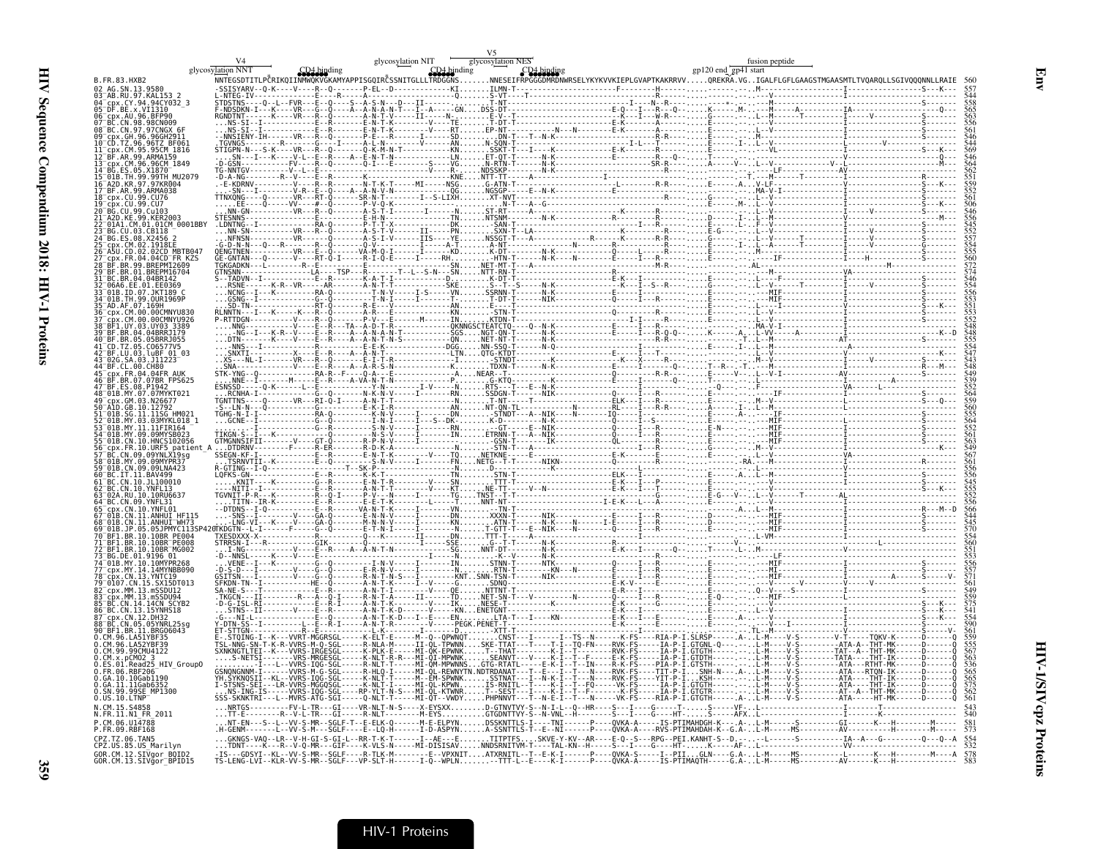|                                                                                       | glycosylation NNT | V <sub>5</sub> |  |
|---------------------------------------------------------------------------------------|-------------------|----------------|--|
| B. FR. 83. HXB2                                                                       |                   |                |  |
| 02_AG.SN.13.9580<br>03 AB.RU.97.KAL153_2                                              |                   |                |  |
| cpx.CY.94.94CY032 3<br>05 DF. BE. x. VI1310                                           |                   |                |  |
| 06 cpx.AU.96.BFP90<br>07 BC.CN.98.98CN009<br>08 BC.CN.97.97CNGX 6F                    |                   |                |  |
| 09 Cpx.GH.96.96GH2911<br>10 CD.TZ.96.96TZ BF061                                       |                   |                |  |
| cnx.CM.95.95CM 1816<br>12 BF.AR.99.ARMA159                                            |                   |                |  |
| cpx.CM.96.96CM 1849                                                                   |                   |                |  |
| 01B.TH.99.99TH MU2079<br>A2D.KR.97.97KR004                                            |                   |                |  |
| 17 BF.AR.99.ARMA038<br>18 cpx.CU.99.CU76                                              |                   |                |  |
| px.CU.99.CU7:<br>20 BG.CU.99.Cu103<br>A2D KF 99 KFR2003-                              |                   |                |  |
| 01A1.CM.01.01CM 0001BBY                                                               |                   |                |  |
| 25 <sup>-</sup> cpx.CM.02.1918EE                                                      |                   |                |  |
| 26 ASU CD 02 02CD MRTR047<br>CDX.FR.04.04CD FR KZS                                    |                   |                |  |
| BF.BR.01.BREPM16704                                                                   |                   |                |  |
| BC.BR.04.04BR142                                                                      |                   |                |  |
| 01B.ID.07.JKT189<br>4 <sup>-</sup> 01B.TH.99.0UR1969P<br>5 <sup>-</sup> AD.AF.07.169H |                   |                |  |
| cpx.CM.00.00CMNYU830<br>← CM 00 00CMNYU926                                            |                   |                |  |
| BF1.UY.03.UY03.3389"                                                                  |                   |                |  |
| BF.BR.05.05BRRJ055<br>CD.TZ.05.C06577V5                                               |                   |                |  |
| RE LU 03 LuRE 01 03<br>02G.SA.03.J11223                                               |                   |                |  |
|                                                                                       |                   |                |  |
| .BR.07.07BR FPS625<br>7 RF FS 08 P1947<br>48 01B.MY.07.07MYKT021                      |                   |                |  |
|                                                                                       |                   |                |  |
| SG.11.11SG HM021<br>MY.03.03MYKL018 1                                                 |                   |                |  |
|                                                                                       |                   |                |  |
| CN.10.HNCS102056<br>.FR.10.URF5_patient_A<br>CN.09.09YNLX19sg<br>, MY_00.00MVR19sg    |                   |                |  |
|                                                                                       |                   |                |  |
| 01B.CN.09.09LNA423<br>BC.IT.11.BAV499<br>RC CN 10 11 100010                           |                   |                |  |
|                                                                                       |                   |                |  |
| CN.10.YNFL01                                                                          |                   |                |  |
| CN 11 ANHIIT HE115<br>CN 11 ANHIIT WH73                                               |                   |                |  |
| BF1.BR.10.10BR PE004                                                                  |                   |                |  |
| .BR.10.10BR <sup>-</sup> PE008<br>BF1.BR.10.10BR MG002                                |                   |                |  |
| MY 14 14MYNRR090                                                                      |                   |                |  |
| $0107.$ CN.15.SX15DT013                                                               |                   |                |  |
|                                                                                       |                   |                |  |
| CN.14.14CN SCYB2<br>BC.CN.13.15YNHS18                                                 |                   |                |  |
| x.CN.12.DH32<br>3C.CN.05.05YNRL25sq                                                   |                   |                |  |
| BF1.BR.11.BRG06043<br>0.CM.96.LA51YBF35                                               |                   |                |  |
| 0.CM.96.LA52YBF39<br>0.CM.99.99CMU4122<br>0.CM.x.nCM02 3                              |                   |                |  |
| .Read25 HIV Group0                                                                    |                   |                |  |
| GA.10.10Gab1190<br>0.GA.11.11Gab6352                                                  |                   |                |  |
| 0.SN.99.99SE MP1300<br>$0.05.10$ .LTNP $\bar{}$                                       |                   |                |  |
| N CM 15 S4858<br>N.FR.11.N1 FR 2011                                                   |                   |                |  |
| P.CM.06.U14788<br>P.FR.09.RBF168                                                      |                   |                |  |
| CPZ.TZ.06.TAN5<br>CPZ.US.85.US_Marilyn                                                |                   |                |  |
| GOR.CM.12.SIVgor_BOID2<br>GOR.CM.13.SIVgor_BPID15                                     |                   |                |  |
|                                                                                       |                   |                |  |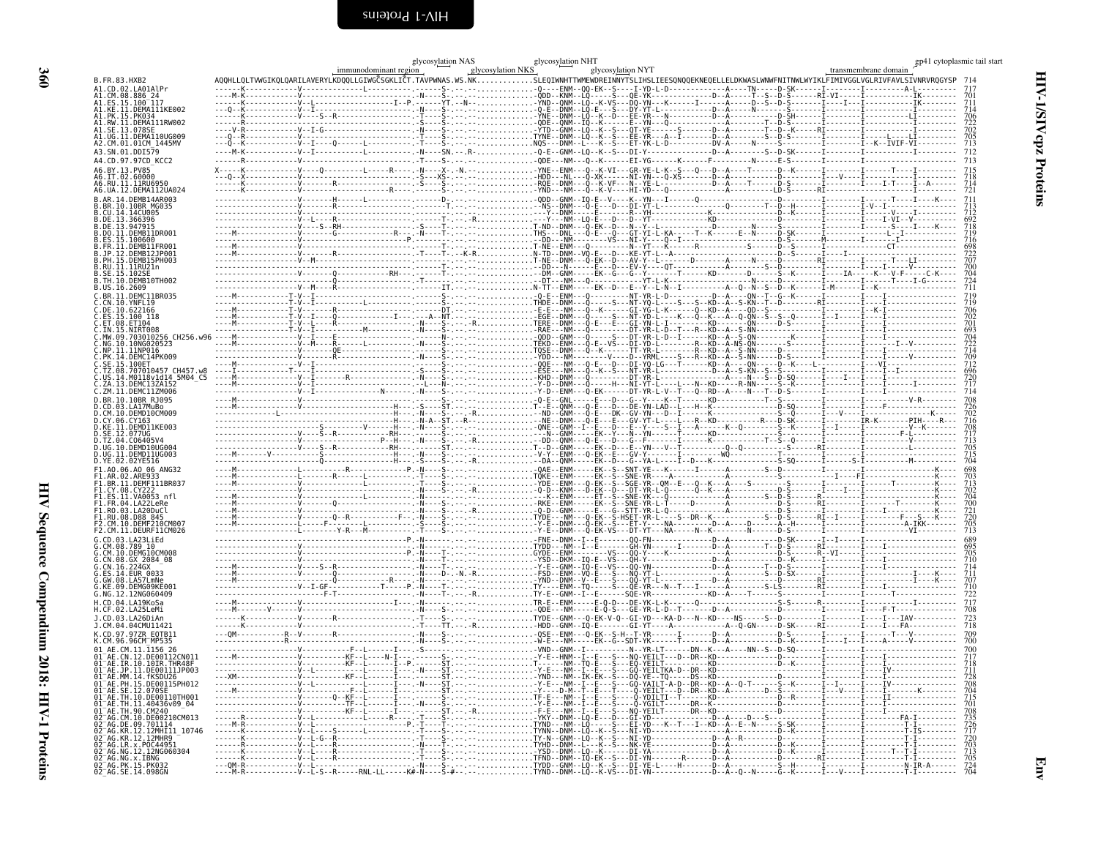<span id="page-53-0"></span>

|                                                                                  | glycosylation NAS<br>immunodominant region                                                                                                                                                                                                                                                                                                                                                                                                                                                            | $glycosylation NKS$<br>NKS                        | glycosylation NYT |                                                                                       |  | transmembrane domain | gp41 cytoplasmic tail start     |
|----------------------------------------------------------------------------------|-------------------------------------------------------------------------------------------------------------------------------------------------------------------------------------------------------------------------------------------------------------------------------------------------------------------------------------------------------------------------------------------------------------------------------------------------------------------------------------------------------|---------------------------------------------------|-------------------|---------------------------------------------------------------------------------------|--|----------------------|---------------------------------|
| B.FR.83.HXB2                                                                     | AQQHLLQLTVWGIKQLQARILAVERYLKDQQLLGIWGČSGKLIĈT.TAVPWNAS.WS.NKSLEQIWNHTTWMEWDREINNYTSLIHSLIEESQNQQEKNEQELLELDKWASLWNWFNITNWLWYIKLFIMIVGGLVGLRIVFAVLSIVNRVRQGYSP                                                                                                                                                                                                                                                                                                                                         |                                                   |                   |                                                                                       |  |                      |                                 |
| A1.CD.02.LA01AlPr<br>A1.CM.08.886                                                | $\frac{1}{2} \cdot \frac{1}{2} \cdot \frac{1}{2} \cdot \frac{1}{2} \cdot \frac{1}{2} \cdot \frac{1}{2} \cdot \frac{1}{2} \cdot \frac{1}{2} \cdot \frac{1}{2} \cdot \frac{1}{2} \cdot \frac{1}{2} \cdot \frac{1}{2} \cdot \frac{1}{2} \cdot \frac{1}{2} \cdot \frac{1}{2} \cdot \frac{1}{2} \cdot \frac{1}{2} \cdot \frac{1}{2} \cdot \frac{1}{2} \cdot \frac{1}{2} \cdot \frac{1}{2} \cdot \frac{1}{2} \cdot \frac{1}{2} \cdot \frac{1}{2} \cdot \frac{1$                                             |                                                   |                   |                                                                                       |  |                      |                                 |
| A1.ES.15.100 <sup>-117</sup><br>A1.KE.11.DEMA111KE002                            |                                                                                                                                                                                                                                                                                                                                                                                                                                                                                                       |                                                   |                   |                                                                                       |  |                      |                                 |
| A1.PK.15.<br>.PK03<br>A1.RW.11.DEMA111RW002                                      |                                                                                                                                                                                                                                                                                                                                                                                                                                                                                                       |                                                   |                   |                                                                                       |  |                      |                                 |
| A1.SE.13.078SI<br>A1.UG.I1.DEMAI10UG009                                          |                                                                                                                                                                                                                                                                                                                                                                                                                                                                                                       |                                                   |                   |                                                                                       |  |                      |                                 |
| A2.CM.01.01CM 1445MV                                                             |                                                                                                                                                                                                                                                                                                                                                                                                                                                                                                       |                                                   |                   |                                                                                       |  |                      |                                 |
| A3.SN.01.DDI579<br>A4.CD.97.97CD KCC2                                            |                                                                                                                                                                                                                                                                                                                                                                                                                                                                                                       |                                                   |                   |                                                                                       |  |                      | 712                             |
| A6.BY.13.PV85                                                                    |                                                                                                                                                                                                                                                                                                                                                                                                                                                                                                       |                                                   |                   |                                                                                       |  |                      |                                 |
| A6.IT.02.60000<br>A6.RU.11.11RU6950                                              |                                                                                                                                                                                                                                                                                                                                                                                                                                                                                                       |                                                   |                   |                                                                                       |  |                      |                                 |
| A6.UA.12.DEMA112UA024<br>B.AR.14.DEMB14AR003                                     |                                                                                                                                                                                                                                                                                                                                                                                                                                                                                                       |                                                   |                   |                                                                                       |  |                      | 721                             |
| B.BR.10.10BR MG035                                                               |                                                                                                                                                                                                                                                                                                                                                                                                                                                                                                       | -- . - - - - NS - - DNM - - - 0 - E - - - D - - . |                   |                                                                                       |  |                      |                                 |
| .CU.14.14CU005<br>B.DE.13.366396                                                 |                                                                                                                                                                                                                                                                                                                                                                                                                                                                                                       |                                                   |                   |                                                                                       |  |                      |                                 |
| R.DE. 13.947915<br>B.DO.11.DEMB11DR001                                           |                                                                                                                                                                                                                                                                                                                                                                                                                                                                                                       |                                                   |                   |                                                                                       |  |                      |                                 |
| B.ES.15.100600<br>.FR.11.DEMB11FR001                                             |                                                                                                                                                                                                                                                                                                                                                                                                                                                                                                       |                                                   |                   |                                                                                       |  |                      |                                 |
| - 1P<br>.12.DEMB12JP001<br>B. PH. 15. DEMB15PH003                                |                                                                                                                                                                                                                                                                                                                                                                                                                                                                                                       |                                                   |                   |                                                                                       |  |                      |                                 |
| B.RU.11.11RU21n<br>B.SE.15.102SI                                                 |                                                                                                                                                                                                                                                                                                                                                                                                                                                                                                       |                                                   |                   |                                                                                       |  |                      |                                 |
| B. TH. 10. DEMB10TH002<br>B.US.16.2609                                           | $\begin{minipage}[t]{.000\textwidth} {\small \textbf{0.000\textwidth} {\small \textbf{0.000\textwidth} {\small \textbf{0.000\textwidth} {\small \textbf{0.000\textwidth} {\small \textbf{0.000\textwidth} {\small \textbf{0.000\textwidth} {\small \textbf{0.000\textwidth} {\small \textbf{0.000\textwidth} {\small \textbf{0.000\textwidth} {\small \textbf{0.000\textwidth} {\small \textbf{0.000\textwidth} {\small \textbf{0.000\textwidth} {\small \textbf{0.000\textwidth} {\small \textbf{0.$ |                                                   |                   |                                                                                       |  |                      | 724<br>711                      |
| C.BR.11.DEMC11BR035                                                              |                                                                                                                                                                                                                                                                                                                                                                                                                                                                                                       |                                                   |                   |                                                                                       |  |                      |                                 |
| C.CN.10.YNFL19<br>C.DE.10.622166                                                 | $\begin{bmatrix} \mathbf{1} & \mathbf{1} & \mathbf{1} & \mathbf{1} & \mathbf{1} & \mathbf{1} & \mathbf{1} & \mathbf{1} & \mathbf{1} & \mathbf{1} & \mathbf{1} & \mathbf{1} & \mathbf{1} & \mathbf{1} & \mathbf{1} & \mathbf{1} & \mathbf{1} & \mathbf{1} & \mathbf{1} & \mathbf{1} & \mathbf{1} & \mathbf{1} & \mathbf{1} & \mathbf{1} & \mathbf{1} & \mathbf{1} & \mathbf{1} & \mathbf{1} & \mathbf{1} & \mathbf{1} & \mathbf{$                                                                      |                                                   |                   |                                                                                       |  |                      |                                 |
| C. <u>ES</u> .15.100 118<br>C.FT<br><b>08 FT104</b>                              |                                                                                                                                                                                                                                                                                                                                                                                                                                                                                                       |                                                   |                   |                                                                                       |  |                      |                                 |
| C.IN.15.NIRT008<br>C.MW.09.703010256 CH256.w96                                   |                                                                                                                                                                                                                                                                                                                                                                                                                                                                                                       |                                                   |                   |                                                                                       |  |                      |                                 |
| NG.10.10NG020523.<br>NP.11.11NP016.                                              |                                                                                                                                                                                                                                                                                                                                                                                                                                                                                                       |                                                   |                   |                                                                                       |  |                      | 704<br>722<br>722<br>714<br>709 |
| PK.14.DEMC14PK009<br>C.SE.15.100ET                                               |                                                                                                                                                                                                                                                                                                                                                                                                                                                                                                       |                                                   |                   |                                                                                       |  |                      |                                 |
| C.TZ.08.707010457 CH457.w8<br>C.US.14.M0118v1d14 5M04 C5                         |                                                                                                                                                                                                                                                                                                                                                                                                                                                                                                       |                                                   |                   |                                                                                       |  |                      |                                 |
| 13.DEMC13ZA152<br>ZM.11.DEMC11ZM006                                              |                                                                                                                                                                                                                                                                                                                                                                                                                                                                                                       |                                                   |                   |                                                                                       |  |                      |                                 |
| D.BR.10.10BR RJ095                                                               |                                                                                                                                                                                                                                                                                                                                                                                                                                                                                                       |                                                   |                   |                                                                                       |  |                      |                                 |
| D.CD.03.LA17MuBo<br>D.CM.10.DEMD10CM009                                          | $\frac{1}{\frac{1}{2} \cdot \frac{1}{2} \cdot \frac{1}{2} \cdot \frac{1}{2} \cdot \frac{1}{2} \cdot \frac{1}{2} \cdot \frac{1}{2} \cdot \frac{1}{2} \cdot \frac{1}{2} \cdot \frac{1}{2} \cdot \frac{1}{2} \cdot \frac{1}{2} \cdot \frac{1}{2} \cdot \frac{1}{2} \cdot \frac{1}{2} \cdot \frac{1}{2} \cdot \frac{1}{2} \cdot \frac{1}{2} \cdot \frac{1}{2} \cdot \frac{1}{2} \cdot \frac{1}{2} \cdot \frac{1}{2} \cdot \frac{1}{2} \cdot \frac{1}{2} \$                                                |                                                   |                   |                                                                                       |  |                      |                                 |
| D.CY.06.CY163<br>.11.DEMD11KE003<br>D.KE                                         |                                                                                                                                                                                                                                                                                                                                                                                                                                                                                                       |                                                   |                   |                                                                                       |  |                      |                                 |
| D. SE . 12 . 077UG<br>TZ.04.C06405V4                                             |                                                                                                                                                                                                                                                                                                                                                                                                                                                                                                       |                                                   |                   |                                                                                       |  |                      |                                 |
| UG.10.DEMD10UG004<br>.11.DEMD11UG003                                             |                                                                                                                                                                                                                                                                                                                                                                                                                                                                                                       |                                                   |                   |                                                                                       |  |                      |                                 |
| D.YE.02.02YE516<br>F1.A0.06.A0 06 ANG32                                          |                                                                                                                                                                                                                                                                                                                                                                                                                                                                                                       |                                                   |                   |                                                                                       |  |                      |                                 |
| 11.DEMF111BR037                                                                  |                                                                                                                                                                                                                                                                                                                                                                                                                                                                                                       |                                                   |                   |                                                                                       |  |                      |                                 |
| F1.CY.08.CY222<br>FĪ.ĔS.ĬI.VA0053 nfl                                            |                                                                                                                                                                                                                                                                                                                                                                                                                                                                                                       |                                                   |                   |                                                                                       |  |                      | 702<br>704                      |
| F1.FR.04.LA22LeRe<br>03.LA20DuCl                                                 |                                                                                                                                                                                                                                                                                                                                                                                                                                                                                                       |                                                   |                   |                                                                                       |  |                      |                                 |
| F1.RU.08.D88 845<br>F2.CM.10.DEMF210CM007                                        |                                                                                                                                                                                                                                                                                                                                                                                                                                                                                                       |                                                   |                   |                                                                                       |  |                      | 700<br>721<br>720<br>705<br>713 |
| F2.CM.11.DEURF11CM026                                                            |                                                                                                                                                                                                                                                                                                                                                                                                                                                                                                       |                                                   |                   |                                                                                       |  |                      |                                 |
| G. CD. 03. LA23Li Ed                                                             |                                                                                                                                                                                                                                                                                                                                                                                                                                                                                                       |                                                   |                   |                                                                                       |  |                      |                                 |
| CM.10.DEMG10CM008<br>.CN.08.GX 2084_08<br>.CN.16.224GX                           |                                                                                                                                                                                                                                                                                                                                                                                                                                                                                                       |                                                   |                   |                                                                                       |  |                      |                                 |
| <b>G. ES. 14. FUR. 0033</b>                                                      |                                                                                                                                                                                                                                                                                                                                                                                                                                                                                                       |                                                   |                   |                                                                                       |  |                      |                                 |
| G.KE.09.DEMG09KE001                                                              |                                                                                                                                                                                                                                                                                                                                                                                                                                                                                                       |                                                   |                   |                                                                                       |  |                      |                                 |
| G.NG.12.12NG060409<br>H.CD.04.LA19KoSa                                           |                                                                                                                                                                                                                                                                                                                                                                                                                                                                                                       |                                                   |                   |                                                                                       |  |                      |                                 |
| H.CF.02.LA25LeMi                                                                 |                                                                                                                                                                                                                                                                                                                                                                                                                                                                                                       |                                                   |                   |                                                                                       |  |                      |                                 |
| 1. CD. 03. LA26DiAn<br>J.CM.04.04CMU11421                                        |                                                                                                                                                                                                                                                                                                                                                                                                                                                                                                       |                                                   |                   |                                                                                       |  |                      | 723<br>718                      |
| K.CD.97.97ZR EQTB11<br>K.CM.96.96CM <sup>-</sup> MP535                           |                                                                                                                                                                                                                                                                                                                                                                                                                                                                                                       |                                                   |                   |                                                                                       |  |                      |                                 |
| AE.CM.11.1156 26                                                                 |                                                                                                                                                                                                                                                                                                                                                                                                                                                                                                       |                                                   |                   |                                                                                       |  |                      |                                 |
| CN.12.DE00112CN011<br>$01^-$ AF.<br>IR 10 10IR THR48F                            |                                                                                                                                                                                                                                                                                                                                                                                                                                                                                                       |                                                   |                   |                                                                                       |  |                      |                                 |
| JP.11.DE00111JP003<br>A1 <sup>-</sup> AE<br>MM.14.fKSDU26<br>91 <sup>-</sup> AE. |                                                                                                                                                                                                                                                                                                                                                                                                                                                                                                       |                                                   |                   |                                                                                       |  |                      |                                 |
| 01 AE PH 15 DE00115PH012<br>SE.12.070SE<br>$01^-$ AE.                            |                                                                                                                                                                                                                                                                                                                                                                                                                                                                                                       |                                                   |                   |                                                                                       |  |                      |                                 |
| 01 AE.TH.10.DE00110TH001<br>01 AE.TH.11.40436v09 04                              |                                                                                                                                                                                                                                                                                                                                                                                                                                                                                                       |                                                   |                   |                                                                                       |  |                      |                                 |
| AE.TH.90.CM240<br>CM.10.DE00210CM013                                             |                                                                                                                                                                                                                                                                                                                                                                                                                                                                                                       |                                                   |                   |                                                                                       |  |                      |                                 |
| DE.09.701114<br>AG.KR.12.12MHT11 10746                                           |                                                                                                                                                                                                                                                                                                                                                                                                                                                                                                       |                                                   |                   |                                                                                       |  |                      |                                 |
| AG.KR.12.12MHR9<br>LR.x.P0C44951                                                 |                                                                                                                                                                                                                                                                                                                                                                                                                                                                                                       | . TY-N--GNM--LO--K-                               |                   |                                                                                       |  |                      |                                 |
| AG.NG.12.12NG060304                                                              |                                                                                                                                                                                                                                                                                                                                                                                                                                                                                                       |                                                   |                   |                                                                                       |  |                      |                                 |
| 02 AG.NG.X.IBNG<br>02 AG.PK.15.PK032<br>02 AG.SE.14.098GN                        | ---V--L-S--R-----RNL-LL-----K#-N---                                                                                                                                                                                                                                                                                                                                                                                                                                                                   | . TYND-                                           |                   | - - - - - - - - - D - - A - - O - - N - - - - - G - - K - - - - - - - I - - - V - - - |  |                      |                                 |
|                                                                                  |                                                                                                                                                                                                                                                                                                                                                                                                                                                                                                       |                                                   |                   |                                                                                       |  |                      |                                 |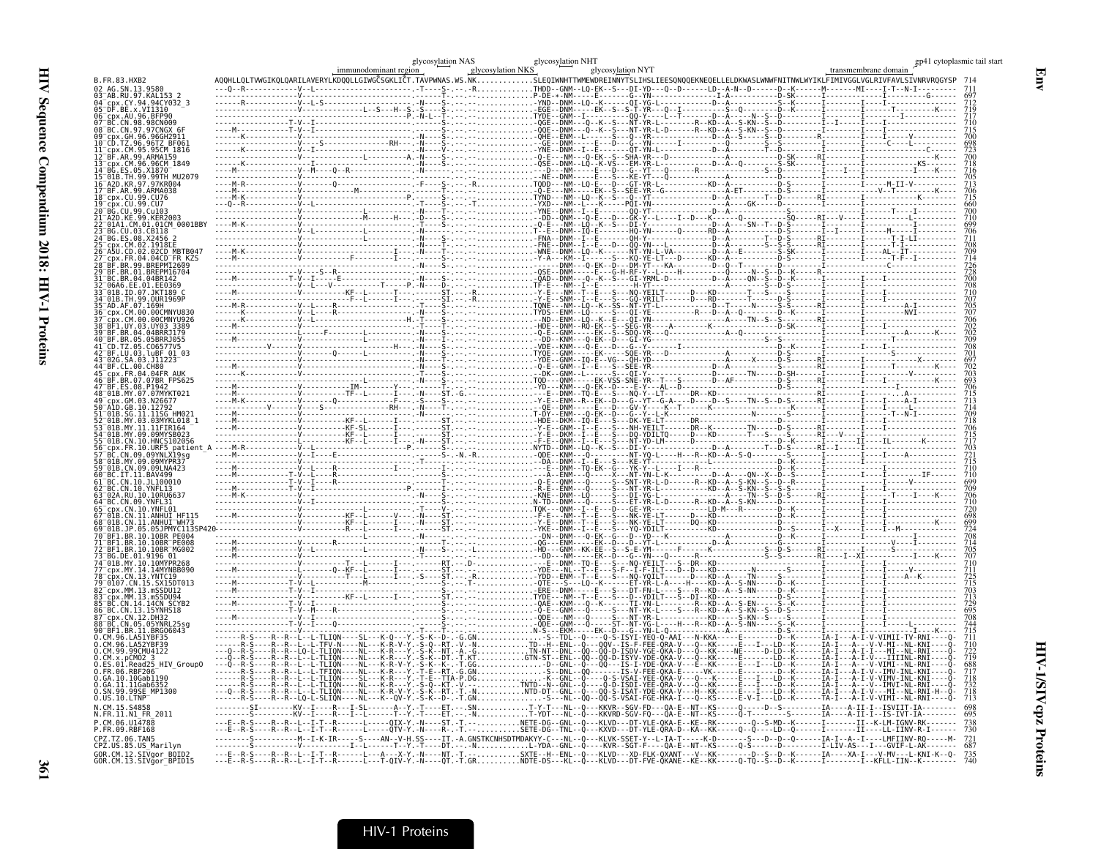|                                                                                                                            | immunodominant region | glycosylation NAS | glycosylation NKS | glycosylation NHT<br>glycosylation NYT |  | gp41 cytoplasmic tail start<br>transmembrane domain                                                                                                                                                                                                                                                          |
|----------------------------------------------------------------------------------------------------------------------------|-----------------------|-------------------|-------------------|----------------------------------------|--|--------------------------------------------------------------------------------------------------------------------------------------------------------------------------------------------------------------------------------------------------------------------------------------------------------------|
| B. FR. 83. HXB2<br>02 AG.SN.13.9580                                                                                        |                       |                   |                   |                                        |  | AQQHLLQLTVWGIKQLQARILAVERYLKDQQLLGIWGČSGKLIČT.TAVPWNAS.WS.NKSLEQIWNHTTWMEWDREINNYTSLIHSLIEESQNQQEKNEQELLELDKWASLWNWFNITNWLWYIKLFIMIVGGLVGLRIVFAVLSIVNRVRQGYSP                                                                                                                                                |
| AB.RU.97.KAL153<br>CY.94.94CY032 3                                                                                         |                       |                   |                   |                                        |  |                                                                                                                                                                                                                                                                                                              |
| 04 Cpx. CY. 94. 94CY03<br>05 DF. BE. x. VI1310<br>06 Cpx. AU. 96. BFP90<br>07 BC. CN. 98. 98CN009                          |                       |                   |                   |                                        |  |                                                                                                                                                                                                                                                                                                              |
| 08 BC.CN.97.97CNGX                                                                                                         |                       |                   |                   |                                        |  |                                                                                                                                                                                                                                                                                                              |
| cpx.GH.96.96GH2911 <sup>-</sup><br>10 CD.TZ.96.96TZ BF06<br>$\overline{CDX}$ . $\overline{CM}$ .95.95 $\overline{CM}$ 1816 |                       |                   |                   |                                        |  |                                                                                                                                                                                                                                                                                                              |
| BF.AR.99.ARMA159<br>cpx.CM.96.96CM 1849                                                                                    |                       |                   |                   |                                        |  |                                                                                                                                                                                                                                                                                                              |
| BG ES 05.X1870                                                                                                             |                       |                   |                   |                                        |  |                                                                                                                                                                                                                                                                                                              |
| 15 01B.TH.99.99TH MU2079<br>16 A2D.KR.97.97KR004<br>17 BF.AR.99.ARMA038                                                    |                       |                   |                   |                                        |  |                                                                                                                                                                                                                                                                                                              |
| $-cpx$ .CU.99.CU76<br>cpx.CU.99.CU7                                                                                        |                       |                   |                   |                                        |  |                                                                                                                                                                                                                                                                                                              |
| 20 <sup>-</sup> BG.CU.99.Cu103<br>21 <sup>-</sup> A2D.KE.99.KER2003                                                        |                       |                   |                   |                                        |  |                                                                                                                                                                                                                                                                                                              |
| 01A1.CM.01.01CM 0001BBY<br>BG.CU.03.CB118                                                                                  |                       |                   |                   |                                        |  |                                                                                                                                                                                                                                                                                                              |
| 24 BG.ES.08.X2456 2<br>.CM.02.1918EE                                                                                       |                       |                   |                   |                                        |  |                                                                                                                                                                                                                                                                                                              |
| 26 A5U.CD.02.02CD MBTB047<br>cpx.FR.04.04CD FR KZS<br>.BR.99.BREPM12609                                                    |                       |                   |                   |                                        |  |                                                                                                                                                                                                                                                                                                              |
| BF.BR.01.BREPM16704<br>BC.BR.04.04BR142                                                                                    |                       |                   |                   |                                        |  |                                                                                                                                                                                                                                                                                                              |
| $^-$ 06A6.EE.01.EE0369<br>33 01B.ID.07.JKT189 C                                                                            |                       |                   |                   |                                        |  |                                                                                                                                                                                                                                                                                                              |
| 01B.TH.99.0UR1969E<br>35 AD.AF.07.169H                                                                                     |                       |                   |                   |                                        |  |                                                                                                                                                                                                                                                                                                              |
| cpx.CM.00.00CMNYU830<br>.CM.00.00CMNYU926                                                                                  |                       |                   |                   |                                        |  |                                                                                                                                                                                                                                                                                                              |
| RE1 UY 03 UY03 3389<br>BF.BR.04.04BRR1179                                                                                  |                       |                   |                   |                                        |  |                                                                                                                                                                                                                                                                                                              |
| 40 BF.BR.05.05BRRJ055                                                                                                      |                       |                   |                   |                                        |  |                                                                                                                                                                                                                                                                                                              |
| 42 BF.LU.03.luBF 01 03<br>43 02G.SA.03.J11223<br>44 BF.CL.00.CH80                                                          |                       |                   |                   |                                        |  |                                                                                                                                                                                                                                                                                                              |
| cpx.FR.04.04FR AUK                                                                                                         |                       |                   |                   |                                        |  |                                                                                                                                                                                                                                                                                                              |
| 47 BF.ES.08.P1942<br>48 01B.MY.07.07MYKT021                                                                                |                       |                   |                   |                                        |  |                                                                                                                                                                                                                                                                                                              |
| cnx.GM.03.N26677<br>50 AlD.GB.10.12792                                                                                     |                       |                   |                   |                                        |  |                                                                                                                                                                                                                                                                                                              |
| .SG.11.11SG HM02<br>01B.MY.03.03MYKL018"                                                                                   |                       |                   |                   |                                        |  |                                                                                                                                                                                                                                                                                                              |
| 01B.MY.11.11FIR164"<br>-01B.MY.09.09MYSB023<br>-01B.CN.10.HNCS102056                                                       |                       |                   |                   |                                        |  |                                                                                                                                                                                                                                                                                                              |
| CDX.FR.10.URF5<br>patient<br>BC.CN.09.09YNLX19sg                                                                           |                       |                   |                   |                                        |  |                                                                                                                                                                                                                                                                                                              |
| 58 01B MY 09 09MYPR37<br>01B.CN.09.09LNA423                                                                                |                       |                   |                   |                                        |  |                                                                                                                                                                                                                                                                                                              |
| 60 BC.IT.11.BAV499<br>BC.CN.10.JL100010                                                                                    |                       |                   |                   |                                        |  |                                                                                                                                                                                                                                                                                                              |
| 62 <sup>-</sup> BC.CN.10.YNFL13<br>63 <sup>–</sup> 02A.RU. 10. 10RU663.                                                    |                       |                   |                   |                                        |  |                                                                                                                                                                                                                                                                                                              |
| 54 BC.CN.09.YNFL31<br>cpx.CN.10.YNFL01                                                                                     |                       |                   |                   |                                        |  |                                                                                                                                                                                                                                                                                                              |
| CN.11.ANHUI<br>01B.CN.11.ANHUI <sup>-</sup> WH73                                                                           |                       |                   |                   |                                        |  |                                                                                                                                                                                                                                                                                                              |
| 69 <sup>-</sup> 01B.JP.05.05JPMYC113SP<br>BF1.BR.10.10BR PF004<br>RE1 RR 10 10RR PE008                                     |                       |                   |                   |                                        |  |                                                                                                                                                                                                                                                                                                              |
| BF1.BR.10.10BR <sup>-</sup> MG002<br>73 BG.DE.01.9196 01                                                                   |                       |                   |                   |                                        |  |                                                                                                                                                                                                                                                                                                              |
| 74 <sup>-</sup> 01B.MY.10.10MYPR268<br>77 cpx.MY.14.14MYNBB090<br>78 cpx.CN.13.YNTC19                                      |                       |                   |                   |                                        |  |                                                                                                                                                                                                                                                                                                              |
| 79 <sup>-</sup> 0107.CN.15.SX15DT013                                                                                       |                       |                   |                   |                                        |  |                                                                                                                                                                                                                                                                                                              |
| 82 <sup>-</sup> cpx.MM.13.mSSDU12<br>cpx.MM.13.mSSDU94                                                                     |                       |                   |                   |                                        |  |                                                                                                                                                                                                                                                                                                              |
| BC.CN.14.14CN SCYB2<br>86 BC.CN.13.15YNHS18<br>87 cpx.CN.12.DH32                                                           |                       |                   |                   |                                        |  |                                                                                                                                                                                                                                                                                                              |
| 88 BC.CN.05.05YNRL25sq<br>BF1.BR.11.BRG06043                                                                               |                       |                   |                   |                                        |  |                                                                                                                                                                                                                                                                                                              |
| 0.CM.96.LA51YBF35<br>0. CM. 96. LA52YRE39                                                                                  |                       |                   |                   |                                        |  |                                                                                                                                                                                                                                                                                                              |
| 0.CM.99.99CMU4122<br>$CM.x.pCMO2-3$                                                                                        |                       |                   |                   |                                        |  |                                                                                                                                                                                                                                                                                                              |
| .Read25 HIV Group0<br>0.FR.06.RBF206                                                                                       |                       |                   |                   |                                        |  |                                                                                                                                                                                                                                                                                                              |
| 0.GA.10.10Gab1190<br>0.GA.11.11Gab6352                                                                                     |                       |                   |                   |                                        |  |                                                                                                                                                                                                                                                                                                              |
| SN.99.99SE MP1300<br>$0.05.10.$ LTNP                                                                                       |                       |                   |                   |                                        |  |                                                                                                                                                                                                                                                                                                              |
| N. CM. 15, S4858<br>N.FR.11.N1 FR 2011                                                                                     |                       |                   |                   |                                        |  |                                                                                                                                                                                                                                                                                                              |
| P.CM.06.U14788<br>P.FR.09.RBF168                                                                                           |                       |                   |                   |                                        |  | S----R--R--L--I-T--R------L-----QIX-Y.-N----ST.-T.--NETE-DG--GNL--Q---KLVD---DT-YLE-QKA-E--KE--RK-------Q--S-MD--K------II---K-LM-IGNV-RK-------<br>S----R--R--L--I-T--R------L-----QTV-Y.-N----R-.-T.--SETE-DG--TNL--Q---KXVD---DT-YLE-QRA-D--KA--KK-----Q--Q----LD--Q------I-------II----LL-IINV-R-I------ |
| CPZ.TZ.06.TAN5<br>CPZ.US.85.US_Marilyn                                                                                     |                       |                   |                   |                                        |  | 721                                                                                                                                                                                                                                                                                                          |
| GOR.CM.12.SIVgor_BOID2<br>GOR.CM.13.SIVgor_BPID15                                                                          |                       |                   |                   |                                        |  | 735                                                                                                                                                                                                                                                                                                          |
|                                                                                                                            |                       |                   |                   |                                        |  |                                                                                                                                                                                                                                                                                                              |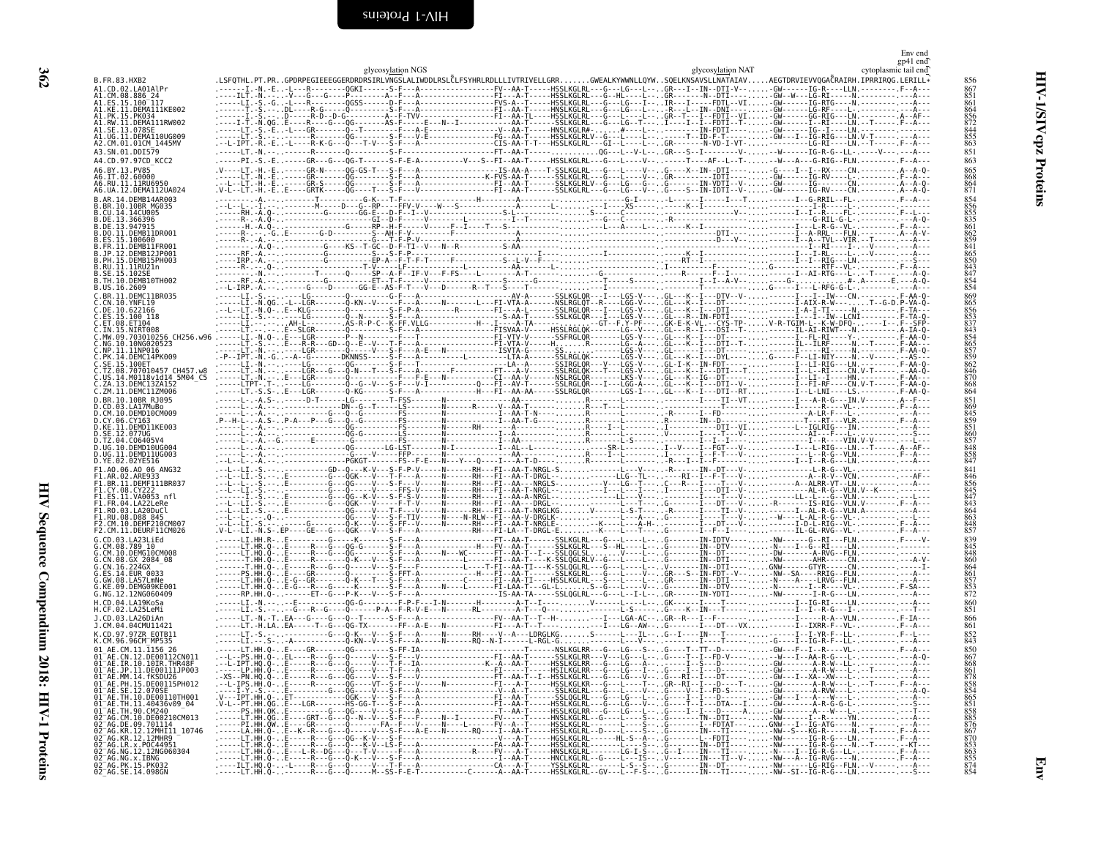<span id="page-55-0"></span>

|                                                                                                                                                 |  |                   |                                                                                                                                                               |  |                   | Env end<br>gp41 end  |                                                                           |
|-------------------------------------------------------------------------------------------------------------------------------------------------|--|-------------------|---------------------------------------------------------------------------------------------------------------------------------------------------------------|--|-------------------|----------------------|---------------------------------------------------------------------------|
| B.FR.83.HXB2                                                                                                                                    |  | glycosylation NGS | .LSFQTHL.PT.PRGPDRPEGIEEEGGERDRDRSIRLVNGSLALIWDDLRSLĈLFSYHRLRDLLLIVTRIVELLGRRGWEALKYWWNLLQYWSQELKNSAVSLLNATAIAVAEGTDRVIEVVQGAČRAIRH.IPRRIRQG.LERILL*          |  | glycosylation NAT | cytoplasmic tail end | 856                                                                       |
| A1.CD.02.LA01AlPr                                                                                                                               |  |                   | .------I.-N.-E-L---R--------QGKI------S-F---A---------------FV--AA-T-----HSSLKGLRL---G---LG---L--. GR---I--IN--DTI-V---GW------IG-R----LLN. --------- F--A--- |  |                   |                      | 867<br>851                                                                |
| A1.CM.08.886 24<br>A1.ES.15.100 <sup>-117</sup>                                                                                                 |  |                   |                                                                                                                                                               |  |                   |                      | 861                                                                       |
| A1.KE.11.DEMA111KE002<br>A1.PK.15.PK034<br>A1.RW.11.DEMA111RW002                                                                                |  |                   |                                                                                                                                                               |  |                   |                      | 864<br>856<br>872                                                         |
| A1.SE.13.078SE<br>A1.UG.11.DEMA110UG009                                                                                                         |  |                   |                                                                                                                                                               |  |                   |                      | 844<br>855                                                                |
| A2.CM.01.01CM 1445MV                                                                                                                            |  |                   |                                                                                                                                                               |  |                   |                      | 863                                                                       |
| A3.SN.01.DDI579<br>A4.CD.97.97CD KCC2                                                                                                           |  |                   |                                                                                                                                                               |  |                   |                      | 851<br>863                                                                |
| A6.BY.13.PV85<br>A6.IT.02.60000                                                                                                                 |  |                   |                                                                                                                                                               |  |                   |                      | 865<br>868                                                                |
| A6.RU.11.11RU6950<br>A6.UA.12.DEMA112UA024                                                                                                      |  |                   |                                                                                                                                                               |  |                   |                      | 864<br>871                                                                |
| B.AR.14.DEMB14AR003                                                                                                                             |  |                   |                                                                                                                                                               |  |                   |                      | 854                                                                       |
| RR 10 10RR MG035<br>B.CU.14.14CU005                                                                                                             |  |                   |                                                                                                                                                               |  |                   |                      | 856<br>855<br>835                                                         |
| B.DE.13.366396<br>B.DE.13.947915                                                                                                                |  |                   |                                                                                                                                                               |  |                   |                      |                                                                           |
| B.DO.11.DEMB11DR001<br>B.ES.15.100600                                                                                                           |  |                   |                                                                                                                                                               |  |                   |                      |                                                                           |
| B.FR.11.DEMB11FR001<br>B.JP.12.DEMB12JP001                                                                                                      |  |                   |                                                                                                                                                               |  |                   |                      | 861<br>862<br>859<br>841<br>865                                           |
| B.PH.15.DEMB15PH003<br>B.RU.11.11RU21n                                                                                                          |  |                   |                                                                                                                                                               |  |                   |                      | 850                                                                       |
| B.SE.15.102SE<br>B.TH.10.DEMB10TH002                                                                                                            |  |                   |                                                                                                                                                               |  |                   |                      | 843<br>847<br>854<br>854                                                  |
| B.US.16.2609<br>C.BR.11.DEMC11BR035                                                                                                             |  |                   |                                                                                                                                                               |  |                   |                      | 869                                                                       |
| C.CN.10.YNFL19<br>C.DE.10.622166                                                                                                                |  |                   |                                                                                                                                                               |  |                   |                      | 865                                                                       |
| C.ES.15.100 118<br>C.ET.08.ET104                                                                                                                |  |                   |                                                                                                                                                               |  |                   |                      | 856<br>853<br>853<br>837<br>854                                           |
| C.IN.15.NIRT008<br>C.MW.09.703010256 CH256.w96 .----                                                                                            |  |                   |                                                                                                                                                               |  |                   |                      |                                                                           |
| C.NG.10.10NG020523                                                                                                                              |  |                   |                                                                                                                                                               |  |                   |                      |                                                                           |
| C.NP.11.11NP016<br>C.PK.14.DEMC14PK009<br>C.SE.15.100ET                                                                                         |  |                   |                                                                                                                                                               |  |                   |                      | 865<br>857<br>859<br>862                                                  |
| C.TZ.08.707010457 CH457.w8<br>C.US.14.M0118v1d14 5M04 C5                                                                                        |  |                   |                                                                                                                                                               |  |                   |                      | 846<br>870                                                                |
| C.ZA.13.DEMC13ZA152<br>C.ZM.11.DEMC11ZM006                                                                                                      |  |                   |                                                                                                                                                               |  |                   |                      | 868<br>864                                                                |
| D.BR.10.10BR R1095                                                                                                                              |  |                   |                                                                                                                                                               |  |                   |                      | 851<br>869                                                                |
| D.CD.03.LA17MuBo<br>D.CM.10.DEMD10CM009                                                                                                         |  |                   |                                                                                                                                                               |  |                   |                      | 845<br>859                                                                |
| D.CY.06.CY163<br>D.KE.11.DEMD11KE003                                                                                                            |  |                   |                                                                                                                                                               |  |                   |                      |                                                                           |
| D.SE.12.077UG<br>D.TZ.04.C06405V4                                                                                                               |  |                   |                                                                                                                                                               |  |                   |                      | 851<br>860<br>857                                                         |
| D.UG.10.DEMD10UG004<br>D.UG.11.DEMD11UG003                                                                                                      |  |                   |                                                                                                                                                               |  |                   |                      | 848<br>$\frac{858}{847}$                                                  |
| D.YE.02.02YE516<br>F1.A0.06.A0 06 ANG32                                                                                                         |  |                   |                                                                                                                                                               |  |                   |                      | 841                                                                       |
| F1.AR.02.ARE933<br>F1.BR.11.DEMF111BR037                                                                                                        |  |                   |                                                                                                                                                               |  |                   |                      |                                                                           |
| F1.CY.08.CY222<br>F1.ES.11.VA0053 nfl                                                                                                           |  |                   |                                                                                                                                                               |  |                   |                      | 856<br>845<br>847<br>843                                                  |
| F1.FR.04.LA22LeRe<br>FI.RO.03.LA20DuCl                                                                                                          |  |                   |                                                                                                                                                               |  |                   |                      |                                                                           |
| F1.RU.08.D88 845                                                                                                                                |  |                   |                                                                                                                                                               |  |                   |                      | 864<br>863<br>848<br>857                                                  |
| F2.CM.10.DEMF210CM007<br>F2.CM.11.DEURF11CM026                                                                                                  |  |                   |                                                                                                                                                               |  |                   |                      |                                                                           |
| G.CD.03.LA23LiEd<br>G.CM.08.789 10                                                                                                              |  |                   |                                                                                                                                                               |  |                   |                      | 839<br>845                                                                |
| G.CM.10.DEMG10CM008<br>G.CN.08.GX 2084 08                                                                                                       |  |                   |                                                                                                                                                               |  |                   |                      | 848                                                                       |
| G.CN.16.224GX<br>.ES.14.EUR 0033                                                                                                                |  |                   |                                                                                                                                                               |  |                   |                      | 860<br>864<br>861<br>857<br>853<br>872                                    |
| G.GW.08.LA57LmNe<br>G.KE.09.DEMG09KE001                                                                                                         |  |                   |                                                                                                                                                               |  |                   |                      |                                                                           |
| G.NG.12.12NG060409<br>H.CD.04.LA19KoSa                                                                                                          |  |                   | LI.-N.---E-----------0G-G--------F-P-F---I-N---------H--------A-T--I----V-----L---L--GK-----I---T----T-----I-IG-RI----LN.----------------                     |  |                   |                      | 860                                                                       |
| H.CF.02.LA25LeMi                                                                                                                                |  |                   |                                                                                                                                                               |  |                   |                      | 851                                                                       |
| .1.CD.03.LA26DiAn<br>J.CM.04.04CMU11421                                                                                                         |  |                   |                                                                                                                                                               |  |                   |                      | $866$<br>$861$                                                            |
| K.CD.97.97ZR E0TB11<br>K.CM.96.96CM <sup>-</sup> MP535                                                                                          |  |                   |                                                                                                                                                               |  |                   |                      | 852<br>843                                                                |
| 01 AE.CM.11.1156 26<br>01 AE.CN.12.DE00112CN01                                                                                                  |  |                   |                                                                                                                                                               |  |                   |                      | 850<br>867                                                                |
| $01^-$ AE.IR.10.10IR.THR48F                                                                                                                     |  |                   |                                                                                                                                                               |  |                   |                      | 861                                                                       |
| 01 AE.JP.11.DE00111JP003<br>01 AE.MM.14.fKSDU26                                                                                                 |  |                   |                                                                                                                                                               |  |                   |                      | $\frac{878}{858}$                                                         |
| 01 AE.PH.15.DE00115PH012<br>01 AE.SE.12.070SE                                                                                                   |  |                   |                                                                                                                                                               |  |                   |                      | 854                                                                       |
| 01 AE. TH. 10. DE00110TH001                                                                                                                     |  |                   |                                                                                                                                                               |  |                   |                      |                                                                           |
| 01-AE . TH. 11. 40436v09-04-<br>01-AE . TH. 90. CM240<br>02-AG . CM. 10. DE00210CM013                                                           |  |                   |                                                                                                                                                               |  |                   |                      |                                                                           |
|                                                                                                                                                 |  |                   |                                                                                                                                                               |  |                   |                      |                                                                           |
|                                                                                                                                                 |  |                   |                                                                                                                                                               |  |                   |                      |                                                                           |
| 02 AG.DE.09.701114<br>02 AG.KR.12.12MHI11_10746                                                                                                 |  |                   |                                                                                                                                                               |  |                   |                      |                                                                           |
| 92-AG.KR.12.12MHR9<br>02-AG.KR.12.12MHR9<br>02-AG.LR.x.P0C44951<br>02-AG.NG.x.1BNG<br>02-AG.NG.x.1BNG<br>02-AG.PK.15.PK032<br>02-AG.PK.15.PK032 |  |                   |                                                                                                                                                               |  |                   |                      | 865<br>851<br>858<br>858<br>876<br>870<br>853<br>863<br>855<br>855<br>854 |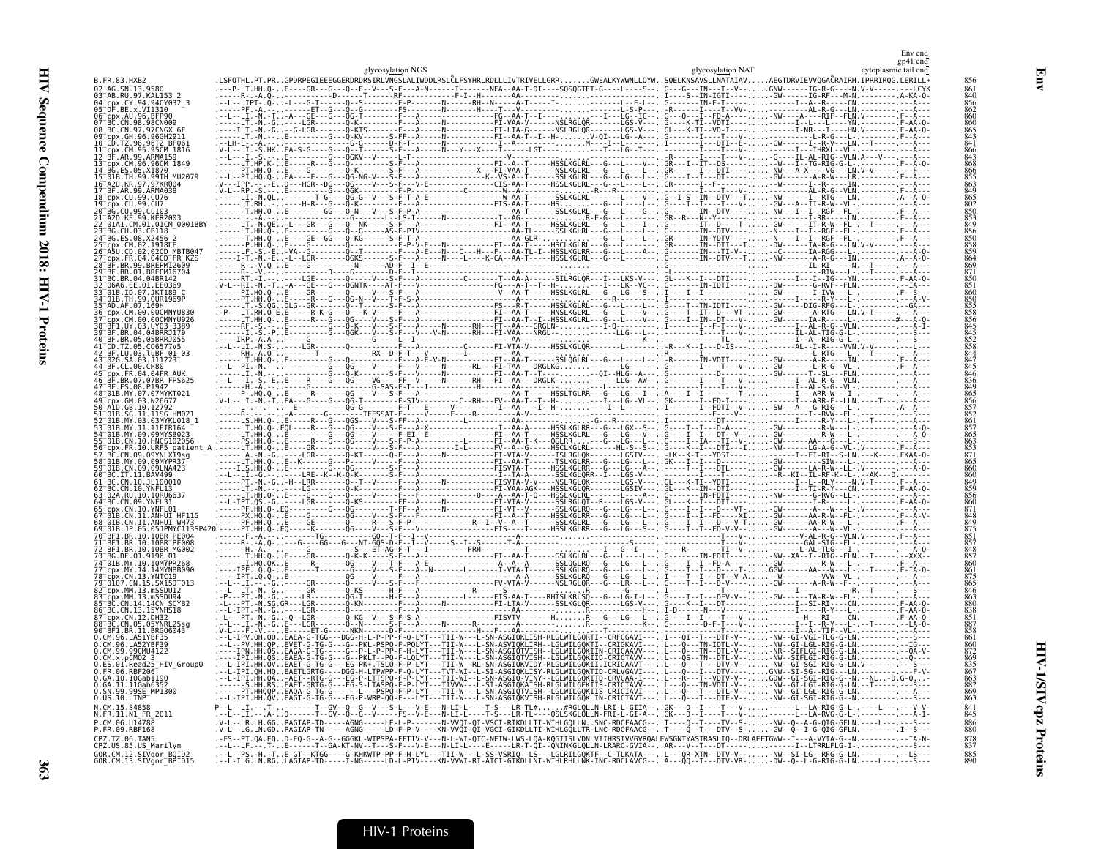|                                                                  | glycosylation NGS                                                                                                                                                                                                                                                                                                                                                                                                                                     | glycosylation NAT | cytoplasmic tail end |
|------------------------------------------------------------------|-------------------------------------------------------------------------------------------------------------------------------------------------------------------------------------------------------------------------------------------------------------------------------------------------------------------------------------------------------------------------------------------------------------------------------------------------------|-------------------|----------------------|
| <b>B.FR.83.HXB2</b><br>02 AG SN 13 9580                          |                                                                                                                                                                                                                                                                                                                                                                                                                                                       |                   |                      |
|                                                                  |                                                                                                                                                                                                                                                                                                                                                                                                                                                       |                   |                      |
| 04 CDX. CY. 94.94CY032 3<br>05 DF. BE. x. VI1310                 |                                                                                                                                                                                                                                                                                                                                                                                                                                                       |                   |                      |
| 06 cpx.AU.96.BFP90                                               |                                                                                                                                                                                                                                                                                                                                                                                                                                                       |                   |                      |
| 08 BC.CN.97.97CNGX 6                                             |                                                                                                                                                                                                                                                                                                                                                                                                                                                       |                   |                      |
| 09 cpx.GH.96.96GH2911                                            |                                                                                                                                                                                                                                                                                                                                                                                                                                                       |                   |                      |
| 11 cpx.CM.95.95CM 1816                                           |                                                                                                                                                                                                                                                                                                                                                                                                                                                       |                   |                      |
| 12 <sup>-</sup> BF.AR.99.ARMA159                                 |                                                                                                                                                                                                                                                                                                                                                                                                                                                       |                   |                      |
| 13 cpx.CM.96.96CM 1849                                           |                                                                                                                                                                                                                                                                                                                                                                                                                                                       |                   |                      |
| 15 <sup>-</sup> 01B.TH.99.99TH MU2079                            |                                                                                                                                                                                                                                                                                                                                                                                                                                                       |                   |                      |
| 17 <sup>-</sup> BF.AR.99.ARMA038                                 |                                                                                                                                                                                                                                                                                                                                                                                                                                                       |                   |                      |
| 18 <sup>-</sup> cpx.CU.99.CU76                                   |                                                                                                                                                                                                                                                                                                                                                                                                                                                       |                   |                      |
| 19 <sup>-</sup> cbx.CU.99.CU7                                    |                                                                                                                                                                                                                                                                                                                                                                                                                                                       |                   |                      |
| :1 <sup>-</sup> A2D.KE.99.KER200                                 |                                                                                                                                                                                                                                                                                                                                                                                                                                                       |                   |                      |
| 22 01A1.CM.01.01CM 0001BBY                                       |                                                                                                                                                                                                                                                                                                                                                                                                                                                       |                   |                      |
| 24 BG.ES.08.X2456 2                                              |                                                                                                                                                                                                                                                                                                                                                                                                                                                       |                   |                      |
| 25 cpx.CM.02.1918LE<br>26 A5U.CD.02.02CD MBTB047                 |                                                                                                                                                                                                                                                                                                                                                                                                                                                       |                   |                      |
| 27 cpx.FR.04.04CD FR KZS                                         |                                                                                                                                                                                                                                                                                                                                                                                                                                                       |                   |                      |
|                                                                  |                                                                                                                                                                                                                                                                                                                                                                                                                                                       |                   |                      |
|                                                                  |                                                                                                                                                                                                                                                                                                                                                                                                                                                       |                   |                      |
| 33 <sup>-</sup> 01B.ID.07.JKT189 C                               |                                                                                                                                                                                                                                                                                                                                                                                                                                                       |                   |                      |
| 34 <sup>-</sup> 01B.TH.99.0UR1969P                               |                                                                                                                                                                                                                                                                                                                                                                                                                                                       |                   |                      |
| 35 <sup>-</sup> AD AF 07 169H<br>36 cpx.CM.00.00CMNYU830         |                                                                                                                                                                                                                                                                                                                                                                                                                                                       |                   |                      |
|                                                                  |                                                                                                                                                                                                                                                                                                                                                                                                                                                       |                   |                      |
|                                                                  |                                                                                                                                                                                                                                                                                                                                                                                                                                                       |                   |                      |
|                                                                  |                                                                                                                                                                                                                                                                                                                                                                                                                                                       |                   |                      |
|                                                                  |                                                                                                                                                                                                                                                                                                                                                                                                                                                       |                   |                      |
| 43 <sup>-</sup> 02G.SA.03.J11223 <sup>-</sup>                    |                                                                                                                                                                                                                                                                                                                                                                                                                                                       |                   |                      |
| 44 BF.CL.00.CH80                                                 |                                                                                                                                                                                                                                                                                                                                                                                                                                                       |                   |                      |
|                                                                  |                                                                                                                                                                                                                                                                                                                                                                                                                                                       |                   |                      |
|                                                                  |                                                                                                                                                                                                                                                                                                                                                                                                                                                       |                   |                      |
|                                                                  |                                                                                                                                                                                                                                                                                                                                                                                                                                                       |                   |                      |
|                                                                  |                                                                                                                                                                                                                                                                                                                                                                                                                                                       |                   |                      |
|                                                                  |                                                                                                                                                                                                                                                                                                                                                                                                                                                       |                   |                      |
|                                                                  |                                                                                                                                                                                                                                                                                                                                                                                                                                                       |                   |                      |
|                                                                  |                                                                                                                                                                                                                                                                                                                                                                                                                                                       |                   |                      |
|                                                                  |                                                                                                                                                                                                                                                                                                                                                                                                                                                       |                   |                      |
|                                                                  |                                                                                                                                                                                                                                                                                                                                                                                                                                                       |                   |                      |
|                                                                  |                                                                                                                                                                                                                                                                                                                                                                                                                                                       |                   |                      |
|                                                                  |                                                                                                                                                                                                                                                                                                                                                                                                                                                       |                   |                      |
|                                                                  |                                                                                                                                                                                                                                                                                                                                                                                                                                                       |                   |                      |
|                                                                  |                                                                                                                                                                                                                                                                                                                                                                                                                                                       |                   |                      |
|                                                                  |                                                                                                                                                                                                                                                                                                                                                                                                                                                       |                   |                      |
|                                                                  |                                                                                                                                                                                                                                                                                                                                                                                                                                                       |                   |                      |
|                                                                  |                                                                                                                                                                                                                                                                                                                                                                                                                                                       |                   |                      |
|                                                                  |                                                                                                                                                                                                                                                                                                                                                                                                                                                       |                   |                      |
|                                                                  |                                                                                                                                                                                                                                                                                                                                                                                                                                                       |                   |                      |
| 74 01B.MY.10.10MYPR268                                           |                                                                                                                                                                                                                                                                                                                                                                                                                                                       |                   |                      |
|                                                                  |                                                                                                                                                                                                                                                                                                                                                                                                                                                       |                   |                      |
| 78 cpx.CN.13.YNTC19<br>79 0107.CN.15.SX15DT013                   |                                                                                                                                                                                                                                                                                                                                                                                                                                                       |                   |                      |
| 82 <sup>-</sup> cpx.MM.13.mSSDU12<br>83 cpx.MM.13.mSSDU94        |                                                                                                                                                                                                                                                                                                                                                                                                                                                       |                   |                      |
|                                                                  |                                                                                                                                                                                                                                                                                                                                                                                                                                                       |                   |                      |
| 86 BC.CN.13.15YNHS18                                             |                                                                                                                                                                                                                                                                                                                                                                                                                                                       |                   |                      |
|                                                                  |                                                                                                                                                                                                                                                                                                                                                                                                                                                       |                   |                      |
| 90 BF1.BR.11.BRG06043<br>0. CM. 96. LA51YBF35                    |                                                                                                                                                                                                                                                                                                                                                                                                                                                       |                   |                      |
| 0. CM 96. LA52YRE39                                              |                                                                                                                                                                                                                                                                                                                                                                                                                                                       |                   |                      |
| 0.CM.99.99CMU4122<br>$0.$ CM. $x.$ pCM02 3                       |                                                                                                                                                                                                                                                                                                                                                                                                                                                       |                   |                      |
|                                                                  |                                                                                                                                                                                                                                                                                                                                                                                                                                                       |                   |                      |
| .FR.06.RBF206<br>.GA.10.10Gab1190                                |                                                                                                                                                                                                                                                                                                                                                                                                                                                       |                   |                      |
| 0.6A.11.116ab6352<br>0.SN.99.99SE MP1300                         |                                                                                                                                                                                                                                                                                                                                                                                                                                                       |                   |                      |
|                                                                  |                                                                                                                                                                                                                                                                                                                                                                                                                                                       |                   |                      |
|                                                                  |                                                                                                                                                                                                                                                                                                                                                                                                                                                       |                   |                      |
| $0.05.10. L\overline{T}\overline{N}\overline{P}$                 |                                                                                                                                                                                                                                                                                                                                                                                                                                                       |                   |                      |
| N.CM.15.S4858<br>N.FR.11.N1 FR 2011                              |                                                                                                                                                                                                                                                                                                                                                                                                                                                       |                   |                      |
| P.CM.06.U14788                                                   |                                                                                                                                                                                                                                                                                                                                                                                                                                                       |                   |                      |
| P.FR.09.RBF168                                                   |                                                                                                                                                                                                                                                                                                                                                                                                                                                       |                   |                      |
| CPZ.TZ.06.TAN5<br>CPZ.US.85.US Marilyn<br>GOR.CM.12.SIVgor BOID2 | FS--PT.QA.EQD-EQ-G--A-G--GGGKL-WTPSPA-FFTIV-V---N-L-WI-QTC-NFIW-LWS-LQA-KQGIISLVDNLVIIHRSIVVGVRQALEWSGNTYASIRASLIQ--DRLAEFTGWV--I---A-VYIA-G--N.--------.--IA-N-<br>.--L--LF.--.T-E------T--GA-KT-NV--T---S-F---V-E---N-LI-<br>.--L--PS.-H.-TE-GT--KTGG----G-KHKWTP-PP-F-H-LYL---TII-W---L-SS-VSRIQ--LS---LGLRILGQKTF--C-TLKATA---L---QP-XTN--DTV-V---DV--SI-LG--RFG-G-LN.-----------LS---<br>.--L-ILG.LN.RGLAGIAP-TD-----I-NG-----LD-L-PIV----KN-VVW |                   |                      |

gp41 end Env end<br>= 41 and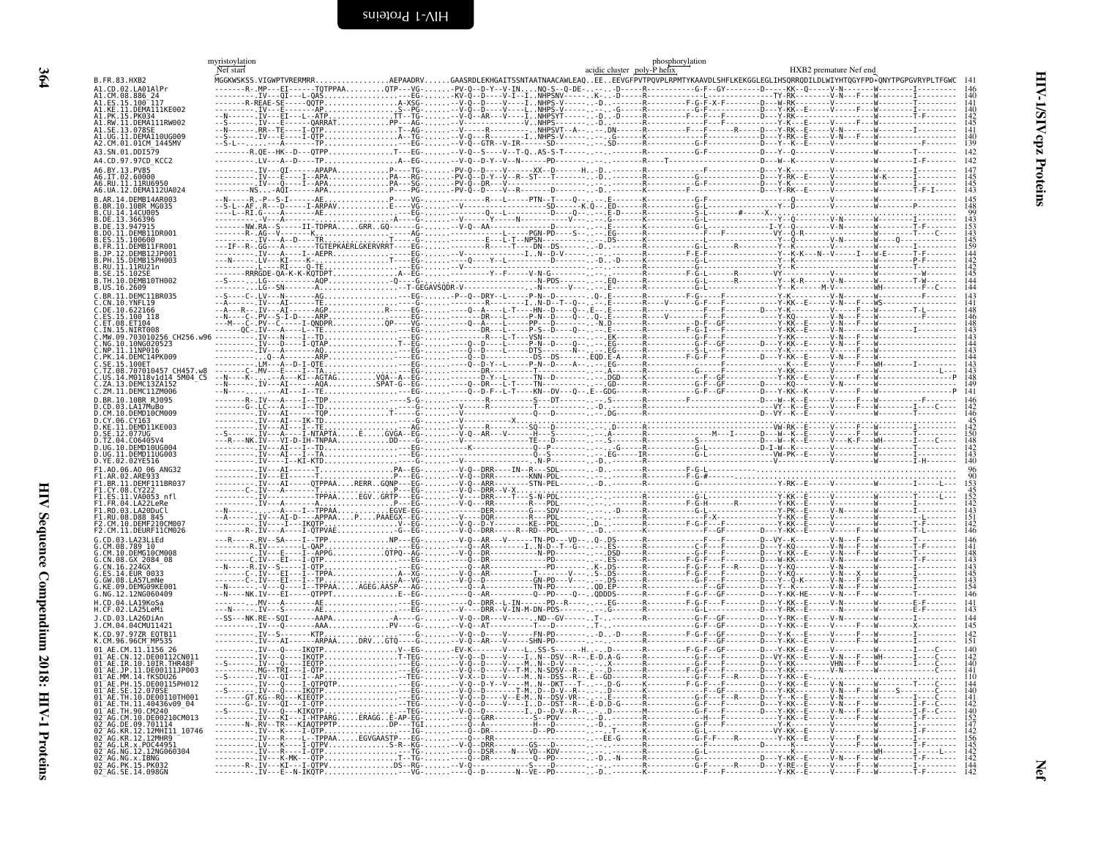<span id="page-57-1"></span><span id="page-57-0"></span>

|                                                      | myristoylation<br>Nef start |                         |                                                                                                                                                                                                                                                                                                                                                                                                                         |  |  | acidic cluster poly-Phelix | phosphorylation |                                                                                                          | HXB2 premature Nef end |  |  |
|------------------------------------------------------|-----------------------------|-------------------------|-------------------------------------------------------------------------------------------------------------------------------------------------------------------------------------------------------------------------------------------------------------------------------------------------------------------------------------------------------------------------------------------------------------------------|--|--|----------------------------|-----------------|----------------------------------------------------------------------------------------------------------|------------------------|--|--|
| B.FR.83.HXB2                                         |                             |                         | MGGKWSKSS.VIGWPTVRERMRRAEPAADRVGAASRDLEKHGAITSSNTAATNAACAWLEAQEEEEVGFPVTPQVPLRPMTYKAAVDLSHFLKEKGGLEGLIHSQRRQDILDLWIYHTQGYFPD*QNYTPGPGVRYPLTFGWC                                                                                                                                                                                                                                                                         |  |  |                            |                 |                                                                                                          |                        |  |  |
|                                                      |                             |                         |                                                                                                                                                                                                                                                                                                                                                                                                                         |  |  |                            |                 |                                                                                                          |                        |  |  |
| 41.ES.15.100 <sup>-</sup> 117<br>.KE.11.DEMA111KE002 |                             |                         |                                                                                                                                                                                                                                                                                                                                                                                                                         |  |  |                            |                 |                                                                                                          |                        |  |  |
| 41.PK.15.PK034<br>A1.RW.ĪĪ.DEMĀ111RW002              |                             |                         |                                                                                                                                                                                                                                                                                                                                                                                                                         |  |  |                            |                 |                                                                                                          |                        |  |  |
| UG.II.DEMAI10UG009                                   |                             |                         |                                                                                                                                                                                                                                                                                                                                                                                                                         |  |  |                            |                 |                                                                                                          |                        |  |  |
| 2.CM.01.01CM_1445MV                                  |                             |                         |                                                                                                                                                                                                                                                                                                                                                                                                                         |  |  |                            |                 |                                                                                                          |                        |  |  |
| A3.SN.01.DDI579                                      |                             |                         |                                                                                                                                                                                                                                                                                                                                                                                                                         |  |  |                            |                 |                                                                                                          |                        |  |  |
| A4.CD.97.97CD KCC2<br>13 PV85                        |                             |                         |                                                                                                                                                                                                                                                                                                                                                                                                                         |  |  |                            |                 |                                                                                                          |                        |  |  |
| .02.60000<br>\6.RU.11.11RU6956                       |                             |                         |                                                                                                                                                                                                                                                                                                                                                                                                                         |  |  |                            |                 |                                                                                                          |                        |  |  |
| 6.UA.12.DEMA112UA024                                 |                             |                         |                                                                                                                                                                                                                                                                                                                                                                                                                         |  |  |                            |                 |                                                                                                          |                        |  |  |
| DEMB14AR003                                          |                             |                         |                                                                                                                                                                                                                                                                                                                                                                                                                         |  |  |                            |                 |                                                                                                          |                        |  |  |
| CII 14 14CU005<br>366396                             |                             |                         |                                                                                                                                                                                                                                                                                                                                                                                                                         |  |  |                            |                 |                                                                                                          |                        |  |  |
|                                                      |                             |                         |                                                                                                                                                                                                                                                                                                                                                                                                                         |  |  |                            |                 |                                                                                                          |                        |  |  |
| 11.DEMB11DR001                                       |                             |                         |                                                                                                                                                                                                                                                                                                                                                                                                                         |  |  |                            |                 |                                                                                                          |                        |  |  |
| FR.11.DEMB11ER001<br>JP.12.DEMB12JP001               |                             |                         |                                                                                                                                                                                                                                                                                                                                                                                                                         |  |  |                            |                 |                                                                                                          |                        |  |  |
| PH. 15. DEMB15PH003                                  |                             |                         |                                                                                                                                                                                                                                                                                                                                                                                                                         |  |  |                            |                 |                                                                                                          |                        |  |  |
|                                                      |                             |                         |                                                                                                                                                                                                                                                                                                                                                                                                                         |  |  |                            |                 |                                                                                                          |                        |  |  |
| US.16.2609                                           |                             |                         |                                                                                                                                                                                                                                                                                                                                                                                                                         |  |  |                            |                 |                                                                                                          |                        |  |  |
| .BR.11.DEMC11BR035<br>.YNFL19                        |                             |                         |                                                                                                                                                                                                                                                                                                                                                                                                                         |  |  |                            |                 |                                                                                                          |                        |  |  |
|                                                      |                             |                         |                                                                                                                                                                                                                                                                                                                                                                                                                         |  |  |                            |                 |                                                                                                          |                        |  |  |
| FT 08 FT104                                          |                             |                         |                                                                                                                                                                                                                                                                                                                                                                                                                         |  |  |                            |                 |                                                                                                          |                        |  |  |
| 703010256 CH256.w96                                  |                             |                         |                                                                                                                                                                                                                                                                                                                                                                                                                         |  |  |                            |                 |                                                                                                          |                        |  |  |
|                                                      |                             |                         |                                                                                                                                                                                                                                                                                                                                                                                                                         |  |  |                            |                 |                                                                                                          |                        |  |  |
| 100ET                                                |                             |                         |                                                                                                                                                                                                                                                                                                                                                                                                                         |  |  |                            |                 |                                                                                                          |                        |  |  |
| 08.707010457 CH457                                   |                             |                         |                                                                                                                                                                                                                                                                                                                                                                                                                         |  |  |                            |                 |                                                                                                          |                        |  |  |
| DEMC13ZA152                                          |                             |                         |                                                                                                                                                                                                                                                                                                                                                                                                                         |  |  |                            |                 |                                                                                                          |                        |  |  |
| DEMC11ZM006<br>BR.10.10BR R1095                      |                             |                         |                                                                                                                                                                                                                                                                                                                                                                                                                         |  |  |                            |                 |                                                                                                          |                        |  |  |
| A3 1417MuRo<br>CM 10 DEMD10CM009                     |                             |                         |                                                                                                                                                                                                                                                                                                                                                                                                                         |  |  |                            |                 |                                                                                                          |                        |  |  |
|                                                      |                             |                         |                                                                                                                                                                                                                                                                                                                                                                                                                         |  |  |                            |                 |                                                                                                          |                        |  |  |
|                                                      |                             |                         |                                                                                                                                                                                                                                                                                                                                                                                                                         |  |  |                            |                 |                                                                                                          |                        |  |  |
|                                                      |                             |                         |                                                                                                                                                                                                                                                                                                                                                                                                                         |  |  |                            |                 |                                                                                                          |                        |  |  |
| ) YE.02.02YE516                                      |                             |                         |                                                                                                                                                                                                                                                                                                                                                                                                                         |  |  |                            |                 |                                                                                                          |                        |  |  |
| 06.AO 06 ANG32                                       |                             | -------. IV---FI------T | $\begin{minipage}[t]{.45\textwidth}\begin{array}{l} \textbf{1} & \textbf{2} & \textbf{3} & \textbf{4} & \textbf{5} & \textbf{6} & \textbf{6} & \textbf{7} & \textbf{8} & \textbf{8} & \textbf{9} & \textbf{10} & \textbf{10} & \textbf{10} & \textbf{10} & \textbf{10} & \textbf{10} & \textbf{10} & \textbf{10} & \textbf{10} & \textbf{10} & \textbf{10} & \textbf{10} & \textbf{10} & \textbf{10} & \textbf{10} & \$ |  |  |                            |                 |                                                                                                          |                        |  |  |
| .11.DEMF111BR037                                     |                             |                         |                                                                                                                                                                                                                                                                                                                                                                                                                         |  |  |                            |                 |                                                                                                          |                        |  |  |
| CY 08 CY222                                          |                             |                         |                                                                                                                                                                                                                                                                                                                                                                                                                         |  |  |                            |                 |                                                                                                          |                        |  |  |
|                                                      |                             |                         |                                                                                                                                                                                                                                                                                                                                                                                                                         |  |  |                            |                 |                                                                                                          |                        |  |  |
| CM.10.DEMF210CM007                                   |                             |                         |                                                                                                                                                                                                                                                                                                                                                                                                                         |  |  |                            |                 |                                                                                                          |                        |  |  |
| CM.11.DEURF11CM026                                   |                             |                         |                                                                                                                                                                                                                                                                                                                                                                                                                         |  |  |                            |                 |                                                                                                          |                        |  |  |
|                                                      |                             |                         |                                                                                                                                                                                                                                                                                                                                                                                                                         |  |  |                            |                 |                                                                                                          |                        |  |  |
| .DEMG10CM008<br>GX 2084 08                           |                             |                         |                                                                                                                                                                                                                                                                                                                                                                                                                         |  |  |                            |                 |                                                                                                          |                        |  |  |
| 224GX<br>CN 16                                       |                             | $-N---R.IV-S---I-0TP.$  |                                                                                                                                                                                                                                                                                                                                                                                                                         |  |  |                            |                 |                                                                                                          |                        |  |  |
|                                                      |                             |                         |                                                                                                                                                                                                                                                                                                                                                                                                                         |  |  |                            | $00 FP$ R       |                                                                                                          |                        |  |  |
| 12NG060409                                           |                             |                         |                                                                                                                                                                                                                                                                                                                                                                                                                         |  |  |                            |                 |                                                                                                          |                        |  |  |
| l A19KoSa                                            |                             |                         |                                                                                                                                                                                                                                                                                                                                                                                                                         |  |  |                            |                 |                                                                                                          |                        |  |  |
|                                                      |                             |                         |                                                                                                                                                                                                                                                                                                                                                                                                                         |  |  |                            |                 |                                                                                                          |                        |  |  |
| CD. 97. 977R FOTR11                                  |                             |                         | ----AAA                                                                                                                                                                                                                                                                                                                                                                                                                 |  |  |                            |                 |                                                                                                          |                        |  |  |
| AF. CM. 11. 1156. 26                                 |                             |                         |                                                                                                                                                                                                                                                                                                                                                                                                                         |  |  |                            |                 |                                                                                                          |                        |  |  |
|                                                      |                             |                         |                                                                                                                                                                                                                                                                                                                                                                                                                         |  |  |                            |                 |                                                                                                          |                        |  |  |
|                                                      |                             |                         |                                                                                                                                                                                                                                                                                                                                                                                                                         |  |  |                            |                 | . F - - - F - - - - - - - - D - - - Y - KK - - - .<br>· F - - - F - - R - - - - - D - - - Y - KK - - E · |                        |  |  |
|                                                      |                             | ---.IV---QI---I--AP.    |                                                                                                                                                                                                                                                                                                                                                                                                                         |  |  |                            |                 |                                                                                                          |                        |  |  |
|                                                      |                             |                         | IKQTP                                                                                                                                                                                                                                                                                                                                                                                                                   |  |  |                            |                 |                                                                                                          |                        |  |  |
| TH QA (M)4A                                          |                             |                         |                                                                                                                                                                                                                                                                                                                                                                                                                         |  |  |                            |                 |                                                                                                          |                        |  |  |
| 10.DE00210CM01                                       |                             |                         |                                                                                                                                                                                                                                                                                                                                                                                                                         |  |  |                            |                 |                                                                                                          |                        |  |  |
|                                                      |                             |                         |                                                                                                                                                                                                                                                                                                                                                                                                                         |  |  |                            |                 |                                                                                                          |                        |  |  |
|                                                      |                             |                         |                                                                                                                                                                                                                                                                                                                                                                                                                         |  |  |                            |                 |                                                                                                          |                        |  |  |
| 12NG060304<br>AG NG x TRNG                           |                             |                         | $\bar{I}V$ ---K-MK--- $\hat{Q}TP$                                                                                                                                                                                                                                                                                                                                                                                       |  |  |                            |                 |                                                                                                          |                        |  |  |
| 92 <sup>-</sup> AG PK 15 PK032                       |                             |                         |                                                                                                                                                                                                                                                                                                                                                                                                                         |  |  |                            |                 |                                                                                                          |                        |  |  |
| $02^-AG.SE.$<br>14.098GN                             |                             | E--N-IKOTP.             |                                                                                                                                                                                                                                                                                                                                                                                                                         |  |  |                            |                 |                                                                                                          |                        |  |  |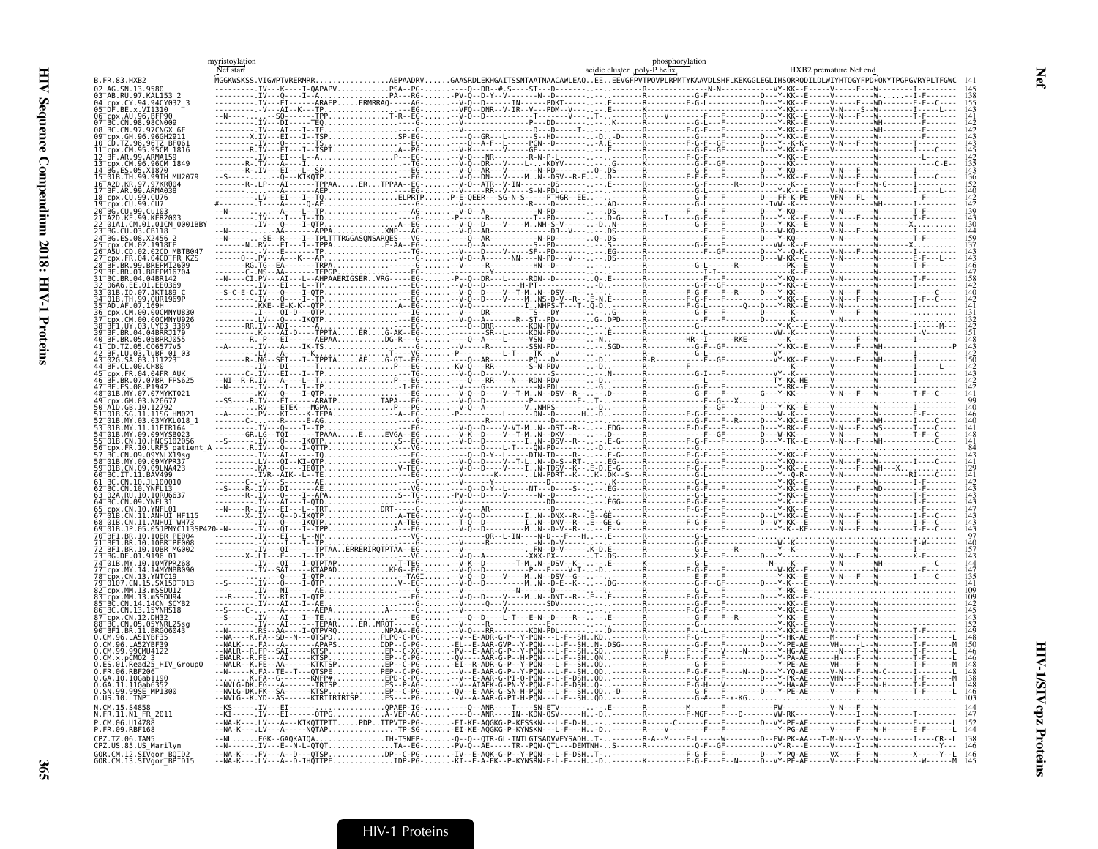|                                                                | Net start                                               | acidic cluster poly-P helix                                                                                                                                                                            | phosphorylation | HXB2 premature Nef end |
|----------------------------------------------------------------|---------------------------------------------------------|--------------------------------------------------------------------------------------------------------------------------------------------------------------------------------------------------------|-----------------|------------------------|
| FR.83.HXR7<br>AG SN 13 9586                                    | MGGKWSKSS.VIGWPTVRERMRR                                 | GAASRDLEKHGAITSSNTAATNAACAWLEAQEEEEVGFPVTPQVPLRPMTYKAAVDLSHFLKEKGGLEGLIHSQRRQDILDLWIYHTQGYFPD*QNYTPGPGVRYPI                                                                                            |                 |                        |
| 97.KAL153 2                                                    |                                                         |                                                                                                                                                                                                        |                 |                        |
| 98CN009                                                        |                                                         |                                                                                                                                                                                                        |                 |                        |
| .96.96GH2911                                                   |                                                         |                                                                                                                                                                                                        |                 |                        |
| <b>AR 99 ARMA159</b>                                           |                                                         |                                                                                                                                                                                                        |                 |                        |
| 96.96CM 1849.                                                  |                                                         |                                                                                                                                                                                                        |                 |                        |
| MU2079                                                         |                                                         |                                                                                                                                                                                                        |                 |                        |
|                                                                |                                                         |                                                                                                                                                                                                        |                 |                        |
|                                                                |                                                         |                                                                                                                                                                                                        |                 |                        |
|                                                                |                                                         |                                                                                                                                                                                                        |                 |                        |
| 02CD MRTR04                                                    |                                                         |                                                                                                                                                                                                        |                 |                        |
| D FR KZS                                                       |                                                         |                                                                                                                                                                                                        |                 |                        |
|                                                                |                                                         |                                                                                                                                                                                                        |                 |                        |
| 99.OUR1969P                                                    |                                                         |                                                                                                                                                                                                        |                 |                        |
|                                                                |                                                         |                                                                                                                                                                                                        |                 |                        |
| A4 A4RRR1179                                                   |                                                         |                                                                                                                                                                                                        |                 |                        |
| .05BRR.1055                                                    |                                                         |                                                                                                                                                                                                        |                 |                        |
|                                                                |                                                         |                                                                                                                                                                                                        |                 |                        |
| 07.07BR FPS625                                                 |                                                         |                                                                                                                                                                                                        |                 |                        |
|                                                                |                                                         |                                                                                                                                                                                                        |                 |                        |
|                                                                | ---. PV---KI----K-TEPA--A--EG-                          |                                                                                                                                                                                                        |                 |                        |
| 03MYKL018 1                                                    |                                                         | ----V--T-MN--DKV------                                                                                                                                                                                 |                 |                        |
|                                                                |                                                         |                                                                                                                                                                                                        |                 |                        |
|                                                                |                                                         |                                                                                                                                                                                                        |                 |                        |
|                                                                |                                                         |                                                                                                                                                                                                        |                 |                        |
| RIL 10 10RII663                                                |                                                         |                                                                                                                                                                                                        |                 |                        |
|                                                                | . I - QTD. - - - - G -<br>. L - - TRT DRT - - - - - G - |                                                                                                                                                                                                        |                 |                        |
|                                                                |                                                         |                                                                                                                                                                                                        |                 |                        |
|                                                                |                                                         |                                                                                                                                                                                                        |                 |                        |
|                                                                |                                                         |                                                                                                                                                                                                        |                 |                        |
| 15. SX15DT013                                                  |                                                         |                                                                                                                                                                                                        |                 |                        |
| M.13.mSSDU12<br>M 13 m⊆⊆NHQ⊿                                   |                                                         |                                                                                                                                                                                                        |                 |                        |
| .14.14CN SCYB2                                                 |                                                         |                                                                                                                                                                                                        |                 |                        |
| N.05.05YNRL25sa<br>.BRG06043                                   |                                                         |                                                                                                                                                                                                        |                 |                        |
|                                                                |                                                         |                                                                                                                                                                                                        |                 |                        |
| HIV Group0                                                     |                                                         |                                                                                                                                                                                                        |                 |                        |
| RRF206<br>10Gab1190<br>iA.11.11Gab6352                         | DK.FG---A-------TRTSP                                   |                                                                                                                                                                                                        |                 |                        |
| 99SE MP1300<br>IS.10.LTNP                                      | .K.YD--AS------KTRTIRTRTSPES--                          |                                                                                                                                                                                                        |                 |                        |
| <b>S4858</b><br>FR.11.N1 FR 2011                               | --.IV---EI------QTPGA-VEP-AG------Q-                    |                                                                                                                                                                                                        |                 |                        |
| CM 06 U14788                                                   | LV---A---KIKQTTPTTPDPTTPVTP-                            | ip.sö-EI-KE-AŎĞKĞ-P-KYŇŠKŇ---L-F---H-D------R----V-------F---F---------Y-PĞ-AE----V----F---W-H------E-F------L<br>IH-TSNEP-90-0-0TR-GL-TNTLGTSADVVEYSADHT-------R-A--M----E-L-----W-------D--FW-PK-AA- |                 |                        |
| TZ.06.TAN5<br>PZ.US.85.US Marilyn:                             | $\ldots$ FGK - -GAOKAIOA                                |                                                                                                                                                                                                        |                 |                        |
| GOR.CM.12.SIVaor BOID2<br>60R.CM.13.SIVăor <sup>-</sup> BPID15 | - - NA - K                                              | --NA-K---.FV---A--D---OTSPDP--C-PG--IV--E-AOK-G-P--Y-PON---L-F-DSHT------------------F-G-F---F-------D---Y-PO-AE-----VX----F---W--------X-----Y-L                                                      |                 |                        |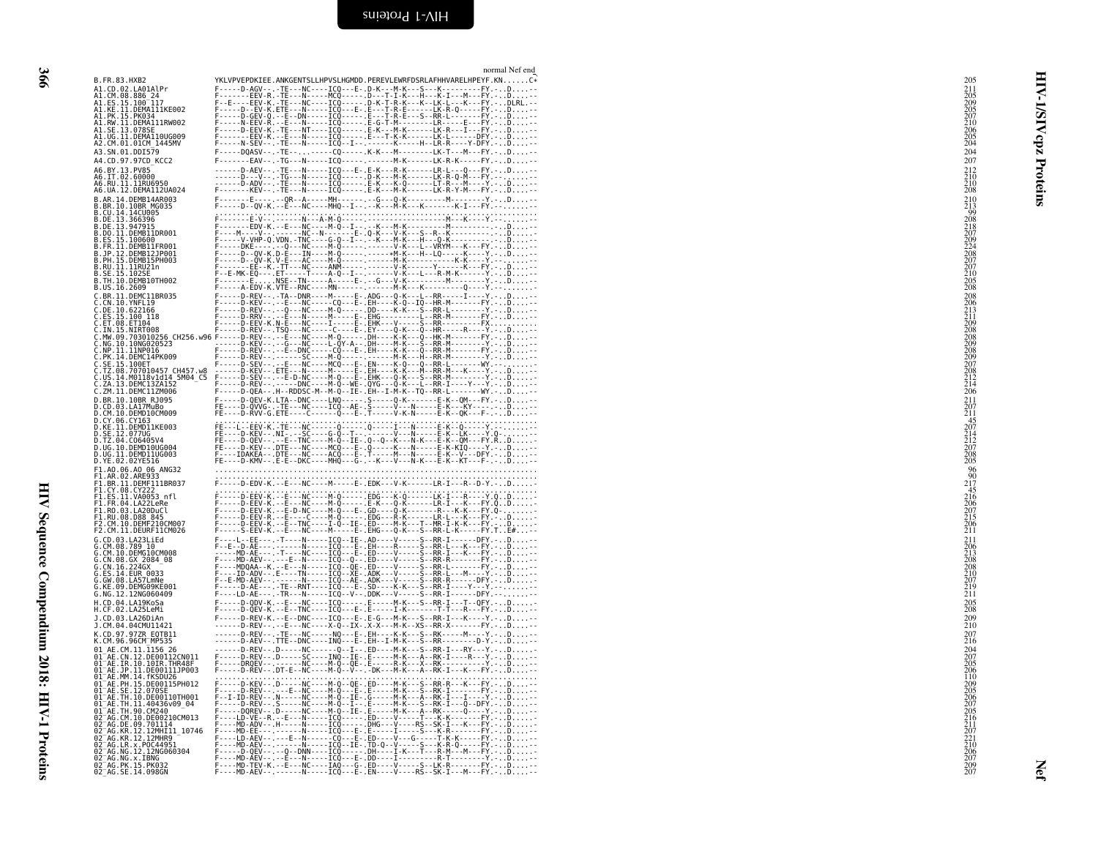<span id="page-59-0"></span>

| B.FR.83.HXB2<br>YKLVPVEPDKIEE.ANKGENTSLLHPVSLHGMDD.PEREVLEWRFDSRLAFHHVARELHPEYF.KNC*                                                                                                                                                                                                                                                                                                                                                                                                                                           | 205                                                                              |
|--------------------------------------------------------------------------------------------------------------------------------------------------------------------------------------------------------------------------------------------------------------------------------------------------------------------------------------------------------------------------------------------------------------------------------------------------------------------------------------------------------------------------------|----------------------------------------------------------------------------------|
| A1.CD.02.LA01AlPr                                                                                                                                                                                                                                                                                                                                                                                                                                                                                                              | 211                                                                              |
| Al.CM.08.886_24<br>Al.ES.15.100_117<br>Al.KE.11.DEMA111KE002                                                                                                                                                                                                                                                                                                                                                                                                                                                                   | $\begin{array}{l}\n 205 \\  209 \\  205 \\  207 \\  210 \\  206 \\  \end{array}$ |
| A1.PK.15.PK034                                                                                                                                                                                                                                                                                                                                                                                                                                                                                                                 | 2                                                                                |
| A1.RW.11.DEMA111RW002<br>A1.SE.13.078SE                                                                                                                                                                                                                                                                                                                                                                                                                                                                                        | ₹                                                                                |
| A1.UG.11.DEMA110UG009<br>A2.CM.01.01CM 1445MV                                                                                                                                                                                                                                                                                                                                                                                                                                                                                  | $\frac{205}{204}$<br>cpz                                                         |
| A3.SN.01.DDI579<br>F-----DQASV--.-TE-------CQ-----.K-K---M--------LK-T---M---FY.-D--<br>A4.CD.97.97CD KCC2<br>F-------EAV--.-TG---N-----ICQ-----.------------M-K------LK-R-K-----FY.-D--                                                                                                                                                                                                                                                                                                                                       | 204<br>207                                                                       |
| A6.BY.13.PV85                                                                                                                                                                                                                                                                                                                                                                                                                                                                                                                  | $^{212}_{210}$                                                                   |
|                                                                                                                                                                                                                                                                                                                                                                                                                                                                                                                                | Proteins<br>208                                                                  |
| B.AR.14.DEMB14AR003<br>F-------E----.-QR--A-----MH------.--G---Q-K------------------Y.-D--<br>F-----D--QV-K.--E---NC----MHQ--I--.--K---M-K---K--------K-I---FY.----<br>B.BR.10.10BR MG035                                                                                                                                                                                                                                                                                                                                      | $^{210}_{213}$                                                                   |
| B.CU.14.14CU005<br>$F\cdot\ldots\cdot D\cdot QV\cdot K,\ldots E\cdot\ldots N\cdot C\cdot\ldots\cdot N\cdot K\cdot\ldots K\cdot\ldots K\cdot\ldots K\cdot\ldots K\cdot\ldots\cdot K\cdot\ldots F\cdot\ldots\cdot C\cdot\ldots\cdot C\cdot\ldots\cdot C\cdot\ldots\cdot C\cdot\ldots\cdot C\cdot\ldots\cdot C\cdot\ldots\cdot C\cdot\ldots\cdot C\cdot\ldots\cdot C\cdot\ldots\cdot C\cdot\ldots\cdot C\cdot\ldots\cdot C\cdot\ldots\cdot C\cdot\ldots\cdot C\cdot\ldots\cdot C\cdot\ldots\cdot C\cdot\ldots\cdot C\cdot\ldots\$ | QQ                                                                               |
| B.DE.13.366396<br>B.DE.13.947915<br>B.DO.11.DEMB11DR001                                                                                                                                                                                                                                                                                                                                                                                                                                                                        | 208<br>218<br>207                                                                |
| B.ES.15.100600<br>B.ES.15.100600<br>B.FR.11.DEMB11FR001                                                                                                                                                                                                                                                                                                                                                                                                                                                                        |                                                                                  |
| B.JP.12.DEMB12JP001<br>B.PH.15.DEMB15PH003                                                                                                                                                                                                                                                                                                                                                                                                                                                                                     | 209<br>224<br>208<br>207<br>207<br>207                                           |
| B.RU.11.11RU21n<br>B.SE.15.102SE<br>B.TH.10.DEMB10TH002                                                                                                                                                                                                                                                                                                                                                                                                                                                                        |                                                                                  |
| B.US.16.2609                                                                                                                                                                                                                                                                                                                                                                                                                                                                                                                   | $\frac{205}{208}$                                                                |
|                                                                                                                                                                                                                                                                                                                                                                                                                                                                                                                                | 208<br>206<br>213<br>211<br>211<br>209                                           |
|                                                                                                                                                                                                                                                                                                                                                                                                                                                                                                                                |                                                                                  |
|                                                                                                                                                                                                                                                                                                                                                                                                                                                                                                                                |                                                                                  |
|                                                                                                                                                                                                                                                                                                                                                                                                                                                                                                                                |                                                                                  |
|                                                                                                                                                                                                                                                                                                                                                                                                                                                                                                                                | 208<br>208<br>209<br>209<br>209<br>207                                           |
|                                                                                                                                                                                                                                                                                                                                                                                                                                                                                                                                | 208<br>212<br>214<br>206                                                         |
|                                                                                                                                                                                                                                                                                                                                                                                                                                                                                                                                |                                                                                  |
| D.BR.10.10BR RJ095<br>F-----D-QEV-K.LTA--DNC----LNQ-----.S-----Q-K------E-K--QM---FY.-D--<br>FE----D-QVVG-.-TE---NC----ICQ--AE-.S-----V--N----E-K---KY----D--<br>FE----D-RVV-G.ETE----C-----Q---E-.T-----V-K-N-----E-K--QK---F-.-.D--<br>D.CD.03.LA17MuBo                                                                                                                                                                                                                                                                      | $\frac{211}{207}$                                                                |
| D.CM.10.DEMD10CM009<br>D.CY.06.CY163<br>D.KE.11.DEMD11KE003                                                                                                                                                                                                                                                                                                                                                                                                                                                                    |                                                                                  |
| D.SE.12.077UG<br>D.TZ.04.C06405V4                                                                                                                                                                                                                                                                                                                                                                                                                                                                                              | $\begin{array}{c} 45 \\ 207 \\ 214 \\ 212 \\ 207 \\ 208 \\ 205 \end{array}$      |
| D.UG.10.DEMD10UG004<br>D.UG.11.DEMD11UG003                                                                                                                                                                                                                                                                                                                                                                                                                                                                                     |                                                                                  |
| D.YE.02.02YE516<br>FE----D-KMV--.E-E--DKC----MHQ---G-.--K---V---N-K---E-K--KT---F-.-D--                                                                                                                                                                                                                                                                                                                                                                                                                                        |                                                                                  |
| F1.A0.06.A0 06 ANG32<br>F1.AR.02.ARE933<br>F1.BR.11.DEMF111BR037<br>#:::::b:edV-K.::e:::NC::::M::::e:.edK:::V-K:::::LR-I:::R::b-Y.:::b:::::                                                                                                                                                                                                                                                                                                                                                                                    | $\frac{96}{90}$<br>$2\overline{17}$                                              |
| F1.CY.08.CY22<br>F1.ES.11.VA0053 nfl                                                                                                                                                                                                                                                                                                                                                                                                                                                                                           | $\frac{45}{216}$                                                                 |
| F1.FR.04.LA22LeRe                                                                                                                                                                                                                                                                                                                                                                                                                                                                                                              | 206<br>207<br>215<br>206                                                         |
| FIND REV. Y. LENNING (1999) - 1999) - 1999 - 1999 - 1999 - 1999 - 1999 - 1999 - 1999 - 1999 - 1999 - 1999 - 19<br>FIND REV. Y. LENNING (1999) - 1999 - 1999 - 1999 - 1999 - 1999 - 1999 - 1999 - 1999 - 1999 - 1999 - 1999 - 1<br><br>F1.R0.03.LA22DuCl<br>F1.R0.03.LA20DuCl<br>F1.RU.08.D88 845<br>F2.CM.10.DEMF210CM007<br>F2.CM.11.DEURF11CM026                                                                                                                                                                             |                                                                                  |
| -L--EE---.-T----N-----ICQ--IE-.AD----V-----S--RR-I-------PFY.-D--<br>G.CD.03.LA23LiEd                                                                                                                                                                                                                                                                                                                                                                                                                                          | $\overline{211}$                                                                 |
| G.CM.08.789 10                                                                                                                                                                                                                                                                                                                                                                                                                                                                                                                 | $\begin{array}{c} 211 \\ 206 \\ 213 \\ 208 \end{array}$                          |
| G.CM.10.DEMG10CM008<br>G.CM.10.GX 2084_08<br>G.CN.16.224GX<br>G.ES.14.EUR_0033                                                                                                                                                                                                                                                                                                                                                                                                                                                 |                                                                                  |
| G.GW.08.LA57LmNe<br>.KE.09.DEMG09KE001                                                                                                                                                                                                                                                                                                                                                                                                                                                                                         | 208<br>208<br>210<br>207<br>219<br>211                                           |
| G.NG.12.12NG060409<br>F----LD-AE---.-TR---N-----ICQ--V--.DDK---V-----S--RR-I------DFY.----                                                                                                                                                                                                                                                                                                                                                                                                                                     |                                                                                  |
| F-----D-QDV-K.--E---NC----ICQ-----.E-----M-K---S--RR-I---T--QFY.-D<br>F-----D-QEV-K.--E--TNC----ICQ---E-.E-----I-K-------T-T---R---FY.-D-<br>H.CD.04.LA19KoSa<br>H.CF.02.LA25LeMi                                                                                                                                                                                                                                                                                                                                              | ${}^{205}_{208}$                                                                 |
| F-----D-REV-K.--E--DNC----ICQ---E-.E-G---M-K---S--RR-I---K----Y.-D--<br>J.CD.03.LA26DiAn<br>J.CM.04.04CMU11421<br>------D-REV--.--E---NC----X-Q--IX-.X-X---M-K--XS--RR-X-------FY.-D--                                                                                                                                                                                                                                                                                                                                         | $^{209}_{210}$                                                                   |
| K.CD.97.97ZR_EQTB11<br>K.CM.96.96CM_MP535                                                                                                                                                                                                                                                                                                                                                                                                                                                                                      | $^{207}_{216}$                                                                   |
| 01 AE.CM.11.1156 26<br>01–AE.CN.12.DE00112CN011<br>01–AE.IR.10.10IR.THR48F                                                                                                                                                                                                                                                                                                                                                                                                                                                     | $\frac{204}{207}$                                                                |
| 01 AE.JP.11.DE00111JP003                                                                                                                                                                                                                                                                                                                                                                                                                                                                                                       | 206                                                                              |
| 01-AE.MM.14.fkSDU26<br>01-AE.PH.15.DE00115PH012<br>01-AE.SE.12.070SE                                                                                                                                                                                                                                                                                                                                                                                                                                                           | $\frac{110}{209}$<br>209                                                         |
| 01 AE.TH.10.DE00110TH001                                                                                                                                                                                                                                                                                                                                                                                                                                                                                                       | $\frac{206}{207}$                                                                |
| 01 AE.TH.11.40436v09 04                                                                                                                                                                                                                                                                                                                                                                                                                                                                                                        |                                                                                  |
| 01-AE .TH.101.CM240<br>01-AE .TH.190.CM240<br>02-AG.CM.10.DE00210CM013<br>02-AG.KR.12.12MHI11_10746                                                                                                                                                                                                                                                                                                                                                                                                                            |                                                                                  |
| 02 AG.KR.12.12MHR9<br>02 AG.LR.x.POC4495                                                                                                                                                                                                                                                                                                                                                                                                                                                                                       |                                                                                  |
| 02-AG. NG. 12. 12. 1206060304<br>02-AG. NG. 12. 12NG060304<br>02-AG. NG. x. 1BNG<br>02-AG. SE. 14. 098GN                                                                                                                                                                                                                                                                                                                                                                                                                       | 205<br>216<br>211<br>207<br>221<br>206<br>207<br>209<br>207                      |
|                                                                                                                                                                                                                                                                                                                                                                                                                                                                                                                                | Ke                                                                               |